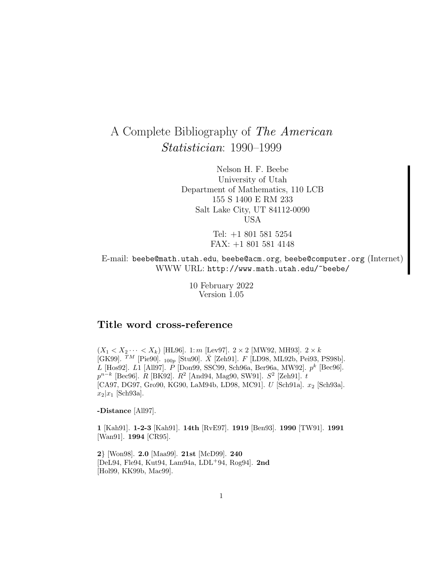# A Complete Bibliography of The American Statistician: 1990–1999

Nelson H. F. Beebe University of Utah Department of Mathematics, 110 LCB 155 S 1400 E RM 233 Salt Lake City, UT 84112-0090 USA

> Tel: +1 801 581 5254 FAX: +1 801 581 4148

E-mail: beebe@math.utah.edu, beebe@acm.org, beebe@computer.org (Internet) WWW URL: http://www.math.utah.edu/~beebe/

> 10 February 2022 Version 1.05

# **Title word cross-reference**

 $(X_1 < X_2 \cdots < X_k)$  [HL96]. 1: m [Lev97].  $2 \times 2$  [MW92, MH93].  $2 \times k$ [GK99].  $^{TM}$  [Pie90].  $_{100p}$  [Stu90].  $\bar{X}$  [Zeh91]. F [LD98, ML92b, Pei93, PS98b]. L [Hos92]. L1 [All97].  $P$  [Don99, SSC99, Sch96a, Ber96a, MW92].  $p^k$  [Bec96].  $p^{n-k}$  [Bec96]. R [BK92].  $R^2$  [And94, Mag90, SW91].  $S^2$  [Zeh91]. t [CA97, DG97, Gro90, KG90, LaM94b, LD98, MC91]. U [Sch91a].  $x_2$  [Sch93a].  $x_2|x_1$  [Sch93a].

**-Distance** [All97].

**1** [Kah91]. **1-2-3** [Kah91]. **14th** [RvE97]. **1919** [Ben93]. **1990** [TW91]. **1991** [Wan91]. **1994** [CR95].

**2**} [Won98]. **2.0** [Maa99]. **21st** [McD99]. **240** [DeL94, Fle94, Kut94, Lam94a, LDL<sup>+</sup>94, Rog94]. **2nd** [Hol99, KK99b, Mac99].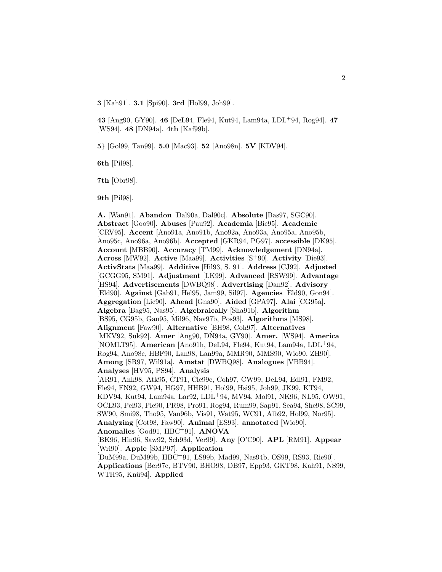**3** [Kah91]. **3.1** [Spi90]. **3rd** [Hol99, Joh99].

**43** [Ang90, GY90]. **46** [DeL94, Fle94, Kut94, Lam94a, LDL<sup>+</sup>94, Rog94]. **47** [WS94]. **48** [DN94a]. **4th** [Kaf99b].

**5**} [Gol99, Tan99]. **5.0** [Mac93]. **52** [Ano98n]. **5V** [KDV94].

**6th** [Pil98].

**7th** [Obr98].

**9th** [Pil98].

**A.** [Wan91]. **Abandon** [Dal90a, Dal90c]. **Absolute** [Bas97, SGC90]. **Abstract** [Goo90]. **Abuses** [Pau92]. **Academia** [Bic95]. **Academic** [CRV95]. **Accent** [Ano91a, Ano91b, Ano92a, Ano93a, Ano95a, Ano95b, Ano95c, Ano96a, Ano96b]. **Accepted** [GKR94, PG97]. **accessible** [DK95]. **Account** [MBB90]. **Accuracy** [TM99]. **Acknowledgement** [DN94a]. **Across** [MW92]. **Active** [Maa99]. **Activities** [S<sup>+</sup>90]. **Activity** [Die93]. **ActivStats** [Maa99]. **Additive** [Hil93, S. 91]. **Address** [CJ92]. **Adjusted** [GCGG95, SM91]. **Adjustment** [LK99]. **Advanced** [RSW99]. **Advantage** [HS94]. **Advertisements** [DWBQ98]. **Advertising** [Dan92]. **Advisory** [Eld90]. **Against** [Gab91, Hel95, Jam99, Sil97]. **Agencies** [Eld90, Gon94]. **Aggregation** [Lic90]. **Ahead** [Gna90]. **Aided** [GPA97]. **Alai** [CG95a]. **Algebra** [Bag95, Nas95]. **Algebraically** [Sha91b]. **Algorithm** [BS95, CG95b, Gan95, Mil96, Nav97b, Pos93]. **Algorithms** [MS98]. **Alignment** [Faw90]. **Alternative** [BH98, Coh97]. **Alternatives** [MKV92, Suk92]. **Amer** [Ang90, DN94a, GY90]. **Amer.** [WS94]. **America** [NOMLT95]. **American** [Ano91h, DeL94, Fle94, Kut94, Lam94a, LDL<sup>+</sup>94, Rog94, Ano98c, HBF90, Lan98, Lan99a, MMR90, MMS90, Wio90, ZH90]. **Among** [SR97, Wil91a]. **Amstat** [DWBQ98]. **Analogues** [VBB94]. **Analyses** [HV95, PS94]. **Analysis** [AR91, Ank98, Atk95, CT91, Cle99c, Coh97, CW99, DeL94, Edl91, FM92, Fle94, FN92, GW94, HG97, HHB91, Hol99, Hsi95, Joh99, JK99, KT94, KDV94, Kut94, Lam94a, Lar92, LDL<sup>+</sup>94, MV94, Mol91, NK96, NL95, OW91, OCE93, Pei93, Pie90, PR98, Pro91, Rog94, Rum99, Sap91, Sea94, She98, SC99, SW90, Smi98, Tho95, Van96b, Vis91, Wat95, WC91, Alb92, Hol99, Nor95]. **Analyzing** [Cot98, Faw90]. **Animal** [ES93]. **annotated** [Wio90]. **Anomalies** [God91, HBC<sup>+</sup>91]. **ANOVA** [BK96, Hin96, Saw92, Sch93d, Ver99]. **Any** [O'C90]. **APL** [RM91]. **Appear** [Wri90]. **Apple** [SMP97]. **Application** [DuM99a, DuM99b, HBC<sup>+</sup>91, LS99b, Mad99, Nas94b, OS99, RS93, Rie90]. **Applications** [Ber97c, BTV90, BHO98, DB97, Epp93, GKT98, Kah91, NS99, WTH95, Knü94]. **Applied**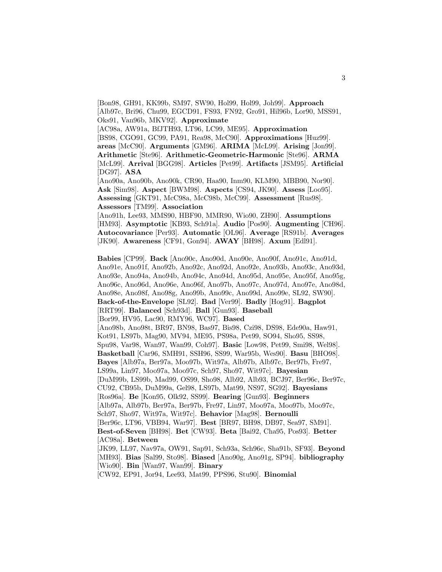[Bon98, GH91, KK99b, SM97, SW90, Hol99, Hol99, Joh99]. **Approach** [Alb97c, Bri96, Chu99, EGCD91, FS93, FN92, Gro91, Hil96b, Lor90, MSS91, Oks91, Van96b, MKV92]. **Approximate**

[AC98a, AW91a, BfJTH93, LT96, LC99, ME95]. **Approximation** [BS98, CGO91, GC99, PA91, Rea98, McC90]. **Approximations** [Huz99]. **areas** [McC90]. **Arguments** [GM96]. **ARIMA** [McL99]. **Arising** [Jon99]. **Arithmetic** [Ste96]. **Arithmetic-Geometric-Harmonic** [Ste96]. **ARMA** [McL99]. **Arrival** [BGG98]. **Articles** [Pet99]. **Artifacts** [JSM95]. **Artificial** [DG97]. **ASA**

[Ano90a, Ano90b, Ano90k, CR90, Haa90, Inm90, KLM90, MBB90, Nor90]. **Ask** [Sim98]. **Aspect** [BWM98]. **Aspects** [CS94, JK90]. **Assess** [Loo95]. **Assessing** [GKT91, McC98a, McC98b, McC99]. **Assessment** [Rus98]. **Assessors** [TM99]. **Association**

[Ano91h, Lee93, MMS90, HBF90, MMR90, Wio90, ZH90]. **Assumptions** [HM93]. **Asymptotic** [KB93, Sch91a]. **Audio** [Pos90]. **Augmenting** [CH96]. **Autocovariance** [Per93]. **Automatic** [OL96]. **Average** [RS91b]. **Averages** [JK90]. **Awareness** [CF91, Gon94]. **AWAY** [BH98]. **Axum** [Edl91].

**Babies** [CP99]. **Back** [Ano90c, Ano90d, Ano90e, Ano90f, Ano91c, Ano91d, Ano91e, Ano91f, Ano92b, Ano92c, Ano92d, Ano92e, Ano93b, Ano93c, Ano93d, Ano93e, Ano94a, Ano94b, Ano94c, Ano94d, Ano95d, Ano95e, Ano95f, Ano95g, Ano96c, Ano96d, Ano96e, Ano96f, Ano97b, Ano97c, Ano97d, Ano97e, Ano98d, Ano98e, Ano98f, Ano98g, Ano99b, Ano99c, Ano99d, Ano99e, SL92, SW90]. **Back-of-the-Envelope** [SL92]. **Bad** [Ver99]. **Badly** [Hog91]. **Bagplot** [RRT99]. **Balanced** [Sch93d]. **Ball** [Gun93]. **Baseball** [Bor99, HV95, Lac90, RMY96, WC97]. **Based** [Ano98b, Ano98t, BR97, BN98, Bas97, Bis98, Czi98, DS98, Ede90a, Haw91, Kot91, LS97b, Mag90, MV94, ME95, PS98a, Pet99, SO94, Sho95, SS98, Spu98, Var98, Wan97, Wan99, Coh97]. **Basic** [Low98, Pet99, Smi98, Wel98]. **Basketball** [Car96, SMH91, SSH96, SS99, War95b, Wes90]. **Basu** [BHO98]. **Bayes** [Alb97a, Ber97a, Moo97b, Wit97a, Alb97b, Alb97c, Ber97b, Fre97, LS99a, Lin97, Moo97a, Moo97c, Sch97, Sho97, Wit97c]. **Bayesian** [DuM99b, LS99b, Mad99, OS99, Sho98, Alb92, Alb93, BCJ97, Ber96c, Ber97c, CU92, CB95b, DuM99a, Gel98, LS97b, Mat99, NS97, SG92]. **Bayesians** [Ros96a]. **Be** [Kon95, Olk92, SS99]. **Bearing** [Gun93]. **Beginners** [Alb97a, Alb97b, Ber97a, Ber97b, Fre97, Lin97, Moo97a, Moo97b, Moo97c, Sch97, Sho97, Wit97a, Wit97c]. **Behavior** [Mag98]. **Bernoulli** [Ber96c, LT96, VBB94, War97]. **Best** [BR97, BH98, DB97, Sea97, SM91]. **Best-of-Seven** [BH98]. **Bet** [CW93]. **Beta** [Bai92, Cha95, Pos93]. **Better** [AC98a]. **Between** [JK99, LL97, Nav97a, OW91, Sap91, Sch93a, Sch96c, Sha91b, SF93]. **Beyond** [MH93]. **Bias** [Sal99, Sto98]. **Biased** [Ano90g, Ano91g, SP94]. **bibliography** [Wio90]. **Bin** [Wan97, Wan99]. **Binary**

[CW92, EP91, Jor94, Lee93, Mat99, PPS96, Stu90]. **Binomial**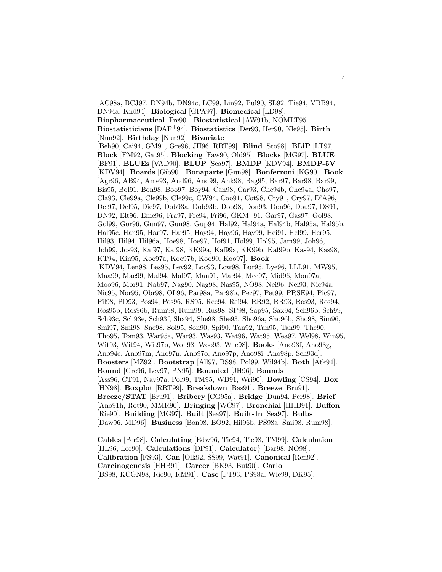[AC98a, BCJ97, DN94b, DN94c, LC99, Lin92, Pul90, SL92, Tie94, VBB94, DN94a, Knü94]. **Biological** [GPA97]. **Biomedical** [LD98]. **Biopharmaceutical** [Fre90]. **Biostatistical** [AW91b, NOMLT95]. **Biostatisticians** [DAF<sup>+</sup>94]. **Biostatistics** [Der93, Her90, Kle95]. **Birth** [Nun92]. **Birthday** [Nun92]. **Bivariate** [Beh90, Cai94, GM91, Gre96, JH96, RRT99]. **Blind** [Sto98]. **BLiP** [LT97]. **Block** [FM92, Gat95]. **Blocking** [Faw90, Old95]. **Blocks** [MG97]. **BLUE** [BF91]. **BLUEs** [VAD90]. **BLUP** [Sea97]. **BMDP** [KDV94]. **BMDP-5V** [KDV94]. **Boards** [Gib90]. **Bonaparte** [Gun98]. **Bonferroni** [KG90]. **Book** [Agr96, AB94, Ame93, And96, And99, Ank98, Bag95, Bar97, Bar98, Bar99, Bis95, Bol91, Bon98, Boo97, Boy94, Can98, Car93, Che94b, Che94a, Cho97, Cla93, Cle99a, Cle99b, Cle99c, CW94, Coo91, Cot98, Cry91, Cry97, D'A96, Del97, Del95, Die97, Dob93a, Dob93b, Dob98, Don93, Don96, Dou97, DS91, DN92, Elt96, Eme96, Fra97, Fre94, Fri96, GKM<sup>+</sup>91, Gar97, Gas97, Gol98, Gol99, Gor96, Gun97, Gun98, Gup94, Hal92, Hal94a, Hal94b, Hal95a, Hal95b, Hal95c, Han95, Har97, Har95, Hay94, Hay96, Hay99, Hei91, Hel99, Her95, Hil93, Hil94, Hil96a, Hoe98, Hoe97, Hof91, Hol99, Hol95, Jam99, Joh96, Joh99, Jos93, Kaf97, Kaf98, KK99a, Kaf99a, KK99b, Kaf99b, Kas94, Kas98, KT94, Kin95, Koe97a, Koe97b, Koo90, Koo97]. **Book** [KDV94, Len98, Les95, Lev92, Loc93, Low98, Lur95, Lye96, LLL91, MW95, Maa99, Mac99, Mal94, Mal97, Man91, Mar94, Mcc97, Mid96, Mon97a, Moo96, Mor91, Nab97, Nag90, Nag98, Nas95, NO98, Nei96, Nei93, Nic94a, Nic95, Nor95, Obr98, OL96, Par98a, Par98b, Pec97, Pet99, PRSE94, Pic97, Pil98, PD93, Pos94, Pos96, RS95, Ree94, Rei94, RR92, RR93, Ros93, Ros94, Ros95b, Ros96b, Rum98, Rum99, Rus98, SP98, Sap95, Sax94, Sch96b, Sch99, Sch93c, Sch93e, Sch93f, Sha94, She98, She93, Sho96a, Sho96b, Sho98, Sim96, Smi97, Smi98, Sne98, Sol95, Son90, Spi90, Tan92, Tan95, Tan99, The90, Tho95, Tom93, War95a, War93, Was93, Wat96, Wat95, Wea97, Wel98, Win95, Wit93, Wit94, Wit97b, Won98, Woo93, Wue98]. **Books** [Ano93f, Ano93g, Ano94e, Ano97m, Ano97n, Ano97o, Ano97p, Ano98i, Ano98p, Sch93d]. **Boosters** [MZ92]. **Bootstrap** [All97, BS98, Pol99, Wil94b]. **Both** [Atk94]. **Bound** [Gre96, Lev97, PN95]. **Bounded** [JH96]. **Bounds** [Ass96, CT91, Nav97a, Pol99, TM95, WB91, Wri90]. **Bowling** [CS94]. **Box** [HN98]. **Boxplot** [RRT99]. **Breakdown** [Bas91]. **Breeze** [Bru91]. **Breeze/STAT** [Bru91]. **Bribery** [CG95a]. **Bridge** [Dun94, Per98]. **Brief** [Ano91h, Rot90, MMR90]. **Bringing** [WC97]. **Bronchial** [HHB91]. **Buffon** [Rie90]. **Building** [MG97]. **Built** [Sea97]. **Built-In** [Sea97]. **Bulbs** [Daw96, MD96]. **Business** [Bon98, BO92, Hil96b, PS98a, Smi98, Rum98].

**Cables** [Per98]. **Calculating** [Edw96, Tie94, Tie98, TM99]. **Calculation** [HL96, Lor90]. **Calculations** [DP91]. **Calculator**} [Bar98, NO98]. **Calibration** [FS93]. **Can** [Olk92, SS99, Wat91]. **Canonical** [Ren92]. **Carcinogenesis** [HHB91]. **Career** [BK93, But90]. **Carlo** [BS98, KCGN98, Rie90, RM91]. **Case** [FT93, PS98a, Wie99, DK95].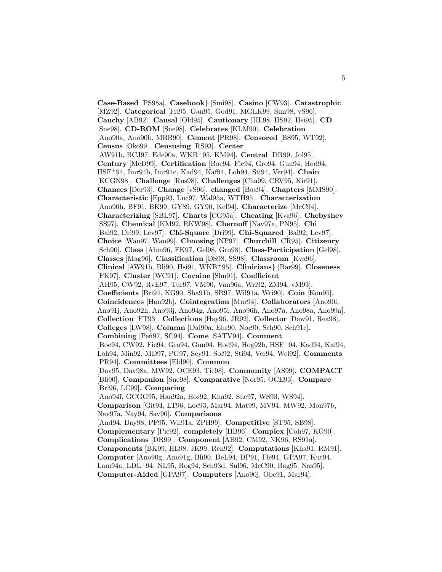**Case-Based** [PS98a]. **Casebook**} [Smi98]. **Casino** [CW93]. **Catastrophic** [MZ92]. **Categorical** [Fri95, Gan95, God91, MGLK99, Sim98, vS96]. **Cauchy** [AB92]. **Causal** [Old95]. **Cautionary** [HL98, HS92, Hsi95]. **CD** [Sne98]. **CD-ROM** [Sne98]. **Celebrates** [KLM90]. **Celebration** [Ano90a, Ano90b, MBB90]. **Cement** [PR98]. **Censored** [BS95, WT92]. **Census** [Oko99]. **Censusing** [RS93]. **Center** [AW91b, BCJ97, Ede90a, WKB<sup>+</sup>95, KM94]. **Central** [DR99, Jol95]. **Century** [McD99]. **Certification** [Boe94, Fie94, Gro94, Gun94, Hod94, HSF<sup>+</sup>94, Imr94b, Imr94c, Kad94, Kaf94, Loh94, Sti94, Ver94]. **Chain** [KCGN98]. **Challenge** [Rus98]. **Challenges** [Cha99, CRV95, Kir91]. **Chances** [Der93]. **Change** [vS96]. **changed** [Boa94]. **Chapters** [MMS90]. **Characteristic** [Epp93, Luc97, Wal95a, WTH95]. **Characterization** [Ano90h, BF91, BK99, GY89, GY90, Kel94]. **Characterize** [McC94]. **Characterizing** [SBL97]. **Charts** [CG95a]. **Cheating** [Kva96]. **Chebyshev** [SS97]. **Chemical** [KM92, RKW98]. **Chernoff** [Nav97a, PN95]. **Chi** [Bai92, Dri99, Lev97]. **Chi-Square** [Dri99]. **Chi-Squared** [Bai92, Lev97]. **Choice** [Wan97, Wan99]. **Choosing** [NP97]. **Churchill** [CR95]. **Citizenry** [Sch90]. **Class** [Ahm96, FK97, Gel98, Gro98]. **Class-Participation** [Gel98]. **Classes** [Mag96]. **Classification** [DS98, SS98]. **Classroom** [Kva96]. **Clinical** [AW91b, Bli90, Hsi91, WKB<sup>+</sup>95]. **Clinicians**} [Bar99]. **Closeness** [FK97]. **Cluster** [WC91]. **Cocaine** [Shu91]. **Coefficient** [AH95, CW92, RvE97, Tur97, VM90, Van96a, Wri92, ZM94, vM93]. **Coefficients** [Bri94, KG90, Sha91b, SR97, Wil91a, Wri90]. **Coin** [Kon95]. **Coincidences** [Han92b]. **Cointegration** [Mur94]. **Collaborators** [Ano90l, Ano91j, Ano92h, Ano93j, Ano94g, Ano95i, Ano96h, Ano97a, Ano98a, Ano99a]. **Collection** [FT93]. **Collections** [Hay96, JR92]. **Collector** [Daw91, Rea98]. **Colleges** [LW98]. **Column** [Dal90a, Ehr90, Nor90, Sch90, Sch91c]. **Combining** [Pe˜n97, SC94]. **Come** [SATV94]. **Comment** [Boe94, CW92, Fie94, Gro94, Gun94, Hod94, Hog92b, HSF<sup>+</sup>94, Kad94, Kaf94, Loh94, Min92, MD97, PG97, Sey91, Sol92, Sti94, Ver94, Wel92]. **Comments** [PR94]. **Committees** [Eld90]. **Common** [Dav95, Dav98a, MW92, OCE93, Tie98]. **Community** [AS99]. **COMPACT** [Bli90]. **Companion** [Sne98]. **Comparative** [Nor95, OCE93]. **Compare** [Bri96, LC99]. **Comparing** [Ano94f, GCGG95, Han92a, Hos92, Kha92, She97, WS93, WS94]. **Comparison** [Git94, LT96, Loc93, Mar94, Mat99, MV94, MW92, Mon97b, Nav97a, Nay94, Sav90]. **Comparisons** [And94, Day98, PF95, Wil91a, ZPH99]. **Competitive** [ST95, SB98]. **Complementary** [Pie92]. **completely** [HB96]. **Complex** [Coh97, KG90]. **Complications** [DR99]. **Component** [AB92, CM92, NK96, RS91a]. **Components** [BK99, HL98, JK99, Ren92]. **Computations** [Kha91, RM91]. **Computer** [Ano90g, Ano91g, Bli90, DeL94, DP91, Fle94, GPA97, Kut94, Lam94a, LDL<sup>+</sup>94, NL95, Rog94, Sch93d, Sul96, McC90, Bag95, Nas95]. **Computer-Aided** [GPA97]. **Computers** [Ano90j, Obe91, Mar94].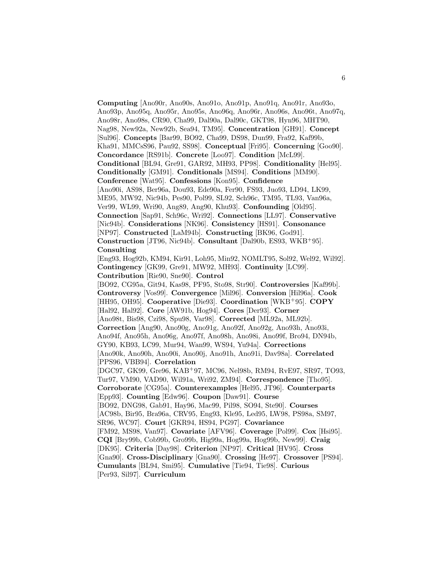**Computing** [Ano90r, Ano90s, Ano91o, Ano91p, Ano91q, Ano91r, Ano93o, Ano93p, Ano95q, Ano95r, Ano95s, Ano96q, Ano96r, Ano96s, Ano96t, Ano97q, Ano98r, Ano98s, CR90, Cha99, Dal90a, Dal90c, GKT98, Hyn96, MHT90, Nag98, New92a, New92b, Sea94, TM95]. **Concentration** [GH91]. **Concept** [Sul96]. **Concepts** [Bar99, BO92, Cha99, DS98, Dun99, Fra92, Kaf99b, Kha91, MMCsS96, Pau92, SS98]. **Conceptual** [Fri95]. **Concerning** [Goo90]. **Concordance** [RS91b]. **Concrete** [Loo97]. **Condition** [McL99]. **Conditional** [BL94, Gre91, GAR92, MH93, PP98]. **Conditionality** [Hel95]. **Conditionally** [GM91]. **Conditionals** [MS94]. **Conditions** [MM90]. **Conference** [Wat95]. **Confessions** [Kon95]. **Confidence** [Ano90i, AS98, Ber96a, Dou93, Ede90a, Fer90, FS93, Juo93, LD94, LK99, ME95, MW92, Nic94b, Pes90, Pol99, SL92, Sch96c, TM95, TL93, Van96a, Ver99, WL99, Wri90, Ang89, Ang90, Khu93]. **Confounding** [Old95]. **Connection** [Sap91, Sch96c, Wri92]. **Connections** [LL97]. **Conservative** [Nic94b]. **Considerations** [NK96]. **Consistency** [HS91]. **Consonance** [NP97]. **Constructed** [LaM94b]. **Constructing** [BK96, God91]. **Construction** [JT96, Nic94b]. **Consultant** [Dal90b, ES93, WKB<sup>+</sup>95]. **Consulting** [Eng93, Hog92b, KM94, Kir91, Loh95, Min92, NOMLT95, Sol92, Wel92, Wil92]. **Contingency** [GK99, Gre91, MW92, MH93]. **Continuity** [LC99]. **Contribution** [Rie90, Sne90]. **Control** [BO92, CG95a, Git94, Kas98, PF95, Sto98, Str90]. **Controversies** [Kaf99b]. **Controversy** [Vos99]. **Convergence** [Mil96]. **Conversion** [Hil96a]. **Cook** [HH95, OH95]. **Cooperative** [Die93]. **Coordination** [WKB<sup>+</sup>95]. **COPY** [Hal92, Hal92]. **Core** [AW91b, Hog94]. **Cores** [Der93]. **Corner** [Ano98t, Bis98, Czi98, Spu98, Var98]. **Corrected** [ML92a, ML92b]. **Correction** [Ang90, Ano90g, Ano91g, Ano92f, Ano92g, Ano93h, Ano93i, Ano94f, Ano95h, Ano96g, Ano97f, Ano98h, Ano98i, Ano99f, Bro94, DN94b, GY90, KB93, LC99, Mur94, Wan99, WS94, Yu94a]. **Corrections** [Ano90k, Ano90h, Ano90i, Ano90j, Ano91h, Ano91i, Dav98a]. **Correlated** [PPS96, VBB94]. **Correlation** [DGC97, GK99, Gre96, KAB<sup>+</sup>97, MC96, Nel98b, RM94, RvE97, SR97, TO93, Tur97, VM90, VAD90, Wil91a, Wri92, ZM94]. **Correspondence** [Tho95]. **Corroborate** [CG95a]. **Counterexamples** [Hel95, JT96]. **Counterparts** [Epp93]. **Counting** [Edw96]. **Coupon** [Daw91]. **Course** [BO92, DNG98, Gab91, Hay96, Mac99, Pil98, SO94, Ste90]. **Courses** [AC98b, Bir95, Bra96a, CRV95, Eng93, Kle95, Led95, LW98, PS98a, SM97, SR96, WC97]. **Court** [GKR94, HS94, PG97]. **Covariance** [FM92, MS98, Van97]. **Covariate** [AFV96]. **Coverage** [Pol99]. **Cox** [Hsi95]. **CQI** [Bry99b, Cob99b, Gro99b, Hig99a, Hog99a, Hog99b, New99]. **Craig** [DK95]. **Criteria** [Day98]. **Criterion** [NP97]. **Critical** [HV95]. **Cross** [Gna90]. **Cross-Disciplinary** [Gna90]. **Crossing** [He97]. **Crossover** [PS94]. **Cumulants** [BL94, Smi95]. **Cumulative** [Tie94, Tie98]. **Curious** [Per93, Sil97]. **Curriculum**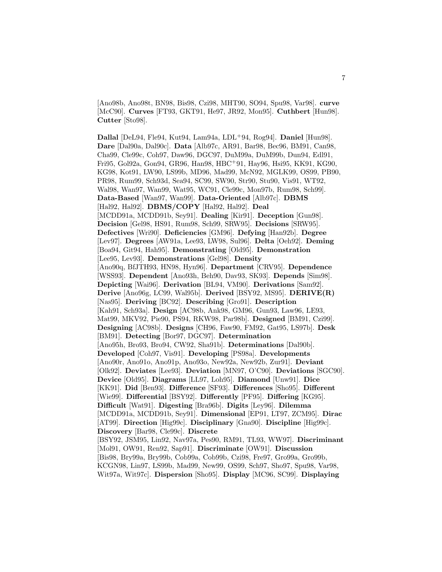[Ano98b, Ano98t, BN98, Bis98, Czi98, MHT90, SO94, Spu98, Var98]. **curve** [McC90]. **Curves** [FT93, GKT91, He97, JR92, Mon95]. **Cuthbert** [Hun98]. **Cutter** [Sto98].

**Dallal** [DeL94, Fle94, Kut94, Lam94a, LDL<sup>+</sup>94, Rog94]. **Daniel** [Hun98]. **Dare** [Dal90a, Dal90c]. **Data** [Alb97c, AR91, Bar98, Bec96, BM91, Can98, Cha99, Cle99c, Coh97, Daw96, DGC97, DuM99a, DuM99b, Dun94, Edl91, Fri95, Gol92a, Gon94, GR96, Han98, HBC<sup>+</sup>91, Hay96, Hsi95, KK91, KG90, KG98, Kot91, LW90, LS99b, MD96, Mad99, McN92, MGLK99, OS99, PB90, PR98, Rum99, Sch93d, Sea94, SC99, SW90, Str90, Stu90, Vis91, WT92, Wal98, Wan97, Wan99, Wat95, WC91, Cle99c, Mon97b, Rum98, Sch99]. **Data-Based** [Wan97, Wan99]. **Data-Oriented** [Alb97c]. **DBMS** [Hal92, Hal92]. **DBMS/COPY** [Hal92, Hal92]. **Deal** [MCDD91a, MCDD91b, Sey91]. **Dealing** [Kir91]. **Deception** [Gun98]. **Decision** [Gel98, HS91, Rum98, Sch99, SRW95]. **Decisions** [SRW95]. **Defectives** [Wri90]. **Deficiencies** [GM96]. **Defying** [Han92b]. **Degree** [Lev97]. **Degrees** [AW91a, Lee93, LW98, Sul96]. **Delta** [Oeh92]. **Deming** [Boa94, Git94, Hah95]. **Demonstrating** [Old95]. **Demonstration** [Lee95, Lev93]. **Demonstrations** [Gel98]. **Density** [Ano90q, BfJTH93, HN98, Hyn96]. **Department** [CRV95]. **Dependence** [WSS93]. **Dependent** [Ano93h, Beh90, Dav93, SK93]. **Depends** [Sim98]. **Depicting** [Wai96]. **Derivation** [BL94, VM90]. **Derivations** [Sam92]. **Derive** [Ano96g, LC99, Wal95b]. **Derived** [BSY92, MS95]. **DERIVE(R)** [Nas95]. **Deriving** [BC92]. **Describing** [Gro91]. **Description** [Kah91, Sch93a]. **Design** [AC98b, Ank98, GM96, Gun93, Law96, LE93, Mat99, MKV92, Pie90, PS94, RKW98, Par98b]. **Designed** [BM91, Czi99]. **Designing** [AC98b]. **Designs** [CH96, Faw90, FM92, Gat95, LS97b]. **Desk** [BM91]. **Detecting** [Bor97, DGC97]. **Determination** [Ano95h, Bro93, Bro94, CW92, Sha91b]. **Determinations** [Dal90b]. **Developed** [Coh97, Vis91]. **Developing** [PS98a]. **Developments** [Ano90r, Ano91o, Ano91p, Ano93o, New92a, New92b, Zur91]. **Deviant** [Olk92]. **Deviates** [Lee93]. **Deviation** [MN97, O'C90]. **Deviations** [SGC90]. **Device** [Old95]. **Diagrams** [LL97, Loh95]. **Diamond** [Unw91]. **Dice** [KK91]. **Did** [Ben93]. **Difference** [SF93]. **Differences** [Sho95]. **Different** [Wie99]. **Differential** [BSY92]. **Differently** [PF95]. **Differing** [KG95]. **Difficult** [Wat91]. **Digesting** [Bra96b]. **Digits** [Ley96]. **Dilemma** [MCDD91a, MCDD91b, Sey91]. **Dimensional** [EP91, LT97, ZCM95]. **Dirac** [AT99]. **Direction** [Hig99c]. **Disciplinary** [Gna90]. **Discipline** [Hig99c]. **Discovery** [Bar98, Cle99c]. **Discrete** [BSY92, JSM95, Lin92, Nav97a, Pes90, RM91, TL93, WW97]. **Discriminant** [Mol91, OW91, Ren92, Sap91]. **Discriminate** [OW91]. **Discussion** [Bis98, Bry99a, Bry99b, Cob99a, Cob99b, Czi98, Fre97, Gro99a, Gro99b, KCGN98, Lin97, LS99b, Mad99, New99, OS99, Sch97, Sho97, Spu98, Var98, Wit97a, Wit97c]. **Dispersion** [Sho95]. **Display** [MC96, SC99]. **Displaying**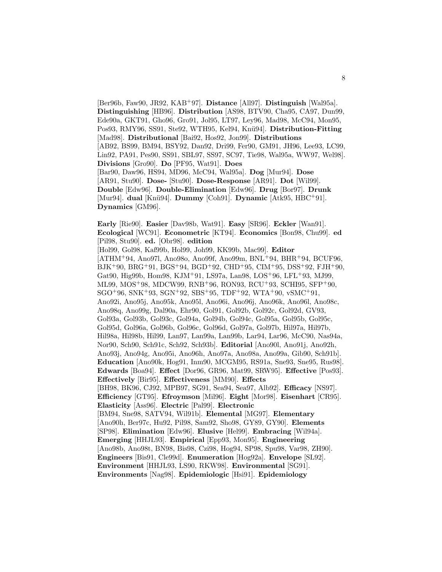[Ber96b, Faw90, JR92, KAB<sup>+</sup>97]. **Distance** [All97]. **Distinguish** [Wal95a]. **Distinguishing** [HB96]. **Distribution** [AS98, BTV90, Cha95, CA97, Dun99, Ede90a, GKT91, Gho96, Gro91, Jol95, LT97, Ley96, Mad98, McC94, Mon95, Pos93, RMY96, SS91, Ste92, WTH95, Kel94, Knü94]. Distribution-Fitting [Mad98]. **Distributional** [Bai92, Hos92, Jon99]. **Distributions** [AB92, BS99, BM94, BSY92, Dan92, Dri99, Fer90, GM91, JH96, Lee93, LC99, Lin92, PA91, Pes90, SS91, SBL97, SS97, SC97, Tie98, Wal95a, WW97, Wel98]. **Divisions** [Gro90]. **Do** [PF95, Wat91]. **Does** [Bar90, Daw96, HS94, MD96, McC94, Wal95a]. **Dog** [Mur94]. **Dose** [AR91, Stu90]. **Dose-** [Stu90]. **Dose-Response** [AR91]. **Dot** [Wil99]. **Double** [Edw96]. **Double-Elimination** [Edw96]. **Drug** [Bor97]. **Drunk** [Mur94]. **dual** [Knü94]. **Dummy** [Coh91]. **Dynamic** [Atk95, HBC+91]. **Dynamics** [GM96].

**Early** [Rie90]. **Easier** [Dav98b, Wat91]. **Easy** [SR96]. **Eckler** [Wan91]. **Ecological** [WC91]. **Econometric** [KT94]. **Economics** [Bon98, Chu99]. **ed** [Pil98, Stu90]. **ed.** [Obr98]. **edition** [Hol99, Gol98, Kaf99b, Hol99, Joh99, KK99b, Mac99]. **Editor** [ATHM<sup>+</sup>94, Ano97l, Ano98o, Ano99f, Ano99m, BNL<sup>+</sup>94, BHR<sup>+</sup>94, BCUF96, BJK<sup>+</sup>90, BRG<sup>+</sup>91, BGS<sup>+</sup>94, BGD<sup>+</sup>92, CHD<sup>+</sup>95, CIM<sup>+</sup>95, DSS<sup>+</sup>92, FJH<sup>+</sup>90, Gat90, Hig99b, Hom98, KJM<sup>+</sup>91, LS97a, Lan98, LOS<sup>+</sup>96, LFL<sup>+</sup>93, MJ99, ML99, MOS<sup>+</sup>98, MDCW99, RNB<sup>+</sup>96, RON93, RCU<sup>+</sup>93, SCHI95, SFP<sup>+</sup>90,  $SGO+96$ ,  $SNK+93$ ,  $SGN+92$ ,  $SBS+95$ ,  $TDF+92$ ,  $WTA+90$ ,  $vSMC+91$ , Ano92i, Ano95j, Ano95k, Ano95l, Ano96i, Ano96j, Ano96k, Ano96l, Ano98c, Ano98q, Ano99g, Dal90a, Ehr90, Gol91, Gol92b, Gol92c, Gol92d, GV93, Gol93a, Gol93b, Gol93c, Gol94a, Gol94b, Gol94c, Gol95a, Gol95b, Gol95c, Gol95d, Gol96a, Gol96b, Gol96c, Gol96d, Gol97a, Gol97b, Hil97a, Hil97b, Hil98a, Hil98b, Hil99, Lan97, Lan99a, Lan99b, Lar94, Lar96, McC90, Nas94a, Nor90, Sch90, Sch91c, Sch92, Sch93b]. **Editorial** [Ano90l, Ano91j, Ano92h, Ano93j, Ano94g, Ano95i, Ano96h, Ano97a, Ano98a, Ano99a, Gib90, Sch91b]. **Education** [Ano90k, Hog91, Inm90, MCGM95, RS91a, Sne93, Sne95, Rus98]. **Edwards** [Boa94]. **Effect** [Dor96, GR96, Mat99, SRW95]. **Effective** [Pos93]. **Effectively** [Bir95]. **Effectiveness** [MM90]. **Effects** [BH98, BK96, CJ92, MPB97, SG91, Sea94, Sea97, Alb92]. **Efficacy** [NS97]. **Efficiency** [GT95]. **Efroymson** [Mil96]. **Eight** [Mor98]. **Eisenhart** [CR95]. **Elasticity** [Ass96]. **Electric** [Pal99]. **Electronic** [BM94, Sne98, SATV94, Wil91b]. **Elemental** [MG97]. **Elementary** [Ano90h, Ber97c, Hu92, Pil98, Sam92, Sho98, GY89, GY90]. **Elements** [SP98]. **Elimination** [Edw96]. **Elusive** [Hel99]. **Embracing** [Wil94a]. **Emerging** [HHJL93]. **Empirical** [Epp93, Mon95]. **Engineering** [Ano98b, Ano98t, BN98, Bis98, Czi98, Hog94, SP98, Spu98, Var98, ZH90]. **Engineers** [Bis91, Cle99d]. **Enumeration** [Hog92a]. **Envelope** [SL92]. **Environment** [HHJL93, LS90, RKW98]. **Environmental** [SG91]. **Environments** [Nag98]. **Epidemiologic** [Hsi91]. **Epidemiology**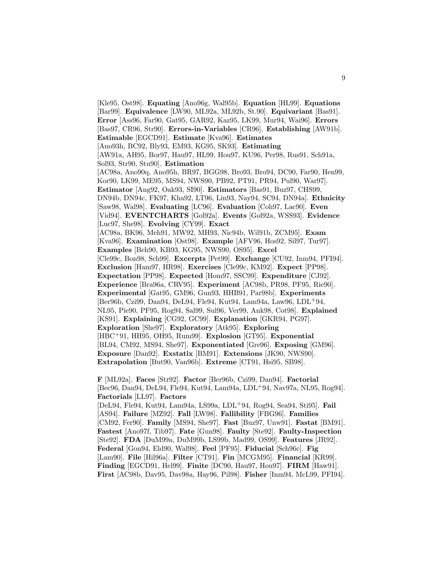[Kle95, Ost98]. **Equating** [Ano96g, Wal95b]. **Equation** [HL99]. **Equations** [Bar99]. **Equivalence** [LW90, ML92a, ML92b, St.90]. **Equivariant** [Bas91]. **Error** [Ass96, Far90, Gat95, GAR92, Kaz95, LK99, Mur94, Wai96]. **Errors** [Bas97, CR96, Str90]. **Errors-in-Variables** [CR96]. **Establishing** [AW91b]. **Estimable** [EGCD91]. **Estimate** [Kva96]. **Estimates** [Ano93h, BC92, Bly93, EM93, KG95, SK93]. **Estimating** [AW91a, AH95, Bor97, Hau97, HL99, Hou97, KU96, Per98, Rus91, Sch91a, Sol93, Str90, Stu90]. **Estimation** [AC98a, Ano90q, Ano95h, BR97, BGG98, Bro93, Bro94, DC90, Far90, Hen99, Kor90, LK99, ME95, MS94, NWS90, PB92, PT91, PR94, Pul90, War97]. **Estimator** [Ang92, Oak93, SI90]. **Estimators** [Bas91, Buz97, CHS99, DN94b, DN94c, FK97, Kha92, LT96, Lin93, Nay94, SC94, DN94a]. **Ethnicity** [Saw98, Wal98]. **Evaluating** [LC96]. **Evaluation** [Coh97, Lac90]. **Even** [Vid94]. **EVENTCHARTS** [Gol92a]. **Events** [Gol92a, WSS93]. **Evidence** [Luc97, She98]. **Evolving** [CY99]. **Exact** [AC98a, BK96, Meh91, MW92, MH93, Nic94b, Wil91b, ZCM95]. **Exam** [Kva96]. **Examination** [Ost98]. **Example** [AFV96, Hos92, Sil97, Tur97]. **Examples** [Beh90, KB93, KG95, NWS90, OS95]. **Excel** [Cle99c, Bon98, Sch99]. **Excerpts** [Pet99]. **Exchange** [CU92, Inm94, PFI94]. **Exclusion** [Ham97, HR98]. **Exercises** [Cle99c, KM92]. **Expect** [PP98]. **Expectation** [PP98]. **Expected** [Hom97, SSC99]. **Expenditure** [CJ92]. **Experience** [Bra96a, CRV95]. **Experiment** [AC98b, PR98, PF95, Rie90]. **Experimental** [Gat95, GM96, Gun93, HHB91, Par98b]. **Experiments** [Ber96b, Czi99, Dan94, DeL94, Fle94, Kut94, Lam94a, Law96, LDL<sup>+</sup>94, NL95, Pie90, PF95, Rog94, Sal99, Sul96, Ver99, Ank98, Cot98]. **Explained** [KS91]. **Explaining** [CG92, GC99]. **Explanation** [GKR94, PG97]. **Exploration** [She97]. **Exploratory** [Atk95]. **Exploring** [HBC<sup>+</sup>91, HH95, OH95, Rum99]. **Explosion** [GT95]. **Exponential** [BL94, CM92, MS94, She97]. **Exponentiated** [Gre96]. **Exposing** [GM96]. **Exposure** [Dan92]. **Exstatix** [BM91]. **Extensions** [JK90, NWS90]. **Extrapolation** [But90, Van96b]. **Extreme** [CT91, Hsi95, SB98].

**F** [ML92a]. **Faces** [Str92]. **Factor** [Ber96b, Czi99, Dan94]. **Factorial** [Bec96, Dan94, DeL94, Fle94, Kut94, Lam94a, LDL<sup>+</sup>94, Nav97a, NL95, Rog94]. **Factorials** [LL97]. **Factors**

[DeL94, Fle94, Kut94, Lam94a, LS99a, LDL<sup>+</sup>94, Rog94, Sea94, Sti95]. **Fail** [AS94]. **Failure** [MZ92]. **Fall** [LW98]. **Fallibility** [FBG96]. **Families** [CM92, Fer90]. **Family** [MS94, She97]. **Fast** [Buz97, Unw91]. **Fastat** [BM91]. **Fastest** [Ano97f, Tib97]. **Fate** [Gun98]. **Faulty** [Ste92]. **Faulty-Inspection** [Ste92]. **FDA** [DuM99a, DuM99b, LS99b, Mad99, OS99]. **Features** [JR92]. **Federal** [Gon94, Eld90, Wal98]. **Feel** [PF95]. **Fiducial** [Sch96c]. **Fig** [Lam90]. **File** [Hil96a]. **Filter** [CT91]. **Fin** [MCGM95]. **Financial** [KR99]. **Finding** [EGCD91, Hel99]. **Finite** [DC90, Hau97, Hou97]. **FIRM** [Haw91]. **First** [AC98b, Dav95, Dav98a, Hay96, Pil98]. **Fisher** [Inm94, McL99, PFI94].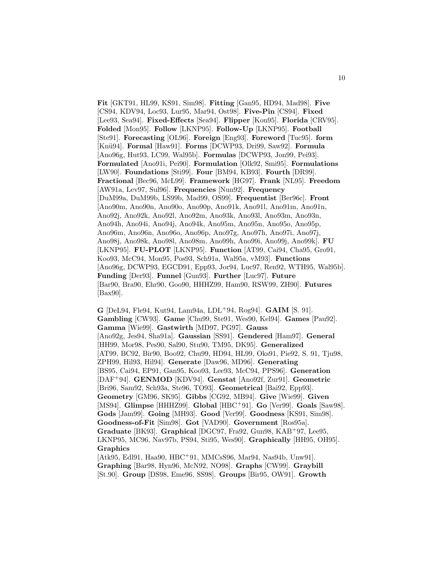**Fit** [GKT91, HL99, KS91, Sim98]. **Fitting** [Gan95, HD94, Mad98]. **Five** [CS94, KDV94, Loc93, Lur95, Mar94, Ost98]. **Five-Pin** [CS94]. **Fixed** [Lee93, Sea94]. **Fixed-Effects** [Sea94]. **Flipper** [Kon95]. **Florida** [CRV95]. **Folded** [Mon95]. **Follow** [LKNP95]. **Follow-Up** [LKNP95]. **Football** [Ste91]. **Forecasting** [OL96]. **Foreign** [Eng93]. **Foreword** [Tuc95]. **form** [Kn¨u94]. **Formal** [Haw91]. **Forms** [DCWP93, Dri99, Saw92]. **Formula** [Ano96g, Hut93, LC99, Wal95b]. **Formulas** [DCWP93, Jon99, Pei93]. **Formulated** [Ano91i, Pei90]. **Formulation** [Olk92, Smi95]. **Formulations** [LW90]. **Foundations** [Sti99]. **Four** [BM94, KB93]. **Fourth** [DR99]. **Fractional** [Bec96, McL99]. **Framework** [HG97]. **Frank** [NL95]. **Freedom** [AW91a, Lev97, Sul96]. **Frequencies** [Nun92]. **Frequency** [DuM99a, DuM99b, LS99b, Mad99, OS99]. **Frequentist** [Ber96c]. **Front** [Ano90m, Ano90n, Ano90o, Ano90p, Ano91k, Ano91l, Ano91m, Ano91n, Ano92j, Ano92k, Ano92l, Ano92m, Ano93k, Ano93l, Ano93m, Ano93n, Ano94h, Ano94i, Ano94j, Ano94k, Ano95m, Ano95n, Ano95o, Ano95p, Ano96m, Ano96n, Ano96o, Ano96p, Ano97g, Ano97h, Ano97i, Ano97j, Ano98j, Ano98k, Ano98l, Ano98m, Ano99h, Ano99i, Ano99j, Ano99k]. **FU** [LKNP95]. **FU-PLOT** [LKNP95]. **Function** [AT99, Cai94, Cha95, Gro91, Koo93, McC94, Mon95, Pos93, Sch91a, Wal95a, vM93]. **Functions** [Ano96g, DCWP93, EGCD91, Epp93, Jor94, Luc97, Ren92, WTH95, Wal95b]. **Funding** [Der93]. **Funnel** [Gun93]. **Further** [Luc97]. **Future** [Bar90, Bra90, Ehr90, Goo90, HHHZ99, Ham90, RSW99, ZH90]. **Futures** [Bax90].

**G** [DeL94, Fle94, Kut94, Lam94a, LDL<sup>+</sup>94, Rog94]. **GAIM** [S. 91]. **Gambling** [CW93]. **Game** [Chu99, Ste91, Wes90, Kel94]. **Games** [Pau92]. **Gamma** [Wie99]. **Gastwirth** [MD97, PG97]. **Gauss** [Ano92g, Jes94, Sha91a]. **Gaussian** [SS91]. **Gendered** [Ham97]. **General** [HH99, Mor98, Pes90, Sal90, Stu90, TM95, DK95]. **Generalized** [AT99, BC92, Bir90, Boo92, Chu99, HD94, HL99, Oks91, Pie92, S. 91, Tju98, ZPH99, Hil93, Hil94]. **Generate** [Daw96, MD96]. **Generating** [BS95, Cai94, EP91, Gan95, Koo93, Lee93, McC94, PPS96]. **Generation** [DAF<sup>+</sup>94]. **GENMOD** [KDV94]. **Genstat** [Ano92f, Zur91]. **Geometric** [Bri96, Sam92, Sch93a, Ste96, TO93]. **Geometrical** [Bai92, Epp93]. **Geometry** [GM96, SK95]. **Gibbs** [CG92, MB94]. **Give** [Wie99]. **Given** [MS94]. **Glimpse** [HHHZ99]. **Global** [HBC<sup>+</sup>91]. **Go** [Ver99]. **Goals** [Saw98]. **Gods** [Jam99]. **Going** [MH93]. **Good** [Ver99]. **Goodness** [KS91, Sim98]. **Goodness-of-Fit** [Sim98]. **Got** [VAD90]. **Government** [Ros95a]. **Graduate** [BK93]. **Graphical** [DGC97, Fra92, Gun98, KAB<sup>+</sup>97, Lee95, LKNP95, MC96, Nav97b, PS94, Sti95, Wes90]. **Graphically** [HH95, OH95]. **Graphics** [Atk95, Edl91, Haa90, HBC<sup>+</sup>91, MMCsS96, Mar94, Nas94b, Unw91].

**Graphing** [Bar98, Hyn96, McN92, NO98]. **Graphs** [CW99]. **Graybill** [St.90]. **Group** [DS98, Eme96, SS98]. **Groups** [Bir95, OW91]. **Growth**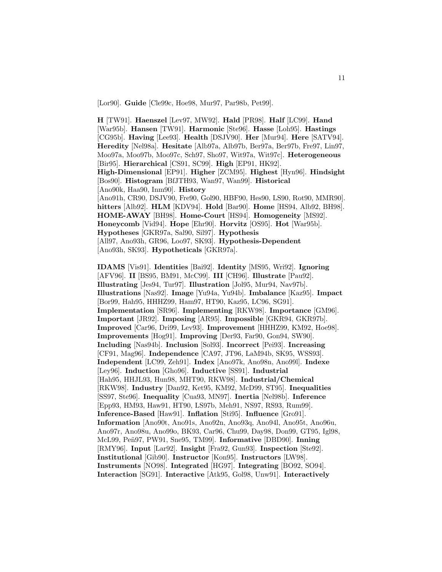[Lor90]. **Guide** [Cle99c, Hoe98, Mur97, Par98b, Pet99].

**H** [TW91]. **Haenszel** [Lev97, MW92]. **Hald** [PR98]. **Half** [LC99]. **Hand** [War95b]. **Hansen** [TW91]. **Harmonic** [Ste96]. **Hasse** [Loh95]. **Hastings** [CG95b]. **Having** [Lee93]. **Health** [DSJV90]. **Her** [Mur94]. **Here** [SATV94]. **Heredity** [Nel98a]. **Hesitate** [Alb97a, Alb97b, Ber97a, Ber97b, Fre97, Lin97, Moo97a, Moo97b, Moo97c, Sch97, Sho97, Wit97a, Wit97c]. **Heterogeneous** [Bir95]. **Hierarchical** [CS91, SC99]. **High** [EP91, HK92]. **High-Dimensional** [EP91]. **Higher** [ZCM95]. **Highest** [Hyn96]. **Hindsight** [Bos90]. **Histogram** [BfJTH93, Wan97, Wan99]. **Historical** [Ano90k, Haa90, Inm90]. **History** [Ano91h, CR90, DSJV90, Fre90, Gol90, HBF90, Hes90, LS90, Rot90, MMR90]. **hitters** [Alb92]. **HLM** [KDV94]. **Hold** [Bar90]. **Home** [HS94, Alb92, BH98]. **HOME-AWAY** [BH98]. **Home-Court** [HS94]. **Homogeneity** [MS92]. **Honeycomb** [Vid94]. **Hope** [Ehr90]. **Horvitz** [OS95]. **Hot** [War95b]. **Hypotheses** [GKR97a, Sal90, Sil97]. **Hypothesis** [All97, Ano93h, GR96, Loo97, SK93]. **Hypothesis-Dependent** [Ano93h, SK93]. **Hypotheticals** [GKR97a].

**IDAMS** [Vis91]. **Identities** [Bai92]. **Identity** [MS95, Wri92]. **Ignoring** [AFV96]. **II** [BS95, BM91, McC99]. **III** [CH96]. **Illustrate** [Pau92]. **Illustrating** [Jes94, Tur97]. **Illustration** [Jol95, Mur94, Nav97b]. **Illustrations** [Nas92]. **Image** [Yu94a, Yu94b]. **Imbalance** [Kaz95]. **Impact** [Bor99, Hah95, HHHZ99, Ham97, HT90, Kaz95, LC96, SG91]. **Implementation** [SR96]. **Implementing** [RKW98]. **Importance** [GM96]. **Important** [JR92]. **Imposing** [AR95]. **Impossible** [GKR94, GKR97b]. **Improved** [Car96, Dri99, Lev93]. **Improvement** [HHHZ99, KM92, Hoe98]. **Improvements** [Hog91]. **Improving** [Der93, Far90, Gon94, SW90]. **Including** [Nas94b]. **Inclusion** [Sol93]. **Incorrect** [Pei93]. **Increasing** [CF91, Mag96]. **Independence** [CA97, JT96, LaM94b, SK95, WSS93]. **Independent** [LC99, Zeh91]. **Index** [Ano97k, Ano98n, Ano99l]. **Indexe** [Ley96]. **Induction** [Gho96]. **Inductive** [SS91]. **Industrial** [Hah95, HHJL93, Hun98, MHT90, RKW98]. **Industrial/Chemical** [RKW98]. **Industry** [Dan92, Ket95, KM92, McD99, ST95]. **Inequalities** [SS97, Ste96]. **Inequality** [Cua93, MN97]. **Inertia** [Nel98b]. **Inference** [Epp93, HM93, Haw91, HT90, LS97b, Meh91, NS97, RS93, Rum99]. **Inference-Based** [Haw91]. **Inflation** [Sti95]. **Influence** [Gro91]. **Information** [Ano90t, Ano91s, Ano92n, Ano93q, Ano94l, Ano95t, Ano96u, Ano97r, Ano98u, Ano99o, BK93, Car96, Chu99, Day98, Don99, GT95, Igl98, McL99, Pe˜n97, PW91, Sne95, TM99]. **Informative** [DBD90]. **Inning** [RMY96]. **Input** [Lar92]. **Insight** [Fra92, Gun93]. **Inspection** [Ste92]. **Institutional** [Gib90]. **Instructor** [Kon95]. **Instructors** [LW98]. **Instruments** [NO98]. **Integrated** [HG97]. **Integrating** [BO92, SO94]. **Interaction** [SG91]. **Interactive** [Atk95, Gol98, Unw91]. **Interactively**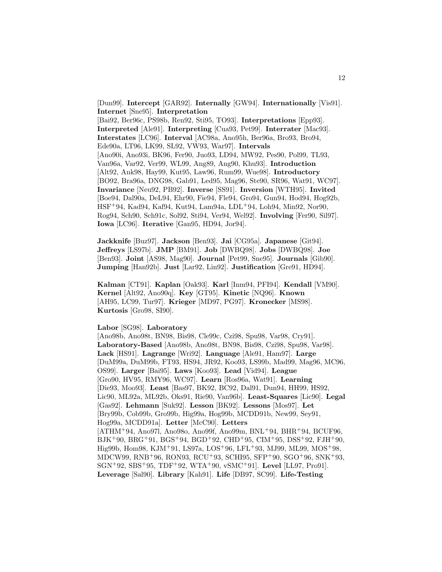[Dun99]. **Intercept** [GAR92]. **Internally** [GW94]. **Internationally** [Vis91]. **Internet** [Sne95]. **Interpretation** [Bai92, Ber96c, PS98b, Ren92, Sti95, TO93]. **Interpretations** [Epp93]. **Interpreted** [Ale91]. **Interpreting** [Cua93, Pet99]. **Interrater** [Mac93]. **Interstates** [LC96]. **Interval** [AC98a, Ano95h, Ber96a, Bro93, Bro94, Ede90a, LT96, LK99, SL92, VW93, War97]. **Intervals** [Ano90i, Ano93i, BK96, Fer90, Juo93, LD94, MW92, Pes90, Pol99, TL93, Van96a, Var92, Ver99, WL99, Ang89, Ang90, Khu93]. **Introduction** [Alt92, Ank98, Hay99, Kut95, Law96, Rum99, Wue98]. **Introductory** [BO92, Bra96a, DNG98, Gab91, Led95, Mag96, Ste90, SR96, Wat91, WC97]. **Invariance** [Neu92, PB92]. **Inverse** [SS91]. **Inversion** [WTH95]. **Invited** [Boe94, Dal90a, DeL94, Ehr90, Fie94, Fle94, Gro94, Gun94, Hod94, Hog92b, HSF<sup>+</sup>94, Kad94, Kaf94, Kut94, Lam94a, LDL<sup>+</sup>94, Loh94, Min92, Nor90, Rog94, Sch90, Sch91c, Sol92, Sti94, Ver94, Wel92]. **Involving** [Fer90, Sil97]. **Iowa** [LC96]. **Iterative** [Gan95, HD94, Jor94].

**Jackknife** [Buz97]. **Jackson** [Ben93]. **Jai** [CG95a]. **Japanese** [Git94]. **Jeffreys** [LS97b]. **JMP** [BM91]. **Job** [DWBQ98]. **Jobs** [DWBQ98]. **Joe** [Ben93]. **Joint** [AS98, Mag90]. **Journal** [Pet99, Sne95]. **Journals** [Gib90]. **Jumping** [Han92b]. **Just** [Lar92, Lin92]. **Justification** [Gre91, HD94].

**Kalman** [CT91]. **Kaplan** [Oak93]. **Karl** [Inm94, PFI94]. **Kendall** [VM90]. **Kernel** [Alt92, Ano90q]. **Key** [GT95]. **Kinetic** [NQ96]. **Known** [AH95, LC99, Tur97]. **Krieger** [MD97, PG97]. **Kronecker** [MS98]. **Kurtosis** [Gro98, SI90].

**Labor** [SG98]. **Laboratory**

[Ano98b, Ano98t, BN98, Bis98, Cle99c, Czi98, Spu98, Var98, Cry91]. **Laboratory-Based** [Ano98b, Ano98t, BN98, Bis98, Czi98, Spu98, Var98]. **Lack** [HS91]. **Lagrange** [Wri92]. **Language** [Ale91, Ham97]. **Large** [DuM99a, DuM99b, FT93, HS94, JR92, Koo93, LS99b, Mad99, Mag96, MC96, OS99]. **Larger** [Bai95]. **Laws** [Koo93]. **Lead** [Vid94]. **League** [Gro90, HV95, RMY96, WC97]. **Learn** [Ros96a, Wat91]. **Learning** [Die93, Moo93]. **Least** [Bas97, BK92, BC92, Dal91, Dun94, HH99, HS92, Lic90, ML92a, ML92b, Oks91, Rie90, Van96b]. **Least-Squares** [Lic90]. **Legal** [Gas92]. **Lehmann** [Suk92]. **Lesson** [BK92]. **Lessons** [Mos97]. **Let** [Bry99b, Cob99b, Gro99b, Hig99a, Hog99b, MCDD91b, New99, Sey91, Hog99a, MCDD91a]. **Letter** [McC90]. **Letters** [ATHM<sup>+</sup>94, Ano97l, Ano98o, Ano99f, Ano99m, BNL<sup>+</sup>94, BHR<sup>+</sup>94, BCUF96, BJK<sup>+</sup>90, BRG<sup>+</sup>91, BGS<sup>+</sup>94, BGD<sup>+</sup>92, CHD<sup>+</sup>95, CIM<sup>+</sup>95, DSS<sup>+</sup>92, FJH<sup>+</sup>90, Hig99b, Hom98, KJM<sup>+</sup>91, LS97a, LOS<sup>+</sup>96, LFL<sup>+</sup>93, MJ99, ML99, MOS<sup>+</sup>98, MDCW99, RNB<sup>+</sup>96, RON93, RCU<sup>+</sup>93, SCHI95, SFP<sup>+</sup>90, SGO<sup>+</sup>96, SNK<sup>+</sup>93, SGN<sup>+</sup>92, SBS<sup>+</sup>95, TDF<sup>+</sup>92, WTA<sup>+</sup>90, vSMC<sup>+</sup>91]. **Level** [LL97, Pro91]. **Leverage** [Sal90]. **Library** [Kah91]. **Life** [DB97, SC99]. **Life-Testing**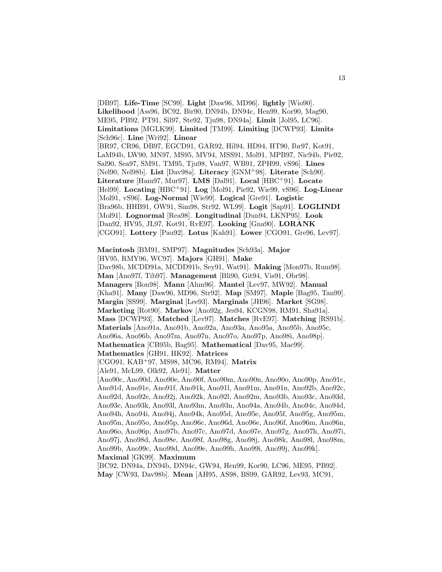[DB97]. **Life-Time** [SC99]. **Light** [Daw96, MD96]. **lightly** [Wio90]. **Likelihood** [Ass96, BC92, Bir90, DN94b, DN94c, Hen99, Kor90, Mag90, ME95, PB92, PT91, Sil97, Ste92, Tju98, DN94a]. **Limit** [Jol95, LC96]. **Limitations** [MGLK99]. **Limited** [TM99]. **Limiting** [DCWP93]. **Limits** [Sch96c]. **Line** [Wri92]. **Linear** [BR97, CR96, DB97, EGCD91, GAR92, Hil94, HD94, HT90, Ibr97, Kot91, LaM94b, LW90, MN97, MS95, MV94, MSS91, Mol91, MPB97, Nic94b, Pie92, Sal90, Sea97, SM91, TM95, Tju98, Van97, WB91, ZPH99, vS96]. **Lines** [Nel90, Nel98b]. **List** [Dav98a]. **Literacy** [GNM<sup>+</sup>98]. **Literate** [Sch90]. **Literature** [Ham97, Mur97]. **LMS** [Dal91]. **Local** [HBC<sup>+</sup>91]. **Locate** [Hel99]. **Locating** [HBC<sup>+</sup>91]. **Log** [Mol91, Pie92, Wie99, vS96]. **Log-Linear** [Mol91, vS96]. **Log-Normal** [Wie99]. **Logical** [Gre91]. **Logistic** [Bra96b, HHB91, OW91, Sim98, Str92, WL99]. **Logit** [Sap91]. **LOGLINDI** [Mol91]. **Lognormal** [Rea98]. **Longitudinal** [Dun94, LKNP95]. **Look** [Dan92, HV95, JL97, Kot91, RvE97]. **Looking** [Gna90]. **LORANK** [CGO91]. **Lottery** [Pau92]. **Lotus** [Kah91]. **Lower** [CGO91, Gre96, Lev97].

**Macintosh** [BM91, SMP97]. **Magnitudes** [Sch93a]. **Major** [HV95, RMY96, WC97]. **Majors** [GH91]. **Make** [Dav98b, MCDD91a, MCDD91b, Sey91, Wat91]. **Making** [Mon97b, Rum98]. **Man** [Ano97f, Tib97]. **Management** [Bli90, Git94, Vis91, Obr98]. **Managers** [Bon98]. **Mann** [Ahm96]. **Mantel** [Lev97, MW92]. **Manual** [Kha91]. **Many** [Daw96, MD96, Str92]. **Map** [SM97]. **Maple** [Bag95, Tan99]. **Margin** [SS99]. **Marginal** [Lee93]. **Marginals** [JH96]. **Market** [SG98]. **Marketing** [Rot90]. **Markov** [Ano92g, Jes94, KCGN98, RM91, Sha91a]. **Mass** [DCWP93]. **Matched** [Lev97]. **Matches** [RvE97]. **Matching** [RS91b]. **Materials** [Ano91a, Ano91b, Ano92a, Ano93a, Ano95a, Ano95b, Ano95c, Ano96a, Ano96b, Ano97m, Ano97n, Ano97o, Ano97p, Ano98i, Ano98p]. **Mathematica** [CB95b, Bag95]. **Mathematical** [Dav95, Mac99]. **Mathematics** [GH91, HK92]. **Matrices** [CGO91, KAB<sup>+</sup>97, MS98, MC96, RM94]. **Matrix** [Ale91, McL99, Olk92, Ale91]. **Matter** [Ano90c, Ano90d, Ano90e, Ano90f, Ano90m, Ano90n, Ano90o, Ano90p, Ano91c,

Ano91d, Ano91e, Ano91f, Ano91k, Ano91l, Ano91m, Ano91n, Ano92b, Ano92c, Ano92d, Ano92e, Ano92j, Ano92k, Ano92l, Ano92m, Ano93b, Ano93c, Ano93d, Ano93e, Ano93k, Ano93l, Ano93m, Ano93n, Ano94a, Ano94b, Ano94c, Ano94d, Ano94h, Ano94i, Ano94j, Ano94k, Ano95d, Ano95e, Ano95f, Ano95g, Ano95m, Ano95n, Ano95o, Ano95p, Ano96c, Ano96d, Ano96e, Ano96f, Ano96m, Ano96n, Ano96o, Ano96p, Ano97b, Ano97c, Ano97d, Ano97e, Ano97g, Ano97h, Ano97i, Ano97j, Ano98d, Ano98e, Ano98f, Ano98g, Ano98j, Ano98k, Ano98l, Ano98m, Ano99b, Ano99c, Ano99d, Ano99e, Ano99h, Ano99i, Ano99j, Ano99k]. **Maximal** [GK99]. **Maximum**

[BC92, DN94a, DN94b, DN94c, GW94, Hen99, Kor90, LC96, ME95, PB92]. **May** [CW93, Dav98b]. **Mean** [AH95, AS98, BS99, GAR92, Lev93, MC91,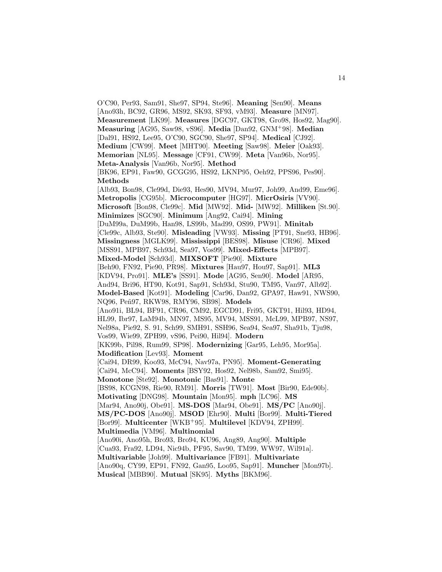O'C90, Per93, Sam91, She97, SP94, Ste96]. **Meaning** [Sen90]. **Means** [Ano93h, BC92, GR96, MS92, SK93, SF93, vM93]. **Measure** [MN97]. **Measurement** [LK99]. **Measures** [DGC97, GKT98, Gro98, Hos92, Mag90]. **Measuring** [AG95, Saw98, vS96]. **Media** [Dan92, GNM<sup>+</sup>98]. **Median** [Dal91, HS92, Lee95, O'C90, SGC90, She97, SP94]. **Medical** [CJ92]. **Medium** [CW99]. **Meet** [MHT90]. **Meeting** [Saw98]. **Meier** [Oak93]. **Memorian** [NL95]. **Message** [CF91, CW99]. **Meta** [Van96b, Nor95]. **Meta-Analysis** [Van96b, Nor95]. **Method** [BK96, EP91, Faw90, GCGG95, HS92, LKNP95, Oeh92, PPS96, Pes90]. **Methods** [Alb93, Bon98, Cle99d, Die93, Hes90, MV94, Mur97, Joh99, And99, Eme96]. **Metropolis** [CG95b]. **Microcomputer** [HG97]. **MicrOsiris** [VV90]. **Microsoft** [Bon98, Cle99c]. **Mid** [MW92]. **Mid-** [MW92]. **Milliken** [St.90]. **Minimizes** [SGC90]. **Minimum** [Ang92, Cai94]. **Mining** [DuM99a, DuM99b, Han98, LS99b, Mad99, OS99, PW91]. **Minitab** [Cle99c, Alb93, Ste90]. **Misleading** [VW93]. **Missing** [PT91, Sne93, HB96]. **Missingness** [MGLK99]. **Mississippi** [BES98]. **Misuse** [CR96]. **Mixed** [MSS91, MPB97, Sch93d, Sea97, Vos99]. **Mixed-Effects** [MPB97]. **Mixed-Model** [Sch93d]. **MIXSOFT** [Pie90]. **Mixture** [Beh90, FN92, Pie90, PR98]. **Mixtures** [Hau97, Hou97, Sap91]. **ML3** [KDV94, Pro91]. **MLE's** [SS91]. **Mode** [AG95, Sen90]. **Model** [AR95, And94, Bri96, HT90, Kot91, Sap91, Sch93d, Stu90, TM95, Van97, Alb92]. **Model-Based** [Kot91]. **Modeling** [Car96, Dan92, GPA97, Haw91, NWS90, NQ96, Pe˜n97, RKW98, RMY96, SB98]. **Models** [Ano91i, BL94, BF91, CR96, CM92, EGCD91, Fri95, GKT91, Hil93, HD94, HL99, Ibr97, LaM94b, MN97, MS95, MV94, MSS91, McL99, MPB97, NS97, Nel98a, Pie92, S. 91, Sch99, SMH91, SSH96, Sea94, Sea97, Sha91b, Tju98, Vos99, Wie99, ZPH99, vS96, Pei90, Hil94]. **Modern** [KK99b, Pil98, Rum99, SP98]. **Modernizing** [Gar95, Leh95, Mor95a]. **Modification** [Lev93]. **Moment** [Cai94, DR99, Koo93, McC94, Nav97a, PN95]. **Moment-Generating** [Cai94, McC94]. **Moments** [BSY92, Hos92, Nel98b, Sam92, Smi95]. **Monotone** [Ste92]. **Monotonic** [Bas91]. **Monte** [BS98, KCGN98, Rie90, RM91]. **Morris** [TW91]. **Most** [Bir90, Ede90b]. **Motivating** [DNG98]. **Mountain** [Mon95]. **mph** [LC96]. **MS** [Mar94, Ano90j, Obe91]. **MS-DOS** [Mar94, Obe91]. **MS/PC** [Ano90j]. **MS/PC-DOS** [Ano90j]. **MSOD** [Ehr90]. **Multi** [Bor99]. **Multi-Tiered** [Bor99]. **Multicenter** [WKB<sup>+</sup>95]. **Multilevel** [KDV94, ZPH99]. **Multimedia** [VM96]. **Multinomial** [Ano90i, Ano95h, Bro93, Bro94, KU96, Ang89, Ang90]. **Multiple** [Cua93, Fra92, LD94, Nic94b, PF95, Sav90, TM99, WW97, Wil91a]. **Multivariable** [Joh99]. **Multivariance** [FB91]. **Multivariate** [Ano90q, CY99, EP91, FN92, Gan95, Loo95, Sap91]. **Muncher** [Mon97b]. **Musical** [MBB90]. **Mutual** [SK95]. **Myths** [BKM96].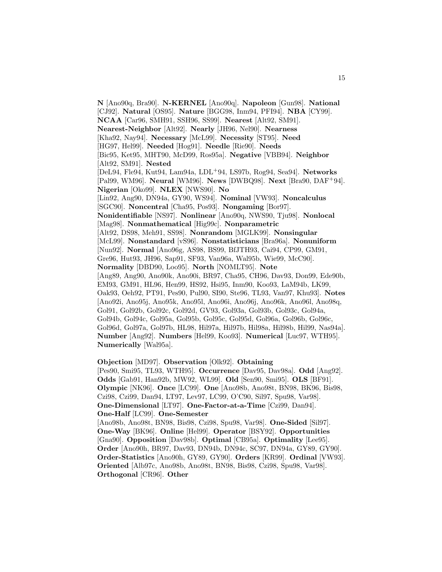**N** [Ano90q, Bra90]. **N-KERNEL** [Ano90q]. **Napoleon** [Gun98]. **National** [CJ92]. **Natural** [OS95]. **Nature** [BGG98, Inm94, PFI94]. **NBA** [CY99]. **NCAA** [Car96, SMH91, SSH96, SS99]. **Nearest** [Alt92, SM91]. **Nearest-Neighbor** [Alt92]. **Nearly** [JH96, Nel90]. **Nearness** [Kha92, Nay94]. **Necessary** [McL99]. **Necessity** [ST95]. **Need** [HG97, Hel99]. **Needed** [Hog91]. **Needle** [Rie90]. **Needs** [Bic95, Ket95, MHT90, McD99, Ros95a]. **Negative** [VBB94]. **Neighbor** [Alt92, SM91]. **Nested** [DeL94, Fle94, Kut94, Lam94a, LDL<sup>+</sup>94, LS97b, Rog94, Sea94]. **Networks** [Pal99, WM96]. **Neural** [WM96]. **News** [DWBQ98]. **Next** [Bra90, DAF<sup>+</sup>94]. **Nigerian** [Oko99]. **NLEX** [NWS90]. **No** [Lin92, Ang90, DN94a, GY90, WS94]. **Nominal** [VW93]. **Noncalculus** [SGC90]. **Noncentral** [Cha95, Pos93]. **Nongaming** [Bor97]. **Nonidentifiable** [NS97]. **Nonlinear** [Ano90q, NWS90, Tju98]. **Nonlocal** [Mag98]. **Nonmathematical** [Hig99c]. **Nonparametric** [Alt92, DS98, Meh91, SS98]. **Nonrandom** [MGLK99]. **Nonsingular** [McL99]. **Nonstandard** [vS96]. **Nonstatisticians** [Bra96a]. **Nonuniform** [Nun92]. **Normal** [Ano96g, AS98, BS99, BfJTH93, Cai94, CP99, GM91, Gre96, Hut93, JH96, Sap91, SF93, Van96a, Wal95b, Wie99, McC90]. **Normality** [DBD90, Loo95]. **North** [NOMLT95]. **Note** [Ang89, Ang90, Ano90k, Ano90i, BR97, Cha95, CH96, Dav93, Don99, Ede90b, EM93, GM91, HL96, Hen99, HS92, Hsi95, Inm90, Koo93, LaM94b, LK99, Oak93, Oeh92, PT91, Pes90, Pul90, SI90, Ste96, TL93, Van97, Khu93]. **Notes** [Ano92i, Ano95j, Ano95k, Ano95l, Ano96i, Ano96j, Ano96k, Ano96l, Ano98q, Gol91, Gol92b, Gol92c, Gol92d, GV93, Gol93a, Gol93b, Gol93c, Gol94a, Gol94b, Gol94c, Gol95a, Gol95b, Gol95c, Gol95d, Gol96a, Gol96b, Gol96c, Gol96d, Gol97a, Gol97b, HL98, Hil97a, Hil97b, Hil98a, Hil98b, Hil99, Nas94a]. **Number** [Ang92]. **Numbers** [Hel99, Koo93]. **Numerical** [Luc97, WTH95]. **Numerically** [Wal95a].

#### **Objection** [MD97]. **Observation** [Olk92]. **Obtaining**

[Pes90, Smi95, TL93, WTH95]. **Occurrence** [Dav95, Dav98a]. **Odd** [Ang92]. **Odds** [Gab91, Han92b, MW92, WL99]. **Old** [Sen90, Smi95]. **OLS** [BF91]. **Olympic** [NK96]. **Once** [LC99]. **One** [Ano98b, Ano98t, BN98, BK96, Bis98, Czi98, Czi99, Dan94, LT97, Lev97, LC99, O'C90, Sil97, Spu98, Var98]. **One-Dimensional** [LT97]. **One-Factor-at-a-Time** [Czi99, Dan94]. **One-Half** [LC99]. **One-Semester**

[Ano98b, Ano98t, BN98, Bis98, Czi98, Spu98, Var98]. **One-Sided** [Sil97]. **One-Way** [BK96]. **Online** [Hel99]. **Operator** [BSY92]. **Opportunities** [Gna90]. **Opposition** [Dav98b]. **Optimal** [CB95a]. **Optimality** [Lee95]. **Order** [Ano90h, BR97, Dav93, DN94b, DN94c, SC97, DN94a, GY89, GY90]. **Order-Statistics** [Ano90h, GY89, GY90]. **Orders** [KR99]. **Ordinal** [VW93]. **Oriented** [Alb97c, Ano98b, Ano98t, BN98, Bis98, Czi98, Spu98, Var98]. **Orthogonal** [CR96]. **Other**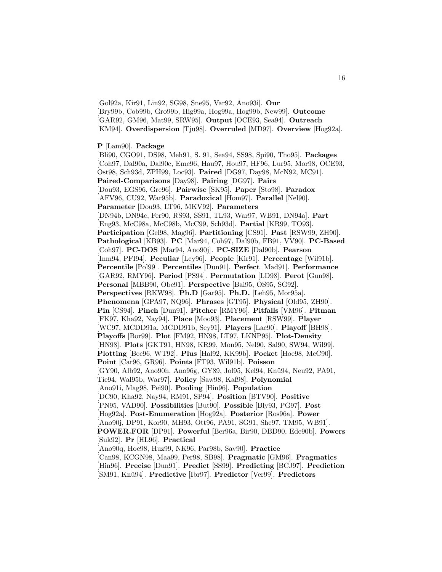[Gol92a, Kir91, Lin92, SG98, Sne95, Var92, Ano93i]. **Our** [Bry99b, Cob99b, Gro99b, Hig99a, Hog99a, Hog99b, New99]. **Outcome** [GAR92, GM96, Mat99, SRW95]. **Output** [OCE93, Sea94]. **Outreach** [KM94]. **Overdispersion** [Tju98]. **Overruled** [MD97]. **Overview** [Hog92a].

#### **P** [Lam90]. **Package**

[Bli90, CGO91, DS98, Meh91, S. 91, Sea94, SS98, Spi90, Tho95]. **Packages** [Coh97, Dal90a, Dal90c, Eme96, Hau97, Hou97, HF96, Lur95, Mor98, OCE93, Ost98, Sch93d, ZPH99, Loc93]. **Paired** [DG97, Day98, McN92, MC91]. **Paired-Comparisons** [Day98]. **Pairing** [DG97]. **Pairs** [Dou93, EGS96, Gre96]. **Pairwise** [SK95]. **Paper** [Sto98]. **Paradox** [AFV96, CU92, War95b]. **Paradoxical** [Hom97]. **Parallel** [Nel90]. **Parameter** [Dou93, LT96, MKV92]. **Parameters** [DN94b, DN94c, Fer90, RS93, SS91, TL93, War97, WB91, DN94a]. **Part** [Eng93, McC98a, McC98b, McC99, Sch93d]. **Partial** [KR99, TO93]. **Participation** [Gel98, Mag96]. **Partitioning** [CS91]. **Past** [RSW99, ZH90]. **Pathological** [KB93]. **PC** [Mar94, Coh97, Dal90b, FB91, VV90]. **PC-Based** [Coh97]. **PC-DOS** [Mar94, Ano90j]. **PC-SIZE** [Dal90b]. **Pearson** [Inm94, PFI94]. **Peculiar** [Ley96]. **People** [Kir91]. **Percentage** [Wil91b]. **Percentile** [Pol99]. **Percentiles** [Dun91]. **Perfect** [Mad91]. **Performance** [GAR92, RMY96]. **Period** [PS94]. **Permutation** [LD98]. **Perot** [Gun98]. **Personal** [MBB90, Obe91]. **Perspective** [Bai95, OS95, SG92]. **Perspectives** [RKW98]. **Ph.D** [Gar95]. **Ph.D.** [Leh95, Mor95a]. **Phenomena** [GPA97, NQ96]. **Phrases** [GT95]. **Physical** [Old95, ZH90]. **Pin** [CS94]. **Pinch** [Dun91]. **Pitcher** [RMY96]. **Pitfalls** [VM96]. **Pitman** [FK97, Kha92, Nay94]. **Place** [Moo93]. **Placement** [RSW99]. **Player** [WC97, MCDD91a, MCDD91b, Sey91]. **Players** [Lac90]. **Playoff** [BH98]. **Playoffs** [Bor99]. **Plot** [FM92, HN98, LT97, LKNP95]. **Plot-Density** [HN98]. **Plots** [GKT91, HN98, KR99, Mon95, Nel90, Sal90, SW94, Wil99]. **Plotting** [Bec96, WT92]. **Plus** [Hal92, KK99b]. **Pocket** [Hoe98, McC90]. **Point** [Car96, GR96]. **Points** [FT93, Wil91b]. **Poisson** [GY90, Alb92, Ano90h, Ano96g, GY89, Jol95, Kel94, Knü94, Neu92, PA91, Tie94, Wal95b, War97]. **Policy** [Saw98, Kaf98]. **Polynomial** [Ano91i, Mag98, Pei90]. **Pooling** [Hin96]. **Population** [DC90, Kha92, Nay94, RM91, SP94]. **Position** [BTV90]. **Positive** [PN95, VAD90]. **Possibilities** [But90]. **Possible** [Bly93, PG97]. **Post** [Hog92a]. **Post-Enumeration** [Hog92a]. **Posterior** [Ros96a]. **Power** [Ano90j, DP91, Kor90, MH93, Ott96, PA91, SG91, She97, TM95, WB91]. **POWER.FOR** [DP91]. **Powerful** [Ber96a, Bir90, DBD90, Ede90b]. **Powers** [Suk92]. **Pr** [HL96]. **Practical** [Ano90q, Hoe98, Huz99, NK96, Par98b, Sav90]. **Practice** [Can98, KCGN98, Maa99, Per98, SB98]. **Pragmatic** [GM96]. **Pragmatics** [Hin96]. **Precise** [Dun91]. **Predict** [SS99]. **Predicting** [BCJ97]. **Prediction**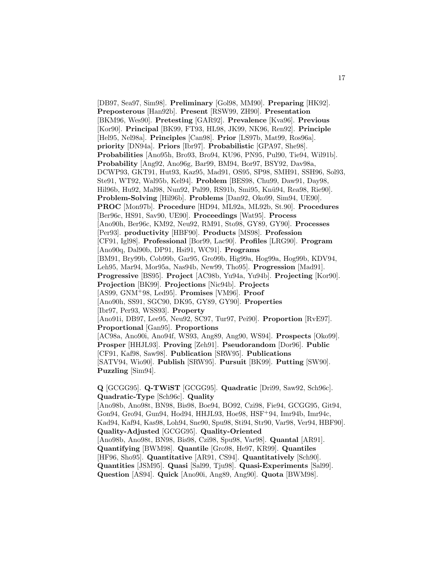[DB97, Sea97, Sim98]. **Preliminary** [Gol98, MM90]. **Preparing** [HK92]. **Preposterous** [Han92b]. **Present** [RSW99, ZH90]. **Presentation** [BKM96, Wes90]. **Pretesting** [GAR92]. **Prevalence** [Kva96]. **Previous** [Kor90]. **Principal** [BK99, FT93, HL98, JK99, NK96, Ren92]. **Principle** [Hel95, Nel98a]. **Principles** [Can98]. **Prior** [LS97b, Mat99, Ros96a]. **priority** [DN94a]. **Priors** [Ibr97]. **Probabilistic** [GPA97, She98]. **Probabilities** [Ano95h, Bro93, Bro94, KU96, PN95, Pul90, Tie94, Wil91b]. **Probability** [Ang92, Ano96g, Bar99, BM94, Bor97, BSY92, Dav98a, DCWP93, GKT91, Hut93, Kaz95, Mad91, OS95, SP98, SMH91, SSH96, Sol93, Ste91, WT92, Wal95b, Kel94]. **Problem** [BES98, Chu99, Daw91, Day98, Hil96b, Hu92, Mal98, Nun92, Pal99, RS91b, Smi95, Knü94, Rea98, Rie90]. **Problem-Solving** [Hil96b]. **Problems** [Dan92, Oko99, Sim94, UE90]. **PROC** [Mon97b]. **Procedure** [HD94, ML92a, ML92b, St.90]. **Procedures** [Ber96c, HS91, Sav90, UE90]. **Proceedings** [Wat95]. **Process** [Ano90h, Ber96c, KM92, Neu92, RM91, Sto98, GY89, GY90]. **Processes** [Per93]. **productivity** [HBF90]. **Products** [MS98]. **Profession** [CF91, Igl98]. **Professional** [Bor99, Lac90]. **Profiles** [LRG90]. **Program** [Ano90q, Dal90b, DP91, Hsi91, WC91]. **Programs** [BM91, Bry99b, Cob99b, Gar95, Gro99b, Hig99a, Hog99a, Hog99b, KDV94, Leh95, Mar94, Mor95a, Nas94b, New99, Tho95]. **Progression** [Mad91]. **Progressive** [BS95]. **Project** [AC98b, Yu94a, Yu94b]. **Projecting** [Kor90]. **Projection** [BK99]. **Projections** [Nic94b]. **Projects** [AS99, GNM<sup>+</sup>98, Led95]. **Promises** [VM96]. **Proof** [Ano90h, SS91, SGC90, DK95, GY89, GY90]. **Properties** [Ibr97, Per93, WSS93]. **Property** [Ano91i, DB97, Lee95, Neu92, SC97, Tur97, Pei90]. **Proportion** [RvE97]. **Proportional** [Gan95]. **Proportions** [AC98a, Ano90i, Ano94f, WS93, Ang89, Ang90, WS94]. **Prospects** [Oko99]. **Prosper** [HHJL93]. **Proving** [Zeh91]. **Pseudorandom** [Dor96]. **Public** [CF91, Kaf98, Saw98]. **Publication** [SRW95]. **Publications** [SATV94, Wio90]. **Publish** [SRW95]. **Pursuit** [BK99]. **Putting** [SW90]. **Puzzling** [Sim94].

**Q** [GCGG95]. **Q-TWiST** [GCGG95]. **Quadratic** [Dri99, Saw92, Sch96c]. **Quadratic-Type** [Sch96c]. **Quality**

[Ano98b, Ano98t, BN98, Bis98, Boe94, BO92, Czi98, Fie94, GCGG95, Git94, Gon94, Gro94, Gun94, Hod94, HHJL93, Hoe98, HSF<sup>+</sup>94, Imr94b, Imr94c, Kad94, Kaf94, Kas98, Loh94, Sne90, Spu98, Sti94, Str90, Var98, Ver94, HBF90]. **Quality-Adjusted** [GCGG95]. **Quality-Oriented** [Ano98b, Ano98t, BN98, Bis98, Czi98, Spu98, Var98]. **Quantal** [AR91]. **Quantifying** [BWM98]. **Quantile** [Gro98, He97, KR99]. **Quantiles** [HF96, Sho95]. **Quantitative** [AR91, CS94]. **Quantitatively** [Sch90]. **Quantities** [JSM95]. **Quasi** [Sal99, Tju98]. **Quasi-Experiments** [Sal99]. **Question** [AS94]. **Quick** [Ano90i, Ang89, Ang90]. **Quota** [BWM98].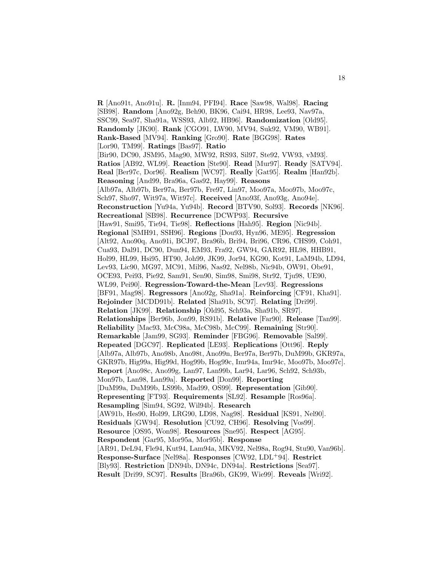**R** [Ano91t, Ano91u]. **R.** [Inm94, PFI94]. **Race** [Saw98, Wal98]. **Racing** [SB98]. **Random** [Ano92g, Beh90, BK96, Cai94, HR98, Lee93, Nav97a, SSC99, Sea97, Sha91a, WSS93, Alb92, HB96]. **Randomization** [Old95]. **Randomly** [JK90]. **Rank** [CGO91, LW90, MV94, Suk92, VM90, WB91]. **Rank-Based** [MV94]. **Ranking** [Gro90]. **Rate** [BGG98]. **Rates** [Lor90, TM99]. **Ratings** [Bas97]. **Ratio** [Bir90, DC90, JSM95, Mag90, MW92, RS93, Sil97, Ste92, VW93, vM93]. **Ratios** [AB92, WL99]. **Reaction** [Ste90]. **Read** [Mur97]. **Ready** [SATV94]. **Real** [Ber97c, Dor96]. **Realism** [WC97]. **Really** [Gat95]. **Realm** [Han92b]. **Reasoning** [And99, Bra96a, Gas92, Hay99]. **Reasons** [Alb97a, Alb97b, Ber97a, Ber97b, Fre97, Lin97, Moo97a, Moo97b, Moo97c, Sch97, Sho97, Wit97a, Wit97c]. **Received** [Ano93f, Ano93g, Ano94e]. **Reconstruction** [Yu94a, Yu94b]. **Record** [BTV90, Sol93]. **Records** [NK96]. **Recreational** [SB98]. **Recurrence** [DCWP93]. **Recursive** [Haw91, Smi95, Tie94, Tie98]. **Reflections** [Hah95]. **Region** [Nic94b]. **Regional** [SMH91, SSH96]. **Regions** [Dou93, Hyn96, ME95]. **Regression** [Alt92, Ano90q, Ano91i, BCJ97, Bra96b, Bri94, Bri96, CR96, CHS99, Coh91, Cua93, Dal91, DC90, Dun94, EM93, Fra92, GW94, GAR92, HL98, HHB91, Hol99, HL99, Hsi95, HT90, Joh99, JK99, Jor94, KG90, Kot91, LaM94b, LD94, Lev93, Lic90, MG97, MC91, Mil96, Nas92, Nel98b, Nic94b, OW91, Obe91, OCE93, Pei93, Pie92, Sam91, Sen90, Sim98, Smi98, Str92, Tju98, UE90, WL99, Pei90]. **Regression-Toward-the-Mean** [Lev93]. **Regressions** [BF91, Mag98]. **Regressors** [Ano92g, Sha91a]. **Reinforcing** [CF91, Kha91]. **Rejoinder** [MCDD91b]. **Related** [Sha91b, SC97]. **Relating** [Dri99]. **Relation** [JK99]. **Relationship** [Old95, Sch93a, Sha91b, SR97]. **Relationships** [Ber96b, Jon99, RS91b]. **Relative** [Far90]. **Release** [Tan99]. **Reliability** [Mac93, McC98a, McC98b, McC99]. **Remaining** [Str90]. **Remarkable** [Jam99, SG93]. **Reminder** [FBG96]. **Removable** [Sal99]. **Repeated** [DGC97]. **Replicated** [LE93]. **Replications** [Ott96]. **Reply** [Alb97a, Alb97b, Ano98b, Ano98t, Ano99n, Ber97a, Ber97b, DuM99b, GKR97a, GKR97b, Hig99a, Hig99d, Hog99b, Hog99c, Imr94a, Imr94c, Moo97b, Moo97c]. **Report** [Ano98c, Ano99g, Lan97, Lan99b, Lar94, Lar96, Sch92, Sch93b, Mon97b, Lan98, Lan99a]. **Reported** [Don99]. **Reporting** [DuM99a, DuM99b, LS99b, Mad99, OS99]. **Representation** [Gib90]. **Representing** [FT93]. **Requirements** [SL92]. **Resample** [Ros96a]. **Resampling** [Sim94, SG92, Wil94b]. **Research** [AW91b, Hes90, Hol99, LRG90, LD98, Nag98]. **Residual** [KS91, Nel90]. **Residuals** [GW94]. **Resolution** [CU92, CH96]. **Resolving** [Vos99]. **Resource** [OS95, Won98]. **Resources** [Sne95]. **Respect** [AG95]. **Respondent** [Gar95, Mor95a, Mor95b]. **Response** [AR91, DeL94, Fle94, Kut94, Lam94a, MKV92, Nel98a, Rog94, Stu90, Van96b]. **Response-Surface** [Nel98a]. **Responses** [CW92, LDL<sup>+</sup>94]. **Restrict** [Bly93]. **Restriction** [DN94b, DN94c, DN94a]. **Restrictions** [Sea97]. **Result** [Dri99, SC97]. **Results** [Bra96b, GK99, Wie99]. **Reveals** [Wri92].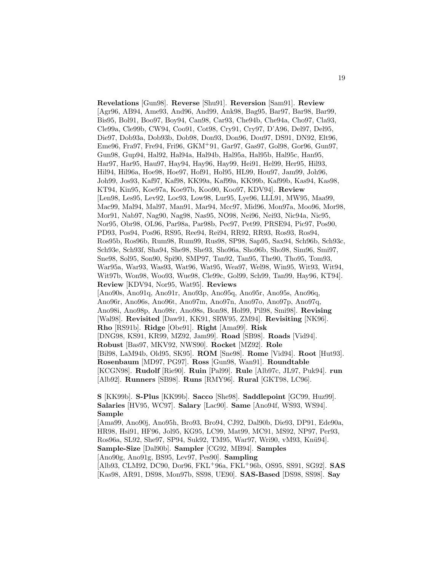**Revelations** [Gun98]. **Reverse** [Shu91]. **Reversion** [Sam91]. **Review** [Agr96, AB94, Ame93, And96, And99, Ank98, Bag95, Bar97, Bar98, Bar99, Bis95, Bol91, Boo97, Boy94, Can98, Car93, Che94b, Che94a, Cho97, Cla93, Cle99a, Cle99b, CW94, Coo91, Cot98, Cry91, Cry97, D'A96, Del97, Del95, Die97, Dob93a, Dob93b, Dob98, Don93, Don96, Dou97, DS91, DN92, Elt96, Eme96, Fra97, Fre94, Fri96, GKM<sup>+</sup>91, Gar97, Gas97, Gol98, Gor96, Gun97, Gun98, Gup94, Hal92, Hal94a, Hal94b, Hal95a, Hal95b, Hal95c, Han95, Har97, Har95, Hau97, Hay94, Hay96, Hay99, Hei91, Hel99, Her95, Hil93, Hil94, Hil96a, Hoe98, Hoe97, Hof91, Hol95, HL99, Hou97, Jam99, Joh96, Joh99, Jos93, Kaf97, Kaf98, KK99a, Kaf99a, KK99b, Kaf99b, Kas94, Kas98, KT94, Kin95, Koe97a, Koe97b, Koo90, Koo97, KDV94]. **Review** [Len98, Les95, Lev92, Loc93, Low98, Lur95, Lye96, LLL91, MW95, Maa99, Mac99, Mal94, Mal97, Man91, Mar94, Mcc97, Mid96, Mon97a, Moo96, Mor98, Mor91, Nab97, Nag90, Nag98, Nas95, NO98, Nei96, Nei93, Nic94a, Nic95, Nor95, Obr98, OL96, Par98a, Par98b, Pec97, Pet99, PRSE94, Pic97, Pos90, PD93, Pos94, Pos96, RS95, Ree94, Rei94, RR92, RR93, Ros93, Ros94, Ros95b, Ros96b, Rum98, Rum99, Rus98, SP98, Sap95, Sax94, Sch96b, Sch93c, Sch93e, Sch93f, Sha94, She98, She93, Sho96a, Sho96b, Sho98, Sim96, Smi97, Sne98, Sol95, Son90, Spi90, SMP97, Tan92, Tan95, The90, Tho95, Tom93, War95a, War93, Was93, Wat96, Wat95, Wea97, Wel98, Win95, Wit93, Wit94, Wit97b, Won98, Woo93, Wue98, Cle99c, Gol99, Sch99, Tan99, Hay96, KT94]. **Review** [KDV94, Nor95, Wat95]. **Reviews** [Ano90s, Ano91q, Ano91r, Ano93p, Ano95q, Ano95r, Ano95s, Ano96q, Ano96r, Ano96s, Ano96t, Ano97m, Ano97n, Ano97o, Ano97p, Ano97q, Ano98i, Ano98p, Ano98r, Ano98s, Bon98, Hol99, Pil98, Smi98]. **Revising** [Wal98]. **Revisited** [Daw91, KK91, SRW95, ZM94]. **Revisiting** [NK96]. **Rho** [RS91b]. **Ridge** [Obe91]. **Right** [Ama99]. **Risk** [DNG98, KS91, KR99, MZ92, Jam99]. **Road** [SB98]. **Roads** [Vid94]. **Robust** [Bas97, MKV92, NWS90]. **Rocket** [MZ92]. **Role** [Bil98, LaM94b, Old95, SK95]. **ROM** [Sne98]. **Rome** [Vid94]. **Root** [Hut93]. **Rosenbaum** [MD97, PG97]. **Ross** [Gun98, Wan91]. **Roundtable** [KCGN98]. **Rudolf** [Rie90]. **Ruin** [Pal99]. **Rule** [Alb97c, JL97, Puk94]. **run** [Alb92]. **Runners** [SB98]. **Runs** [RMY96]. **Rural** [GKT98, LC96].

**S** [KK99b]. **S-Plus** [KK99b]. **Sacco** [She98]. **Saddlepoint** [GC99, Huz99]. **Salaries** [HV95, WC97]. **Salary** [Lac90]. **Same** [Ano94f, WS93, WS94]. **Sample**

[Ama99, Ano90j, Ano95h, Bro93, Bro94, CJ92, Dal90b, Die93, DP91, Ede90a, HR98, Hsi91, HF96, Jol95, KG95, LC99, Mat99, MC91, MS92, NP97, Per93, Ros96a, SL92, She97, SP94, Suk92, TM95, War97, Wri90, vM93, Knü94]. **Sample-Size** [Dal90b]. **Sampler** [CG92, MB94]. **Samples** [Ano90g, Ano91g, BS95, Lev97, Pes90]. **Sampling** [Alb93, CLM92, DC90, Dor96, FKL<sup>+</sup>96a, FKL<sup>+</sup>96b, OS95, SS91, SG92]. **SAS** [Kas98, AR91, DS98, Mon97b, SS98, UE90]. **SAS-Based** [DS98, SS98]. **Say**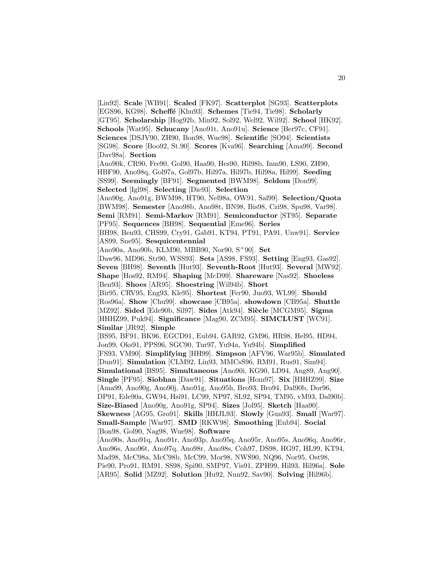[Lin92]. **Scale** [WB91]. **Scaled** [FK97]. **Scatterplot** [SG93]. **Scatterplots** [EGS96, KG98]. **Scheffé** [Khu93]. **Schemes** [Tie94, Tie98]. **Scholarly** [GT95]. **Scholarship** [Hog92b, Min92, Sol92, Wel92, Wil92]. **School** [HK92]. **Schools** [Wat95]. **Schucany** [Ano91t, Ano91u]. **Science** [Ber97c, CF91]. **Sciences** [DSJV90, ZH90, Bon98, Wue98]. **Scientific** [SO94]. **Scientists** [SG98]. **Score** [Boo92, St.90]. **Scores** [Kva96]. **Searching** [Ama99]. **Second** [Dav98a]. **Section** [Ano90k, CR90, Fre90, Gol90, Haa90, Hes90, Hil98b, Inm90, LS90, ZH90, HBF90, Ano98q, Gol97a, Gol97b, Hil97a, Hil97b, Hil98a, Hil99]. **Seeding** [SS99]. **Seemingly** [BF91]. **Segmented** [BWM98]. **Seldom** [Don99]. **Selected** [Igl98]. **Selecting** [Die93]. **Selection** [Ano90g, Ano91g, BWM98, HT90, Nel98a, OW91, Sal99]. **Selection/Quota** [BWM98]. **Semester** [Ano98b, Ano98t, BN98, Bis98, Czi98, Spu98, Var98]. **Semi** [RM91]. **Semi-Markov** [RM91]. **Semiconductor** [ST95]. **Separate** [PF95]. **Sequences** [BH98]. **Sequential** [Eme96]. **Series** [BH98, Ben93, CHS99, Cry91, Gab91, KT94, PT91, PA91, Unw91]. **Service** [AS99, Sne95]. **Sesquicentennial** [Ano90a, Ano90b, KLM90, MBB90, Nor90, S<sup>+</sup>90]. **Set** [Daw96, MD96, Str90, WSS93]. **Sets** [AS98, FS93]. **Setting** [Eng93, Gas92]. **Seven** [BH98]. **Seventh** [Hut93]. **Seventh-Root** [Hut93]. **Several** [MW92]. **Shape** [Hos92, RM94]. **Shaping** [McD99]. **Shareware** [Nas92]. **Shoeless** [Ben93]. **Shoes** [AR95]. **Shoestring** [Wil94b]. **Short** [Bir95, CRV95, Eng93, Kle95]. **Shortest** [Fer90, Juo93, WL99]. **Should** [Ros96a]. **Show** [Chu99]. **showcase** [CB95a]. **showdown** [CB95a]. **Shuttle** [MZ92]. **Sided** [Ede90b, Sil97]. **Sides** [Atk94]. **Si`ecle** [MCGM95]. **Sigma** [HHHZ99, Puk94]. **Significance** [Mag90, ZCM95]. **SIMCLUST** [WC91]. **Similar** [JR92]. **Simple** [BS95, BF91, BK96, EGCD91, Eub94, GAR92, GM96, HR98, Hel95, HD94, Jon99, Oks91, PPS96, SGC90, Tur97, Yu94a, Yu94b]. **Simplified** [FS93, VM90]. **Simplifying** [HH99]. **Simpson** [AFV96, War95b]. **Simulated** [Dun91]. **Simulation** [CLM92, Lin93, MMCsS96, RM91, Rus91, Sim94]. **Simulational** [BS95]. **Simultaneous** [Ano90i, KG90, LD94, Ang89, Ang90]. **Single** [PF95]. **Siobhan** [Daw91]. **Situations** [Hom97]. **Six** [HHHZ99]. **Size** [Ama99, Ano90g, Ano90j, Ano91g, Ano95h, Bro93, Bro94, Dal90b, Dor96, DP91, Ede90a, GW94, Hsi91, LC99, NP97, SL92, SP94, TM95, vM93, Dal90b]. **Size-Biased** [Ano90g, Ano91g, SP94]. **Sizes** [Jol95]. **Sketch** [Haa90]. **Skewness** [AG95, Gro91]. **Skills** [HHJL93]. **Slowly** [Gun93]. **Small** [War97]. **Small-Sample** [War97]. **SMD** [RKW98]. **Smoothing** [Eub94]. **Social** [Bon98, Gol90, Nag98, Wue98]. **Software** [Ano90s, Ano91q, Ano91r, Ano93p, Ano95q, Ano95r, Ano95s, Ano96q, Ano96r, Ano96s, Ano96t, Ano97q, Ano98r, Ano98s, Coh97, DS98, HG97, HL99, KT94, Mad98, McC98a, McC98b, McC99, Mor98, NWS90, NQ96, Nor95, Ost98, Pie90, Pro91, RM91, SS98, Spi90, SMP97, Vis91, ZPH99, Hil93, Hil96a]. **Sole** [AR95]. **Solid** [MZ92]. **Solution** [Hu92, Nun92, Sav90]. **Solving** [Hil96b].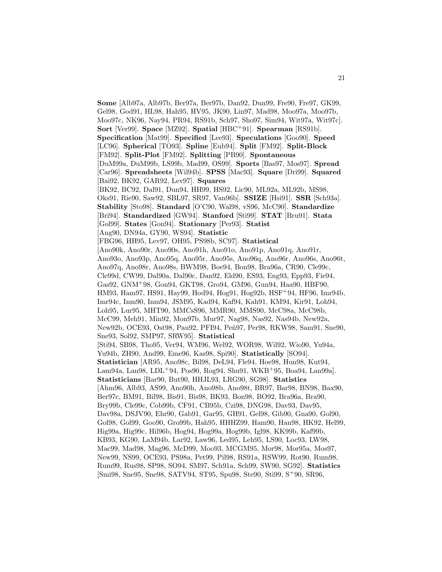**Some** [Alb97a, Alb97b, Ber97a, Ber97b, Dan92, Dun99, Fre90, Fre97, GK99, Gel98, God91, HL98, Hah95, HV95, JK90, Lin97, Mad98, Moo97a, Moo97b, Moo97c, NK96, Nay94, PR94, RS91b, Sch97, Sho97, Sim94, Wit97a, Wit97c]. **Sort** [Ver99]. **Space** [MZ92]. **Spatial** [HBC<sup>+</sup>91]. **Spearman** [RS91b]. **Specification** [Mat99]. **Specified** [Lee93]. **Speculations** [Goo90]. **Speed** [LC96]. **Spherical** [TO93]. **Spline** [Eub94]. **Split** [FM92]. **Split-Block** [FM92]. **Split-Plot** [FM92]. **Splitting** [PB90]. **Spontaneous** [DuM99a, DuM99b, LS99b, Mad99, OS99]. **Sports** [Bas97, Mos97]. **Spread** [Car96]. **Spreadsheets** [Wil94b]. **SPSS** [Mac93]. **Square** [Dri99]. **Squared** [Bai92, BK92, GAR92, Lev97]. **Squares** [BK92, BC92, Dal91, Dun94, HH99, HS92, Lic90, ML92a, ML92b, MS98, Oks91, Rie90, Saw92, SBL97, SR97, Van96b]. **SSIZE** [Hsi91]. **SSR** [Sch93a]. **Stability** [Sto98]. **Standard** [O'C90, Wal98, vS96, McC90]. **Standardize** [Bri94]. **Standardized** [GW94]. **Stanford** [Sti99]. **STAT** [Bru91]. **Stata** [Gol99]. **States** [Gon94]. **Stationary** [Per93]. **Statist** [Ang90, DN94a, GY90, WS94]. **Statistic** [FBG96, HH95, Lev97, OH95, PS98b, SC97]. **Statistical** [Ano90k, Ano90r, Ano90s, Ano91h, Ano91o, Ano91p, Ano91q, Ano91r, Ano93o, Ano93p, Ano95q, Ano95r, Ano95s, Ano96q, Ano96r, Ano96s, Ano96t, Ano97q, Ano98r, Ano98s, BWM98, Boe94, Bon98, Bra96a, CR90, Cle99c, Cle99d, CW99, Dal90a, Dal90c, Dan92, Eld90, ES93, Eng93, Epp93, Fie94, Gas92, GNM<sup>+</sup>98, Gon94, GKT98, Gro94, GM96, Gun94, Haa90, HBF90, HM93, Ham97, HS91, Hay99, Hod94, Hog91, Hog92b, HSF<sup>+</sup>94, HF96, Imr94b, Imr94c, Inm90, Inm94, JSM95, Kad94, Kaf94, Kah91, KM94, Kir91, Loh94, Loh95, Lur95, MHT90, MMCsS96, MMR90, MMS90, McC98a, McC98b, McC99, Meh91, Min92, Mon97b, Mur97, Nag98, Nas92, Nas94b, New92a, New92b, OCE93, Ost98, Pau92, PFI94, Peñ97, Per98, RKW98, Sam91, Sne90, Sne93, Sol92, SMP97, SRW95]. **Statistical** [Sti94, SB98, Tho95, Ver94, WM96, Wel92, WOR98, Wil92, Wio90, Yu94a, Yu94b, ZH90, And99, Eme96, Kas98, Spi90]. **Statistically** [SO94]. **Statistician** [AR95, Ano98c, Bil98, DeL94, Fle94, Hoe98, Hun98, Kut94, Lam94a, Lan98, LDL<sup>+</sup>94, Pos90, Rog94, Shu91, WKB<sup>+</sup>95, Boa94, Lan99a]. **Statisticians** [Bar90, But90, HHJL93, LRG90, SG98]. **Statistics** [Ahm96, Alb93, AS99, Ano90h, Ano98b, Ano98t, BR97, Bar98, BN98, Bax90, Ber97c, BM91, Bil98, Bis91, Bis98, BK93, Bon98, BO92, Bra96a, Bra90, Bry99b, Cle99c, Cob99b, CF91, CB95b, Czi98, DNG98, Dav93, Dav95, Dav98a, DSJV90, Ehr90, Gab91, Gar95, GH91, Gel98, Gib90, Gna90, Gol90, Gol98, Gol99, Goo90, Gro99b, Hah95, HHHZ99, Ham90, Han98, HK92, Hel99, Hig99a, Hig99c, Hil96b, Hog94, Hog99a, Hog99b, Igl98, KK99b, Kaf99b, KB93, KG90, LaM94b, Lar92, Law96, Led95, Leh95, LS90, Loc93, LW98, Mac99, Mad98, Mag96, McD99, Moo93, MCGM95, Mor98, Mor95a, Mos97, New99, NS99, OCE93, PS98a, Pet99, Pil98, RS91a, RSW99, Rot90, Rum98, Rum99, Rus98, SP98, SO94, SM97, Sch91a, Sch99, SW90, SG92]. **Statistics** [Smi98, Sne95, Sne98, SATV94, ST95, Spu98, Ste90, Sti99, S<sup>+</sup>90, SR96,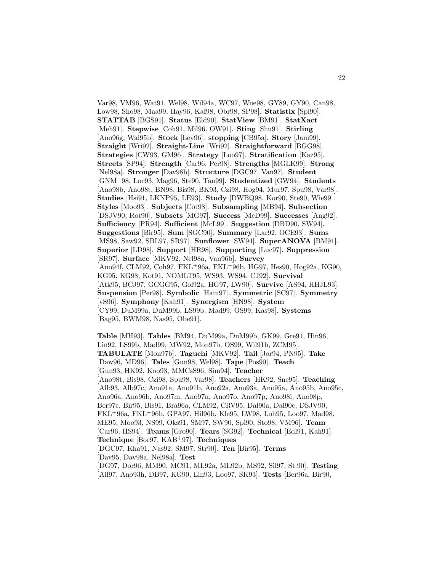Var98, VM96, Wat91, Wel98, Wil94a, WC97, Wue98, GY89, GY90, Can98, Low98, Sho98, Maa99, Hay96, Kaf98, Obr98, SP98]. **Statistix** [Spi90]. **STATTAB** [BGS91]. **Status** [Eld90]. **StatView** [BM91]. **StatXact** [Meh91]. **Stepwise** [Coh91, Mil96, OW91]. **Sting** [Shu91]. **Stirling** [Ano96g, Wal95b]. **Stock** [Ley96]. **stopping** [CB95a]. **Story** [Jam99]. **Straight** [Wri92]. **Straight-Line** [Wri92]. **Straightforward** [BGG98]. **Strategies** [CW93, GM96]. **Strategy** [Loo97]. **Stratification** [Kaz95]. **Streets** [SP94]. **Strength** [Car96, Per98]. **Strengths** [MGLK99]. **Strong** [Nel98a]. **Stronger** [Dav98b]. **Structure** [DGC97, Van97]. **Student** [GNM<sup>+</sup>98, Loc93, Mag96, Ste90, Tan99]. **Studentized** [GW94]. **Students** [Ano98b, Ano98t, BN98, Bis98, BK93, Czi98, Hog94, Mur97, Spu98, Var98]. **Studies** [Hsi91, LKNP95, LE93]. **Study** [DWBQ98, Kor90, Ste90, Wie99]. **Styles** [Moo93]. **Subjects** [Cot98]. **Subsampling** [MB94]. **Subsection** [DSJV90, Rot90]. **Subsets** [MG97]. **Success** [McD99]. **Successes** [Ang92]. **Sufficiency** [PR94]. **Sufficient** [McL99]. **Suggestion** [DBD90, SW94]. **Suggestions** [Bir95]. **Sum** [SGC90]. **Summary** [Lar92, OCE93]. **Sums** [MS98, Saw92, SBL97, SR97]. **Sunflower** [SW94]. **SuperANOVA** [BM91]. **Superior** [LD98]. **Support** [HR98]. **Supporting** [Luc97]. **Suppression** [SR97]. **Surface** [MKV92, Nel98a, Van96b]. **Survey** [Ano94f, CLM92, Coh97, FKL<sup>+</sup>96a, FKL<sup>+</sup>96b, HG97, Hes90, Hog92a, KG90, KG95, KG98, Kot91, NOMLT95, WS93, WS94, CJ92]. **Survival** [Atk95, BCJ97, GCGG95, Gol92a, HG97, LW90]. **Survive** [AS94, HHJL93]. **Suspension** [Per98]. **Symbolic** [Ham97]. **Symmetric** [SC97]. **Symmetry** [vS96]. **Symphony** [Kah91]. **Synergism** [HN98]. **System** [CY99, DuM99a, DuM99b, LS99b, Mad99, OS99, Kas98]. **Systems** [Bag95, BWM98, Nas95, Obe91].

**Table** [MH93]. **Tables** [BM94, DuM99a, DuM99b, GK99, Gre91, Hin96, Lin92, LS99b, Mad99, MW92, Mon97b, OS99, Wil91b, ZCM95]. **TABULATE** [Mon97b]. **Taguchi** [MKV92]. **Tail** [Jor94, PN95]. **Take** [Daw96, MD96]. **Tales** [Gun98, Wel98]. **Tape** [Pos90]. **Teach** [Gun93, HK92, Koo93, MMCsS96, Sim94]. **Teacher** [Ano98t, Bis98, Czi98, Spu98, Var98]. **Teachers** [HK92, Sne95]. **Teaching** [Alb93, Alb97c, Ano91a, Ano91b, Ano92a, Ano93a, Ano95a, Ano95b, Ano95c, Ano96a, Ano96b, Ano97m, Ano97n, Ano97o, Ano97p, Ano98i, Ano98p, Ber97c, Bir95, Bis91, Bra96a, CLM92, CRV95, Dal90a, Dal90c, DSJV90, FKL<sup>+</sup>96a, FKL<sup>+</sup>96b, GPA97, Hil96b, Kle95, LW98, Loh95, Loo97, Mad98, ME95, Moo93, NS99, Oks91, SM97, SW90, Spi90, Sto98, VM96]. **Team** [Car96, HS94]. **Teams** [Gro90]. **Tears** [SG92]. **Technical** [Edl91, Kah91]. **Technique** [Bor97, KAB<sup>+</sup>97]. **Techniques** [DGC97, Kha91, Nas92, SM97, Str90]. **Ten** [Bir95]. **Terms** [Dav95, Dav98a, Nel98a]. **Test** [DG97, Dor96, MM90, MC91, ML92a, ML92b, MS92, Sil97, St.90]. **Testing** [All97, Ano93h, DB97, KG90, Lin93, Loo97, SK93]. **Tests** [Ber96a, Bir90,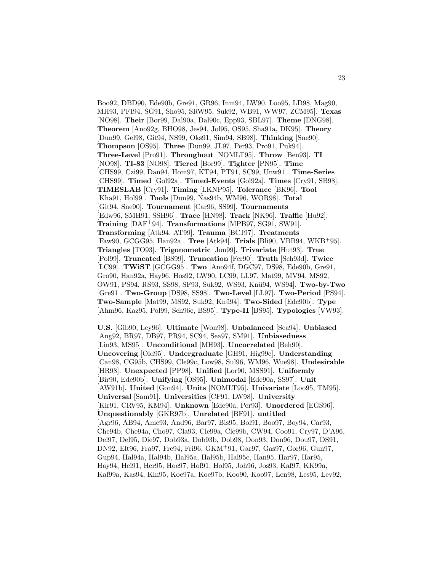Boo92, DBD90, Ede90b, Gre91, GR96, Inm94, LW90, Loo95, LD98, Mag90, MH93, PFI94, SG91, Sho95, SRW95, Suk92, WB91, WW97, ZCM95]. **Texas** [NO98]. **Their** [Bor99, Dal90a, Dal90c, Epp93, SBL97]. **Theme** [DNG98]. **Theorem** [Ano92g, BHO98, Jes94, Jol95, OS95, Sha91a, DK95]. **Theory** [Dun99, Gel98, Git94, NS99, Oks91, Sim94, SB98]. **Thinking** [Sne90]. **Thompson** [OS95]. **Three** [Dun99, JL97, Per93, Pro91, Puk94]. **Three-Level** [Pro91]. **Throughout** [NOMLT95]. **Throw** [Ben93]. **TI** [NO98]. **TI-83** [NO98]. **Tiered** [Bor99]. **Tighter** [PN95]. **Time** [CHS99, Czi99, Dan94, Hom97, KT94, PT91, SC99, Unw91]. **Time-Series** [CHS99]. **Timed** [Gol92a]. **Timed-Events** [Gol92a]. **Times** [Cry91, SB98]. **TIMESLAB** [Cry91]. **Timing** [LKNP95]. **Tolerance** [BK96]. **Tool** [Kha91, Hol99]. **Tools** [Dun99, Nas94b, WM96, WOR98]. **Total** [Git94, Sne90]. **Tournament** [Car96, SS99]. **Tournaments** [Edw96, SMH91, SSH96]. **Trace** [HN98]. **Track** [NK96]. **Traffic** [Hu92]. **Training** [DAF<sup>+</sup>94]. **Transformations** [MPB97, SG91, SW91]. **Transforming** [Atk94, AT99]. **Trauma** [BCJ97]. **Treatments** [Faw90, GCGG95, Han92a]. **Tree** [Atk94]. **Trials** [Bli90, VBB94, WKB<sup>+</sup>95]. **Triangles** [TO93]. **Trigonometric** [Jon99]. **Trivariate** [Hut93]. **True** [Pol99]. **Truncated** [BS99]. **Truncation** [Fer90]. **Truth** [Sch93d]. **Twice** [LC99]. **TWiST** [GCGG95]. **Two** [Ano94f, DGC97, DS98, Ede90b, Gre91, Gro90, Han92a, Hay96, Hos92, LW90, LC99, LL97, Mat99, MV94, MS92, OW91, PS94, RS93, SS98, SF93, Suk92, WS93, Kn¨u94, WS94]. **Two-by-Two** [Gre91]. **Two-Group** [DS98, SS98]. **Two-Level** [LL97]. **Two-Period** [PS94]. **Two-Sample** [Mat99, MS92, Suk92, Knü94]. **Two-Sided** [Ede90b]. **Type** [Ahm96, Kaz95, Pol99, Sch96c, BS95]. **Type-II** [BS95]. **Typologies** [VW93].

**U.S.** [Gib90, Ley96]. **Ultimate** [Won98]. **Unbalanced** [Sea94]. **Unbiased** [Ang92, BR97, DB97, PR94, SC94, Sea97, SM91]. **Unbiasedness** [Lin93, MS95]. **Unconditional** [MH93]. **Uncorrelated** [Beh90]. **Uncovering** [Old95]. **Undergraduate** [GH91, Hig99c]. **Understanding** [Can98, CG95b, CHS99, Cle99c, Low98, Sul96, WM96, Wue98]. **Undesirable** [HR98]. **Unexpected** [PP98]. **Unified** [Lor90, MSS91]. **Uniformly** [Bir90, Ede90b]. **Unifying** [OS95]. **Unimodal** [Ede90a, SS97]. **Unit** [AW91b]. **United** [Gon94]. **Units** [NOMLT95]. **Univariate** [Loo95, TM95]. **Universal** [Sam91]. **Universities** [CF91, LW98]. **University** [Kir91, CRV95, KM94]. **Unknown** [Ede90a, Per93]. **Unordered** [EGS96]. **Unquestionably** [GKR97b]. **Unrelated** [BF91]. **untitled** [Agr96, AB94, Ame93, And96, Bar97, Bis95, Bol91, Boo97, Boy94, Car93, Che94b, Che94a, Cho97, Cla93, Cle99a, Cle99b, CW94, Coo91, Cry97, D'A96, Del97, Del95, Die97, Dob93a, Dob93b, Dob98, Don93, Don96, Dou97, DS91, DN92, Elt96, Fra97, Fre94, Fri96, GKM<sup>+</sup>91, Gar97, Gas97, Gor96, Gun97, Gup94, Hal94a, Hal94b, Hal95a, Hal95b, Hal95c, Han95, Har97, Har95, Hay94, Hei91, Her95, Hoe97, Hof91, Hol95, Joh96, Jos93, Kaf97, KK99a, Kaf99a, Kas94, Kin95, Koe97a, Koe97b, Koo90, Koo97, Len98, Les95, Lev92,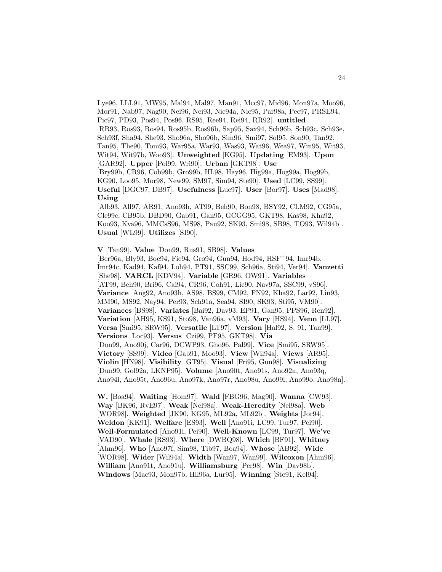Lye96, LLL91, MW95, Mal94, Mal97, Man91, Mcc97, Mid96, Mon97a, Moo96, Mor91, Nab97, Nag90, Nei96, Nei93, Nic94a, Nic95, Par98a, Pec97, PRSE94, Pic97, PD93, Pos94, Pos96, RS95, Ree94, Rei94, RR92]. **untitled** [RR93, Ros93, Ros94, Ros95b, Ros96b, Sap95, Sax94, Sch96b, Sch93c, Sch93e, Sch93f, Sha94, She93, Sho96a, Sho96b, Sim96, Smi97, Sol95, Son90, Tan92, Tan95, The90, Tom93, War95a, War93, Was93, Wat96, Wea97, Win95, Wit93, Wit94, Wit97b, Woo93]. **Unweighted** [KG95]. **Updating** [EM93]. **Upon** [GAR92]. **Upper** [Pol99, Wri90]. **Urban** [GKT98]. **Use** [Bry99b, CR96, Cob99b, Gro99b, HL98, Hay96, Hig99a, Hog99a, Hog99b, KG90, Loo95, Mor98, New99, SM97, Sim94, Ste90]. **Used** [LC99, SS99]. **Useful** [DGC97, DB97]. **Usefulness** [Luc97]. **User** [Bor97]. **Uses** [Mad98]. **Using** [Alb93, All97, AR91, Ano93h, AT99, Beh90, Bon98, BSY92, CLM92, CG95a, Cle99c, CB95b, DBD90, Gab91, Gan95, GCGG95, GKT98, Kas98, Kha92,

Koo93, Kva96, MMCsS96, MS98, Pau92, SK93, Smi98, SB98, TO93, Wil94b]. **Usual** [WL99]. **Utilizes** [SI90].

**V** [Tan99]. **Value** [Don99, Rus91, SB98]. **Values**

[Ber96a, Bly93, Boe94, Fie94, Gro94, Gun94, Hod94, HSF<sup>+</sup>94, Imr94b, Imr94c, Kad94, Kaf94, Loh94, PT91, SSC99, Sch96a, Sti94, Ver94]. **Vanzetti** [She98]. **VARCL** [KDV94]. **Variable** [GR96, OW91]. **Variables** [AT99, Beh90, Bri96, Cai94, CR96, Coh91, Lic90, Nav97a, SSC99, vS96]. **Variance** [Ang92, Ano93h, AS98, BS99, CM92, FN92, Kha92, Lar92, Lin93, MM90, MS92, Nay94, Per93, Sch91a, Sea94, SI90, SK93, Sti95, VM90]. **Variances** [BS98]. **Variates** [Bai92, Dav93, EP91, Gan95, PPS96, Ren92]. **Variation** [AH95, KS91, Sto98, Van96a, vM93]. **Vary** [HS94]. **Venn** [LL97]. **Versa** [Smi95, SRW95]. **Versatile** [LT97]. **Version** [Hal92, S. 91, Tan99]. **Versions** [Loc93]. **Versus** [Czi99, PF95, GKT98]. **Via** [Don99, Ano90j, Car96, DCWP93, Gho96, Pal99]. **Vice** [Smi95, SRW95]. **Victory** [SS99]. **Video** [Gab91, Moo93]. **View** [Wil94a]. **Views** [AR95]. **Violin** [HN98]. **Visibility** [GT95]. **Visual** [Fri95, Gun98]. **Visualizing** [Dun99, Gol92a, LKNP95]. **Volume** [Ano90t, Ano91s, Ano92n, Ano93q, Ano94l, Ano95t, Ano96u, Ano97k, Ano97r, Ano98u, Ano99l, Ano99o, Ano98n].

**W.** [Boa94]. **Waiting** [Hom97]. **Wald** [FBG96, Mag90]. **Wanna** [CW93]. **Way** [BK96, RvE97]. **Weak** [Nel98a]. **Weak-Heredity** [Nel98a]. **Web** [WOR98]. **Weighted** [JK90, KG95, ML92a, ML92b]. **Weights** [Jor94]. **Weldon** [KK91]. **Welfare** [ES93]. **Well** [Ano91i, LC99, Tur97, Pei90]. **Well-Formulated** [Ano91i, Pei90]. **Well-Known** [LC99, Tur97]. **We've** [VAD90]. **Whale** [RS93]. **Where** [DWBQ98]. **Which** [BF91]. **Whitney** [Ahm96]. **Who** [Ano97f, Sim98, Tib97, Boa94]. **Whose** [AB92]. **Wide** [WOR98]. **Wider** [Wil94a]. **Width** [Wan97, Wan99]. **Wilcoxon** [Ahm96]. **William** [Ano91t, Ano91u]. **Williamsburg** [Per98]. **Win** [Dav98b]. **Windows** [Mac93, Mon97b, Hil96a, Lur95]. **Winning** [Ste91, Kel94].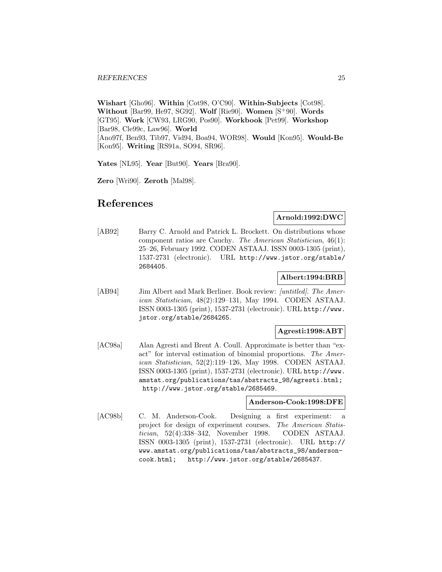**Wishart** [Gho96]. **Within** [Cot98, O'C90]. **Within-Subjects** [Cot98]. **Without** [Bar99, He97, SG92]. **Wolf** [Rie90]. **Women** [S<sup>+</sup>90]. **Words** [GT95]. **Work** [CW93, LRG90, Pos90]. **Workbook** [Pet99]. **Workshop** [Bar98, Cle99c, Law96]. **World** [Ano97f, Ben93, Tib97, Vid94, Boa94, WOR98]. **Would** [Kon95]. **Would-Be** [Kon95]. **Writing** [RS91a, SO94, SR96].

**Yates** [NL95]. **Year** [But90]. **Years** [Bra90].

**Zero** [Wri90]. **Zeroth** [Mal98].

# **References**

## **Arnold:1992:DWC**

[AB92] Barry C. Arnold and Patrick L. Brockett. On distributions whose component ratios are Cauchy. The American Statistician, 46(1): 25–26, February 1992. CODEN ASTAAJ. ISSN 0003-1305 (print), 1537-2731 (electronic). URL http://www.jstor.org/stable/ 2684405.

## **Albert:1994:BRB**

[AB94] Jim Albert and Mark Berliner. Book review: [untitled]. The American Statistician, 48(2):129–131, May 1994. CODEN ASTAAJ. ISSN 0003-1305 (print), 1537-2731 (electronic). URL http://www. jstor.org/stable/2684265.

#### **Agresti:1998:ABT**

[AC98a] Alan Agresti and Brent A. Coull. Approximate is better than "exact" for interval estimation of binomial proportions. The American Statistician, 52(2):119–126, May 1998. CODEN ASTAAJ. ISSN 0003-1305 (print), 1537-2731 (electronic). URL http://www. amstat.org/publications/tas/abstracts\_98/agresti.html; http://www.jstor.org/stable/2685469.

#### **Anderson-Cook:1998:DFE**

[AC98b] C. M. Anderson-Cook. Designing a first experiment: a project for design of experiment courses. The American Statistician, 52(4):338–342, November 1998. CODEN ASTAAJ. ISSN 0003-1305 (print), 1537-2731 (electronic). URL http:// www.amstat.org/publications/tas/abstracts\_98/andersoncook.html; http://www.jstor.org/stable/2685437.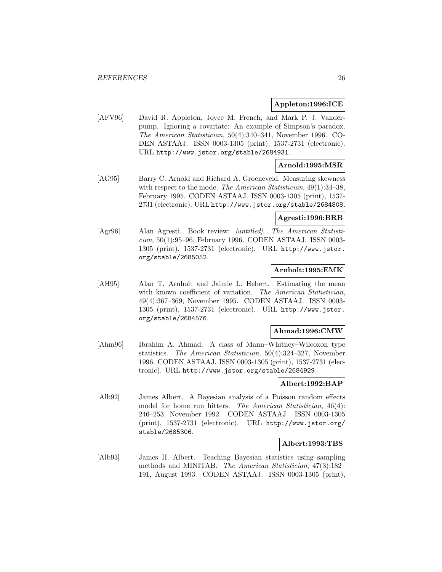## **Appleton:1996:ICE**

[AFV96] David R. Appleton, Joyce M. French, and Mark P. J. Vanderpump. Ignoring a covariate: An example of Simpson's paradox. The American Statistician, 50(4):340–341, November 1996. CO-DEN ASTAAJ. ISSN 0003-1305 (print), 1537-2731 (electronic). URL http://www.jstor.org/stable/2684931.

# **Arnold:1995:MSR**

[AG95] Barry C. Arnold and Richard A. Groeneveld. Measuring skewness with respect to the mode. The American Statistician, 49(1):34-38, February 1995. CODEN ASTAAJ. ISSN 0003-1305 (print), 1537- 2731 (electronic). URL http://www.jstor.org/stable/2684808.

# **Agresti:1996:BRB**

[Agr96] Alan Agresti. Book review: [untitled]. The American Statistician, 50(1):95–96, February 1996. CODEN ASTAAJ. ISSN 0003- 1305 (print), 1537-2731 (electronic). URL http://www.jstor. org/stable/2685052.

## **Arnholt:1995:EMK**

[AH95] Alan T. Arnholt and Jaimie L. Hebert. Estimating the mean with known coefficient of variation. The American Statistician, 49(4):367–369, November 1995. CODEN ASTAAJ. ISSN 0003- 1305 (print), 1537-2731 (electronic). URL http://www.jstor. org/stable/2684576.

#### **Ahmad:1996:CMW**

[Ahm96] Ibrahim A. Ahmad. A class of Mann–Whitney–Wilcoxon type statistics. The American Statistician, 50(4):324–327, November 1996. CODEN ASTAAJ. ISSN 0003-1305 (print), 1537-2731 (electronic). URL http://www.jstor.org/stable/2684929.

## **Albert:1992:BAP**

[Alb92] James Albert. A Bayesian analysis of a Poisson random effects model for home run hitters. The American Statistician, 46(4): 246–253, November 1992. CODEN ASTAAJ. ISSN 0003-1305 (print), 1537-2731 (electronic). URL http://www.jstor.org/ stable/2685306.

## **Albert:1993:TBS**

[Alb93] James H. Albert. Teaching Bayesian statistics using sampling methods and MINITAB. The American Statistician, 47(3):182– 191, August 1993. CODEN ASTAAJ. ISSN 0003-1305 (print),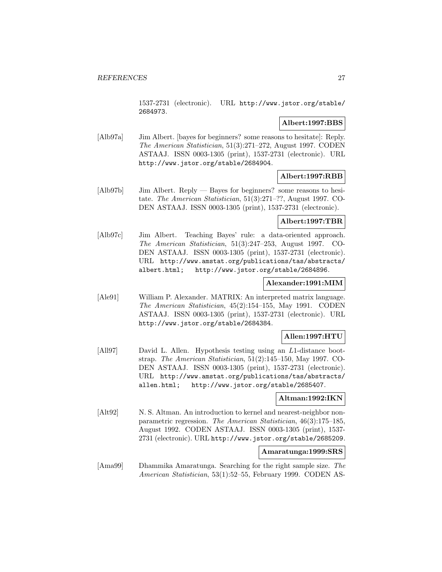1537-2731 (electronic). URL http://www.jstor.org/stable/ 2684973.

# **Albert:1997:BBS**

[Alb97a] Jim Albert. [bayes for beginners? some reasons to hesitate]: Reply. The American Statistician, 51(3):271–272, August 1997. CODEN ASTAAJ. ISSN 0003-1305 (print), 1537-2731 (electronic). URL http://www.jstor.org/stable/2684904.

# **Albert:1997:RBB**

[Alb97b] Jim Albert. Reply — Bayes for beginners? some reasons to hesitate. The American Statistician, 51(3):271–??, August 1997. CO-DEN ASTAAJ. ISSN 0003-1305 (print), 1537-2731 (electronic).

## **Albert:1997:TBR**

[Alb97c] Jim Albert. Teaching Bayes' rule: a data-oriented approach. The American Statistician, 51(3):247–253, August 1997. CO-DEN ASTAAJ. ISSN 0003-1305 (print), 1537-2731 (electronic). URL http://www.amstat.org/publications/tas/abstracts/ albert.html; http://www.jstor.org/stable/2684896.

#### **Alexander:1991:MIM**

[Ale91] William P. Alexander. MATRIX: An interpreted matrix language. The American Statistician, 45(2):154–155, May 1991. CODEN ASTAAJ. ISSN 0003-1305 (print), 1537-2731 (electronic). URL http://www.jstor.org/stable/2684384.

# **Allen:1997:HTU**

[All97] David L. Allen. Hypothesis testing using an L1-distance bootstrap. The American Statistician, 51(2):145–150, May 1997. CO-DEN ASTAAJ. ISSN 0003-1305 (print), 1537-2731 (electronic). URL http://www.amstat.org/publications/tas/abstracts/ allen.html; http://www.jstor.org/stable/2685407.

## **Altman:1992:IKN**

[Alt92] N. S. Altman. An introduction to kernel and nearest-neighbor nonparametric regression. The American Statistician, 46(3):175–185, August 1992. CODEN ASTAAJ. ISSN 0003-1305 (print), 1537- 2731 (electronic). URL http://www.jstor.org/stable/2685209.

# **Amaratunga:1999:SRS**

[Ama99] Dhammika Amaratunga. Searching for the right sample size. The American Statistician, 53(1):52–55, February 1999. CODEN AS-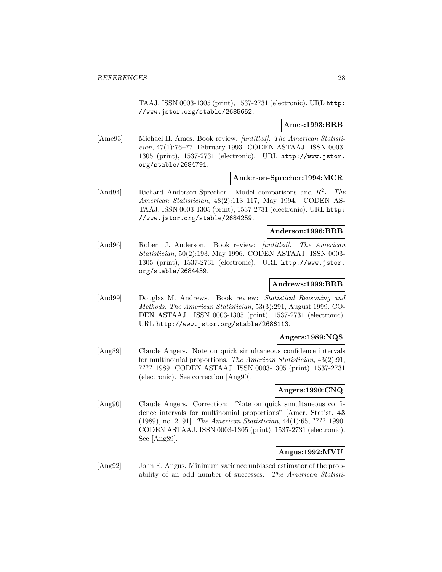TAAJ. ISSN 0003-1305 (print), 1537-2731 (electronic). URL http: //www.jstor.org/stable/2685652.

#### **Ames:1993:BRB**

[Ame93] Michael H. Ames. Book review: [untitled]. The American Statistician, 47(1):76–77, February 1993. CODEN ASTAAJ. ISSN 0003- 1305 (print), 1537-2731 (electronic). URL http://www.jstor. org/stable/2684791.

# **Anderson-Sprecher:1994:MCR**

[And94] Richard Anderson-Sprecher. Model comparisons and  $R^2$ . The American Statistician, 48(2):113–117, May 1994. CODEN AS-TAAJ. ISSN 0003-1305 (print), 1537-2731 (electronic). URL http: //www.jstor.org/stable/2684259.

#### **Anderson:1996:BRB**

[And96] Robert J. Anderson. Book review: *[untitled]. The American* Statistician, 50(2):193, May 1996. CODEN ASTAAJ. ISSN 0003- 1305 (print), 1537-2731 (electronic). URL http://www.jstor. org/stable/2684439.

## **Andrews:1999:BRB**

[And99] Douglas M. Andrews. Book review: Statistical Reasoning and Methods. The American Statistician, 53(3):291, August 1999. CO-DEN ASTAAJ. ISSN 0003-1305 (print), 1537-2731 (electronic). URL http://www.jstor.org/stable/2686113.

#### **Angers:1989:NQS**

[Ang89] Claude Angers. Note on quick simultaneous confidence intervals for multinomial proportions. The American Statistician, 43(2):91, ???? 1989. CODEN ASTAAJ. ISSN 0003-1305 (print), 1537-2731 (electronic). See correction [Ang90].

#### **Angers:1990:CNQ**

[Ang90] Claude Angers. Correction: "Note on quick simultaneous confidence intervals for multinomial proportions" [Amer. Statist. **43** (1989), no. 2, 91]. The American Statistician, 44(1):65, ???? 1990. CODEN ASTAAJ. ISSN 0003-1305 (print), 1537-2731 (electronic). See [Ang89].

# **Angus:1992:MVU**

[Ang92] John E. Angus. Minimum variance unbiased estimator of the probability of an odd number of successes. The American Statisti-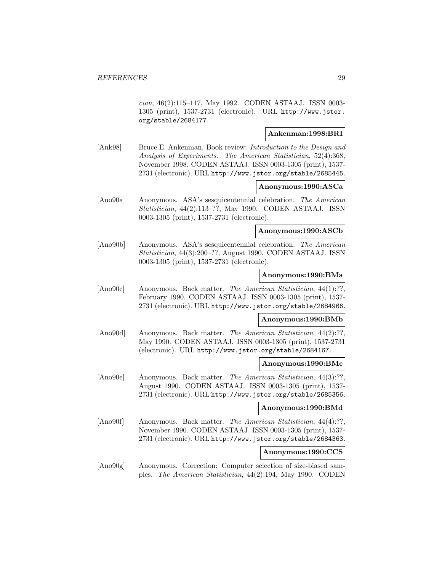cian, 46(2):115–117, May 1992. CODEN ASTAAJ. ISSN 0003- 1305 (print), 1537-2731 (electronic). URL http://www.jstor. org/stable/2684177.

# **Ankenman:1998:BRI**

[Ank98] Bruce E. Ankenman. Book review: *Introduction to the Design and* Analysis of Experiments. The American Statistician, 52(4):368, November 1998. CODEN ASTAAJ. ISSN 0003-1305 (print), 1537- 2731 (electronic). URL http://www.jstor.org/stable/2685445.

## **Anonymous:1990:ASCa**

[Ano90a] Anonymous. ASA's sesquicentennial celebration. The American Statistician, 44(2):113–??, May 1990. CODEN ASTAAJ. ISSN 0003-1305 (print), 1537-2731 (electronic).

## **Anonymous:1990:ASCb**

[Ano90b] Anonymous. ASA's sesquicentennial celebration. The American Statistician, 44(3):200–??, August 1990. CODEN ASTAAJ. ISSN 0003-1305 (print), 1537-2731 (electronic).

#### **Anonymous:1990:BMa**

[Ano90c] Anonymous. Back matter. The American Statistician, 44(1):??, February 1990. CODEN ASTAAJ. ISSN 0003-1305 (print), 1537- 2731 (electronic). URL http://www.jstor.org/stable/2684966.

## **Anonymous:1990:BMb**

[Ano90d] Anonymous. Back matter. The American Statistician, 44(2):??. May 1990. CODEN ASTAAJ. ISSN 0003-1305 (print), 1537-2731 (electronic). URL http://www.jstor.org/stable/2684167.

## **Anonymous:1990:BMc**

[Ano90e] Anonymous. Back matter. The American Statistician, 44(3):??, August 1990. CODEN ASTAAJ. ISSN 0003-1305 (print), 1537- 2731 (electronic). URL http://www.jstor.org/stable/2685356.

## **Anonymous:1990:BMd**

[Ano90f] Anonymous. Back matter. The American Statistician, 44(4):??, November 1990. CODEN ASTAAJ. ISSN 0003-1305 (print), 1537- 2731 (electronic). URL http://www.jstor.org/stable/2684363.

## **Anonymous:1990:CCS**

[Ano90g] Anonymous. Correction: Computer selection of size-biased samples. The American Statistician, 44(2):194, May 1990. CODEN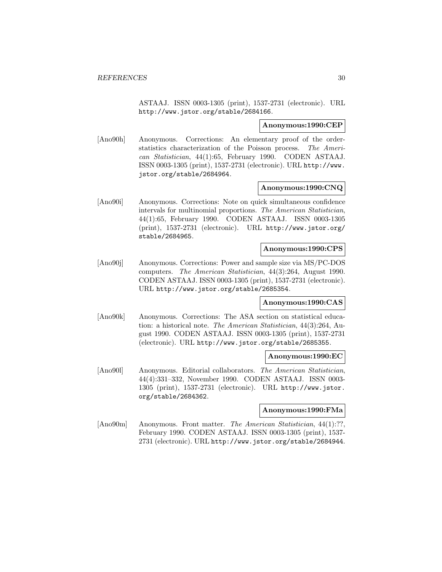ASTAAJ. ISSN 0003-1305 (print), 1537-2731 (electronic). URL http://www.jstor.org/stable/2684166.

#### **Anonymous:1990:CEP**

[Ano90h] Anonymous. Corrections: An elementary proof of the orderstatistics characterization of the Poisson process. The American Statistician, 44(1):65, February 1990. CODEN ASTAAJ. ISSN 0003-1305 (print), 1537-2731 (electronic). URL http://www. jstor.org/stable/2684964.

#### **Anonymous:1990:CNQ**

[Ano90i] Anonymous. Corrections: Note on quick simultaneous confidence intervals for multinomial proportions. The American Statistician, 44(1):65, February 1990. CODEN ASTAAJ. ISSN 0003-1305 (print), 1537-2731 (electronic). URL http://www.jstor.org/ stable/2684965.

# **Anonymous:1990:CPS**

[Ano90j] Anonymous. Corrections: Power and sample size via MS/PC-DOS computers. The American Statistician, 44(3):264, August 1990. CODEN ASTAAJ. ISSN 0003-1305 (print), 1537-2731 (electronic). URL http://www.jstor.org/stable/2685354.

#### **Anonymous:1990:CAS**

[Ano90k] Anonymous. Corrections: The ASA section on statistical education: a historical note. The American Statistician, 44(3):264, August 1990. CODEN ASTAAJ. ISSN 0003-1305 (print), 1537-2731 (electronic). URL http://www.jstor.org/stable/2685355.

#### **Anonymous:1990:EC**

[Ano90l] Anonymous. Editorial collaborators. The American Statistician, 44(4):331–332, November 1990. CODEN ASTAAJ. ISSN 0003- 1305 (print), 1537-2731 (electronic). URL http://www.jstor. org/stable/2684362.

## **Anonymous:1990:FMa**

[Ano90m] Anonymous. Front matter. The American Statistician, 44(1):??, February 1990. CODEN ASTAAJ. ISSN 0003-1305 (print), 1537- 2731 (electronic). URL http://www.jstor.org/stable/2684944.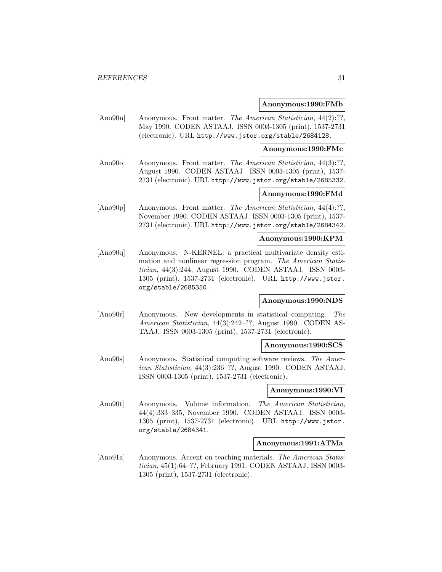#### **Anonymous:1990:FMb**

[Ano90n] Anonymous. Front matter. The American Statistician, 44(2):??, May 1990. CODEN ASTAAJ. ISSN 0003-1305 (print), 1537-2731 (electronic). URL http://www.jstor.org/stable/2684128.

## **Anonymous:1990:FMc**

[Ano90o] Anonymous. Front matter. The American Statistician, 44(3):??, August 1990. CODEN ASTAAJ. ISSN 0003-1305 (print), 1537- 2731 (electronic). URL http://www.jstor.org/stable/2685332.

# **Anonymous:1990:FMd**

[Ano90p] Anonymous. Front matter. The American Statistician, 44(4):??, November 1990. CODEN ASTAAJ. ISSN 0003-1305 (print), 1537- 2731 (electronic). URL http://www.jstor.org/stable/2684342.

# **Anonymous:1990:KPM**

[Ano90q] Anonymous. N-KERNEL: a practical multivariate density estimation and nonlinear regression program. The American Statistician, 44(3):244, August 1990. CODEN ASTAAJ. ISSN 0003- 1305 (print), 1537-2731 (electronic). URL http://www.jstor. org/stable/2685350.

# **Anonymous:1990:NDS**

[Ano90r] Anonymous. New developments in statistical computing. The American Statistician, 44(3):242–??, August 1990. CODEN AS-TAAJ. ISSN 0003-1305 (print), 1537-2731 (electronic).

#### **Anonymous:1990:SCS**

[Ano90s] Anonymous. Statistical computing software reviews. The American Statistician, 44(3):236–??, August 1990. CODEN ASTAAJ. ISSN 0003-1305 (print), 1537-2731 (electronic).

## **Anonymous:1990:VI**

[Ano90t] Anonymous. Volume information. The American Statistician, 44(4):333–335, November 1990. CODEN ASTAAJ. ISSN 0003- 1305 (print), 1537-2731 (electronic). URL http://www.jstor. org/stable/2684341.

# **Anonymous:1991:ATMa**

[Ano91a] Anonymous. Accent on teaching materials. The American Statistician, 45(1):64–??, February 1991. CODEN ASTAAJ. ISSN 0003- 1305 (print), 1537-2731 (electronic).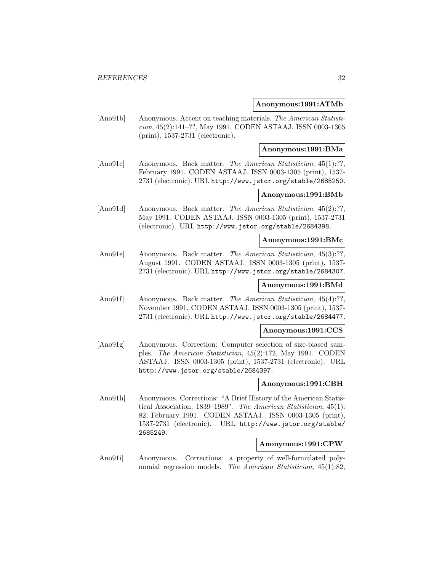#### **Anonymous:1991:ATMb**

[Ano91b] Anonymous. Accent on teaching materials. The American Statistician, 45(2):141–??, May 1991. CODEN ASTAAJ. ISSN 0003-1305 (print), 1537-2731 (electronic).

#### **Anonymous:1991:BMa**

[Ano91c] Anonymous. Back matter. The American Statistician, 45(1):??, February 1991. CODEN ASTAAJ. ISSN 0003-1305 (print), 1537- 2731 (electronic). URL http://www.jstor.org/stable/2685250.

# **Anonymous:1991:BMb**

[Ano91d] Anonymous. Back matter. *The American Statistician*, 45(2):??. May 1991. CODEN ASTAAJ. ISSN 0003-1305 (print), 1537-2731 (electronic). URL http://www.jstor.org/stable/2684398.

#### **Anonymous:1991:BMc**

[Ano91e] Anonymous. Back matter. The American Statistician, 45(3):??, August 1991. CODEN ASTAAJ. ISSN 0003-1305 (print), 1537- 2731 (electronic). URL http://www.jstor.org/stable/2684307.

# **Anonymous:1991:BMd**

[Ano91f] Anonymous. Back matter. The American Statistician, 45(4):??, November 1991. CODEN ASTAAJ. ISSN 0003-1305 (print), 1537- 2731 (electronic). URL http://www.jstor.org/stable/2684477.

## **Anonymous:1991:CCS**

[Ano91g] Anonymous. Correction: Computer selection of size-biased samples. The American Statistician, 45(2):172, May 1991. CODEN ASTAAJ. ISSN 0003-1305 (print), 1537-2731 (electronic). URL http://www.jstor.org/stable/2684397.

## **Anonymous:1991:CBH**

[Ano91h] Anonymous. Corrections: "A Brief History of the American Statistical Association, 1839–1989". The American Statistician, 45(1): 82, February 1991. CODEN ASTAAJ. ISSN 0003-1305 (print), 1537-2731 (electronic). URL http://www.jstor.org/stable/ 2685249.

## **Anonymous:1991:CPW**

[Ano91i] Anonymous. Corrections: a property of well-formulated polynomial regression models. The American Statistician, 45(1):82,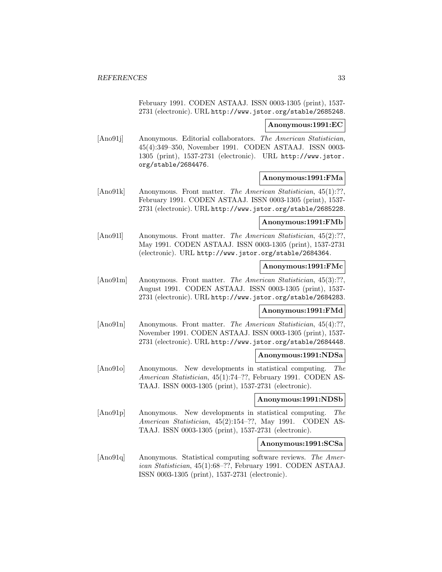February 1991. CODEN ASTAAJ. ISSN 0003-1305 (print), 1537- 2731 (electronic). URL http://www.jstor.org/stable/2685248.

#### **Anonymous:1991:EC**

[Ano91]] Anonymous. Editorial collaborators. The American Statistician, 45(4):349–350, November 1991. CODEN ASTAAJ. ISSN 0003- 1305 (print), 1537-2731 (electronic). URL http://www.jstor. org/stable/2684476.

#### **Anonymous:1991:FMa**

[Ano91k] Anonymous. Front matter. The American Statistician, 45(1):??, February 1991. CODEN ASTAAJ. ISSN 0003-1305 (print), 1537- 2731 (electronic). URL http://www.jstor.org/stable/2685228.

## **Anonymous:1991:FMb**

[Ano91l] Anonymous. Front matter. The American Statistician, 45(2):??, May 1991. CODEN ASTAAJ. ISSN 0003-1305 (print), 1537-2731 (electronic). URL http://www.jstor.org/stable/2684364.

# **Anonymous:1991:FMc**

[Ano91m] Anonymous. Front matter. The American Statistician, 45(3):??, August 1991. CODEN ASTAAJ. ISSN 0003-1305 (print), 1537- 2731 (electronic). URL http://www.jstor.org/stable/2684283.

# **Anonymous:1991:FMd**

[Ano91n] Anonymous. Front matter. The American Statistician, 45(4):??, November 1991. CODEN ASTAAJ. ISSN 0003-1305 (print), 1537- 2731 (electronic). URL http://www.jstor.org/stable/2684448.

#### **Anonymous:1991:NDSa**

[Ano91o] Anonymous. New developments in statistical computing. The American Statistician, 45(1):74–??, February 1991. CODEN AS-TAAJ. ISSN 0003-1305 (print), 1537-2731 (electronic).

#### **Anonymous:1991:NDSb**

[Ano91p] Anonymous. New developments in statistical computing. The American Statistician, 45(2):154–??, May 1991. CODEN AS-TAAJ. ISSN 0003-1305 (print), 1537-2731 (electronic).

## **Anonymous:1991:SCSa**

[Ano91q] Anonymous. Statistical computing software reviews. The American Statistician, 45(1):68–??, February 1991. CODEN ASTAAJ. ISSN 0003-1305 (print), 1537-2731 (electronic).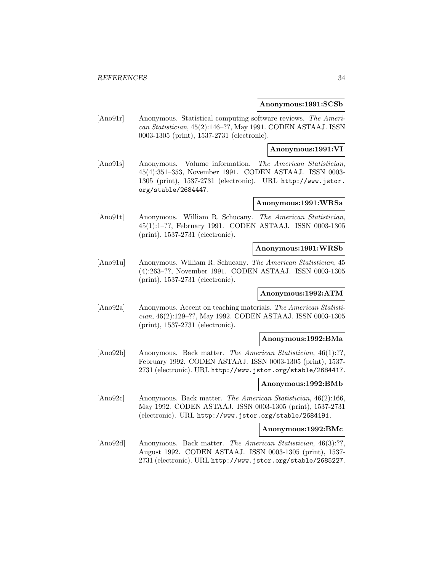#### **Anonymous:1991:SCSb**

[Ano91r] Anonymous. Statistical computing software reviews. The American Statistician, 45(2):146–??, May 1991. CODEN ASTAAJ. ISSN 0003-1305 (print), 1537-2731 (electronic).

**Anonymous:1991:VI**

[Ano91s] Anonymous. Volume information. The American Statistician, 45(4):351–353, November 1991. CODEN ASTAAJ. ISSN 0003- 1305 (print), 1537-2731 (electronic). URL http://www.jstor. org/stable/2684447.

## **Anonymous:1991:WRSa**

[Ano91t] Anonymous. William R. Schucany. The American Statistician, 45(1):1–??, February 1991. CODEN ASTAAJ. ISSN 0003-1305 (print), 1537-2731 (electronic).

#### **Anonymous:1991:WRSb**

[Ano91u] Anonymous. William R. Schucany. The American Statistician, 45 (4):263–??, November 1991. CODEN ASTAAJ. ISSN 0003-1305 (print), 1537-2731 (electronic).

#### **Anonymous:1992:ATM**

[Ano92a] Anonymous. Accent on teaching materials. The American Statistician, 46(2):129–??, May 1992. CODEN ASTAAJ. ISSN 0003-1305 (print), 1537-2731 (electronic).

#### **Anonymous:1992:BMa**

[Ano92b] Anonymous. Back matter. The American Statistician, 46(1):??, February 1992. CODEN ASTAAJ. ISSN 0003-1305 (print), 1537- 2731 (electronic). URL http://www.jstor.org/stable/2684417.

## **Anonymous:1992:BMb**

[Ano92c] Anonymous. Back matter. The American Statistician, 46(2):166, May 1992. CODEN ASTAAJ. ISSN 0003-1305 (print), 1537-2731 (electronic). URL http://www.jstor.org/stable/2684191.

## **Anonymous:1992:BMc**

[Ano92d] Anonymous. Back matter. The American Statistician, 46(3):??, August 1992. CODEN ASTAAJ. ISSN 0003-1305 (print), 1537- 2731 (electronic). URL http://www.jstor.org/stable/2685227.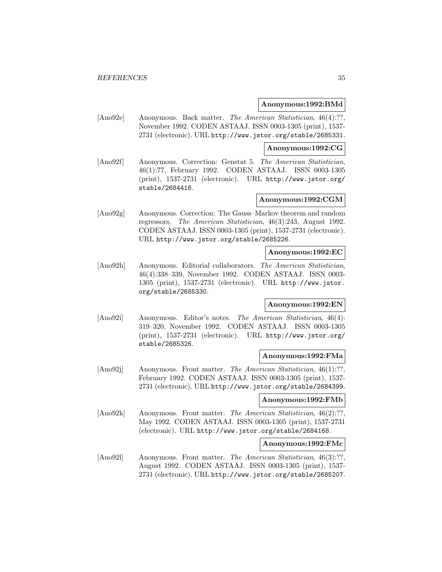#### **Anonymous:1992:BMd**

[Ano92e] Anonymous. Back matter. The American Statistician, 46(4):??, November 1992. CODEN ASTAAJ. ISSN 0003-1305 (print), 1537- 2731 (electronic). URL http://www.jstor.org/stable/2685331.

#### **Anonymous:1992:CG**

[Ano92f] Anonymous. Correction: Genstat 5. The American Statistician, 46(1):77, February 1992. CODEN ASTAAJ. ISSN 0003-1305 (print), 1537-2731 (electronic). URL http://www.jstor.org/ stable/2684416.

#### **Anonymous:1992:CGM**

[Ano92g] Anonymous. Correction: The Gauss–Markov theorem and random regressors. The American Statistician, 46(3):243, August 1992. CODEN ASTAAJ. ISSN 0003-1305 (print), 1537-2731 (electronic). URL http://www.jstor.org/stable/2685226.

#### **Anonymous:1992:EC**

[Ano92h] Anonymous. Editorial collaborators. The American Statistician, 46(4):338–339, November 1992. CODEN ASTAAJ. ISSN 0003- 1305 (print), 1537-2731 (electronic). URL http://www.jstor. org/stable/2685330.

## **Anonymous:1992:EN**

[Ano92i] Anonymous. Editor's notes. The American Statistician, 46(4): 319–320, November 1992. CODEN ASTAAJ. ISSN 0003-1305 (print), 1537-2731 (electronic). URL http://www.jstor.org/ stable/2685326.

#### **Anonymous:1992:FMa**

[Ano92j] Anonymous. Front matter. The American Statistician, 46(1):??, February 1992. CODEN ASTAAJ. ISSN 0003-1305 (print), 1537- 2731 (electronic). URL http://www.jstor.org/stable/2684399.

#### **Anonymous:1992:FMb**

[Ano92k] Anonymous. Front matter. The American Statistician, 46(2):??. May 1992. CODEN ASTAAJ. ISSN 0003-1305 (print), 1537-2731 (electronic). URL http://www.jstor.org/stable/2684168.

#### **Anonymous:1992:FMc**

[Ano92l] Anonymous. Front matter. The American Statistician, 46(3):??, August 1992. CODEN ASTAAJ. ISSN 0003-1305 (print), 1537- 2731 (electronic). URL http://www.jstor.org/stable/2685207.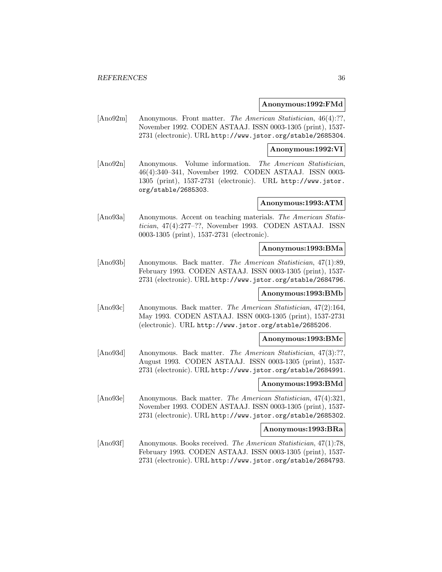#### **Anonymous:1992:FMd**

[Ano92m] Anonymous. Front matter. The American Statistician, 46(4):??, November 1992. CODEN ASTAAJ. ISSN 0003-1305 (print), 1537- 2731 (electronic). URL http://www.jstor.org/stable/2685304.

#### **Anonymous:1992:VI**

[Ano92n] Anonymous. Volume information. The American Statistician, 46(4):340–341, November 1992. CODEN ASTAAJ. ISSN 0003- 1305 (print), 1537-2731 (electronic). URL http://www.jstor. org/stable/2685303.

## **Anonymous:1993:ATM**

[Ano93a] Anonymous. Accent on teaching materials. The American Statistician, 47(4):277–??, November 1993. CODEN ASTAAJ. ISSN 0003-1305 (print), 1537-2731 (electronic).

## **Anonymous:1993:BMa**

[Ano93b] Anonymous. Back matter. The American Statistician, 47(1):89, February 1993. CODEN ASTAAJ. ISSN 0003-1305 (print), 1537- 2731 (electronic). URL http://www.jstor.org/stable/2684796.

#### **Anonymous:1993:BMb**

[Ano93c] Anonymous. Back matter. The American Statistician, 47(2):164, May 1993. CODEN ASTAAJ. ISSN 0003-1305 (print), 1537-2731 (electronic). URL http://www.jstor.org/stable/2685206.

#### **Anonymous:1993:BMc**

[Ano93d] Anonymous. Back matter. The American Statistician, 47(3):??, August 1993. CODEN ASTAAJ. ISSN 0003-1305 (print), 1537- 2731 (electronic). URL http://www.jstor.org/stable/2684991.

## **Anonymous:1993:BMd**

[Ano93e] Anonymous. Back matter. The American Statistician, 47(4):321, November 1993. CODEN ASTAAJ. ISSN 0003-1305 (print), 1537- 2731 (electronic). URL http://www.jstor.org/stable/2685302.

# **Anonymous:1993:BRa**

[Ano93f] Anonymous. Books received. The American Statistician, 47(1):78, February 1993. CODEN ASTAAJ. ISSN 0003-1305 (print), 1537- 2731 (electronic). URL http://www.jstor.org/stable/2684793.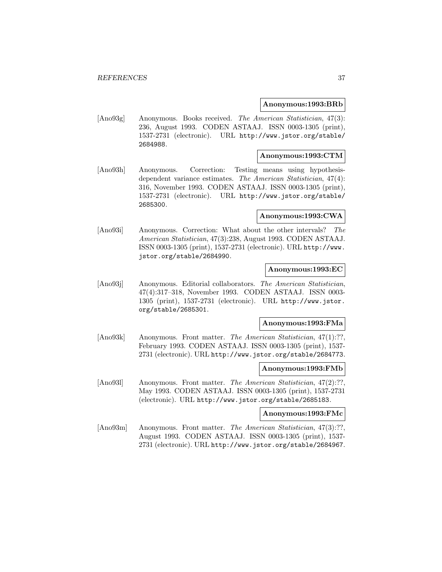#### **Anonymous:1993:BRb**

[Ano93g] Anonymous. Books received. The American Statistician, 47(3): 236, August 1993. CODEN ASTAAJ. ISSN 0003-1305 (print), 1537-2731 (electronic). URL http://www.jstor.org/stable/ 2684988.

### **Anonymous:1993:CTM**

[Ano93h] Anonymous. Correction: Testing means using hypothesisdependent variance estimates. The American Statistician, 47(4): 316, November 1993. CODEN ASTAAJ. ISSN 0003-1305 (print), 1537-2731 (electronic). URL http://www.jstor.org/stable/ 2685300.

## **Anonymous:1993:CWA**

[Ano93i] Anonymous. Correction: What about the other intervals? The American Statistician, 47(3):238, August 1993. CODEN ASTAAJ. ISSN 0003-1305 (print), 1537-2731 (electronic). URL http://www. jstor.org/stable/2684990.

### **Anonymous:1993:EC**

[Ano93j] Anonymous. Editorial collaborators. The American Statistician, 47(4):317–318, November 1993. CODEN ASTAAJ. ISSN 0003- 1305 (print), 1537-2731 (electronic). URL http://www.jstor. org/stable/2685301.

# **Anonymous:1993:FMa**

[Ano93k] Anonymous. Front matter. The American Statistician, 47(1):??, February 1993. CODEN ASTAAJ. ISSN 0003-1305 (print), 1537- 2731 (electronic). URL http://www.jstor.org/stable/2684773.

#### **Anonymous:1993:FMb**

[Ano93]] Anonymous. Front matter. The American Statistician, 47(2):??, May 1993. CODEN ASTAAJ. ISSN 0003-1305 (print), 1537-2731 (electronic). URL http://www.jstor.org/stable/2685183.

#### **Anonymous:1993:FMc**

[Ano93m] Anonymous. Front matter. The American Statistician, 47(3):??. August 1993. CODEN ASTAAJ. ISSN 0003-1305 (print), 1537- 2731 (electronic). URL http://www.jstor.org/stable/2684967.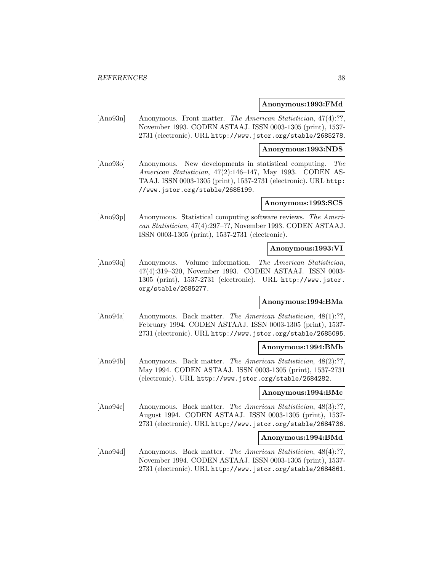#### **Anonymous:1993:FMd**

[Ano93n] Anonymous. Front matter. The American Statistician, 47(4):??, November 1993. CODEN ASTAAJ. ISSN 0003-1305 (print), 1537- 2731 (electronic). URL http://www.jstor.org/stable/2685278.

#### **Anonymous:1993:NDS**

[Ano93o] Anonymous. New developments in statistical computing. The American Statistician, 47(2):146–147, May 1993. CODEN AS-TAAJ. ISSN 0003-1305 (print), 1537-2731 (electronic). URL http: //www.jstor.org/stable/2685199.

## **Anonymous:1993:SCS**

[Ano93p] Anonymous. Statistical computing software reviews. The American Statistician, 47(4):297–??, November 1993. CODEN ASTAAJ. ISSN 0003-1305 (print), 1537-2731 (electronic).

#### **Anonymous:1993:VI**

[Ano93q] Anonymous. Volume information. The American Statistician, 47(4):319–320, November 1993. CODEN ASTAAJ. ISSN 0003- 1305 (print), 1537-2731 (electronic). URL http://www.jstor. org/stable/2685277.

## **Anonymous:1994:BMa**

[Ano94a] Anonymous. Back matter. The American Statistician, 48(1):??, February 1994. CODEN ASTAAJ. ISSN 0003-1305 (print), 1537- 2731 (electronic). URL http://www.jstor.org/stable/2685095.

### **Anonymous:1994:BMb**

[Ano94b] Anonymous. Back matter. The American Statistician, 48(2):??, May 1994. CODEN ASTAAJ. ISSN 0003-1305 (print), 1537-2731 (electronic). URL http://www.jstor.org/stable/2684282.

## **Anonymous:1994:BMc**

[Ano94c] Anonymous. Back matter. The American Statistician, 48(3):??, August 1994. CODEN ASTAAJ. ISSN 0003-1305 (print), 1537- 2731 (electronic). URL http://www.jstor.org/stable/2684736.

#### **Anonymous:1994:BMd**

[Ano94d] Anonymous. Back matter. The American Statistician, 48(4):??, November 1994. CODEN ASTAAJ. ISSN 0003-1305 (print), 1537- 2731 (electronic). URL http://www.jstor.org/stable/2684861.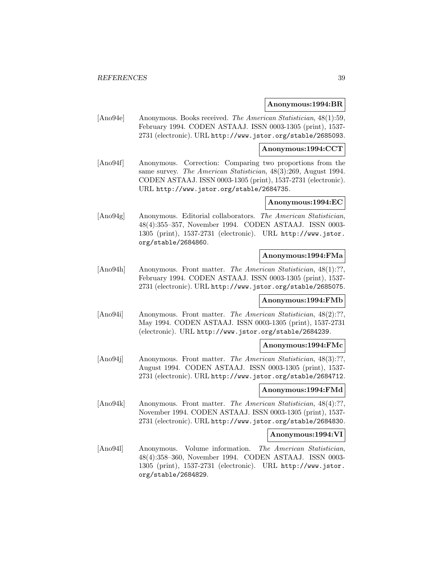#### **Anonymous:1994:BR**

[Ano94e] Anonymous. Books received. The American Statistician, 48(1):59, February 1994. CODEN ASTAAJ. ISSN 0003-1305 (print), 1537- 2731 (electronic). URL http://www.jstor.org/stable/2685093.

## **Anonymous:1994:CCT**

[Ano94f] Anonymous. Correction: Comparing two proportions from the same survey. The American Statistician, 48(3):269, August 1994. CODEN ASTAAJ. ISSN 0003-1305 (print), 1537-2731 (electronic). URL http://www.jstor.org/stable/2684735.

## **Anonymous:1994:EC**

[Ano94g] Anonymous. Editorial collaborators. The American Statistician, 48(4):355–357, November 1994. CODEN ASTAAJ. ISSN 0003- 1305 (print), 1537-2731 (electronic). URL http://www.jstor. org/stable/2684860.

## **Anonymous:1994:FMa**

[Ano94h] Anonymous. Front matter. The American Statistician, 48(1):??, February 1994. CODEN ASTAAJ. ISSN 0003-1305 (print), 1537- 2731 (electronic). URL http://www.jstor.org/stable/2685075.

### **Anonymous:1994:FMb**

[Ano94i] Anonymous. Front matter. The American Statistician, 48(2):??, May 1994. CODEN ASTAAJ. ISSN 0003-1305 (print), 1537-2731 (electronic). URL http://www.jstor.org/stable/2684239.

### **Anonymous:1994:FMc**

[Ano94j] Anonymous. Front matter. The American Statistician, 48(3):??, August 1994. CODEN ASTAAJ. ISSN 0003-1305 (print), 1537- 2731 (electronic). URL http://www.jstor.org/stable/2684712.

### **Anonymous:1994:FMd**

[Ano94k] Anonymous. Front matter. The American Statistician, 48(4):??, November 1994. CODEN ASTAAJ. ISSN 0003-1305 (print), 1537- 2731 (electronic). URL http://www.jstor.org/stable/2684830.

#### **Anonymous:1994:VI**

[Ano94l] Anonymous. Volume information. The American Statistician, 48(4):358–360, November 1994. CODEN ASTAAJ. ISSN 0003- 1305 (print), 1537-2731 (electronic). URL http://www.jstor. org/stable/2684829.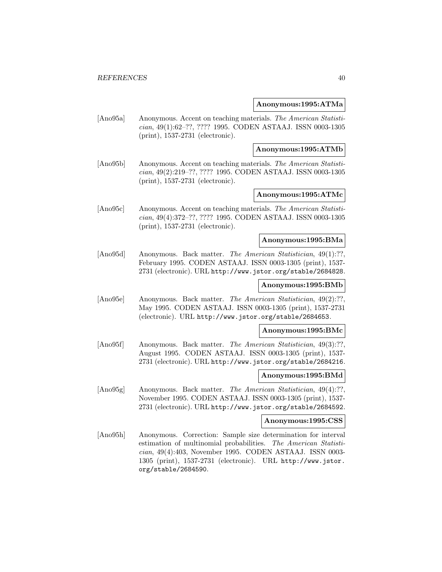#### **Anonymous:1995:ATMa**

[Ano95a] Anonymous. Accent on teaching materials. The American Statistician, 49(1):62–??, ???? 1995. CODEN ASTAAJ. ISSN 0003-1305 (print), 1537-2731 (electronic).

**Anonymous:1995:ATMb**

[Ano95b] Anonymous. Accent on teaching materials. The American Statistician, 49(2):219–??, ???? 1995. CODEN ASTAAJ. ISSN 0003-1305 (print), 1537-2731 (electronic).

## **Anonymous:1995:ATMc**

[Ano95c] Anonymous. Accent on teaching materials. The American Statistician, 49(4):372–??, ???? 1995. CODEN ASTAAJ. ISSN 0003-1305 (print), 1537-2731 (electronic).

### **Anonymous:1995:BMa**

[Ano95d] Anonymous. Back matter. The American Statistician, 49(1):??, February 1995. CODEN ASTAAJ. ISSN 0003-1305 (print), 1537- 2731 (electronic). URL http://www.jstor.org/stable/2684828.

## **Anonymous:1995:BMb**

[Ano95e] Anonymous. Back matter. The American Statistician, 49(2):??, May 1995. CODEN ASTAAJ. ISSN 0003-1305 (print), 1537-2731 (electronic). URL http://www.jstor.org/stable/2684653.

### **Anonymous:1995:BMc**

[Ano95f] Anonymous. Back matter. The American Statistician, 49(3):??. August 1995. CODEN ASTAAJ. ISSN 0003-1305 (print), 1537- 2731 (electronic). URL http://www.jstor.org/stable/2684216.

#### **Anonymous:1995:BMd**

[Ano95g] Anonymous. Back matter. *The American Statistician*, 49(4):?? November 1995. CODEN ASTAAJ. ISSN 0003-1305 (print), 1537- 2731 (electronic). URL http://www.jstor.org/stable/2684592.

#### **Anonymous:1995:CSS**

[Ano95h] Anonymous. Correction: Sample size determination for interval estimation of multinomial probabilities. The American Statistician, 49(4):403, November 1995. CODEN ASTAAJ. ISSN 0003- 1305 (print), 1537-2731 (electronic). URL http://www.jstor. org/stable/2684590.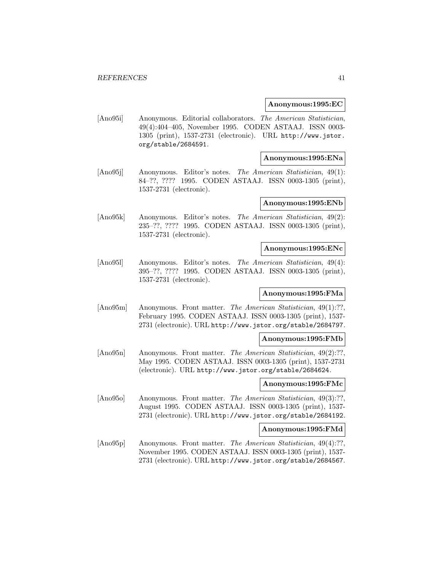#### **Anonymous:1995:EC**

[Ano95i] Anonymous. Editorial collaborators. The American Statistician, 49(4):404–405, November 1995. CODEN ASTAAJ. ISSN 0003- 1305 (print), 1537-2731 (electronic). URL http://www.jstor. org/stable/2684591.

#### **Anonymous:1995:ENa**

[Ano95j] Anonymous. Editor's notes. The American Statistician, 49(1): 84–??, ???? 1995. CODEN ASTAAJ. ISSN 0003-1305 (print), 1537-2731 (electronic).

## **Anonymous:1995:ENb**

[Ano95k] Anonymous. Editor's notes. The American Statistician, 49(2): 235–??, ???? 1995. CODEN ASTAAJ. ISSN 0003-1305 (print), 1537-2731 (electronic).

#### **Anonymous:1995:ENc**

[Ano95l] Anonymous. Editor's notes. The American Statistician, 49(4): 395–??, ???? 1995. CODEN ASTAAJ. ISSN 0003-1305 (print), 1537-2731 (electronic).

### **Anonymous:1995:FMa**

[Ano95m] Anonymous. Front matter. The American Statistician, 49(1):??, February 1995. CODEN ASTAAJ. ISSN 0003-1305 (print), 1537- 2731 (electronic). URL http://www.jstor.org/stable/2684797.

#### **Anonymous:1995:FMb**

[Ano95n] Anonymous. Front matter. The American Statistician, 49(2):??, May 1995. CODEN ASTAAJ. ISSN 0003-1305 (print), 1537-2731 (electronic). URL http://www.jstor.org/stable/2684624.

## **Anonymous:1995:FMc**

[Ano95o] Anonymous. Front matter. The American Statistician, 49(3):??. August 1995. CODEN ASTAAJ. ISSN 0003-1305 (print), 1537- 2731 (electronic). URL http://www.jstor.org/stable/2684192.

## **Anonymous:1995:FMd**

[Ano95p] Anonymous. Front matter. The American Statistician, 49(4):??, November 1995. CODEN ASTAAJ. ISSN 0003-1305 (print), 1537- 2731 (electronic). URL http://www.jstor.org/stable/2684567.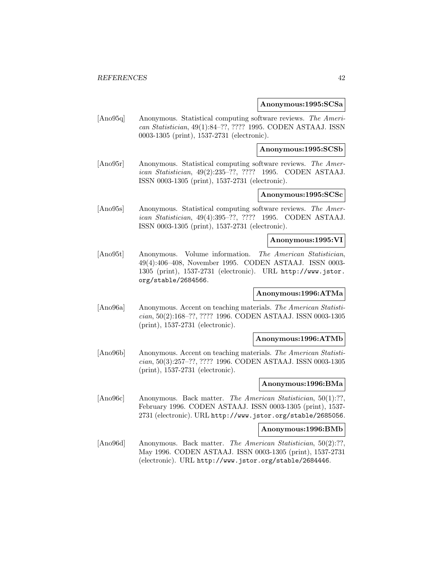#### **Anonymous:1995:SCSa**

[Ano95q] Anonymous. Statistical computing software reviews. The American Statistician, 49(1):84–??, ???? 1995. CODEN ASTAAJ. ISSN 0003-1305 (print), 1537-2731 (electronic).

**Anonymous:1995:SCSb**

[Ano95r] Anonymous. Statistical computing software reviews. The American Statistician, 49(2):235–??, ???? 1995. CODEN ASTAAJ. ISSN 0003-1305 (print), 1537-2731 (electronic).

## **Anonymous:1995:SCSc**

[Ano95s] Anonymous. Statistical computing software reviews. The American Statistician, 49(4):395–??, ???? 1995. CODEN ASTAAJ. ISSN 0003-1305 (print), 1537-2731 (electronic).

#### **Anonymous:1995:VI**

[Ano95t] Anonymous. Volume information. The American Statistician, 49(4):406–408, November 1995. CODEN ASTAAJ. ISSN 0003- 1305 (print), 1537-2731 (electronic). URL http://www.jstor. org/stable/2684566.

## **Anonymous:1996:ATMa**

[Ano96a] Anonymous. Accent on teaching materials. The American Statistician, 50(2):168–??, ???? 1996. CODEN ASTAAJ. ISSN 0003-1305 (print), 1537-2731 (electronic).

#### **Anonymous:1996:ATMb**

[Ano96b] Anonymous. Accent on teaching materials. The American Statistician, 50(3):257–??, ???? 1996. CODEN ASTAAJ. ISSN 0003-1305 (print), 1537-2731 (electronic).

### **Anonymous:1996:BMa**

[Ano96c] Anonymous. Back matter. The American Statistician, 50(1):??, February 1996. CODEN ASTAAJ. ISSN 0003-1305 (print), 1537- 2731 (electronic). URL http://www.jstor.org/stable/2685056.

## **Anonymous:1996:BMb**

[Ano96d] Anonymous. Back matter. The American Statistician, 50(2):??, May 1996. CODEN ASTAAJ. ISSN 0003-1305 (print), 1537-2731 (electronic). URL http://www.jstor.org/stable/2684446.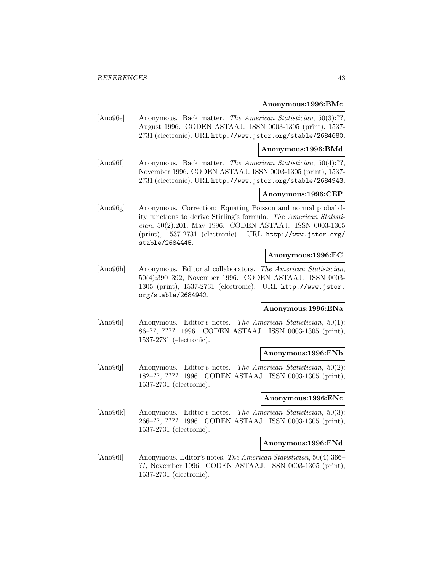#### **Anonymous:1996:BMc**

[Ano96e] Anonymous. Back matter. The American Statistician, 50(3):??, August 1996. CODEN ASTAAJ. ISSN 0003-1305 (print), 1537- 2731 (electronic). URL http://www.jstor.org/stable/2684680.

#### **Anonymous:1996:BMd**

[Ano96f] Anonymous. Back matter. The American Statistician, 50(4):??, November 1996. CODEN ASTAAJ. ISSN 0003-1305 (print), 1537- 2731 (electronic). URL http://www.jstor.org/stable/2684943.

## **Anonymous:1996:CEP**

[Ano96g] Anonymous. Correction: Equating Poisson and normal probability functions to derive Stirling's formula. The American Statistician, 50(2):201, May 1996. CODEN ASTAAJ. ISSN 0003-1305 (print), 1537-2731 (electronic). URL http://www.jstor.org/ stable/2684445.

#### **Anonymous:1996:EC**

[Ano96h] Anonymous. Editorial collaborators. The American Statistician, 50(4):390–392, November 1996. CODEN ASTAAJ. ISSN 0003- 1305 (print), 1537-2731 (electronic). URL http://www.jstor. org/stable/2684942.

### **Anonymous:1996:ENa**

[Ano96i] Anonymous. Editor's notes. The American Statistician, 50(1): 86–??, ???? 1996. CODEN ASTAAJ. ISSN 0003-1305 (print), 1537-2731 (electronic).

#### **Anonymous:1996:ENb**

[Ano96j] Anonymous. Editor's notes. The American Statistician, 50(2): 182–??, ???? 1996. CODEN ASTAAJ. ISSN 0003-1305 (print), 1537-2731 (electronic).

### **Anonymous:1996:ENc**

[Ano96k] Anonymous. Editor's notes. The American Statistician, 50(3): 266–??, ???? 1996. CODEN ASTAAJ. ISSN 0003-1305 (print), 1537-2731 (electronic).

#### **Anonymous:1996:ENd**

[Ano96l] Anonymous. Editor's notes. The American Statistician, 50(4):366– ??, November 1996. CODEN ASTAAJ. ISSN 0003-1305 (print), 1537-2731 (electronic).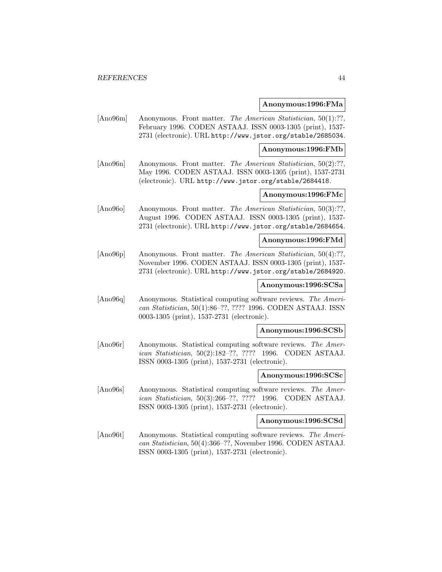#### **Anonymous:1996:FMa**

[Ano96m] Anonymous. Front matter. The American Statistician, 50(1):??, February 1996. CODEN ASTAAJ. ISSN 0003-1305 (print), 1537- 2731 (electronic). URL http://www.jstor.org/stable/2685034.

**Anonymous:1996:FMb**

[Ano96n] Anonymous. Front matter. The American Statistician, 50(2):??, May 1996. CODEN ASTAAJ. ISSN 0003-1305 (print), 1537-2731 (electronic). URL http://www.jstor.org/stable/2684418.

## **Anonymous:1996:FMc**

[Ano96o] Anonymous. Front matter. The American Statistician, 50(3):??, August 1996. CODEN ASTAAJ. ISSN 0003-1305 (print), 1537- 2731 (electronic). URL http://www.jstor.org/stable/2684654.

#### **Anonymous:1996:FMd**

[Ano96p] Anonymous. Front matter. The American Statistician, 50(4):??, November 1996. CODEN ASTAAJ. ISSN 0003-1305 (print), 1537- 2731 (electronic). URL http://www.jstor.org/stable/2684920.

## **Anonymous:1996:SCSa**

[Ano96q] Anonymous. Statistical computing software reviews. The American Statistician, 50(1):86–??, ???? 1996. CODEN ASTAAJ. ISSN 0003-1305 (print), 1537-2731 (electronic).

#### **Anonymous:1996:SCSb**

[Ano96r] Anonymous. Statistical computing software reviews. The American Statistician, 50(2):182–??, ???? 1996. CODEN ASTAAJ. ISSN 0003-1305 (print), 1537-2731 (electronic).

#### **Anonymous:1996:SCSc**

[Ano96s] Anonymous. Statistical computing software reviews. The American Statistician, 50(3):266–??, ???? 1996. CODEN ASTAAJ. ISSN 0003-1305 (print), 1537-2731 (electronic).

#### **Anonymous:1996:SCSd**

[Ano96t] Anonymous. Statistical computing software reviews. The American Statistician, 50(4):366–??, November 1996. CODEN ASTAAJ. ISSN 0003-1305 (print), 1537-2731 (electronic).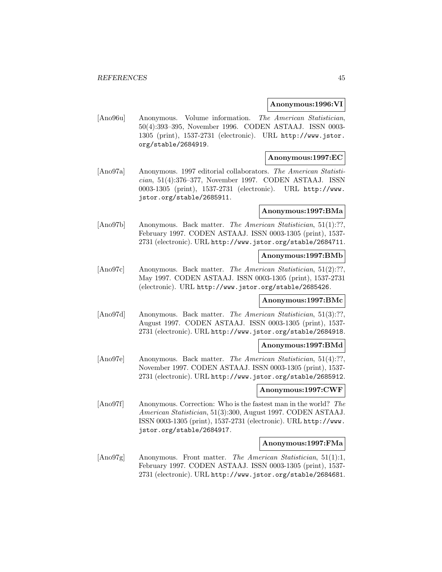#### **Anonymous:1996:VI**

[Ano96u] Anonymous. Volume information. The American Statistician, 50(4):393–395, November 1996. CODEN ASTAAJ. ISSN 0003- 1305 (print), 1537-2731 (electronic). URL http://www.jstor. org/stable/2684919.

### **Anonymous:1997:EC**

[Ano97a] Anonymous. 1997 editorial collaborators. The American Statistician, 51(4):376–377, November 1997. CODEN ASTAAJ. ISSN 0003-1305 (print), 1537-2731 (electronic). URL http://www. jstor.org/stable/2685911.

#### **Anonymous:1997:BMa**

[Ano97b] Anonymous. Back matter. The American Statistician, 51(1):??, February 1997. CODEN ASTAAJ. ISSN 0003-1305 (print), 1537- 2731 (electronic). URL http://www.jstor.org/stable/2684711.

## **Anonymous:1997:BMb**

[Ano97c] Anonymous. Back matter. The American Statistician, 51(2):??, May 1997. CODEN ASTAAJ. ISSN 0003-1305 (print), 1537-2731 (electronic). URL http://www.jstor.org/stable/2685426.

### **Anonymous:1997:BMc**

[Ano97d] Anonymous. Back matter. *The American Statistician*, 51(3):??, August 1997. CODEN ASTAAJ. ISSN 0003-1305 (print), 1537- 2731 (electronic). URL http://www.jstor.org/stable/2684918.

## **Anonymous:1997:BMd**

[Ano97e] Anonymous. Back matter. The American Statistician, 51(4):??, November 1997. CODEN ASTAAJ. ISSN 0003-1305 (print), 1537- 2731 (electronic). URL http://www.jstor.org/stable/2685912.

### **Anonymous:1997:CWF**

[Ano97f] Anonymous. Correction: Who is the fastest man in the world? The American Statistician, 51(3):300, August 1997. CODEN ASTAAJ. ISSN 0003-1305 (print), 1537-2731 (electronic). URL http://www. jstor.org/stable/2684917.

#### **Anonymous:1997:FMa**

[Ano97g] Anonymous. Front matter. The American Statistician, 51(1):1, February 1997. CODEN ASTAAJ. ISSN 0003-1305 (print), 1537- 2731 (electronic). URL http://www.jstor.org/stable/2684681.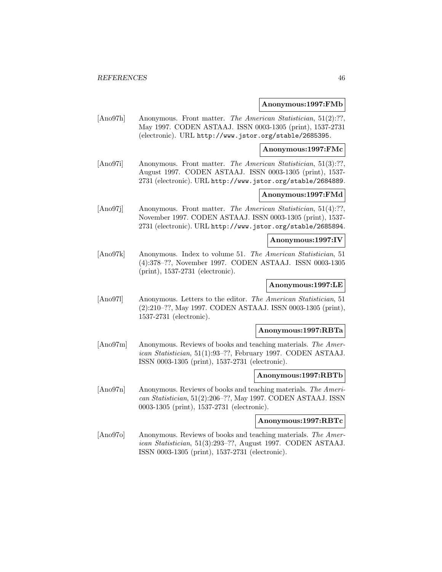#### **Anonymous:1997:FMb**

[Ano97h] Anonymous. Front matter. The American Statistician, 51(2):??, May 1997. CODEN ASTAAJ. ISSN 0003-1305 (print), 1537-2731 (electronic). URL http://www.jstor.org/stable/2685395.

#### **Anonymous:1997:FMc**

[Ano97i] Anonymous. Front matter. The American Statistician, 51(3):??, August 1997. CODEN ASTAAJ. ISSN 0003-1305 (print), 1537- 2731 (electronic). URL http://www.jstor.org/stable/2684889.

## **Anonymous:1997:FMd**

[Ano97j] Anonymous. Front matter. The American Statistician, 51(4):??, November 1997. CODEN ASTAAJ. ISSN 0003-1305 (print), 1537- 2731 (electronic). URL http://www.jstor.org/stable/2685894.

### **Anonymous:1997:IV**

[Ano97k] Anonymous. Index to volume 51. The American Statistician, 51 (4):378–??, November 1997. CODEN ASTAAJ. ISSN 0003-1305 (print), 1537-2731 (electronic).

## **Anonymous:1997:LE**

[Ano97l] Anonymous. Letters to the editor. The American Statistician, 51 (2):210–??, May 1997. CODEN ASTAAJ. ISSN 0003-1305 (print), 1537-2731 (electronic).

#### **Anonymous:1997:RBTa**

[Ano97m] Anonymous. Reviews of books and teaching materials. The American Statistician, 51(1):93–??, February 1997. CODEN ASTAAJ. ISSN 0003-1305 (print), 1537-2731 (electronic).

#### **Anonymous:1997:RBTb**

[Ano97n] Anonymous. Reviews of books and teaching materials. The American Statistician, 51(2):206–??, May 1997. CODEN ASTAAJ. ISSN 0003-1305 (print), 1537-2731 (electronic).

### **Anonymous:1997:RBTc**

[Ano97o] Anonymous. Reviews of books and teaching materials. The American Statistician, 51(3):293–??, August 1997. CODEN ASTAAJ. ISSN 0003-1305 (print), 1537-2731 (electronic).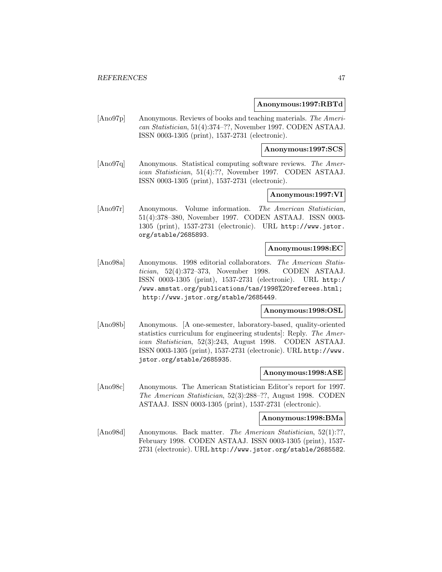#### **Anonymous:1997:RBTd**

[Ano97p] Anonymous. Reviews of books and teaching materials. The American Statistician, 51(4):374–??, November 1997. CODEN ASTAAJ. ISSN 0003-1305 (print), 1537-2731 (electronic).

**Anonymous:1997:SCS**

[Ano97q] Anonymous. Statistical computing software reviews. The American Statistician, 51(4):??, November 1997. CODEN ASTAAJ. ISSN 0003-1305 (print), 1537-2731 (electronic).

## **Anonymous:1997:VI**

[Ano97r] Anonymous. Volume information. The American Statistician, 51(4):378–380, November 1997. CODEN ASTAAJ. ISSN 0003- 1305 (print), 1537-2731 (electronic). URL http://www.jstor. org/stable/2685893.

#### **Anonymous:1998:EC**

[Ano98a] Anonymous. 1998 editorial collaborators. The American Statistician, 52(4):372–373, November 1998. CODEN ASTAAJ. ISSN 0003-1305 (print), 1537-2731 (electronic). URL http:/ /www.amstat.org/publications/tas/1998%20referees.html; http://www.jstor.org/stable/2685449.

## **Anonymous:1998:OSL**

[Ano98b] Anonymous. [A one-semester, laboratory-based, quality-oriented statistics curriculum for engineering students]: Reply. The American Statistician, 52(3):243, August 1998. CODEN ASTAAJ. ISSN 0003-1305 (print), 1537-2731 (electronic). URL http://www. jstor.org/stable/2685935.

### **Anonymous:1998:ASE**

[Ano98c] Anonymous. The American Statistician Editor's report for 1997. The American Statistician, 52(3):288–??, August 1998. CODEN ASTAAJ. ISSN 0003-1305 (print), 1537-2731 (electronic).

## **Anonymous:1998:BMa**

[Ano98d] Anonymous. Back matter. The American Statistician, 52(1):??, February 1998. CODEN ASTAAJ. ISSN 0003-1305 (print), 1537- 2731 (electronic). URL http://www.jstor.org/stable/2685582.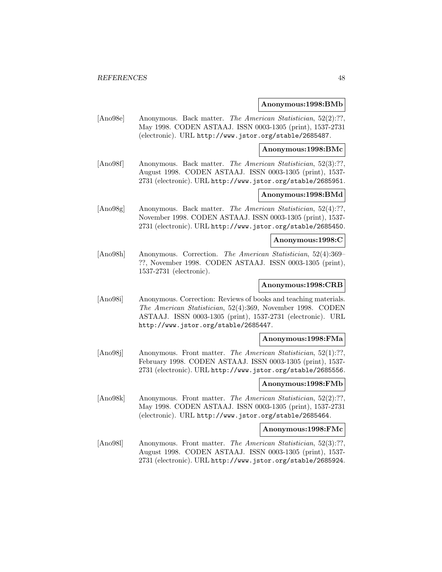#### **Anonymous:1998:BMb**

[Ano98e] Anonymous. Back matter. The American Statistician, 52(2):??, May 1998. CODEN ASTAAJ. ISSN 0003-1305 (print), 1537-2731 (electronic). URL http://www.jstor.org/stable/2685487.

#### **Anonymous:1998:BMc**

[Ano98f] Anonymous. Back matter. The American Statistician, 52(3):??, August 1998. CODEN ASTAAJ. ISSN 0003-1305 (print), 1537- 2731 (electronic). URL http://www.jstor.org/stable/2685951.

## **Anonymous:1998:BMd**

[Ano98g] Anonymous. Back matter. The American Statistician, 52(4):??, November 1998. CODEN ASTAAJ. ISSN 0003-1305 (print), 1537- 2731 (electronic). URL http://www.jstor.org/stable/2685450.

#### **Anonymous:1998:C**

[Ano98h] Anonymous. Correction. The American Statistician, 52(4):369– ??, November 1998. CODEN ASTAAJ. ISSN 0003-1305 (print), 1537-2731 (electronic).

## **Anonymous:1998:CRB**

[Ano98i] Anonymous. Correction: Reviews of books and teaching materials. The American Statistician, 52(4):369, November 1998. CODEN ASTAAJ. ISSN 0003-1305 (print), 1537-2731 (electronic). URL http://www.jstor.org/stable/2685447.

#### **Anonymous:1998:FMa**

[Ano98j] Anonymous. Front matter. The American Statistician, 52(1):??, February 1998. CODEN ASTAAJ. ISSN 0003-1305 (print), 1537- 2731 (electronic). URL http://www.jstor.org/stable/2685556.

## **Anonymous:1998:FMb**

[Ano98k] Anonymous. Front matter. The American Statistician, 52(2):??, May 1998. CODEN ASTAAJ. ISSN 0003-1305 (print), 1537-2731 (electronic). URL http://www.jstor.org/stable/2685464.

## **Anonymous:1998:FMc**

[Ano98l] Anonymous. Front matter. The American Statistician, 52(3):??, August 1998. CODEN ASTAAJ. ISSN 0003-1305 (print), 1537- 2731 (electronic). URL http://www.jstor.org/stable/2685924.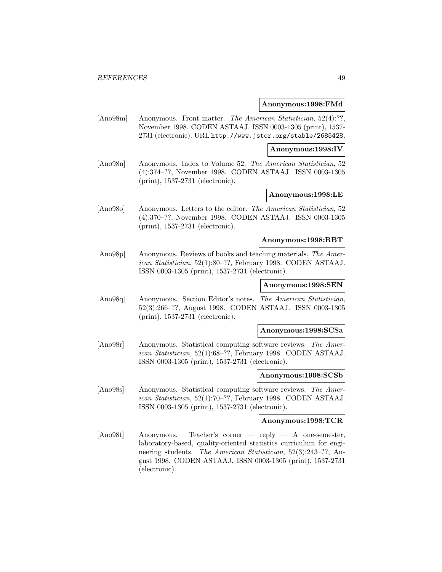#### **Anonymous:1998:FMd**

[Ano98m] Anonymous. Front matter. The American Statistician, 52(4):??, November 1998. CODEN ASTAAJ. ISSN 0003-1305 (print), 1537- 2731 (electronic). URL http://www.jstor.org/stable/2685428.

#### **Anonymous:1998:IV**

[Ano98n] Anonymous. Index to Volume 52. The American Statistician, 52 (4):374–??, November 1998. CODEN ASTAAJ. ISSN 0003-1305 (print), 1537-2731 (electronic).

## **Anonymous:1998:LE**

[Ano98o] Anonymous. Letters to the editor. The American Statistician, 52 (4):370–??, November 1998. CODEN ASTAAJ. ISSN 0003-1305 (print), 1537-2731 (electronic).

### **Anonymous:1998:RBT**

[Ano98p] Anonymous. Reviews of books and teaching materials. The American Statistician, 52(1):80–??, February 1998. CODEN ASTAAJ. ISSN 0003-1305 (print), 1537-2731 (electronic).

## **Anonymous:1998:SEN**

[Ano98q] Anonymous. Section Editor's notes. The American Statistician, 52(3):266–??, August 1998. CODEN ASTAAJ. ISSN 0003-1305 (print), 1537-2731 (electronic).

#### **Anonymous:1998:SCSa**

[Ano98r] Anonymous. Statistical computing software reviews. The American Statistician, 52(1):68–??, February 1998. CODEN ASTAAJ. ISSN 0003-1305 (print), 1537-2731 (electronic).

#### **Anonymous:1998:SCSb**

[Ano98s] Anonymous. Statistical computing software reviews. The American Statistician, 52(1):70–??, February 1998. CODEN ASTAAJ. ISSN 0003-1305 (print), 1537-2731 (electronic).

### **Anonymous:1998:TCR**

[Ano98t] Anonymous. Teacher's corner — reply — A one-semester, laboratory-based, quality-oriented statistics curriculum for engineering students. The American Statistician, 52(3):243–??, August 1998. CODEN ASTAAJ. ISSN 0003-1305 (print), 1537-2731 (electronic).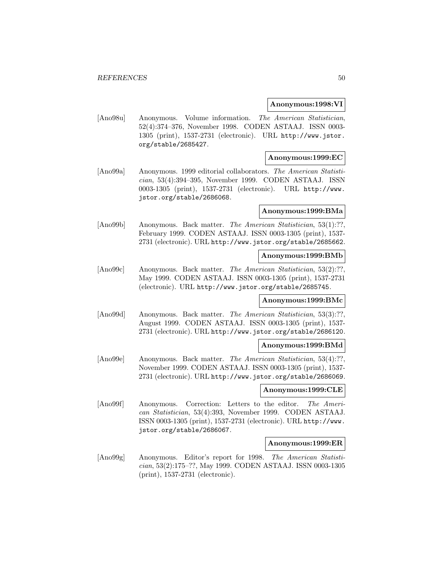#### **Anonymous:1998:VI**

[Ano98u] Anonymous. Volume information. The American Statistician, 52(4):374–376, November 1998. CODEN ASTAAJ. ISSN 0003- 1305 (print), 1537-2731 (electronic). URL http://www.jstor. org/stable/2685427.

## **Anonymous:1999:EC**

[Ano99a] Anonymous. 1999 editorial collaborators. The American Statistician, 53(4):394–395, November 1999. CODEN ASTAAJ. ISSN 0003-1305 (print), 1537-2731 (electronic). URL http://www. jstor.org/stable/2686068.

#### **Anonymous:1999:BMa**

[Ano99b] Anonymous. Back matter. The American Statistician, 53(1):??, February 1999. CODEN ASTAAJ. ISSN 0003-1305 (print), 1537- 2731 (electronic). URL http://www.jstor.org/stable/2685662.

## **Anonymous:1999:BMb**

[Ano99c] Anonymous. Back matter. The American Statistician, 53(2):??, May 1999. CODEN ASTAAJ. ISSN 0003-1305 (print), 1537-2731 (electronic). URL http://www.jstor.org/stable/2685745.

### **Anonymous:1999:BMc**

[Ano99d] Anonymous. Back matter. *The American Statistician*, 53(3):??, August 1999. CODEN ASTAAJ. ISSN 0003-1305 (print), 1537- 2731 (electronic). URL http://www.jstor.org/stable/2686120.

### **Anonymous:1999:BMd**

[Ano99e] Anonymous. Back matter. The American Statistician, 53(4):??, November 1999. CODEN ASTAAJ. ISSN 0003-1305 (print), 1537- 2731 (electronic). URL http://www.jstor.org/stable/2686069.

### **Anonymous:1999:CLE**

[Ano99f] Anonymous. Correction: Letters to the editor. The American Statistician, 53(4):393, November 1999. CODEN ASTAAJ. ISSN 0003-1305 (print), 1537-2731 (electronic). URL http://www. jstor.org/stable/2686067.

#### **Anonymous:1999:ER**

[Ano99g] Anonymous. Editor's report for 1998. The American Statistician, 53(2):175–??, May 1999. CODEN ASTAAJ. ISSN 0003-1305 (print), 1537-2731 (electronic).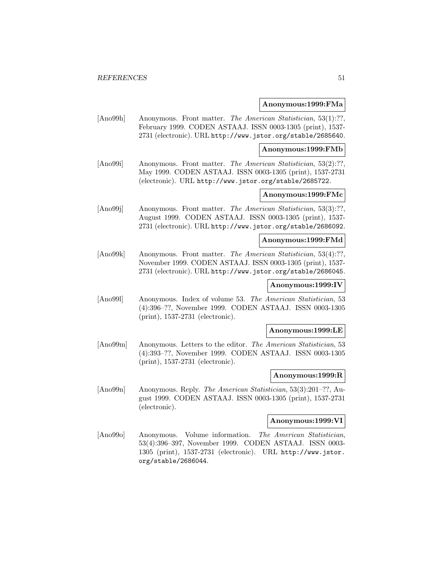#### **Anonymous:1999:FMa**

[Ano99h] Anonymous. Front matter. The American Statistician, 53(1):??, February 1999. CODEN ASTAAJ. ISSN 0003-1305 (print), 1537- 2731 (electronic). URL http://www.jstor.org/stable/2685640.

**Anonymous:1999:FMb**

[Ano99i] Anonymous. Front matter. The American Statistician, 53(2):??, May 1999. CODEN ASTAAJ. ISSN 0003-1305 (print), 1537-2731 (electronic). URL http://www.jstor.org/stable/2685722.

## **Anonymous:1999:FMc**

[Ano99j] Anonymous. Front matter. The American Statistician, 53(3):??, August 1999. CODEN ASTAAJ. ISSN 0003-1305 (print), 1537- 2731 (electronic). URL http://www.jstor.org/stable/2686092.

#### **Anonymous:1999:FMd**

[Ano99k] Anonymous. Front matter. The American Statistician, 53(4):??, November 1999. CODEN ASTAAJ. ISSN 0003-1305 (print), 1537- 2731 (electronic). URL http://www.jstor.org/stable/2686045.

## **Anonymous:1999:IV**

[Ano99l] Anonymous. Index of volume 53. The American Statistician, 53 (4):396–??, November 1999. CODEN ASTAAJ. ISSN 0003-1305 (print), 1537-2731 (electronic).

### **Anonymous:1999:LE**

[Ano99m] Anonymous. Letters to the editor. The American Statistician, 53 (4):393–??, November 1999. CODEN ASTAAJ. ISSN 0003-1305 (print), 1537-2731 (electronic).

#### **Anonymous:1999:R**

[Ano99n] Anonymous. Reply. The American Statistician, 53(3):201–??, August 1999. CODEN ASTAAJ. ISSN 0003-1305 (print), 1537-2731 (electronic).

## **Anonymous:1999:VI**

[Ano99o] Anonymous. Volume information. The American Statistician, 53(4):396–397, November 1999. CODEN ASTAAJ. ISSN 0003- 1305 (print), 1537-2731 (electronic). URL http://www.jstor. org/stable/2686044.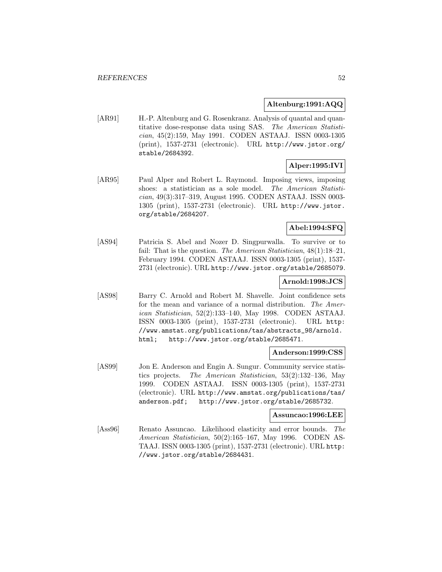## **Altenburg:1991:AQQ**

[AR91] H.-P. Altenburg and G. Rosenkranz. Analysis of quantal and quantitative dose-response data using SAS. The American Statistician, 45(2):159, May 1991. CODEN ASTAAJ. ISSN 0003-1305 (print), 1537-2731 (electronic). URL http://www.jstor.org/ stable/2684392.

# **Alper:1995:IVI**

[AR95] Paul Alper and Robert L. Raymond. Imposing views, imposing shoes: a statistician as a sole model. The American Statistician, 49(3):317–319, August 1995. CODEN ASTAAJ. ISSN 0003- 1305 (print), 1537-2731 (electronic). URL http://www.jstor. org/stable/2684207.

## **Abel:1994:SFQ**

[AS94] Patricia S. Abel and Nozer D. Singpurwalla. To survive or to fail: That is the question. The American Statistician,  $48(1)$ :18-21, February 1994. CODEN ASTAAJ. ISSN 0003-1305 (print), 1537- 2731 (electronic). URL http://www.jstor.org/stable/2685079.

### **Arnold:1998:JCS**

[AS98] Barry C. Arnold and Robert M. Shavelle. Joint confidence sets for the mean and variance of a normal distribution. The American Statistician, 52(2):133–140, May 1998. CODEN ASTAAJ. ISSN 0003-1305 (print), 1537-2731 (electronic). URL http: //www.amstat.org/publications/tas/abstracts\_98/arnold. html; http://www.jstor.org/stable/2685471.

#### **Anderson:1999:CSS**

[AS99] Jon E. Anderson and Engin A. Sungur. Community service statistics projects. The American Statistician, 53(2):132–136, May 1999. CODEN ASTAAJ. ISSN 0003-1305 (print), 1537-2731 (electronic). URL http://www.amstat.org/publications/tas/ anderson.pdf; http://www.jstor.org/stable/2685732.

## **Assuncao:1996:LEE**

[Ass96] Renato Assuncao. Likelihood elasticity and error bounds. The American Statistician, 50(2):165–167, May 1996. CODEN AS-TAAJ. ISSN 0003-1305 (print), 1537-2731 (electronic). URL http: //www.jstor.org/stable/2684431.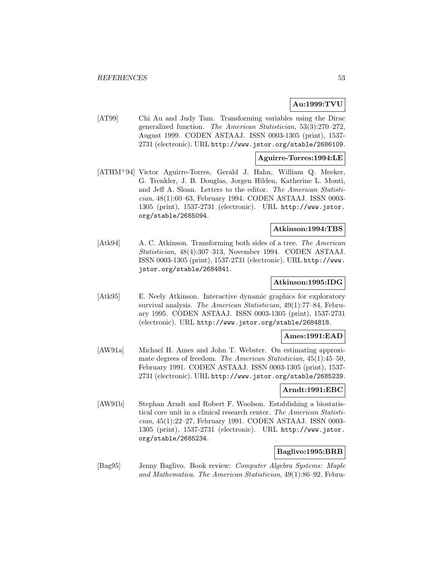# **Au:1999:TVU**

[AT99] Chi Au and Judy Tam. Transforming variables using the Dirac generalized function. The American Statistician, 53(3):270–272, August 1999. CODEN ASTAAJ. ISSN 0003-1305 (print), 1537- 2731 (electronic). URL http://www.jstor.org/stable/2686109.

## **Aguirre-Torres:1994:LE**

[ATHM<sup>+</sup>94] Victor Aguirre-Torres, Gerald J. Hahn, William Q. Meeker, G. Trenkler, J. B. Douglas, Jorgen Hilden, Katherine L. Monti, and Jeff A. Sloan. Letters to the editor. The American Statistician, 48(1):60–63, February 1994. CODEN ASTAAJ. ISSN 0003- 1305 (print), 1537-2731 (electronic). URL http://www.jstor. org/stable/2685094.

## **Atkinson:1994:TBS**

[Atk94] A. C. Atkinson. Transforming both sides of a tree. The American Statistician, 48(4):307–313, November 1994. CODEN ASTAAJ. ISSN 0003-1305 (print), 1537-2731 (electronic). URL http://www. jstor.org/stable/2684841.

### **Atkinson:1995:IDG**

[Atk95] E. Neely Atkinson. Interactive dynamic graphics for exploratory survival analysis. The American Statistician, 49(1):77–84, February 1995. CODEN ASTAAJ. ISSN 0003-1305 (print), 1537-2731 (electronic). URL http://www.jstor.org/stable/2684818.

## **Ames:1991:EAD**

[AW91a] Michael H. Ames and John T. Webster. On estimating approximate degrees of freedom. The American Statistician, 45(1):45–50, February 1991. CODEN ASTAAJ. ISSN 0003-1305 (print), 1537- 2731 (electronic). URL http://www.jstor.org/stable/2685239.

### **Arndt:1991:EBC**

[AW91b] Stephan Arndt and Robert F. Woolson. Establishing a biostatistical core unit in a clinical research center. The American Statistician, 45(1):22–27, February 1991. CODEN ASTAAJ. ISSN 0003- 1305 (print), 1537-2731 (electronic). URL http://www.jstor. org/stable/2685234.

## **Baglivo:1995:BRB**

[Bag95] Jenny Baglivo. Book review: Computer Algebra Systems: Maple and Mathematica. The American Statistician, 49(1):86–92, Febru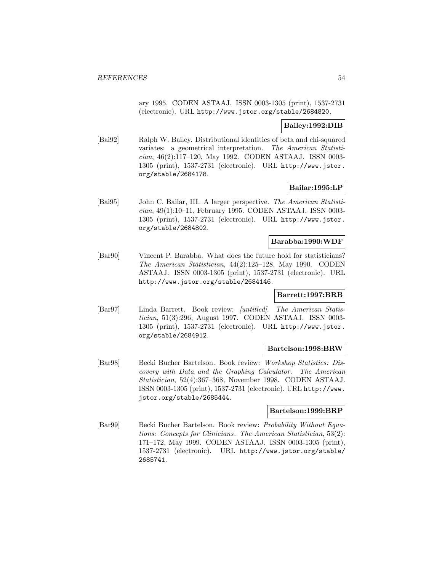ary 1995. CODEN ASTAAJ. ISSN 0003-1305 (print), 1537-2731 (electronic). URL http://www.jstor.org/stable/2684820.

## **Bailey:1992:DIB**

[Bai92] Ralph W. Bailey. Distributional identities of beta and chi-squared variates: a geometrical interpretation. The American Statistician, 46(2):117–120, May 1992. CODEN ASTAAJ. ISSN 0003- 1305 (print), 1537-2731 (electronic). URL http://www.jstor. org/stable/2684178.

## **Bailar:1995:LP**

[Bai95] John C. Bailar, III. A larger perspective. The American Statistician, 49(1):10–11, February 1995. CODEN ASTAAJ. ISSN 0003- 1305 (print), 1537-2731 (electronic). URL http://www.jstor. org/stable/2684802.

## **Barabba:1990:WDF**

[Bar90] Vincent P. Barabba. What does the future hold for statisticians? The American Statistician, 44(2):125–128, May 1990. CODEN ASTAAJ. ISSN 0003-1305 (print), 1537-2731 (electronic). URL http://www.jstor.org/stable/2684146.

### **Barrett:1997:BRB**

[Bar97] Linda Barrett. Book review: [untitled]. The American Statistician, 51(3):296, August 1997. CODEN ASTAAJ. ISSN 0003- 1305 (print), 1537-2731 (electronic). URL http://www.jstor. org/stable/2684912.

### **Bartelson:1998:BRW**

[Bar98] Becki Bucher Bartelson. Book review: Workshop Statistics: Discovery with Data and the Graphing Calculator. The American Statistician, 52(4):367–368, November 1998. CODEN ASTAAJ. ISSN 0003-1305 (print), 1537-2731 (electronic). URL http://www. jstor.org/stable/2685444.

#### **Bartelson:1999:BRP**

[Bar99] Becki Bucher Bartelson. Book review: Probability Without Equations: Concepts for Clinicians. The American Statistician, 53(2): 171–172, May 1999. CODEN ASTAAJ. ISSN 0003-1305 (print), 1537-2731 (electronic). URL http://www.jstor.org/stable/ 2685741.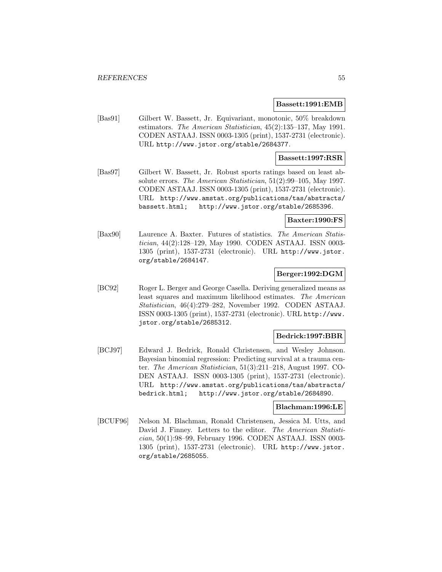#### **Bassett:1991:EMB**

[Bas91] Gilbert W. Bassett, Jr. Equivariant, monotonic, 50% breakdown estimators. The American Statistician, 45(2):135–137, May 1991. CODEN ASTAAJ. ISSN 0003-1305 (print), 1537-2731 (electronic). URL http://www.jstor.org/stable/2684377.

### **Bassett:1997:RSR**

[Bas97] Gilbert W. Bassett, Jr. Robust sports ratings based on least absolute errors. The American Statistician, 51(2):99–105, May 1997. CODEN ASTAAJ. ISSN 0003-1305 (print), 1537-2731 (electronic). URL http://www.amstat.org/publications/tas/abstracts/ bassett.html; http://www.jstor.org/stable/2685396.

#### **Baxter:1990:FS**

[Bax90] Laurence A. Baxter. Futures of statistics. The American Statistician, 44(2):128–129, May 1990. CODEN ASTAAJ. ISSN 0003- 1305 (print), 1537-2731 (electronic). URL http://www.jstor. org/stable/2684147.

## **Berger:1992:DGM**

[BC92] Roger L. Berger and George Casella. Deriving generalized means as least squares and maximum likelihood estimates. The American Statistician, 46(4):279–282, November 1992. CODEN ASTAAJ. ISSN 0003-1305 (print), 1537-2731 (electronic). URL http://www. jstor.org/stable/2685312.

### **Bedrick:1997:BBR**

[BCJ97] Edward J. Bedrick, Ronald Christensen, and Wesley Johnson. Bayesian binomial regression: Predicting survival at a trauma center. The American Statistician, 51(3):211–218, August 1997. CO-DEN ASTAAJ. ISSN 0003-1305 (print), 1537-2731 (electronic). URL http://www.amstat.org/publications/tas/abstracts/ bedrick.html; http://www.jstor.org/stable/2684890.

#### **Blachman:1996:LE**

[BCUF96] Nelson M. Blachman, Ronald Christensen, Jessica M. Utts, and David J. Finney. Letters to the editor. The American Statistician, 50(1):98–99, February 1996. CODEN ASTAAJ. ISSN 0003- 1305 (print), 1537-2731 (electronic). URL http://www.jstor. org/stable/2685055.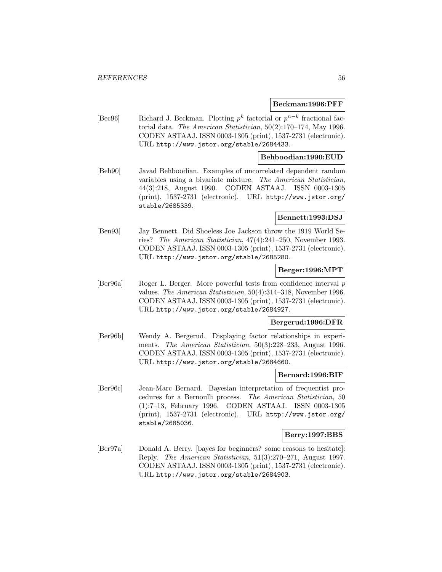### **Beckman:1996:PFF**

[Bec96] Richard J. Beckman. Plotting  $p^k$  factorial or  $p^{n-k}$  fractional factorial data. The American Statistician, 50(2):170–174, May 1996. CODEN ASTAAJ. ISSN 0003-1305 (print), 1537-2731 (electronic). URL http://www.jstor.org/stable/2684433.

## **Behboodian:1990:EUD**

[Beh90] Javad Behboodian. Examples of uncorrelated dependent random variables using a bivariate mixture. The American Statistician, 44(3):218, August 1990. CODEN ASTAAJ. ISSN 0003-1305 (print), 1537-2731 (electronic). URL http://www.jstor.org/ stable/2685339.

## **Bennett:1993:DSJ**

[Ben93] Jay Bennett. Did Shoeless Joe Jackson throw the 1919 World Series? The American Statistician, 47(4):241–250, November 1993. CODEN ASTAAJ. ISSN 0003-1305 (print), 1537-2731 (electronic). URL http://www.jstor.org/stable/2685280.

#### **Berger:1996:MPT**

[Ber96a] Roger L. Berger. More powerful tests from confidence interval p values. The American Statistician, 50(4):314–318, November 1996. CODEN ASTAAJ. ISSN 0003-1305 (print), 1537-2731 (electronic). URL http://www.jstor.org/stable/2684927.

## **Bergerud:1996:DFR**

[Ber96b] Wendy A. Bergerud. Displaying factor relationships in experiments. *The American Statistician*, 50(3):228–233, August 1996. CODEN ASTAAJ. ISSN 0003-1305 (print), 1537-2731 (electronic). URL http://www.jstor.org/stable/2684660.

#### **Bernard:1996:BIF**

[Ber96c] Jean-Marc Bernard. Bayesian interpretation of frequentist procedures for a Bernoulli process. The American Statistician, 50 (1):7–13, February 1996. CODEN ASTAAJ. ISSN 0003-1305 (print), 1537-2731 (electronic). URL http://www.jstor.org/ stable/2685036.

#### **Berry:1997:BBS**

[Ber97a] Donald A. Berry. [bayes for beginners? some reasons to hesitate]: Reply. The American Statistician, 51(3):270–271, August 1997. CODEN ASTAAJ. ISSN 0003-1305 (print), 1537-2731 (electronic). URL http://www.jstor.org/stable/2684903.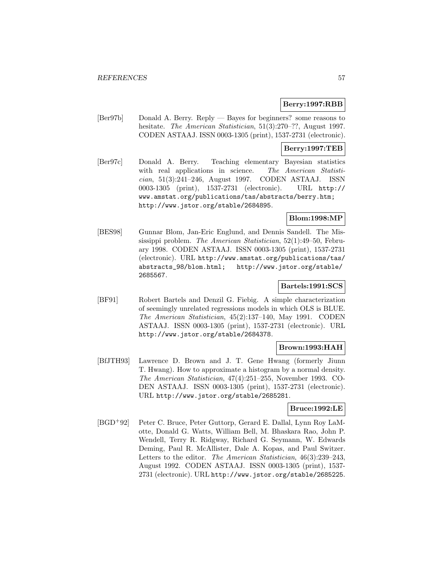## **Berry:1997:RBB**

[Ber97b] Donald A. Berry. Reply — Bayes for beginners? some reasons to hesitate. The American Statistician, 51(3):270-??, August 1997. CODEN ASTAAJ. ISSN 0003-1305 (print), 1537-2731 (electronic).

## **Berry:1997:TEB**

[Ber97c] Donald A. Berry. Teaching elementary Bayesian statistics with real applications in science. The American Statistician, 51(3):241–246, August 1997. CODEN ASTAAJ. ISSN 0003-1305 (print), 1537-2731 (electronic). URL http:// www.amstat.org/publications/tas/abstracts/berry.htm; http://www.jstor.org/stable/2684895.

## **Blom:1998:MP**

[BES98] Gunnar Blom, Jan-Eric Englund, and Dennis Sandell. The Mississippi problem. The American Statistician, 52(1):49–50, February 1998. CODEN ASTAAJ. ISSN 0003-1305 (print), 1537-2731 (electronic). URL http://www.amstat.org/publications/tas/ abstracts\_98/blom.html; http://www.jstor.org/stable/ 2685567.

## **Bartels:1991:SCS**

[BF91] Robert Bartels and Denzil G. Fiebig. A simple characterization of seemingly unrelated regressions models in which OLS is BLUE. The American Statistician, 45(2):137–140, May 1991. CODEN ASTAAJ. ISSN 0003-1305 (print), 1537-2731 (electronic). URL http://www.jstor.org/stable/2684378.

## **Brown:1993:HAH**

[BfJTH93] Lawrence D. Brown and J. T. Gene Hwang (formerly Jiunn T. Hwang). How to approximate a histogram by a normal density. The American Statistician, 47(4):251–255, November 1993. CO-DEN ASTAAJ. ISSN 0003-1305 (print), 1537-2731 (electronic). URL http://www.jstor.org/stable/2685281.

## **Bruce:1992:LE**

[BGD<sup>+</sup>92] Peter C. Bruce, Peter Guttorp, Gerard E. Dallal, Lynn Roy LaMotte, Donald G. Watts, William Bell, M. Bhaskara Rao, John P. Wendell, Terry R. Ridgway, Richard G. Seymann, W. Edwards Deming, Paul R. McAllister, Dale A. Kopas, and Paul Switzer. Letters to the editor. The American Statistician, 46(3):239–243, August 1992. CODEN ASTAAJ. ISSN 0003-1305 (print), 1537- 2731 (electronic). URL http://www.jstor.org/stable/2685225.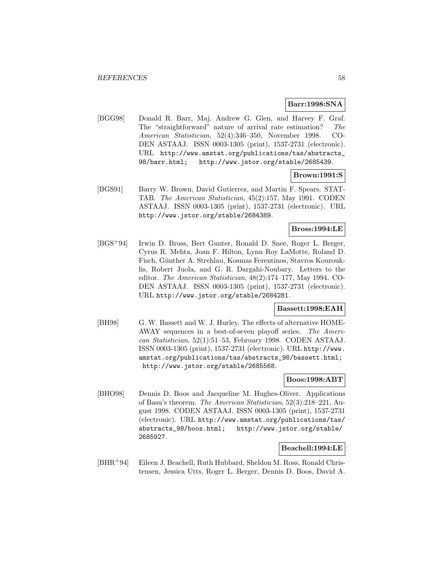## **Barr:1998:SNA**

[BGG98] Donald R. Barr, Maj. Andrew G. Glen, and Harvey F. Graf. The "straightforward" nature of arrival rate estimation? The American Statistician, 52(4):346–350, November 1998. CO-DEN ASTAAJ. ISSN 0003-1305 (print), 1537-2731 (electronic). URL http://www.amstat.org/publications/tas/abstracts\_ 98/barr.html; http://www.jstor.org/stable/2685439.

## **Brown:1991:S**

[BGS91] Barry W. Brown, David Gutierrez, and Martin F. Spears. STAT-TAB. The American Statistician, 45(2):157, May 1991. CODEN ASTAAJ. ISSN 0003-1305 (print), 1537-2731 (electronic). URL http://www.jstor.org/stable/2684389.

## **Bross:1994:LE**

[BGS<sup>+</sup>94] Irwin D. Bross, Bert Gunter, Ronald D. Snee, Roger L. Berger, Cyrus R. Mehta, Joan F. Hilton, Lynn Roy LaMotte, Roland D. Fisch, Günther A. Strehlau, Kosmas Ferentinos, Stavros Kourouklis, Robert Juola, and G. R. Dargahi-Noubary. Letters to the editor. The American Statistician, 48(2):174–177, May 1994. CO-DEN ASTAAJ. ISSN 0003-1305 (print), 1537-2731 (electronic). URL http://www.jstor.org/stable/2684281.

## **Bassett:1998:EAH**

[BH98] G. W. Bassett and W. J. Hurley. The effects of alternative HOME-AWAY sequences in a best-of-seven playoff series. The American Statistician, 52(1):51–53, February 1998. CODEN ASTAAJ. ISSN 0003-1305 (print), 1537-2731 (electronic). URL http://www. amstat.org/publications/tas/abstracts\_98/bassett.html; http://www.jstor.org/stable/2685568.

### **Boos:1998:ABT**

[BHO98] Dennis D. Boos and Jacqueline M. Hughes-Oliver. Applications of Basu's theorem. The American Statistician, 52(3):218–221, August 1998. CODEN ASTAAJ. ISSN 0003-1305 (print), 1537-2731 (electronic). URL http://www.amstat.org/publications/tas/ abstracts\_98/boos.html; http://www.jstor.org/stable/ 2685927.

## **Beachell:1994:LE**

[BHR<sup>+</sup>94] Eileen J. Beachell, Ruth Hubbard, Sheldon M. Ross, Ronald Christensen, Jessica Utts, Roger L. Berger, Dennis D. Boos, David A.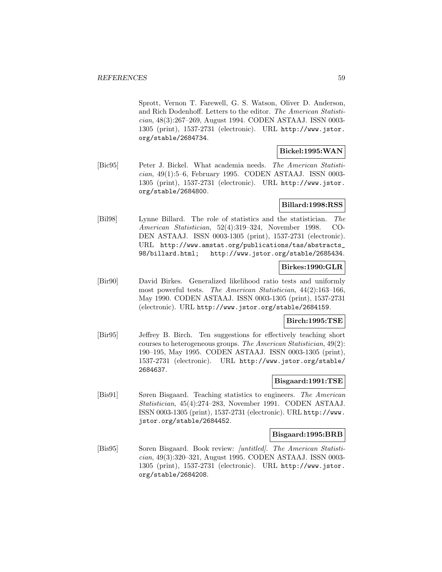Sprott, Vernon T. Farewell, G. S. Watson, Oliver D. Anderson, and Rich Dodenhoff. Letters to the editor. The American Statistician, 48(3):267–269, August 1994. CODEN ASTAAJ. ISSN 0003- 1305 (print), 1537-2731 (electronic). URL http://www.jstor. org/stable/2684734.

## **Bickel:1995:WAN**

[Bic95] Peter J. Bickel. What academia needs. The American Statistician, 49(1):5–6, February 1995. CODEN ASTAAJ. ISSN 0003- 1305 (print), 1537-2731 (electronic). URL http://www.jstor. org/stable/2684800.

## **Billard:1998:RSS**

[Bil98] Lynne Billard. The role of statistics and the statistician. The American Statistician, 52(4):319–324, November 1998. CO-DEN ASTAAJ. ISSN 0003-1305 (print), 1537-2731 (electronic). URL http://www.amstat.org/publications/tas/abstracts\_ 98/billard.html; http://www.jstor.org/stable/2685434.

## **Birkes:1990:GLR**

[Bir90] David Birkes. Generalized likelihood ratio tests and uniformly most powerful tests. The American Statistician, 44(2):163–166, May 1990. CODEN ASTAAJ. ISSN 0003-1305 (print), 1537-2731 (electronic). URL http://www.jstor.org/stable/2684159.

## **Birch:1995:TSE**

[Bir95] Jeffrey B. Birch. Ten suggestions for effectively teaching short courses to heterogeneous groups. The American Statistician, 49(2): 190–195, May 1995. CODEN ASTAAJ. ISSN 0003-1305 (print), 1537-2731 (electronic). URL http://www.jstor.org/stable/ 2684637.

## **Bisgaard:1991:TSE**

[Bis91] Søren Bisgaard. Teaching statistics to engineers. The American Statistician, 45(4):274–283, November 1991. CODEN ASTAAJ. ISSN 0003-1305 (print), 1537-2731 (electronic). URL http://www. jstor.org/stable/2684452.

## **Bisgaard:1995:BRB**

[Bis95] Soren Bisgaard. Book review: [untitled]. The American Statistician, 49(3):320–321, August 1995. CODEN ASTAAJ. ISSN 0003- 1305 (print), 1537-2731 (electronic). URL http://www.jstor. org/stable/2684208.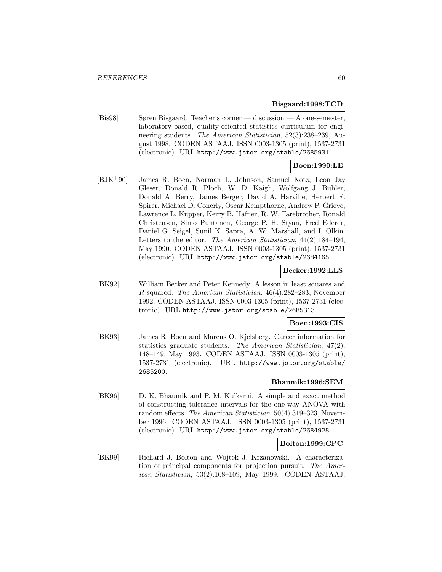#### **Bisgaard:1998:TCD**

[Bis98] Søren Bisgaard. Teacher's corner — discussion — A one-semester, laboratory-based, quality-oriented statistics curriculum for engineering students. The American Statistician, 52(3):238–239, August 1998. CODEN ASTAAJ. ISSN 0003-1305 (print), 1537-2731 (electronic). URL http://www.jstor.org/stable/2685931.

# **Boen:1990:LE**

[BJK<sup>+</sup>90] James R. Boen, Norman L. Johnson, Samuel Kotz, Leon Jay Gleser, Donald R. Ploch, W. D. Kaigh, Wolfgang J. Buhler, Donald A. Berry, James Berger, David A. Harville, Herbert F. Spirer, Michael D. Conerly, Oscar Kempthorne, Andrew P. Grieve, Lawrence L. Kupper, Kerry B. Hafner, R. W. Farebrother, Ronald Christensen, Simo Puntanen, George P. H. Styan, Fred Ederer, Daniel G. Seigel, Sunil K. Sapra, A. W. Marshall, and I. Olkin. Letters to the editor. The American Statistician, 44(2):184–194, May 1990. CODEN ASTAAJ. ISSN 0003-1305 (print), 1537-2731 (electronic). URL http://www.jstor.org/stable/2684165.

### **Becker:1992:LLS**

[BK92] William Becker and Peter Kennedy. A lesson in least squares and R squared. The American Statistician, 46(4):282–283, November 1992. CODEN ASTAAJ. ISSN 0003-1305 (print), 1537-2731 (electronic). URL http://www.jstor.org/stable/2685313.

### **Boen:1993:CIS**

[BK93] James R. Boen and Marcus O. Kjelsberg. Career information for statistics graduate students. The American Statistician, 47(2): 148–149, May 1993. CODEN ASTAAJ. ISSN 0003-1305 (print), 1537-2731 (electronic). URL http://www.jstor.org/stable/ 2685200.

## **Bhaumik:1996:SEM**

[BK96] D. K. Bhaumik and P. M. Kulkarni. A simple and exact method of constructing tolerance intervals for the one-way ANOVA with random effects. The American Statistician, 50(4):319–323, November 1996. CODEN ASTAAJ. ISSN 0003-1305 (print), 1537-2731 (electronic). URL http://www.jstor.org/stable/2684928.

## **Bolton:1999:CPC**

[BK99] Richard J. Bolton and Wojtek J. Krzanowski. A characterization of principal components for projection pursuit. The American Statistician, 53(2):108–109, May 1999. CODEN ASTAAJ.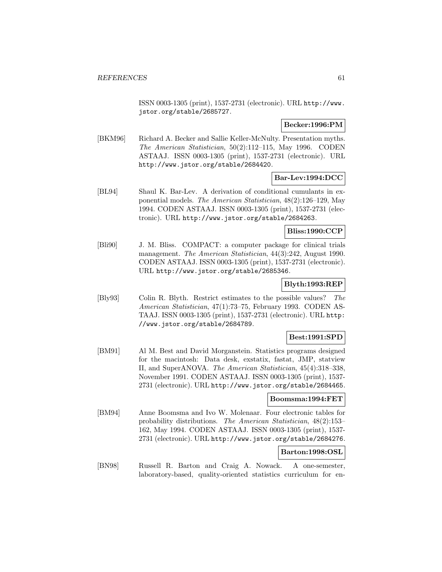ISSN 0003-1305 (print), 1537-2731 (electronic). URL http://www. jstor.org/stable/2685727.

## **Becker:1996:PM**

[BKM96] Richard A. Becker and Sallie Keller-McNulty. Presentation myths. The American Statistician, 50(2):112–115, May 1996. CODEN ASTAAJ. ISSN 0003-1305 (print), 1537-2731 (electronic). URL http://www.jstor.org/stable/2684420.

## **Bar-Lev:1994:DCC**

[BL94] Shaul K. Bar-Lev. A derivation of conditional cumulants in exponential models. The American Statistician, 48(2):126–129, May 1994. CODEN ASTAAJ. ISSN 0003-1305 (print), 1537-2731 (electronic). URL http://www.jstor.org/stable/2684263.

## **Bliss:1990:CCP**

[Bli90] J. M. Bliss. COMPACT: a computer package for clinical trials management. The American Statistician, 44(3):242, August 1990. CODEN ASTAAJ. ISSN 0003-1305 (print), 1537-2731 (electronic). URL http://www.jstor.org/stable/2685346.

# **Blyth:1993:REP**

[Bly93] Colin R. Blyth. Restrict estimates to the possible values? The American Statistician, 47(1):73–75, February 1993. CODEN AS-TAAJ. ISSN 0003-1305 (print), 1537-2731 (electronic). URL http: //www.jstor.org/stable/2684789.

## **Best:1991:SPD**

[BM91] Al M. Best and David Morganstein. Statistics programs designed for the macintosh: Data desk, exstatix, fastat, JMP, statview II, and SuperANOVA. The American Statistician, 45(4):318–338, November 1991. CODEN ASTAAJ. ISSN 0003-1305 (print), 1537- 2731 (electronic). URL http://www.jstor.org/stable/2684465.

## **Boomsma:1994:FET**

[BM94] Anne Boomsma and Ivo W. Molenaar. Four electronic tables for probability distributions. The American Statistician, 48(2):153– 162, May 1994. CODEN ASTAAJ. ISSN 0003-1305 (print), 1537- 2731 (electronic). URL http://www.jstor.org/stable/2684276.

## **Barton:1998:OSL**

[BN98] Russell R. Barton and Craig A. Nowack. A one-semester, laboratory-based, quality-oriented statistics curriculum for en-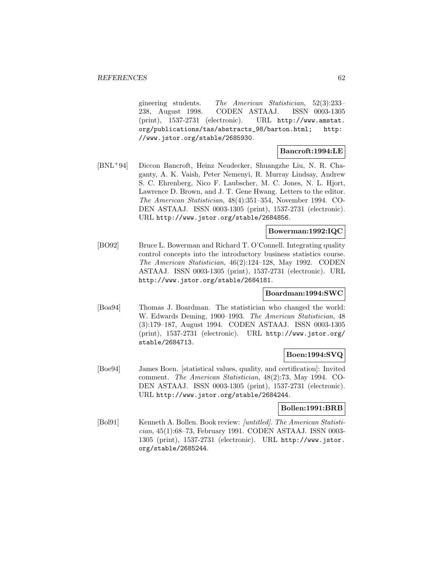gineering students. The American Statistician, 52(3):233– 238, August 1998. CODEN ASTAAJ. ISSN 0003-1305 (print), 1537-2731 (electronic). URL http://www.amstat. org/publications/tas/abstracts\_98/barton.html; http: //www.jstor.org/stable/2685930.

## **Bancroft:1994:LE**

[BNL<sup>+</sup>94] Diccon Bancroft, Heinz Neudecker, Shuangzhe Liu, N. R. Chaganty, A. K. Vaish, Peter Nemenyi, R. Murray Lindsay, Andrew S. C. Ehrenberg, Nico F. Laubscher, M. C. Jones, N. L. Hjort, Lawrence D. Brown, and J. T. Gene Hwang. Letters to the editor. The American Statistician, 48(4):351–354, November 1994. CO-DEN ASTAAJ. ISSN 0003-1305 (print), 1537-2731 (electronic). URL http://www.jstor.org/stable/2684856.

## **Bowerman:1992:IQC**

[BO92] Bruce L. Bowerman and Richard T. O'Connell. Integrating quality control concepts into the introductory business statistics course. The American Statistician, 46(2):124–128, May 1992. CODEN ASTAAJ. ISSN 0003-1305 (print), 1537-2731 (electronic). URL http://www.jstor.org/stable/2684181.

### **Boardman:1994:SWC**

[Boa94] Thomas J. Boardman. The statistician who changed the world: W. Edwards Deming, 1900–1993. The American Statistician, 48 (3):179–187, August 1994. CODEN ASTAAJ. ISSN 0003-1305 (print), 1537-2731 (electronic). URL http://www.jstor.org/ stable/2684713.

## **Boen:1994:SVQ**

[Boe94] James Boen. [statistical values, quality, and certification]: Invited comment. The American Statistician, 48(2):73, May 1994. CO-DEN ASTAAJ. ISSN 0003-1305 (print), 1537-2731 (electronic). URL http://www.jstor.org/stable/2684244.

### **Bollen:1991:BRB**

[Bol91] Kenneth A. Bollen. Book review: [untitled]. The American Statistician, 45(1):68–73, February 1991. CODEN ASTAAJ. ISSN 0003- 1305 (print), 1537-2731 (electronic). URL http://www.jstor. org/stable/2685244.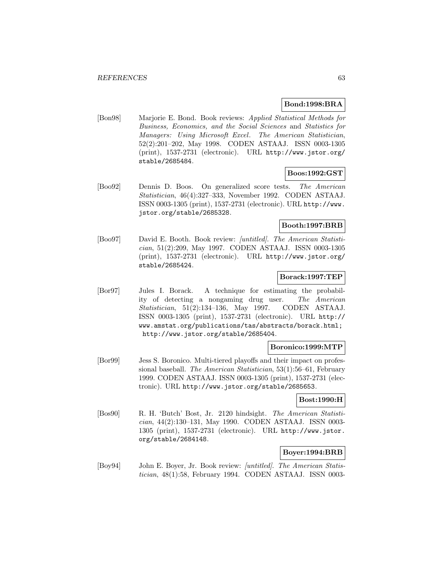## **Bond:1998:BRA**

[Bon98] Marjorie E. Bond. Book reviews: Applied Statistical Methods for Business, Economics, and the Social Sciences and Statistics for Managers: Using Microsoft Excel. The American Statistician, 52(2):201–202, May 1998. CODEN ASTAAJ. ISSN 0003-1305 (print), 1537-2731 (electronic). URL http://www.jstor.org/ stable/2685484.

### **Boos:1992:GST**

[Boo92] Dennis D. Boos. On generalized score tests. The American Statistician, 46(4):327–333, November 1992. CODEN ASTAAJ. ISSN 0003-1305 (print), 1537-2731 (electronic). URL http://www. jstor.org/stable/2685328.

## **Booth:1997:BRB**

[Boo97] David E. Booth. Book review: [untitled]. The American Statistician, 51(2):209, May 1997. CODEN ASTAAJ. ISSN 0003-1305 (print), 1537-2731 (electronic). URL http://www.jstor.org/ stable/2685424.

# **Borack:1997:TEP**

[Bor97] Jules I. Borack. A technique for estimating the probability of detecting a nongaming drug user. The American Statistician, 51(2):134–136, May 1997. CODEN ASTAAJ. ISSN 0003-1305 (print), 1537-2731 (electronic). URL http:// www.amstat.org/publications/tas/abstracts/borack.html; http://www.jstor.org/stable/2685404.

### **Boronico:1999:MTP**

[Bor99] Jess S. Boronico. Multi-tiered playoffs and their impact on professional baseball. The American Statistician, 53(1):56–61, February 1999. CODEN ASTAAJ. ISSN 0003-1305 (print), 1537-2731 (electronic). URL http://www.jstor.org/stable/2685653.

#### **Bost:1990:H**

[Bos90] R. H. 'Butch' Bost, Jr. 2120 hindsight. The American Statistician, 44(2):130–131, May 1990. CODEN ASTAAJ. ISSN 0003- 1305 (print), 1537-2731 (electronic). URL http://www.jstor. org/stable/2684148.

## **Boyer:1994:BRB**

[Boy94] John E. Boyer, Jr. Book review: [untitled]. The American Statistician, 48(1):58, February 1994. CODEN ASTAAJ. ISSN 0003-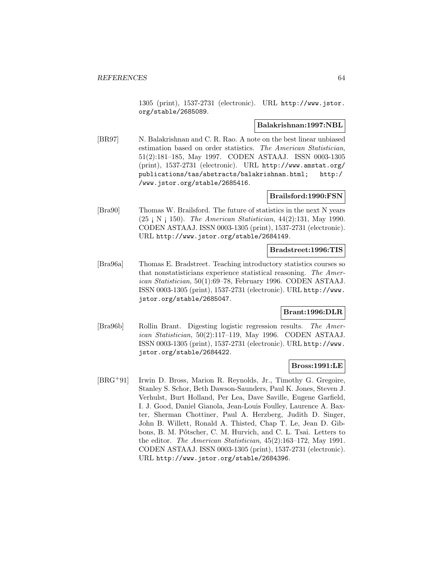1305 (print), 1537-2731 (electronic). URL http://www.jstor. org/stable/2685089.

### **Balakrishnan:1997:NBL**

[BR97] N. Balakrishnan and C. R. Rao. A note on the best linear unbiased estimation based on order statistics. The American Statistician, 51(2):181–185, May 1997. CODEN ASTAAJ. ISSN 0003-1305 (print), 1537-2731 (electronic). URL http://www.amstat.org/ publications/tas/abstracts/balakrishnan.html; http:/ /www.jstor.org/stable/2685416.

## **Brailsford:1990:FSN**

[Bra90] Thomas W. Brailsford. The future of statistics in the next N years  $(25 \, \text{N} \, \text{N} \, \text{150}).$  The American Statistician, 44 $(2)$ :131, May 1990. CODEN ASTAAJ. ISSN 0003-1305 (print), 1537-2731 (electronic). URL http://www.jstor.org/stable/2684149.

## **Bradstreet:1996:TIS**

[Bra96a] Thomas E. Bradstreet. Teaching introductory statistics courses so that nonstatisticians experience statistical reasoning. The American Statistician, 50(1):69–78, February 1996. CODEN ASTAAJ. ISSN 0003-1305 (print), 1537-2731 (electronic). URL http://www. jstor.org/stable/2685047.

### **Brant:1996:DLR**

[Bra96b] Rollin Brant. Digesting logistic regression results. The American Statistician, 50(2):117–119, May 1996. CODEN ASTAAJ. ISSN 0003-1305 (print), 1537-2731 (electronic). URL http://www. jstor.org/stable/2684422.

### **Bross:1991:LE**

[BRG<sup>+</sup>91] Irwin D. Bross, Marion R. Reynolds, Jr., Timothy G. Gregoire, Stanley S. Schor, Beth Dawson-Saunders, Paul K. Jones, Steven J. Verhulst, Burt Holland, Per Lea, Dave Saville, Eugene Garfield, I. J. Good, Daniel Gianola, Jean-Louis Foulley, Laurence A. Baxter, Sherman Chottiner, Paul A. Herzberg, Judith D. Singer, John B. Willett, Ronald A. Thisted, Chap T. Le, Jean D. Gibbons, B. M. Pőtscher, C. M. Hurvich, and C. L. Tsai. Letters to the editor. The American Statistician, 45(2):163–172, May 1991. CODEN ASTAAJ. ISSN 0003-1305 (print), 1537-2731 (electronic). URL http://www.jstor.org/stable/2684396.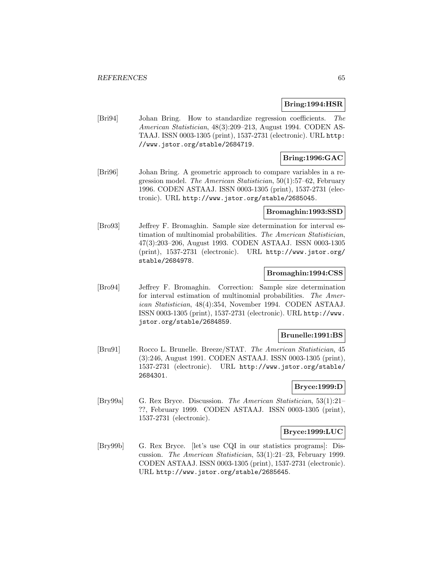### **Bring:1994:HSR**

[Bri94] Johan Bring. How to standardize regression coefficients. The American Statistician, 48(3):209–213, August 1994. CODEN AS-TAAJ. ISSN 0003-1305 (print), 1537-2731 (electronic). URL http: //www.jstor.org/stable/2684719.

## **Bring:1996:GAC**

[Bri96] Johan Bring. A geometric approach to compare variables in a regression model. The American Statistician, 50(1):57–62, February 1996. CODEN ASTAAJ. ISSN 0003-1305 (print), 1537-2731 (electronic). URL http://www.jstor.org/stable/2685045.

### **Bromaghin:1993:SSD**

[Bro93] Jeffrey F. Bromaghin. Sample size determination for interval estimation of multinomial probabilities. The American Statistician, 47(3):203–206, August 1993. CODEN ASTAAJ. ISSN 0003-1305 (print), 1537-2731 (electronic). URL http://www.jstor.org/ stable/2684978.

## **Bromaghin:1994:CSS**

[Bro94] Jeffrey F. Bromaghin. Correction: Sample size determination for interval estimation of multinomial probabilities. The American Statistician, 48(4):354, November 1994. CODEN ASTAAJ. ISSN 0003-1305 (print), 1537-2731 (electronic). URL http://www. jstor.org/stable/2684859.

#### **Brunelle:1991:BS**

[Bru91] Rocco L. Brunelle. Breeze/STAT. The American Statistician, 45 (3):246, August 1991. CODEN ASTAAJ. ISSN 0003-1305 (print), 1537-2731 (electronic). URL http://www.jstor.org/stable/ 2684301.

### **Bryce:1999:D**

[Bry99a] G. Rex Bryce. Discussion. The American Statistician, 53(1):21– ??, February 1999. CODEN ASTAAJ. ISSN 0003-1305 (print), 1537-2731 (electronic).

### **Bryce:1999:LUC**

[Bry99b] G. Rex Bryce. [let's use CQI in our statistics programs]: Discussion. The American Statistician, 53(1):21–23, February 1999. CODEN ASTAAJ. ISSN 0003-1305 (print), 1537-2731 (electronic). URL http://www.jstor.org/stable/2685645.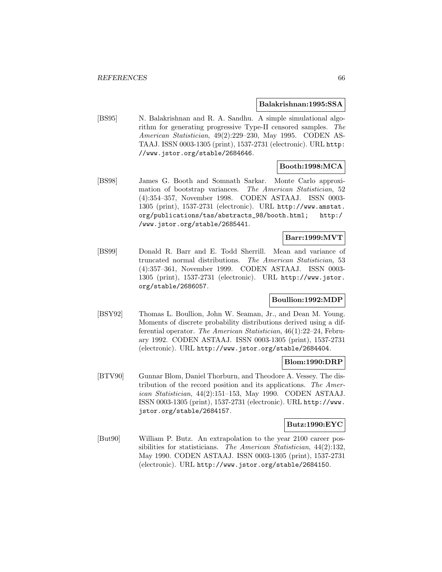#### **Balakrishnan:1995:SSA**

[BS95] N. Balakrishnan and R. A. Sandhu. A simple simulational algorithm for generating progressive Type-II censored samples. The American Statistician, 49(2):229–230, May 1995. CODEN AS-TAAJ. ISSN 0003-1305 (print), 1537-2731 (electronic). URL http: //www.jstor.org/stable/2684646.

# **Booth:1998:MCA**

[BS98] James G. Booth and Somnath Sarkar. Monte Carlo approximation of bootstrap variances. The American Statistician, 52 (4):354–357, November 1998. CODEN ASTAAJ. ISSN 0003- 1305 (print), 1537-2731 (electronic). URL http://www.amstat. org/publications/tas/abstracts\_98/booth.html; http:/ /www.jstor.org/stable/2685441.

# **Barr:1999:MVT**

[BS99] Donald R. Barr and E. Todd Sherrill. Mean and variance of truncated normal distributions. The American Statistician, 53 (4):357–361, November 1999. CODEN ASTAAJ. ISSN 0003- 1305 (print), 1537-2731 (electronic). URL http://www.jstor. org/stable/2686057.

## **Boullion:1992:MDP**

[BSY92] Thomas L. Boullion, John W. Seaman, Jr., and Dean M. Young. Moments of discrete probability distributions derived using a differential operator. The American Statistician, 46(1):22–24, February 1992. CODEN ASTAAJ. ISSN 0003-1305 (print), 1537-2731 (electronic). URL http://www.jstor.org/stable/2684404.

### **Blom:1990:DRP**

[BTV90] Gunnar Blom, Daniel Thorburn, and Theodore A. Vessey. The distribution of the record position and its applications. The American Statistician, 44(2):151–153, May 1990. CODEN ASTAAJ. ISSN 0003-1305 (print), 1537-2731 (electronic). URL http://www. jstor.org/stable/2684157.

#### **Butz:1990:EYC**

[But90] William P. Butz. An extrapolation to the year 2100 career possibilities for statisticians. The American Statistician, 44(2):132, May 1990. CODEN ASTAAJ. ISSN 0003-1305 (print), 1537-2731 (electronic). URL http://www.jstor.org/stable/2684150.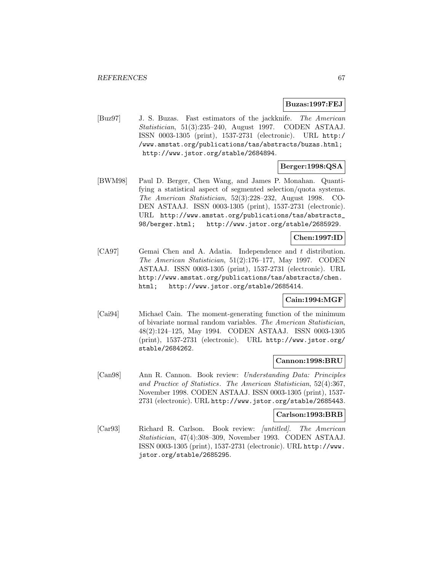### **Buzas:1997:FEJ**

[Buz97] J. S. Buzas. Fast estimators of the jackknife. The American Statistician, 51(3):235–240, August 1997. CODEN ASTAAJ. ISSN 0003-1305 (print), 1537-2731 (electronic). URL http:/ /www.amstat.org/publications/tas/abstracts/buzas.html; http://www.jstor.org/stable/2684894.

# **Berger:1998:QSA**

[BWM98] Paul D. Berger, Chen Wang, and James P. Monahan. Quantifying a statistical aspect of segmented selection/quota systems. The American Statistician, 52(3):228–232, August 1998. CO-DEN ASTAAJ. ISSN 0003-1305 (print), 1537-2731 (electronic). URL http://www.amstat.org/publications/tas/abstracts\_ 98/berger.html; http://www.jstor.org/stable/2685929.

## **Chen:1997:ID**

[CA97] Gemai Chen and A. Adatia. Independence and t distribution. The American Statistician, 51(2):176–177, May 1997. CODEN ASTAAJ. ISSN 0003-1305 (print), 1537-2731 (electronic). URL http://www.amstat.org/publications/tas/abstracts/chen. html; http://www.jstor.org/stable/2685414.

## **Cain:1994:MGF**

[Cai94] Michael Cain. The moment-generating function of the minimum of bivariate normal random variables. The American Statistician, 48(2):124–125, May 1994. CODEN ASTAAJ. ISSN 0003-1305 (print), 1537-2731 (electronic). URL http://www.jstor.org/ stable/2684262.

## **Cannon:1998:BRU**

[Can98] Ann R. Cannon. Book review: Understanding Data: Principles and Practice of Statistics. The American Statistician, 52(4):367, November 1998. CODEN ASTAAJ. ISSN 0003-1305 (print), 1537- 2731 (electronic). URL http://www.jstor.org/stable/2685443.

#### **Carlson:1993:BRB**

[Car93] Richard R. Carlson. Book review: [untitled]. The American Statistician, 47(4):308–309, November 1993. CODEN ASTAAJ. ISSN 0003-1305 (print), 1537-2731 (electronic). URL http://www. jstor.org/stable/2685295.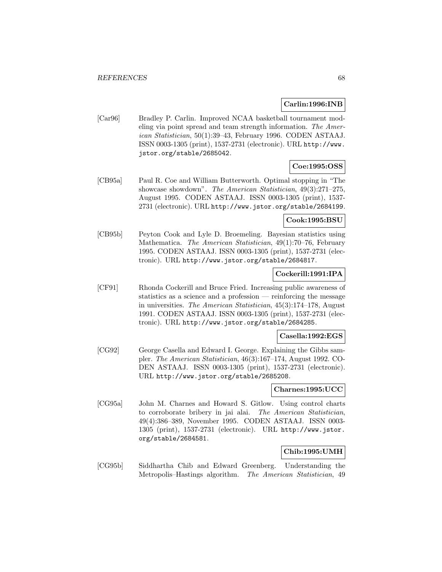## **Carlin:1996:INB**

[Car96] Bradley P. Carlin. Improved NCAA basketball tournament modeling via point spread and team strength information. The American Statistician, 50(1):39–43, February 1996. CODEN ASTAAJ. ISSN 0003-1305 (print), 1537-2731 (electronic). URL http://www. jstor.org/stable/2685042.

# **Coe:1995:OSS**

[CB95a] Paul R. Coe and William Butterworth. Optimal stopping in "The showcase showdown". The American Statistician, 49(3):271–275, August 1995. CODEN ASTAAJ. ISSN 0003-1305 (print), 1537- 2731 (electronic). URL http://www.jstor.org/stable/2684199.

## **Cook:1995:BSU**

[CB95b] Peyton Cook and Lyle D. Broemeling. Bayesian statistics using Mathematica. The American Statistician, 49(1):70–76, February 1995. CODEN ASTAAJ. ISSN 0003-1305 (print), 1537-2731 (electronic). URL http://www.jstor.org/stable/2684817.

## **Cockerill:1991:IPA**

[CF91] Rhonda Cockerill and Bruce Fried. Increasing public awareness of statistics as a science and a profession — reinforcing the message in universities. The American Statistician, 45(3):174–178, August 1991. CODEN ASTAAJ. ISSN 0003-1305 (print), 1537-2731 (electronic). URL http://www.jstor.org/stable/2684285.

#### **Casella:1992:EGS**

[CG92] George Casella and Edward I. George. Explaining the Gibbs sampler. The American Statistician, 46(3):167–174, August 1992. CO-DEN ASTAAJ. ISSN 0003-1305 (print), 1537-2731 (electronic). URL http://www.jstor.org/stable/2685208.

### **Charnes:1995:UCC**

[CG95a] John M. Charnes and Howard S. Gitlow. Using control charts to corroborate bribery in jai alai. The American Statistician, 49(4):386–389, November 1995. CODEN ASTAAJ. ISSN 0003- 1305 (print), 1537-2731 (electronic). URL http://www.jstor. org/stable/2684581.

## **Chib:1995:UMH**

[CG95b] Siddhartha Chib and Edward Greenberg. Understanding the Metropolis–Hastings algorithm. The American Statistician, 49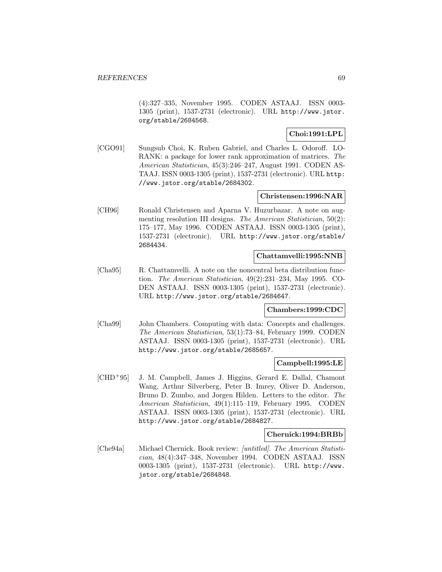(4):327–335, November 1995. CODEN ASTAAJ. ISSN 0003- 1305 (print), 1537-2731 (electronic). URL http://www.jstor. org/stable/2684568.

## **Choi:1991:LPL**

[CGO91] Sungsub Choi, K. Ruben Gabriel, and Charles L. Odoroff. LO-RANK: a package for lower rank approximation of matrices. The American Statistician, 45(3):246–247, August 1991. CODEN AS-TAAJ. ISSN 0003-1305 (print), 1537-2731 (electronic). URL http: //www.jstor.org/stable/2684302.

### **Christensen:1996:NAR**

[CH96] Ronald Christensen and Aparna V. Huzurbazar. A note on augmenting resolution III designs. The American Statistician, 50(2): 175–177, May 1996. CODEN ASTAAJ. ISSN 0003-1305 (print), 1537-2731 (electronic). URL http://www.jstor.org/stable/ 2684434.

## **Chattamvelli:1995:NNB**

[Cha95] R. Chattamvelli. A note on the noncentral beta distribution function. The American Statistician, 49(2):231–234, May 1995. CO-DEN ASTAAJ. ISSN 0003-1305 (print), 1537-2731 (electronic). URL http://www.jstor.org/stable/2684647.

## **Chambers:1999:CDC**

[Cha99] John Chambers. Computing with data: Concepts and challenges. The American Statistician, 53(1):73–84, February 1999. CODEN ASTAAJ. ISSN 0003-1305 (print), 1537-2731 (electronic). URL http://www.jstor.org/stable/2685657.

#### **Campbell:1995:LE**

[CHD<sup>+</sup>95] J. M. Campbell, James J. Higgins, Gerard E. Dallal, Chamont Wang, Arthur Silverberg, Peter B. Imrey, Oliver D. Anderson, Bruno D. Zumbo, and Jorgen Hilden. Letters to the editor. The American Statistician, 49(1):115–119, February 1995. CODEN ASTAAJ. ISSN 0003-1305 (print), 1537-2731 (electronic). URL http://www.jstor.org/stable/2684827.

#### **Chernick:1994:BRBb**

[Che94a] Michael Chernick. Book review: [untitled]. The American Statistician, 48(4):347–348, November 1994. CODEN ASTAAJ. ISSN 0003-1305 (print), 1537-2731 (electronic). URL http://www. jstor.org/stable/2684848.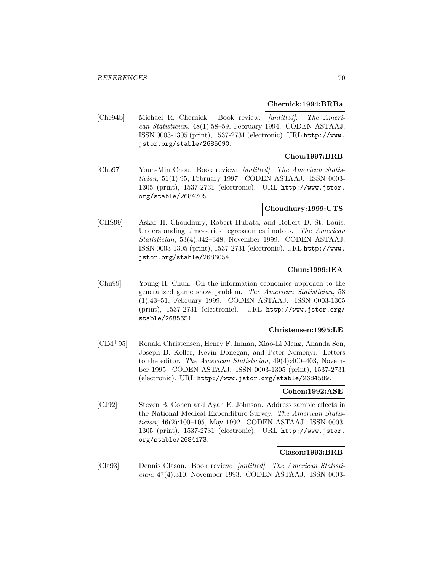#### **Chernick:1994:BRBa**

[Che94b] Michael R. Chernick. Book review: [untitled]. The American Statistician, 48(1):58–59, February 1994. CODEN ASTAAJ. ISSN 0003-1305 (print), 1537-2731 (electronic). URL http://www. jstor.org/stable/2685090.

## **Chou:1997:BRB**

[Cho97] Youn-Min Chou. Book review: [untitled]. The American Statistician, 51(1):95, February 1997. CODEN ASTAAJ. ISSN 0003- 1305 (print), 1537-2731 (electronic). URL http://www.jstor. org/stable/2684705.

### **Choudhury:1999:UTS**

[CHS99] Askar H. Choudhury, Robert Hubata, and Robert D. St. Louis. Understanding time-series regression estimators. The American Statistician, 53(4):342–348, November 1999. CODEN ASTAAJ. ISSN 0003-1305 (print), 1537-2731 (electronic). URL http://www. jstor.org/stable/2686054.

### **Chun:1999:IEA**

[Chu99] Young H. Chun. On the information economics approach to the generalized game show problem. The American Statistician, 53 (1):43–51, February 1999. CODEN ASTAAJ. ISSN 0003-1305 (print), 1537-2731 (electronic). URL http://www.jstor.org/ stable/2685651.

## **Christensen:1995:LE**

[CIM<sup>+</sup>95] Ronald Christensen, Henry F. Inman, Xiao-Li Meng, Ananda Sen, Joseph B. Keller, Kevin Donegan, and Peter Nemenyi. Letters to the editor. The American Statistician, 49(4):400–403, November 1995. CODEN ASTAAJ. ISSN 0003-1305 (print), 1537-2731 (electronic). URL http://www.jstor.org/stable/2684589.

## **Cohen:1992:ASE**

[CJ92] Steven B. Cohen and Ayah E. Johnson. Address sample effects in the National Medical Expenditure Survey. The American Statistician, 46(2):100–105, May 1992. CODEN ASTAAJ. ISSN 0003- 1305 (print), 1537-2731 (electronic). URL http://www.jstor. org/stable/2684173.

## **Clason:1993:BRB**

[Cla93] Dennis Clason. Book review: [untitled]. The American Statistician, 47(4):310, November 1993. CODEN ASTAAJ. ISSN 0003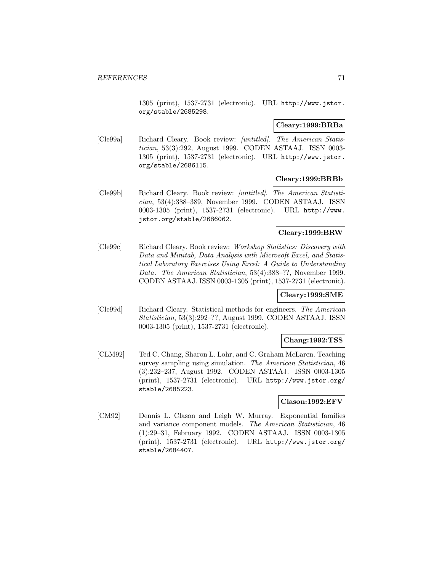1305 (print), 1537-2731 (electronic). URL http://www.jstor. org/stable/2685298.

### **Cleary:1999:BRBa**

[Cle99a] Richard Cleary. Book review: [untitled]. The American Statistician, 53(3):292, August 1999. CODEN ASTAAJ. ISSN 0003- 1305 (print), 1537-2731 (electronic). URL http://www.jstor. org/stable/2686115.

#### **Cleary:1999:BRBb**

[Cle99b] Richard Cleary. Book review: [untitled]. The American Statistician, 53(4):388–389, November 1999. CODEN ASTAAJ. ISSN 0003-1305 (print), 1537-2731 (electronic). URL http://www. jstor.org/stable/2686062.

## **Cleary:1999:BRW**

[Cle99c] Richard Cleary. Book review: Workshop Statistics: Discovery with Data and Minitab, Data Analysis with Microsoft Excel, and Statistical Laboratory Exercises Using Excel: A Guide to Understanding Data. The American Statistician, 53(4):388–??, November 1999. CODEN ASTAAJ. ISSN 0003-1305 (print), 1537-2731 (electronic).

#### **Cleary:1999:SME**

[Cle99d] Richard Cleary. Statistical methods for engineers. The American Statistician, 53(3):292–??, August 1999. CODEN ASTAAJ. ISSN 0003-1305 (print), 1537-2731 (electronic).

### **Chang:1992:TSS**

[CLM92] Ted C. Chang, Sharon L. Lohr, and C. Graham McLaren. Teaching survey sampling using simulation. The American Statistician, 46 (3):232–237, August 1992. CODEN ASTAAJ. ISSN 0003-1305 (print), 1537-2731 (electronic). URL http://www.jstor.org/ stable/2685223.

### **Clason:1992:EFV**

[CM92] Dennis L. Clason and Leigh W. Murray. Exponential families and variance component models. The American Statistician, 46 (1):29–31, February 1992. CODEN ASTAAJ. ISSN 0003-1305 (print), 1537-2731 (electronic). URL http://www.jstor.org/ stable/2684407.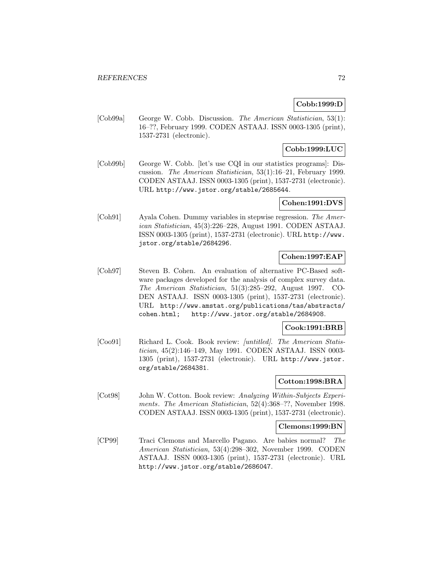## **Cobb:1999:D**

[Cob99a] George W. Cobb. Discussion. The American Statistician, 53(1): 16–??, February 1999. CODEN ASTAAJ. ISSN 0003-1305 (print), 1537-2731 (electronic).

# **Cobb:1999:LUC**

[Cob99b] George W. Cobb. [let's use CQI in our statistics programs]: Discussion. The American Statistician, 53(1):16–21, February 1999. CODEN ASTAAJ. ISSN 0003-1305 (print), 1537-2731 (electronic). URL http://www.jstor.org/stable/2685644.

## **Cohen:1991:DVS**

[Coh91] Ayala Cohen. Dummy variables in stepwise regression. The American Statistician, 45(3):226–228, August 1991. CODEN ASTAAJ. ISSN 0003-1305 (print), 1537-2731 (electronic). URL http://www. jstor.org/stable/2684296.

## **Cohen:1997:EAP**

[Coh97] Steven B. Cohen. An evaluation of alternative PC-Based software packages developed for the analysis of complex survey data. The American Statistician, 51(3):285–292, August 1997. CO-DEN ASTAAJ. ISSN 0003-1305 (print), 1537-2731 (electronic). URL http://www.amstat.org/publications/tas/abstracts/ cohen.html; http://www.jstor.org/stable/2684908.

### **Cook:1991:BRB**

[Coo91] Richard L. Cook. Book review: [untitled]. The American Statistician, 45(2):146–149, May 1991. CODEN ASTAAJ. ISSN 0003- 1305 (print), 1537-2731 (electronic). URL http://www.jstor. org/stable/2684381.

## **Cotton:1998:BRA**

[Cot98] John W. Cotton. Book review: Analyzing Within-Subjects Experiments. The American Statistician, 52(4):368–??, November 1998. CODEN ASTAAJ. ISSN 0003-1305 (print), 1537-2731 (electronic).

#### **Clemons:1999:BN**

[CP99] Traci Clemons and Marcello Pagano. Are babies normal? The American Statistician, 53(4):298–302, November 1999. CODEN ASTAAJ. ISSN 0003-1305 (print), 1537-2731 (electronic). URL http://www.jstor.org/stable/2686047.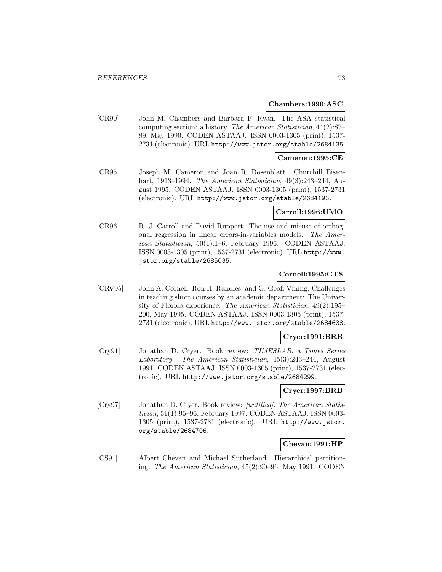#### **Chambers:1990:ASC**

[CR90] John M. Chambers and Barbara F. Ryan. The ASA statistical computing section: a history. The American Statistician, 44(2):87– 89, May 1990. CODEN ASTAAJ. ISSN 0003-1305 (print), 1537- 2731 (electronic). URL http://www.jstor.org/stable/2684135.

### **Cameron:1995:CE**

[CR95] Joseph M. Cameron and Joan R. Rosenblatt. Churchill Eisenhart, 1913–1994. The American Statistician, 49(3):243–244, August 1995. CODEN ASTAAJ. ISSN 0003-1305 (print), 1537-2731 (electronic). URL http://www.jstor.org/stable/2684193.

## **Carroll:1996:UMO**

[CR96] R. J. Carroll and David Ruppert. The use and misuse of orthogonal regression in linear errors-in-variables models. The American Statistician, 50(1):1–6, February 1996. CODEN ASTAAJ. ISSN 0003-1305 (print), 1537-2731 (electronic). URL http://www. jstor.org/stable/2685035.

### **Cornell:1995:CTS**

[CRV95] John A. Cornell, Ron H. Randles, and G. Geoff Vining. Challenges in teaching short courses by an academic department: The University of Florida experience. The American Statistician, 49(2):195– 200, May 1995. CODEN ASTAAJ. ISSN 0003-1305 (print), 1537- 2731 (electronic). URL http://www.jstor.org/stable/2684638.

#### **Cryer:1991:BRB**

[Cry91] Jonathan D. Cryer. Book review: TIMESLAB: a Times Series Laboratory. The American Statistician, 45(3):243–244, August 1991. CODEN ASTAAJ. ISSN 0003-1305 (print), 1537-2731 (electronic). URL http://www.jstor.org/stable/2684299.

#### **Cryer:1997:BRB**

[Cry97] Jonathan D. Cryer. Book review: [untitled]. The American Statistician, 51(1):95–96, February 1997. CODEN ASTAAJ. ISSN 0003- 1305 (print), 1537-2731 (electronic). URL http://www.jstor. org/stable/2684706.

#### **Chevan:1991:HP**

[CS91] Albert Chevan and Michael Sutherland. Hierarchical partitioning. The American Statistician, 45(2):90–96, May 1991. CODEN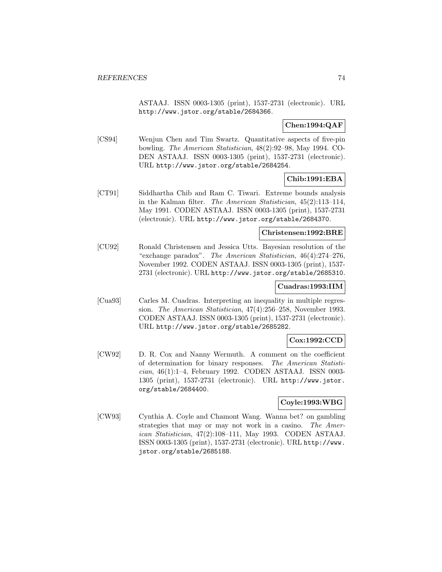ASTAAJ. ISSN 0003-1305 (print), 1537-2731 (electronic). URL http://www.jstor.org/stable/2684366.

## **Chen:1994:QAF**

[CS94] Wenjun Chen and Tim Swartz. Quantitative aspects of five-pin bowling. The American Statistician, 48(2):92–98, May 1994. CO-DEN ASTAAJ. ISSN 0003-1305 (print), 1537-2731 (electronic). URL http://www.jstor.org/stable/2684254.

## **Chib:1991:EBA**

[CT91] Siddhartha Chib and Ram C. Tiwari. Extreme bounds analysis in the Kalman filter. The American Statistician, 45(2):113–114, May 1991. CODEN ASTAAJ. ISSN 0003-1305 (print), 1537-2731 (electronic). URL http://www.jstor.org/stable/2684370.

### **Christensen:1992:BRE**

[CU92] Ronald Christensen and Jessica Utts. Bayesian resolution of the "exchange paradox". The American Statistician, 46(4):274–276, November 1992. CODEN ASTAAJ. ISSN 0003-1305 (print), 1537- 2731 (electronic). URL http://www.jstor.org/stable/2685310.

### **Cuadras:1993:IIM**

[Cua93] Carles M. Cuadras. Interpreting an inequality in multiple regression. The American Statistician, 47(4):256–258, November 1993. CODEN ASTAAJ. ISSN 0003-1305 (print), 1537-2731 (electronic). URL http://www.jstor.org/stable/2685282.

# **Cox:1992:CCD**

[CW92] D. R. Cox and Nanny Wermuth. A comment on the coefficient of determination for binary responses. The American Statistician, 46(1):1–4, February 1992. CODEN ASTAAJ. ISSN 0003- 1305 (print), 1537-2731 (electronic). URL http://www.jstor. org/stable/2684400.

# **Coyle:1993:WBG**

[CW93] Cynthia A. Coyle and Chamont Wang. Wanna bet? on gambling strategies that may or may not work in a casino. The American Statistician, 47(2):108–111, May 1993. CODEN ASTAAJ. ISSN 0003-1305 (print), 1537-2731 (electronic). URL http://www. jstor.org/stable/2685188.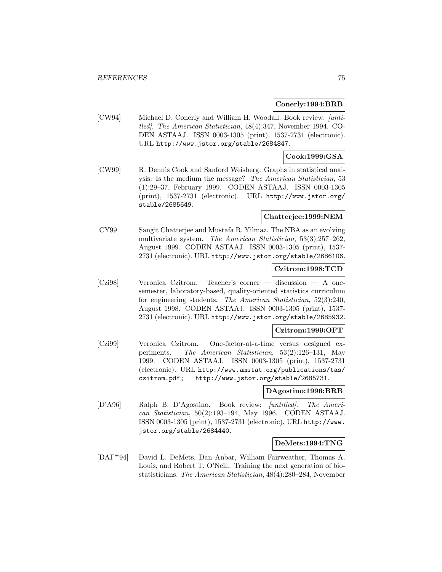### **Conerly:1994:BRB**

[CW94] Michael D. Conerly and William H. Woodall. Book review: /untitled]. The American Statistician, 48(4):347, November 1994. CO-DEN ASTAAJ. ISSN 0003-1305 (print), 1537-2731 (electronic). URL http://www.jstor.org/stable/2684847.

## **Cook:1999:GSA**

[CW99] R. Dennis Cook and Sanford Weisberg. Graphs in statistical analysis: Is the medium the message? The American Statistician, 53 (1):29–37, February 1999. CODEN ASTAAJ. ISSN 0003-1305 (print), 1537-2731 (electronic). URL http://www.jstor.org/ stable/2685649.

### **Chatterjee:1999:NEM**

[CY99] Sangit Chatterjee and Mustafa R. Yilmaz. The NBA as an evolving multivariate system. The American Statistician, 53(3):257–262, August 1999. CODEN ASTAAJ. ISSN 0003-1305 (print), 1537- 2731 (electronic). URL http://www.jstor.org/stable/2686106.

### **Czitrom:1998:TCD**

[Czi98] Veronica Czitrom. Teacher's corner — discussion — A onesemester, laboratory-based, quality-oriented statistics curriculum for engineering students. The American Statistician, 52(3):240, August 1998. CODEN ASTAAJ. ISSN 0003-1305 (print), 1537- 2731 (electronic). URL http://www.jstor.org/stable/2685932.

## **Czitrom:1999:OFT**

[Czi99] Veronica Czitrom. One-factor-at-a-time versus designed experiments. The American Statistician, 53(2):126–131, May 1999. CODEN ASTAAJ. ISSN 0003-1305 (print), 1537-2731 (electronic). URL http://www.amstat.org/publications/tas/ czitrom.pdf; http://www.jstor.org/stable/2685731.

#### **DAgostino:1996:BRB**

[D'A96] Ralph B. D'Agostino. Book review: [untitled]. The American Statistician, 50(2):193–194, May 1996. CODEN ASTAAJ. ISSN 0003-1305 (print), 1537-2731 (electronic). URL http://www. jstor.org/stable/2684440.

#### **DeMets:1994:TNG**

[DAF<sup>+</sup>94] David L. DeMets, Dan Anbar, William Fairweather, Thomas A. Louis, and Robert T. O'Neill. Training the next generation of biostatisticians. The American Statistician, 48(4):280–284, November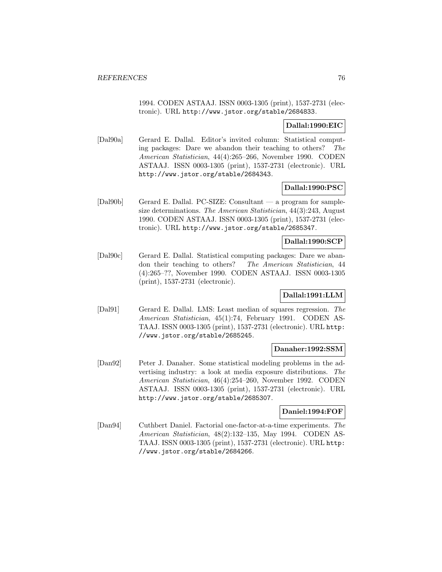1994. CODEN ASTAAJ. ISSN 0003-1305 (print), 1537-2731 (electronic). URL http://www.jstor.org/stable/2684833.

# **Dallal:1990:EIC**

[Dal90a] Gerard E. Dallal. Editor's invited column: Statistical computing packages: Dare we abandon their teaching to others? The American Statistician, 44(4):265–266, November 1990. CODEN ASTAAJ. ISSN 0003-1305 (print), 1537-2731 (electronic). URL http://www.jstor.org/stable/2684343.

## **Dallal:1990:PSC**

[Dal90b] Gerard E. Dallal. PC-SIZE: Consultant — a program for samplesize determinations. The American Statistician, 44(3):243, August 1990. CODEN ASTAAJ. ISSN 0003-1305 (print), 1537-2731 (electronic). URL http://www.jstor.org/stable/2685347.

### **Dallal:1990:SCP**

[Dal90c] Gerard E. Dallal. Statistical computing packages: Dare we abandon their teaching to others? The American Statistician, 44 (4):265–??, November 1990. CODEN ASTAAJ. ISSN 0003-1305 (print), 1537-2731 (electronic).

### **Dallal:1991:LLM**

[Dal91] Gerard E. Dallal. LMS: Least median of squares regression. The American Statistician, 45(1):74, February 1991. CODEN AS-TAAJ. ISSN 0003-1305 (print), 1537-2731 (electronic). URL http: //www.jstor.org/stable/2685245.

### **Danaher:1992:SSM**

[Dan92] Peter J. Danaher. Some statistical modeling problems in the advertising industry: a look at media exposure distributions. The American Statistician, 46(4):254–260, November 1992. CODEN ASTAAJ. ISSN 0003-1305 (print), 1537-2731 (electronic). URL http://www.jstor.org/stable/2685307.

### **Daniel:1994:FOF**

[Dan94] Cuthbert Daniel. Factorial one-factor-at-a-time experiments. The American Statistician, 48(2):132–135, May 1994. CODEN AS-TAAJ. ISSN 0003-1305 (print), 1537-2731 (electronic). URL http: //www.jstor.org/stable/2684266.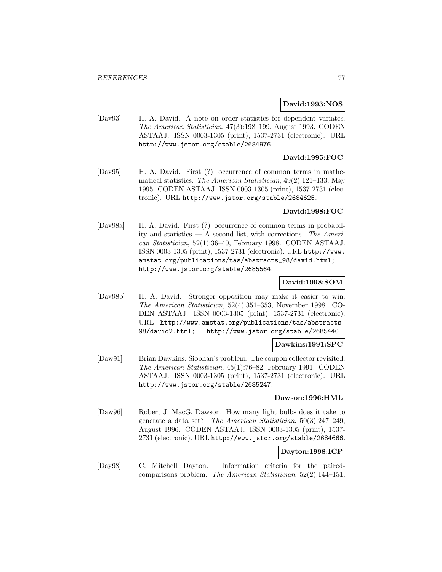### **David:1993:NOS**

[Dav93] H. A. David. A note on order statistics for dependent variates. The American Statistician, 47(3):198–199, August 1993. CODEN ASTAAJ. ISSN 0003-1305 (print), 1537-2731 (electronic). URL http://www.jstor.org/stable/2684976.

# **David:1995:FOC**

[Dav95] H. A. David. First (?) occurrence of common terms in mathematical statistics. The American Statistician, 49(2):121–133, May 1995. CODEN ASTAAJ. ISSN 0003-1305 (print), 1537-2731 (electronic). URL http://www.jstor.org/stable/2684625.

#### **David:1998:FOC**

[Dav98a] H. A. David. First (?) occurrence of common terms in probability and statistics — A second list, with corrections. The American Statistician, 52(1):36–40, February 1998. CODEN ASTAAJ. ISSN 0003-1305 (print), 1537-2731 (electronic). URL http://www. amstat.org/publications/tas/abstracts\_98/david.html; http://www.jstor.org/stable/2685564.

### **David:1998:SOM**

[Dav98b] H. A. David. Stronger opposition may make it easier to win. The American Statistician, 52(4):351–353, November 1998. CO-DEN ASTAAJ. ISSN 0003-1305 (print), 1537-2731 (electronic). URL http://www.amstat.org/publications/tas/abstracts\_ 98/david2.html; http://www.jstor.org/stable/2685440.

### **Dawkins:1991:SPC**

[Daw91] Brian Dawkins. Siobhan's problem: The coupon collector revisited. The American Statistician, 45(1):76–82, February 1991. CODEN ASTAAJ. ISSN 0003-1305 (print), 1537-2731 (electronic). URL http://www.jstor.org/stable/2685247.

### **Dawson:1996:HML**

[Daw96] Robert J. MacG. Dawson. How many light bulbs does it take to generate a data set? The American Statistician, 50(3):247–249, August 1996. CODEN ASTAAJ. ISSN 0003-1305 (print), 1537- 2731 (electronic). URL http://www.jstor.org/stable/2684666.

### **Dayton:1998:ICP**

[Day98] C. Mitchell Dayton. Information criteria for the pairedcomparisons problem. The American Statistician, 52(2):144–151,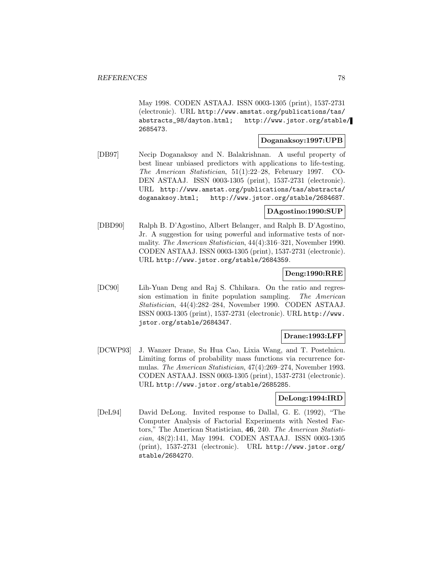May 1998. CODEN ASTAAJ. ISSN 0003-1305 (print), 1537-2731 (electronic). URL http://www.amstat.org/publications/tas/ abstracts\_98/dayton.html; http://www.jstor.org/stable/ 2685473.

# **Doganaksoy:1997:UPB**

[DB97] Necip Doganaksoy and N. Balakrishnan. A useful property of best linear unbiased predictors with applications to life-testing. The American Statistician, 51(1):22–28, February 1997. CO-DEN ASTAAJ. ISSN 0003-1305 (print), 1537-2731 (electronic). URL http://www.amstat.org/publications/tas/abstracts/ doganaksoy.html; http://www.jstor.org/stable/2684687.

### **DAgostino:1990:SUP**

[DBD90] Ralph B. D'Agostino, Albert Belanger, and Ralph B. D'Agostino, Jr. A suggestion for using powerful and informative tests of normality. The American Statistician, 44(4):316–321, November 1990. CODEN ASTAAJ. ISSN 0003-1305 (print), 1537-2731 (electronic). URL http://www.jstor.org/stable/2684359.

## **Deng:1990:RRE**

[DC90] Lih-Yuan Deng and Raj S. Chhikara. On the ratio and regression estimation in finite population sampling. The American Statistician, 44(4):282–284, November 1990. CODEN ASTAAJ. ISSN 0003-1305 (print), 1537-2731 (electronic). URL http://www. jstor.org/stable/2684347.

### **Drane:1993:LFP**

[DCWP93] J. Wanzer Drane, Su Hua Cao, Lixia Wang, and T. Postelnicu. Limiting forms of probability mass functions via recurrence formulas. The American Statistician, 47(4):269–274, November 1993. CODEN ASTAAJ. ISSN 0003-1305 (print), 1537-2731 (electronic). URL http://www.jstor.org/stable/2685285.

#### **DeLong:1994:IRD**

[DeL94] David DeLong. Invited response to Dallal, G. E. (1992), "The Computer Analysis of Factorial Experiments with Nested Factors," The American Statistician, **46**, 240. The American Statistician, 48(2):141, May 1994. CODEN ASTAAJ. ISSN 0003-1305 (print), 1537-2731 (electronic). URL http://www.jstor.org/ stable/2684270.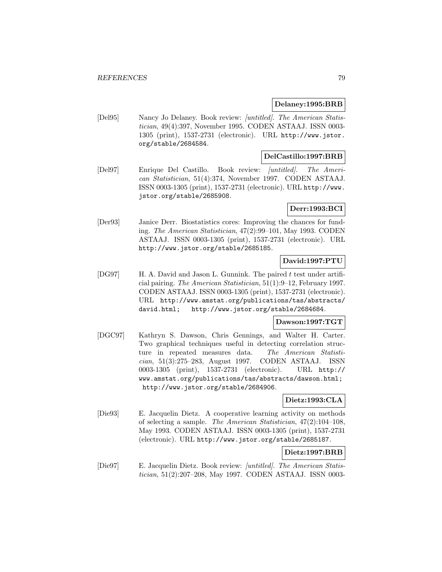### **Delaney:1995:BRB**

[Del95] Nancy Jo Delaney. Book review: [untitled]. The American Statistician, 49(4):397, November 1995. CODEN ASTAAJ. ISSN 0003- 1305 (print), 1537-2731 (electronic). URL http://www.jstor. org/stable/2684584.

### **DelCastillo:1997:BRB**

[Del97] Enrique Del Castillo. Book review: [untitled]. The American Statistician, 51(4):374, November 1997. CODEN ASTAAJ. ISSN 0003-1305 (print), 1537-2731 (electronic). URL http://www. jstor.org/stable/2685908.

# **Derr:1993:BCI**

[Der93] Janice Derr. Biostatistics cores: Improving the chances for funding. The American Statistician, 47(2):99–101, May 1993. CODEN ASTAAJ. ISSN 0003-1305 (print), 1537-2731 (electronic). URL http://www.jstor.org/stable/2685185.

# **David:1997:PTU**

[DG97] H. A. David and Jason L. Gunnink. The paired t test under artificial pairing. The American Statistician, 51(1):9–12, February 1997. CODEN ASTAAJ. ISSN 0003-1305 (print), 1537-2731 (electronic). URL http://www.amstat.org/publications/tas/abstracts/ david.html; http://www.jstor.org/stable/2684684.

# **Dawson:1997:TGT**

[DGC97] Kathryn S. Dawson, Chris Gennings, and Walter H. Carter. Two graphical techniques useful in detecting correlation structure in repeated measures data. The American Statistician, 51(3):275–283, August 1997. CODEN ASTAAJ. ISSN 0003-1305 (print), 1537-2731 (electronic). URL http:// www.amstat.org/publications/tas/abstracts/dawson.html; http://www.jstor.org/stable/2684906.

## **Dietz:1993:CLA**

[Die93] E. Jacquelin Dietz. A cooperative learning activity on methods of selecting a sample. The American Statistician, 47(2):104–108, May 1993. CODEN ASTAAJ. ISSN 0003-1305 (print), 1537-2731 (electronic). URL http://www.jstor.org/stable/2685187.

# **Dietz:1997:BRB**

[Die97] E. Jacquelin Dietz. Book review: [untitled]. The American Statistician, 51(2):207–208, May 1997. CODEN ASTAAJ. ISSN 0003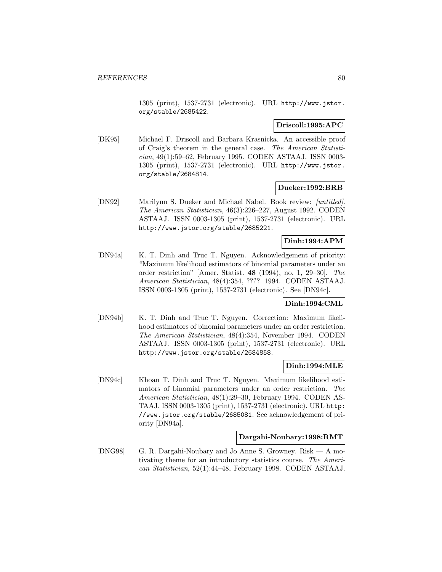1305 (print), 1537-2731 (electronic). URL http://www.jstor. org/stable/2685422.

## **Driscoll:1995:APC**

[DK95] Michael F. Driscoll and Barbara Krasnicka. An accessible proof of Craig's theorem in the general case. The American Statistician, 49(1):59–62, February 1995. CODEN ASTAAJ. ISSN 0003- 1305 (print), 1537-2731 (electronic). URL http://www.jstor. org/stable/2684814.

### **Dueker:1992:BRB**

[DN92] Marilynn S. Dueker and Michael Nabel. Book review: *[untitled]*. The American Statistician, 46(3):226–227, August 1992. CODEN ASTAAJ. ISSN 0003-1305 (print), 1537-2731 (electronic). URL http://www.jstor.org/stable/2685221.

# **Dinh:1994:APM**

[DN94a] K. T. Dinh and Truc T. Nguyen. Acknowledgement of priority: "Maximum likelihood estimators of binomial parameters under an order restriction" [Amer. Statist. **48** (1994), no. 1, 29–30]. The American Statistician, 48(4):354, ???? 1994. CODEN ASTAAJ. ISSN 0003-1305 (print), 1537-2731 (electronic). See [DN94c].

# **Dinh:1994:CML**

[DN94b] K. T. Dinh and Truc T. Nguyen. Correction: Maximum likelihood estimators of binomial parameters under an order restriction. The American Statistician, 48(4):354, November 1994. CODEN ASTAAJ. ISSN 0003-1305 (print), 1537-2731 (electronic). URL http://www.jstor.org/stable/2684858.

### **Dinh:1994:MLE**

[DN94c] Khoan T. Dinh and Truc T. Nguyen. Maximum likelihood estimators of binomial parameters under an order restriction. The American Statistician, 48(1):29–30, February 1994. CODEN AS-TAAJ. ISSN 0003-1305 (print), 1537-2731 (electronic). URL http: //www.jstor.org/stable/2685081. See acknowledgement of priority [DN94a].

### **Dargahi-Noubary:1998:RMT**

[DNG98] G. R. Dargahi-Noubary and Jo Anne S. Growney. Risk — A motivating theme for an introductory statistics course. The American Statistician, 52(1):44–48, February 1998. CODEN ASTAAJ.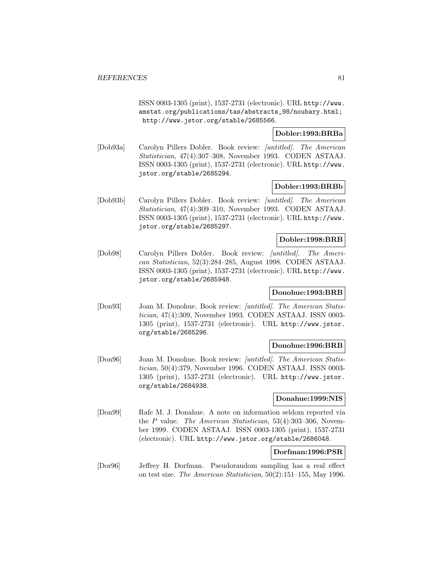ISSN 0003-1305 (print), 1537-2731 (electronic). URL http://www. amstat.org/publications/tas/abstracts\_98/noubary.html; http://www.jstor.org/stable/2685566.

## **Dobler:1993:BRBa**

[Dob93a] Carolyn Pillers Dobler. Book review: [untitled]. The American Statistician, 47(4):307–308, November 1993. CODEN ASTAAJ. ISSN 0003-1305 (print), 1537-2731 (electronic). URL http://www. jstor.org/stable/2685294.

#### **Dobler:1993:BRBb**

[Dob93b] Carolyn Pillers Dobler. Book review: [untitled]. The American Statistician, 47(4):309–310, November 1993. CODEN ASTAAJ. ISSN 0003-1305 (print), 1537-2731 (electronic). URL http://www. jstor.org/stable/2685297.

## **Dobler:1998:BRB**

[Dob98] Carolyn Pillers Dobler. Book review: [untitled]. The American Statistician, 52(3):284–285, August 1998. CODEN ASTAAJ. ISSN 0003-1305 (print), 1537-2731 (electronic). URL http://www. jstor.org/stable/2685948.

# **Donohue:1993:BRB**

[Don93] Joan M. Donohue. Book review: [untitled]. The American Statistician, 47(4):309, November 1993. CODEN ASTAAJ. ISSN 0003- 1305 (print), 1537-2731 (electronic). URL http://www.jstor. org/stable/2685296.

#### **Donohue:1996:BRB**

[Don96] Joan M. Donohue. Book review: [untitled]. The American Statistician, 50(4):379, November 1996. CODEN ASTAAJ. ISSN 0003- 1305 (print), 1537-2731 (electronic). URL http://www.jstor. org/stable/2684938.

#### **Donahue:1999:NIS**

[Don99] Rafe M. J. Donahue. A note on information seldom reported via the P value. The American Statistician, 53(4):303–306, November 1999. CODEN ASTAAJ. ISSN 0003-1305 (print), 1537-2731 (electronic). URL http://www.jstor.org/stable/2686048.

# **Dorfman:1996:PSR**

[Dor96] Jeffrey H. Dorfman. Pseudorandom sampling has a real effect on test size. The American Statistician, 50(2):151–155, May 1996.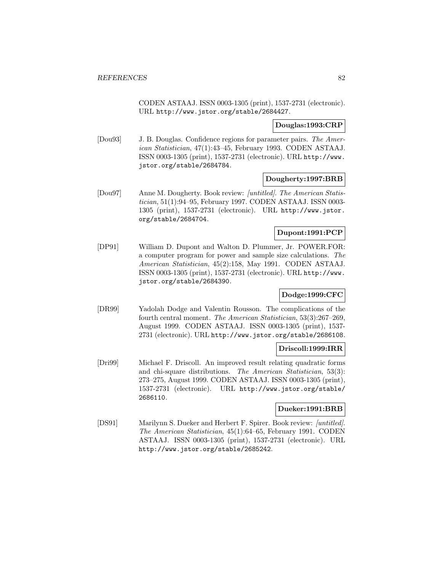CODEN ASTAAJ. ISSN 0003-1305 (print), 1537-2731 (electronic). URL http://www.jstor.org/stable/2684427.

# **Douglas:1993:CRP**

[Dou93] J. B. Douglas. Confidence regions for parameter pairs. The American Statistician, 47(1):43–45, February 1993. CODEN ASTAAJ. ISSN 0003-1305 (print), 1537-2731 (electronic). URL http://www. jstor.org/stable/2684784.

### **Dougherty:1997:BRB**

[Dou97] Anne M. Dougherty. Book review: [untitled]. The American Statistician, 51(1):94–95, February 1997. CODEN ASTAAJ. ISSN 0003- 1305 (print), 1537-2731 (electronic). URL http://www.jstor. org/stable/2684704.

#### **Dupont:1991:PCP**

[DP91] William D. Dupont and Walton D. Plummer, Jr. POWER.FOR: a computer program for power and sample size calculations. The American Statistician, 45(2):158, May 1991. CODEN ASTAAJ. ISSN 0003-1305 (print), 1537-2731 (electronic). URL http://www. jstor.org/stable/2684390.

## **Dodge:1999:CFC**

[DR99] Yadolah Dodge and Valentin Rousson. The complications of the fourth central moment. The American Statistician, 53(3):267–269, August 1999. CODEN ASTAAJ. ISSN 0003-1305 (print), 1537- 2731 (electronic). URL http://www.jstor.org/stable/2686108.

### **Driscoll:1999:IRR**

[Dri99] Michael F. Driscoll. An improved result relating quadratic forms and chi-square distributions. The American Statistician, 53(3): 273–275, August 1999. CODEN ASTAAJ. ISSN 0003-1305 (print), 1537-2731 (electronic). URL http://www.jstor.org/stable/ 2686110.

## **Dueker:1991:BRB**

[DS91] Marilynn S. Dueker and Herbert F. Spirer. Book review: [untitled]. The American Statistician, 45(1):64–65, February 1991. CODEN ASTAAJ. ISSN 0003-1305 (print), 1537-2731 (electronic). URL http://www.jstor.org/stable/2685242.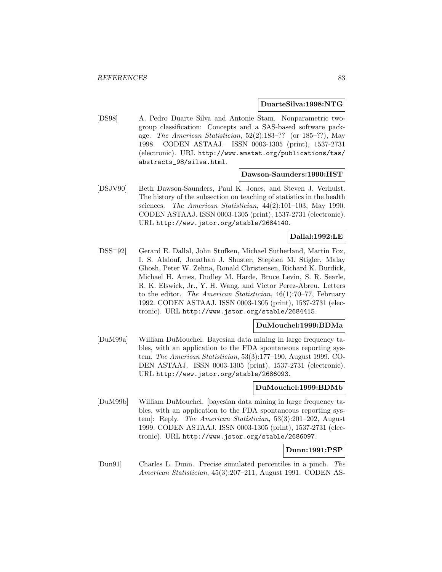#### **DuarteSilva:1998:NTG**

[DS98] A. Pedro Duarte Silva and Antonie Stam. Nonparametric twogroup classification: Concepts and a SAS-based software package. The American Statistician, 52(2):183–?? (or 185–??), May 1998. CODEN ASTAAJ. ISSN 0003-1305 (print), 1537-2731 (electronic). URL http://www.amstat.org/publications/tas/ abstracts\_98/silva.html.

#### **Dawson-Saunders:1990:HST**

[DSJV90] Beth Dawson-Saunders, Paul K. Jones, and Steven J. Verhulst. The history of the subsection on teaching of statistics in the health sciences. The American Statistician, 44(2):101–103, May 1990. CODEN ASTAAJ. ISSN 0003-1305 (print), 1537-2731 (electronic). URL http://www.jstor.org/stable/2684140.

# **Dallal:1992:LE**

[DSS<sup>+</sup>92] Gerard E. Dallal, John Stufken, Michael Sutherland, Martin Fox, I. S. Alalouf, Jonathan J. Shuster, Stephen M. Stigler, Malay Ghosh, Peter W. Zehna, Ronald Christensen, Richard K. Burdick, Michael H. Ames, Dudley M. Harde, Bruce Levin, S. R. Searle, R. K. Elswick, Jr., Y. H. Wang, and Victor Perez-Abreu. Letters to the editor. The American Statistician, 46(1):70–77, February 1992. CODEN ASTAAJ. ISSN 0003-1305 (print), 1537-2731 (electronic). URL http://www.jstor.org/stable/2684415.

#### **DuMouchel:1999:BDMa**

[DuM99a] William DuMouchel. Bayesian data mining in large frequency tables, with an application to the FDA spontaneous reporting system. The American Statistician, 53(3):177–190, August 1999. CO-DEN ASTAAJ. ISSN 0003-1305 (print), 1537-2731 (electronic). URL http://www.jstor.org/stable/2686093.

### **DuMouchel:1999:BDMb**

[DuM99b] William DuMouchel. [bayesian data mining in large frequency tables, with an application to the FDA spontaneous reporting system]: Reply. The American Statistician, 53(3):201–202, August 1999. CODEN ASTAAJ. ISSN 0003-1305 (print), 1537-2731 (electronic). URL http://www.jstor.org/stable/2686097.

### **Dunn:1991:PSP**

[Dun91] Charles L. Dunn. Precise simulated percentiles in a pinch. The American Statistician, 45(3):207–211, August 1991. CODEN AS-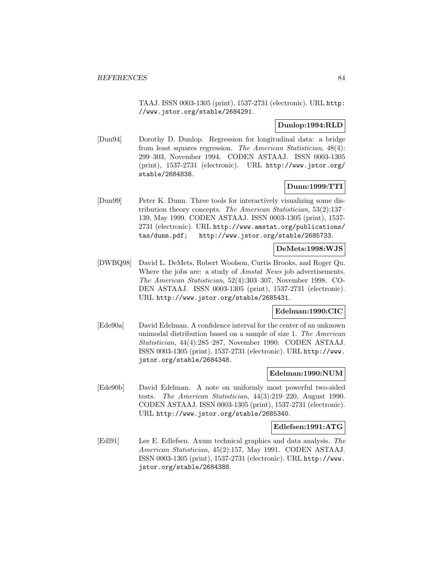TAAJ. ISSN 0003-1305 (print), 1537-2731 (electronic). URL http: //www.jstor.org/stable/2684291.

### **Dunlop:1994:RLD**

[Dun94] Dorothy D. Dunlop. Regression for longitudinal data: a bridge from least squares regression. The American Statistician, 48(4): 299–303, November 1994. CODEN ASTAAJ. ISSN 0003-1305 (print), 1537-2731 (electronic). URL http://www.jstor.org/ stable/2684838.

# **Dunn:1999:TTI**

[Dun99] Peter K. Dunn. Three tools for interactively visualizing some distribution theory concepts. The American Statistician, 53(2):137– 139, May 1999. CODEN ASTAAJ. ISSN 0003-1305 (print), 1537- 2731 (electronic). URL http://www.amstat.org/publications/ tas/dunn.pdf; http://www.jstor.org/stable/2685733.

# **DeMets:1998:WJS**

[DWBQ98] David L. DeMets, Robert Woolson, Curtis Brooks, and Roger Qu. Where the jobs are: a study of *Amstat News* job advertisements. The American Statistician, 52(4):303–307, November 1998. CO-DEN ASTAAJ. ISSN 0003-1305 (print), 1537-2731 (electronic). URL http://www.jstor.org/stable/2685431.

# **Edelman:1990:CIC**

[Ede90a] David Edelman. A confidence interval for the center of an unknown unimodal distribution based on a sample of size 1. The American Statistician, 44(4):285–287, November 1990. CODEN ASTAAJ. ISSN 0003-1305 (print), 1537-2731 (electronic). URL http://www. jstor.org/stable/2684348.

#### **Edelman:1990:NUM**

[Ede90b] David Edelman. A note on uniformly most powerful two-sided tests. The American Statistician, 44(3):219–220, August 1990. CODEN ASTAAJ. ISSN 0003-1305 (print), 1537-2731 (electronic). URL http://www.jstor.org/stable/2685340.

#### **Edlefsen:1991:ATG**

[Edl91] Lee E. Edlefsen. Axum technical graphics and data analysis. The American Statistician, 45(2):157, May 1991. CODEN ASTAAJ. ISSN 0003-1305 (print), 1537-2731 (electronic). URL http://www. jstor.org/stable/2684388.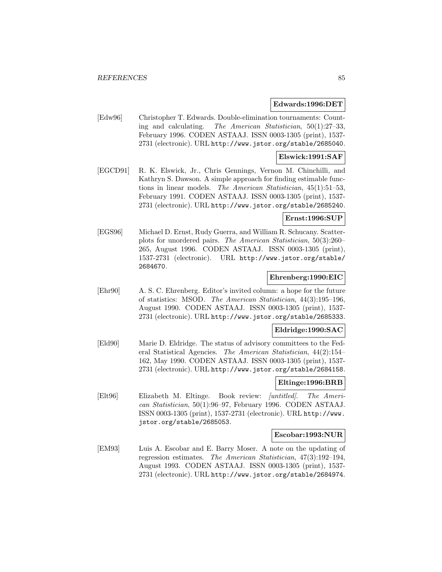#### **Edwards:1996:DET**

[Edw96] Christopher T. Edwards. Double-elimination tournaments: Counting and calculating. The American Statistician, 50(1):27–33, February 1996. CODEN ASTAAJ. ISSN 0003-1305 (print), 1537- 2731 (electronic). URL http://www.jstor.org/stable/2685040.

#### **Elswick:1991:SAF**

[EGCD91] R. K. Elswick, Jr., Chris Gennings, Vernon M. Chinchilli, and Kathryn S. Dawson. A simple approach for finding estimable functions in linear models. The American Statistician, 45(1):51–53, February 1991. CODEN ASTAAJ. ISSN 0003-1305 (print), 1537- 2731 (electronic). URL http://www.jstor.org/stable/2685240.

# **Ernst:1996:SUP**

[EGS96] Michael D. Ernst, Rudy Guerra, and William R. Schucany. Scatterplots for unordered pairs. The American Statistician, 50(3):260– 265, August 1996. CODEN ASTAAJ. ISSN 0003-1305 (print), 1537-2731 (electronic). URL http://www.jstor.org/stable/ 2684670.

# **Ehrenberg:1990:EIC**

[Ehr90] A. S. C. Ehrenberg. Editor's invited column: a hope for the future of statistics: MSOD. The American Statistician, 44(3):195–196, August 1990. CODEN ASTAAJ. ISSN 0003-1305 (print), 1537- 2731 (electronic). URL http://www.jstor.org/stable/2685333.

# **Eldridge:1990:SAC**

[Eld90] Marie D. Eldridge. The status of advisory committees to the Federal Statistical Agencies. The American Statistician, 44(2):154– 162, May 1990. CODEN ASTAAJ. ISSN 0003-1305 (print), 1537- 2731 (electronic). URL http://www.jstor.org/stable/2684158.

#### **Eltinge:1996:BRB**

[Elt96] Elizabeth M. Eltinge. Book review: [untitled]. The American Statistician, 50(1):96–97, February 1996. CODEN ASTAAJ. ISSN 0003-1305 (print), 1537-2731 (electronic). URL http://www. jstor.org/stable/2685053.

#### **Escobar:1993:NUR**

[EM93] Luis A. Escobar and E. Barry Moser. A note on the updating of regression estimates. The American Statistician, 47(3):192–194, August 1993. CODEN ASTAAJ. ISSN 0003-1305 (print), 1537- 2731 (electronic). URL http://www.jstor.org/stable/2684974.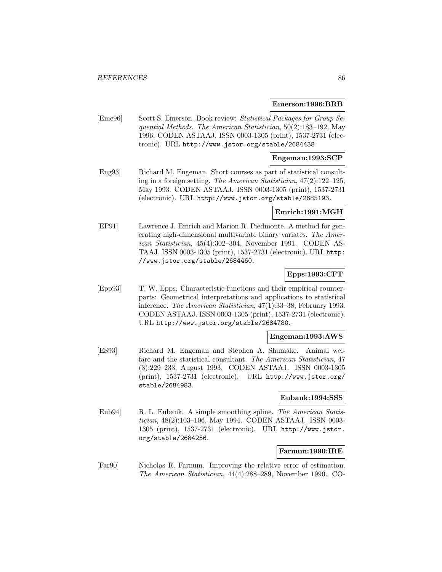#### **Emerson:1996:BRB**

[Eme96] Scott S. Emerson. Book review: Statistical Packages for Group Sequential Methods. The American Statistician, 50(2):183–192, May 1996. CODEN ASTAAJ. ISSN 0003-1305 (print), 1537-2731 (electronic). URL http://www.jstor.org/stable/2684438.

### **Engeman:1993:SCP**

[Eng93] Richard M. Engeman. Short courses as part of statistical consulting in a foreign setting. The American Statistician, 47(2):122–125, May 1993. CODEN ASTAAJ. ISSN 0003-1305 (print), 1537-2731 (electronic). URL http://www.jstor.org/stable/2685193.

#### **Emrich:1991:MGH**

[EP91] Lawrence J. Emrich and Marion R. Piedmonte. A method for generating high-dimensional multivariate binary variates. The American Statistician, 45(4):302–304, November 1991. CODEN AS-TAAJ. ISSN 0003-1305 (print), 1537-2731 (electronic). URL http: //www.jstor.org/stable/2684460.

# **Epps:1993:CFT**

[Epp93] T. W. Epps. Characteristic functions and their empirical counterparts: Geometrical interpretations and applications to statistical inference. The American Statistician, 47(1):33–38, February 1993. CODEN ASTAAJ. ISSN 0003-1305 (print), 1537-2731 (electronic). URL http://www.jstor.org/stable/2684780.

#### **Engeman:1993:AWS**

[ES93] Richard M. Engeman and Stephen A. Shumake. Animal welfare and the statistical consultant. The American Statistician, 47 (3):229–233, August 1993. CODEN ASTAAJ. ISSN 0003-1305 (print), 1537-2731 (electronic). URL http://www.jstor.org/ stable/2684983.

### **Eubank:1994:SSS**

[Eub94] R. L. Eubank. A simple smoothing spline. The American Statistician, 48(2):103–106, May 1994. CODEN ASTAAJ. ISSN 0003- 1305 (print), 1537-2731 (electronic). URL http://www.jstor. org/stable/2684256.

#### **Farnum:1990:IRE**

[Far90] Nicholas R. Farnum. Improving the relative error of estimation. The American Statistician, 44(4):288–289, November 1990. CO-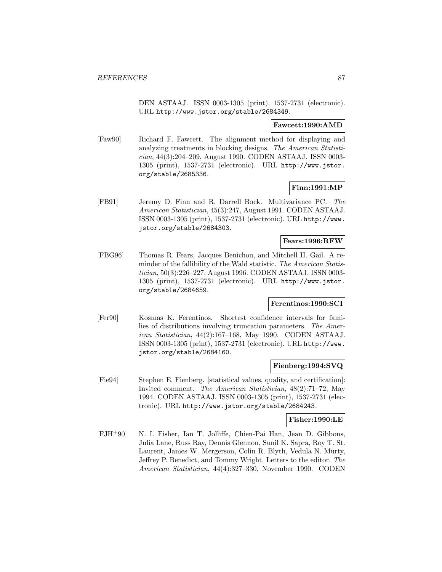DEN ASTAAJ. ISSN 0003-1305 (print), 1537-2731 (electronic). URL http://www.jstor.org/stable/2684349.

#### **Fawcett:1990:AMD**

[Faw90] Richard F. Fawcett. The alignment method for displaying and analyzing treatments in blocking designs. The American Statistician, 44(3):204–209, August 1990. CODEN ASTAAJ. ISSN 0003- 1305 (print), 1537-2731 (electronic). URL http://www.jstor. org/stable/2685336.

## **Finn:1991:MP**

[FB91] Jeremy D. Finn and R. Darrell Bock. Multivariance PC. The American Statistician, 45(3):247, August 1991. CODEN ASTAAJ. ISSN 0003-1305 (print), 1537-2731 (electronic). URL http://www. jstor.org/stable/2684303.

#### **Fears:1996:RFW**

[FBG96] Thomas R. Fears, Jacques Benichou, and Mitchell H. Gail. A reminder of the fallibility of the Wald statistic. The American Statistician, 50(3):226–227, August 1996. CODEN ASTAAJ. ISSN 0003- 1305 (print), 1537-2731 (electronic). URL http://www.jstor. org/stable/2684659.

## **Ferentinos:1990:SCI**

[Fer90] Kosmas K. Ferentinos. Shortest confidence intervals for families of distributions involving truncation parameters. The American Statistician, 44(2):167–168, May 1990. CODEN ASTAAJ. ISSN 0003-1305 (print), 1537-2731 (electronic). URL http://www. jstor.org/stable/2684160.

## **Fienberg:1994:SVQ**

[Fie94] Stephen E. Fienberg. [statistical values, quality, and certification]: Invited comment. The American Statistician, 48(2):71–72, May 1994. CODEN ASTAAJ. ISSN 0003-1305 (print), 1537-2731 (electronic). URL http://www.jstor.org/stable/2684243.

#### **Fisher:1990:LE**

[FJH<sup>+</sup>90] N. I. Fisher, Ian T. Jolliffe, Chien-Pai Han, Jean D. Gibbons, Julia Lane, Russ Ray, Dennis Glennon, Sunil K. Sapra, Roy T. St. Laurent, James W. Mergerson, Colin R. Blyth, Vedula N. Murty, Jeffrey P. Benedict, and Tommy Wright. Letters to the editor. The American Statistician, 44(4):327–330, November 1990. CODEN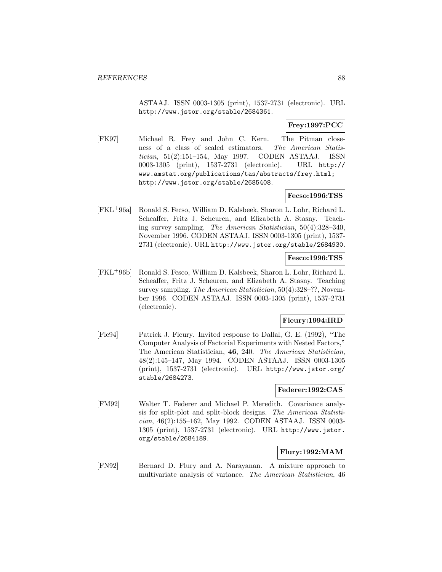ASTAAJ. ISSN 0003-1305 (print), 1537-2731 (electronic). URL http://www.jstor.org/stable/2684361.

# **Frey:1997:PCC**

[FK97] Michael R. Frey and John C. Kern. The Pitman closeness of a class of scaled estimators. The American Statistician, 51(2):151–154, May 1997. CODEN ASTAAJ. ISSN 0003-1305 (print), 1537-2731 (electronic). URL http:// www.amstat.org/publications/tas/abstracts/frey.html; http://www.jstor.org/stable/2685408.

### **Fecso:1996:TSS**

[FKL<sup>+</sup>96a] Ronald S. Fecso, William D. Kalsbeek, Sharon L. Lohr, Richard L. Scheaffer, Fritz J. Scheuren, and Elizabeth A. Stasny. Teaching survey sampling. The American Statistician, 50(4):328–340, November 1996. CODEN ASTAAJ. ISSN 0003-1305 (print), 1537- 2731 (electronic). URL http://www.jstor.org/stable/2684930.

## **Fesco:1996:TSS**

[FKL<sup>+</sup>96b] Ronald S. Fesco, William D. Kalsbeek, Sharon L. Lohr, Richard L. Scheaffer, Fritz J. Scheuren, and Elizabeth A. Stasny. Teaching survey sampling. The American Statistician, 50(4):328–??, November 1996. CODEN ASTAAJ. ISSN 0003-1305 (print), 1537-2731 (electronic).

# **Fleury:1994:IRD**

[Fle94] Patrick J. Fleury. Invited response to Dallal, G. E. (1992), "The Computer Analysis of Factorial Experiments with Nested Factors," The American Statistician, **46**, 240. The American Statistician, 48(2):145–147, May 1994. CODEN ASTAAJ. ISSN 0003-1305 (print), 1537-2731 (electronic). URL http://www.jstor.org/ stable/2684273.

#### **Federer:1992:CAS**

[FM92] Walter T. Federer and Michael P. Meredith. Covariance analysis for split-plot and split-block designs. The American Statistician, 46(2):155–162, May 1992. CODEN ASTAAJ. ISSN 0003- 1305 (print), 1537-2731 (electronic). URL http://www.jstor. org/stable/2684189.

# **Flury:1992:MAM**

[FN92] Bernard D. Flury and A. Narayanan. A mixture approach to multivariate analysis of variance. The American Statistician, 46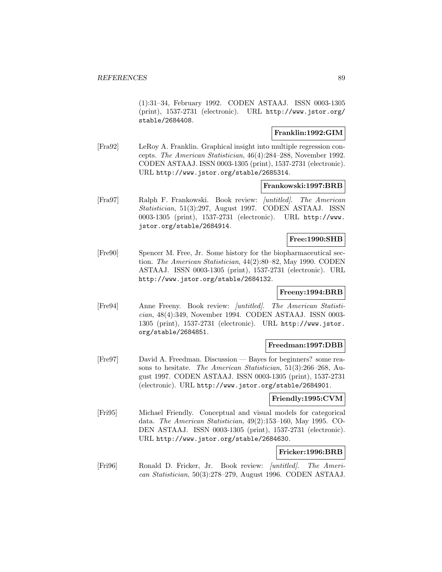(1):31–34, February 1992. CODEN ASTAAJ. ISSN 0003-1305 (print), 1537-2731 (electronic). URL http://www.jstor.org/ stable/2684408.

### **Franklin:1992:GIM**

[Fra92] LeRoy A. Franklin. Graphical insight into multiple regression concepts. The American Statistician, 46(4):284–288, November 1992. CODEN ASTAAJ. ISSN 0003-1305 (print), 1537-2731 (electronic). URL http://www.jstor.org/stable/2685314.

#### **Frankowski:1997:BRB**

[Fra97] Ralph F. Frankowski. Book review: [untitled]. The American Statistician, 51(3):297, August 1997. CODEN ASTAAJ. ISSN 0003-1305 (print), 1537-2731 (electronic). URL http://www. jstor.org/stable/2684914.

# **Free:1990:SHB**

[Fre90] Spencer M. Free, Jr. Some history for the biopharmaceutical section. The American Statistician, 44(2):80–82, May 1990. CODEN ASTAAJ. ISSN 0003-1305 (print), 1537-2731 (electronic). URL http://www.jstor.org/stable/2684132.

### **Freeny:1994:BRB**

[Fre94] Anne Freeny. Book review: [untitled]. The American Statistician, 48(4):349, November 1994. CODEN ASTAAJ. ISSN 0003- 1305 (print), 1537-2731 (electronic). URL http://www.jstor. org/stable/2684851.

# **Freedman:1997:DBB**

[Fre97] David A. Freedman. Discussion — Bayes for beginners? some reasons to hesitate. The American Statistician, 51(3):266–268, August 1997. CODEN ASTAAJ. ISSN 0003-1305 (print), 1537-2731 (electronic). URL http://www.jstor.org/stable/2684901.

### **Friendly:1995:CVM**

[Fri95] Michael Friendly. Conceptual and visual models for categorical data. The American Statistician, 49(2):153–160, May 1995. CO-DEN ASTAAJ. ISSN 0003-1305 (print), 1537-2731 (electronic). URL http://www.jstor.org/stable/2684630.

# **Fricker:1996:BRB**

[Fri96] Ronald D. Fricker, Jr. Book review: [untitled]. The American Statistician, 50(3):278–279, August 1996. CODEN ASTAAJ.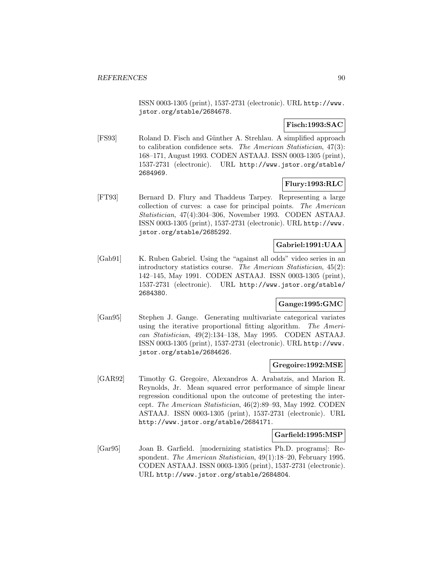ISSN 0003-1305 (print), 1537-2731 (electronic). URL http://www. jstor.org/stable/2684678.

# **Fisch:1993:SAC**

[FS93] Roland D. Fisch and Günther A. Strehlau. A simplified approach to calibration confidence sets. The American Statistician, 47(3): 168–171, August 1993. CODEN ASTAAJ. ISSN 0003-1305 (print), 1537-2731 (electronic). URL http://www.jstor.org/stable/ 2684969.

# **Flury:1993:RLC**

[FT93] Bernard D. Flury and Thaddeus Tarpey. Representing a large collection of curves: a case for principal points. The American Statistician, 47(4):304–306, November 1993. CODEN ASTAAJ. ISSN 0003-1305 (print), 1537-2731 (electronic). URL http://www. jstor.org/stable/2685292.

## **Gabriel:1991:UAA**

[Gab91] K. Ruben Gabriel. Using the "against all odds" video series in an introductory statistics course. The American Statistician, 45(2): 142–145, May 1991. CODEN ASTAAJ. ISSN 0003-1305 (print), 1537-2731 (electronic). URL http://www.jstor.org/stable/ 2684380.

### **Gange:1995:GMC**

[Gan95] Stephen J. Gange. Generating multivariate categorical variates using the iterative proportional fitting algorithm. The American Statistician, 49(2):134–138, May 1995. CODEN ASTAAJ. ISSN 0003-1305 (print), 1537-2731 (electronic). URL http://www. jstor.org/stable/2684626.

### **Gregoire:1992:MSE**

[GAR92] Timothy G. Gregoire, Alexandros A. Arabatzis, and Marion R. Reynolds, Jr. Mean squared error performance of simple linear regression conditional upon the outcome of pretesting the intercept. The American Statistician, 46(2):89–93, May 1992. CODEN ASTAAJ. ISSN 0003-1305 (print), 1537-2731 (electronic). URL http://www.jstor.org/stable/2684171.

### **Garfield:1995:MSP**

[Gar95] Joan B. Garfield. [modernizing statistics Ph.D. programs]: Respondent. The American Statistician, 49(1):18–20, February 1995. CODEN ASTAAJ. ISSN 0003-1305 (print), 1537-2731 (electronic). URL http://www.jstor.org/stable/2684804.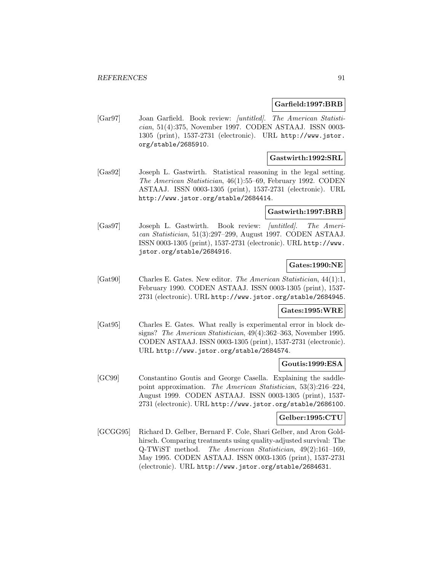#### **Garfield:1997:BRB**

[Gar97] Joan Garfield. Book review: [untitled]. The American Statistician, 51(4):375, November 1997. CODEN ASTAAJ. ISSN 0003- 1305 (print), 1537-2731 (electronic). URL http://www.jstor. org/stable/2685910.

#### **Gastwirth:1992:SRL**

[Gas92] Joseph L. Gastwirth. Statistical reasoning in the legal setting. The American Statistician, 46(1):55–69, February 1992. CODEN ASTAAJ. ISSN 0003-1305 (print), 1537-2731 (electronic). URL http://www.jstor.org/stable/2684414.

#### **Gastwirth:1997:BRB**

[Gas97] Joseph L. Gastwirth. Book review: [untitled]. The American Statistician, 51(3):297–299, August 1997. CODEN ASTAAJ. ISSN 0003-1305 (print), 1537-2731 (electronic). URL http://www. jstor.org/stable/2684916.

## **Gates:1990:NE**

[Gat90] Charles E. Gates. New editor. The American Statistician, 44(1):1, February 1990. CODEN ASTAAJ. ISSN 0003-1305 (print), 1537- 2731 (electronic). URL http://www.jstor.org/stable/2684945.

# **Gates:1995:WRE**

[Gat95] Charles E. Gates. What really is experimental error in block designs? The American Statistician, 49(4):362–363, November 1995. CODEN ASTAAJ. ISSN 0003-1305 (print), 1537-2731 (electronic). URL http://www.jstor.org/stable/2684574.

### **Goutis:1999:ESA**

[GC99] Constantino Goutis and George Casella. Explaining the saddlepoint approximation. The American Statistician, 53(3):216–224, August 1999. CODEN ASTAAJ. ISSN 0003-1305 (print), 1537- 2731 (electronic). URL http://www.jstor.org/stable/2686100.

## **Gelber:1995:CTU**

[GCGG95] Richard D. Gelber, Bernard F. Cole, Shari Gelber, and Aron Goldhirsch. Comparing treatments using quality-adjusted survival: The Q-TWiST method. The American Statistician, 49(2):161–169, May 1995. CODEN ASTAAJ. ISSN 0003-1305 (print), 1537-2731 (electronic). URL http://www.jstor.org/stable/2684631.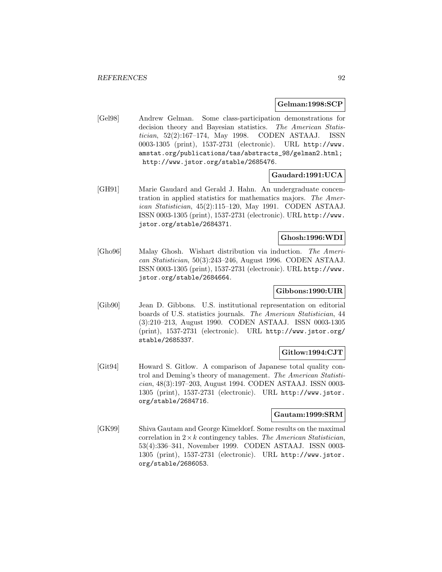#### **Gelman:1998:SCP**

[Gel98] Andrew Gelman. Some class-participation demonstrations for decision theory and Bayesian statistics. The American Statistician, 52(2):167–174, May 1998. CODEN ASTAAJ. ISSN 0003-1305 (print), 1537-2731 (electronic). URL http://www. amstat.org/publications/tas/abstracts\_98/gelman2.html; http://www.jstor.org/stable/2685476.

## **Gaudard:1991:UCA**

[GH91] Marie Gaudard and Gerald J. Hahn. An undergraduate concentration in applied statistics for mathematics majors. The American Statistician, 45(2):115–120, May 1991. CODEN ASTAAJ. ISSN 0003-1305 (print), 1537-2731 (electronic). URL http://www. jstor.org/stable/2684371.

# **Ghosh:1996:WDI**

[Gho96] Malay Ghosh. Wishart distribution via induction. The American Statistician, 50(3):243–246, August 1996. CODEN ASTAAJ. ISSN 0003-1305 (print), 1537-2731 (electronic). URL http://www. jstor.org/stable/2684664.

# **Gibbons:1990:UIR**

[Gib90] Jean D. Gibbons. U.S. institutional representation on editorial boards of U.S. statistics journals. The American Statistician, 44 (3):210–213, August 1990. CODEN ASTAAJ. ISSN 0003-1305 (print), 1537-2731 (electronic). URL http://www.jstor.org/ stable/2685337.

### **Gitlow:1994:CJT**

[Git94] Howard S. Gitlow. A comparison of Japanese total quality control and Deming's theory of management. The American Statistician, 48(3):197–203, August 1994. CODEN ASTAAJ. ISSN 0003- 1305 (print), 1537-2731 (electronic). URL http://www.jstor. org/stable/2684716.

## **Gautam:1999:SRM**

[GK99] Shiva Gautam and George Kimeldorf. Some results on the maximal correlation in  $2 \times k$  contingency tables. The American Statistician, 53(4):336–341, November 1999. CODEN ASTAAJ. ISSN 0003- 1305 (print), 1537-2731 (electronic). URL http://www.jstor. org/stable/2686053.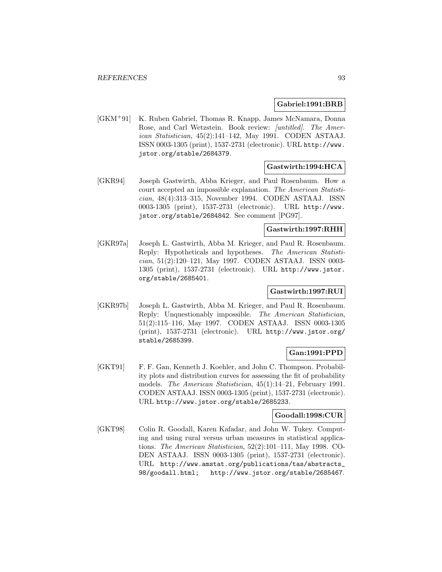### **Gabriel:1991:BRB**

[GKM<sup>+</sup>91] K. Ruben Gabriel, Thomas R. Knapp, James McNamara, Donna Rose, and Carl Wetzstein. Book review: [untitled]. The American Statistician, 45(2):141–142, May 1991. CODEN ASTAAJ. ISSN 0003-1305 (print), 1537-2731 (electronic). URL http://www. jstor.org/stable/2684379.

# **Gastwirth:1994:HCA**

[GKR94] Joseph Gastwirth, Abba Krieger, and Paul Rosenbaum. How a court accepted an impossible explanation. The American Statistician, 48(4):313–315, November 1994. CODEN ASTAAJ. ISSN 0003-1305 (print), 1537-2731 (electronic). URL http://www. jstor.org/stable/2684842. See comment [PG97].

### **Gastwirth:1997:RHH**

[GKR97a] Joseph L. Gastwirth, Abba M. Krieger, and Paul R. Rosenbaum. Reply: Hypotheticals and hypotheses. The American Statistician, 51(2):120–121, May 1997. CODEN ASTAAJ. ISSN 0003- 1305 (print), 1537-2731 (electronic). URL http://www.jstor. org/stable/2685401.

# **Gastwirth:1997:RUI**

[GKR97b] Joseph L. Gastwirth, Abba M. Krieger, and Paul R. Rosenbaum. Reply: Unquestionably impossible. The American Statistician, 51(2):115–116, May 1997. CODEN ASTAAJ. ISSN 0003-1305 (print), 1537-2731 (electronic). URL http://www.jstor.org/ stable/2685399.

## **Gan:1991:PPD**

[GKT91] F. F. Gan, Kenneth J. Koehler, and John C. Thompson. Probability plots and distribution curves for assessing the fit of probability models. The American Statistician, 45(1):14–21, February 1991. CODEN ASTAAJ. ISSN 0003-1305 (print), 1537-2731 (electronic). URL http://www.jstor.org/stable/2685233.

# **Goodall:1998:CUR**

[GKT98] Colin R. Goodall, Karen Kafadar, and John W. Tukey. Computing and using rural versus urban measures in statistical applications. The American Statistician, 52(2):101–111, May 1998. CO-DEN ASTAAJ. ISSN 0003-1305 (print), 1537-2731 (electronic). URL http://www.amstat.org/publications/tas/abstracts\_ 98/goodall.html; http://www.jstor.org/stable/2685467.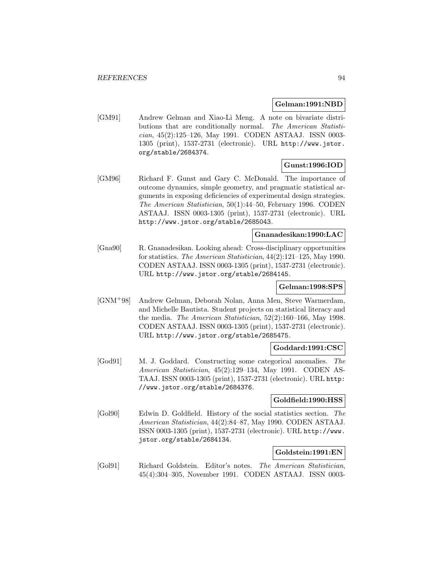#### **Gelman:1991:NBD**

[GM91] Andrew Gelman and Xiao-Li Meng. A note on bivariate distributions that are conditionally normal. The American Statistician, 45(2):125–126, May 1991. CODEN ASTAAJ. ISSN 0003- 1305 (print), 1537-2731 (electronic). URL http://www.jstor. org/stable/2684374.

# **Gunst:1996:IOD**

[GM96] Richard F. Gunst and Gary C. McDonald. The importance of outcome dynamics, simple geometry, and pragmatic statistical arguments in exposing deficiencies of experimental design strategies. The American Statistician, 50(1):44–50, February 1996. CODEN ASTAAJ. ISSN 0003-1305 (print), 1537-2731 (electronic). URL http://www.jstor.org/stable/2685043.

## **Gnanadesikan:1990:LAC**

[Gna90] R. Gnanadesikan. Looking ahead: Cross-disciplinary opportunities for statistics. The American Statistician, 44(2):121–125, May 1990. CODEN ASTAAJ. ISSN 0003-1305 (print), 1537-2731 (electronic). URL http://www.jstor.org/stable/2684145.

### **Gelman:1998:SPS**

[GNM<sup>+</sup>98] Andrew Gelman, Deborah Nolan, Anna Men, Steve Warmerdam, and Michelle Bautista. Student projects on statistical literacy and the media. The American Statistician, 52(2):160–166, May 1998. CODEN ASTAAJ. ISSN 0003-1305 (print), 1537-2731 (electronic). URL http://www.jstor.org/stable/2685475.

### **Goddard:1991:CSC**

[God91] M. J. Goddard. Constructing some categorical anomalies. The American Statistician, 45(2):129–134, May 1991. CODEN AS-TAAJ. ISSN 0003-1305 (print), 1537-2731 (electronic). URL http: //www.jstor.org/stable/2684376.

## **Goldfield:1990:HSS**

[Gol90] Edwin D. Goldfield. History of the social statistics section. The American Statistician, 44(2):84–87, May 1990. CODEN ASTAAJ. ISSN 0003-1305 (print), 1537-2731 (electronic). URL http://www. jstor.org/stable/2684134.

### **Goldstein:1991:EN**

[Gol91] Richard Goldstein. Editor's notes. The American Statistician, 45(4):304–305, November 1991. CODEN ASTAAJ. ISSN 0003-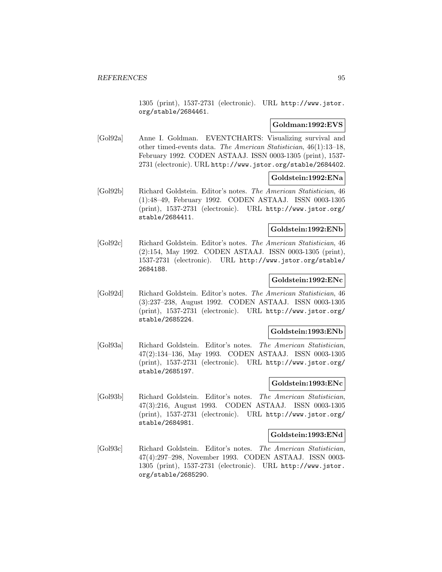1305 (print), 1537-2731 (electronic). URL http://www.jstor. org/stable/2684461.

## **Goldman:1992:EVS**

[Gol92a] Anne I. Goldman. EVENTCHARTS: Visualizing survival and other timed-events data. The American Statistician, 46(1):13–18, February 1992. CODEN ASTAAJ. ISSN 0003-1305 (print), 1537- 2731 (electronic). URL http://www.jstor.org/stable/2684402.

## **Goldstein:1992:ENa**

[Gol92b] Richard Goldstein. Editor's notes. The American Statistician, 46 (1):48–49, February 1992. CODEN ASTAAJ. ISSN 0003-1305 (print), 1537-2731 (electronic). URL http://www.jstor.org/ stable/2684411.

# **Goldstein:1992:ENb**

[Gol92c] Richard Goldstein. Editor's notes. The American Statistician, 46 (2):154, May 1992. CODEN ASTAAJ. ISSN 0003-1305 (print), 1537-2731 (electronic). URL http://www.jstor.org/stable/ 2684188.

### **Goldstein:1992:ENc**

[Gol92d] Richard Goldstein. Editor's notes. The American Statistician, 46 (3):237–238, August 1992. CODEN ASTAAJ. ISSN 0003-1305 (print), 1537-2731 (electronic). URL http://www.jstor.org/ stable/2685224.

#### **Goldstein:1993:ENb**

[Gol93a] Richard Goldstein. Editor's notes. The American Statistician, 47(2):134–136, May 1993. CODEN ASTAAJ. ISSN 0003-1305 (print), 1537-2731 (electronic). URL http://www.jstor.org/ stable/2685197.

## **Goldstein:1993:ENc**

[Gol93b] Richard Goldstein. Editor's notes. The American Statistician, 47(3):216, August 1993. CODEN ASTAAJ. ISSN 0003-1305 (print), 1537-2731 (electronic). URL http://www.jstor.org/ stable/2684981.

#### **Goldstein:1993:ENd**

[Gol93c] Richard Goldstein. Editor's notes. The American Statistician, 47(4):297–298, November 1993. CODEN ASTAAJ. ISSN 0003- 1305 (print), 1537-2731 (electronic). URL http://www.jstor. org/stable/2685290.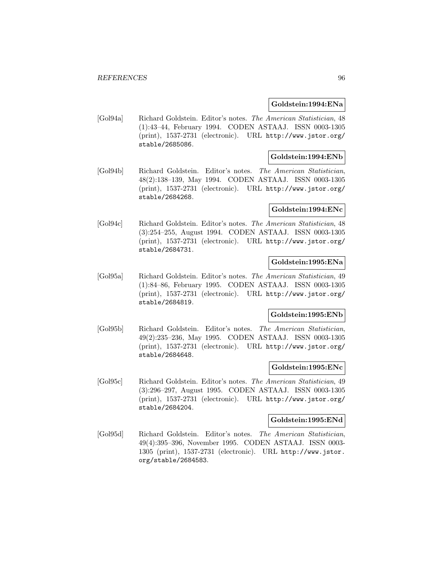#### **Goldstein:1994:ENa**

[Gol94a] Richard Goldstein. Editor's notes. The American Statistician, 48 (1):43–44, February 1994. CODEN ASTAAJ. ISSN 0003-1305 (print), 1537-2731 (electronic). URL http://www.jstor.org/ stable/2685086.

## **Goldstein:1994:ENb**

[Gol94b] Richard Goldstein. Editor's notes. The American Statistician, 48(2):138–139, May 1994. CODEN ASTAAJ. ISSN 0003-1305 (print), 1537-2731 (electronic). URL http://www.jstor.org/ stable/2684268.

### **Goldstein:1994:ENc**

[Gol94c] Richard Goldstein. Editor's notes. The American Statistician, 48 (3):254–255, August 1994. CODEN ASTAAJ. ISSN 0003-1305 (print), 1537-2731 (electronic). URL http://www.jstor.org/ stable/2684731.

## **Goldstein:1995:ENa**

[Gol95a] Richard Goldstein. Editor's notes. The American Statistician, 49 (1):84–86, February 1995. CODEN ASTAAJ. ISSN 0003-1305 (print), 1537-2731 (electronic). URL http://www.jstor.org/ stable/2684819.

### **Goldstein:1995:ENb**

[Gol95b] Richard Goldstein. Editor's notes. The American Statistician, 49(2):235–236, May 1995. CODEN ASTAAJ. ISSN 0003-1305 (print), 1537-2731 (electronic). URL http://www.jstor.org/ stable/2684648.

### **Goldstein:1995:ENc**

[Gol95c] Richard Goldstein. Editor's notes. The American Statistician, 49 (3):296–297, August 1995. CODEN ASTAAJ. ISSN 0003-1305 (print), 1537-2731 (electronic). URL http://www.jstor.org/ stable/2684204.

## **Goldstein:1995:ENd**

[Gol95d] Richard Goldstein. Editor's notes. The American Statistician, 49(4):395–396, November 1995. CODEN ASTAAJ. ISSN 0003- 1305 (print), 1537-2731 (electronic). URL http://www.jstor. org/stable/2684583.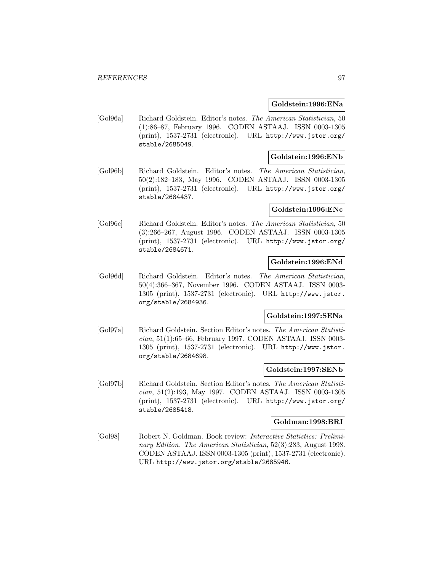#### **Goldstein:1996:ENa**

[Gol96a] Richard Goldstein. Editor's notes. The American Statistician, 50 (1):86–87, February 1996. CODEN ASTAAJ. ISSN 0003-1305 (print), 1537-2731 (electronic). URL http://www.jstor.org/ stable/2685049.

## **Goldstein:1996:ENb**

[Gol96b] Richard Goldstein. Editor's notes. The American Statistician, 50(2):182–183, May 1996. CODEN ASTAAJ. ISSN 0003-1305 (print), 1537-2731 (electronic). URL http://www.jstor.org/ stable/2684437.

#### **Goldstein:1996:ENc**

[Gol96c] Richard Goldstein. Editor's notes. The American Statistician, 50 (3):266–267, August 1996. CODEN ASTAAJ. ISSN 0003-1305 (print), 1537-2731 (electronic). URL http://www.jstor.org/ stable/2684671.

# **Goldstein:1996:ENd**

[Gol96d] Richard Goldstein. Editor's notes. The American Statistician, 50(4):366–367, November 1996. CODEN ASTAAJ. ISSN 0003- 1305 (print), 1537-2731 (electronic). URL http://www.jstor. org/stable/2684936.

### **Goldstein:1997:SENa**

[Gol97a] Richard Goldstein. Section Editor's notes. The American Statistician, 51(1):65–66, February 1997. CODEN ASTAAJ. ISSN 0003- 1305 (print), 1537-2731 (electronic). URL http://www.jstor. org/stable/2684698.

### **Goldstein:1997:SENb**

[Gol97b] Richard Goldstein. Section Editor's notes. The American Statistician, 51(2):193, May 1997. CODEN ASTAAJ. ISSN 0003-1305 (print), 1537-2731 (electronic). URL http://www.jstor.org/ stable/2685418.

#### **Goldman:1998:BRI**

[Gol98] Robert N. Goldman. Book review: Interactive Statistics: Preliminary Edition. The American Statistician, 52(3):283, August 1998. CODEN ASTAAJ. ISSN 0003-1305 (print), 1537-2731 (electronic). URL http://www.jstor.org/stable/2685946.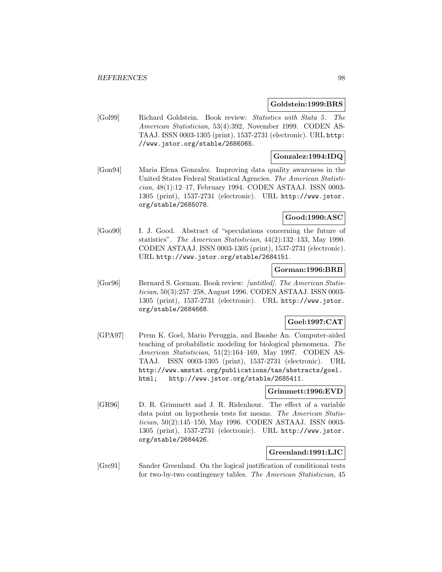#### **Goldstein:1999:BRS**

[Gol99] Richard Goldstein. Book review: Statistics with Stata 5 . The American Statistician, 53(4):392, November 1999. CODEN AS-TAAJ. ISSN 0003-1305 (print), 1537-2731 (electronic). URL http: //www.jstor.org/stable/2686065.

# **Gonzalez:1994:IDQ**

[Gon94] Maria Elena Gonzalez. Improving data quality awareness in the United States Federal Statistical Agencies. The American Statistician, 48(1):12–17, February 1994. CODEN ASTAAJ. ISSN 0003- 1305 (print), 1537-2731 (electronic). URL http://www.jstor. org/stable/2685078.

# **Good:1990:ASC**

[Goo90] I. J. Good. Abstract of "speculations concerning the future of statistics". The American Statistician, 44(2):132–133, May 1990. CODEN ASTAAJ. ISSN 0003-1305 (print), 1537-2731 (electronic). URL http://www.jstor.org/stable/2684151.

### **Gorman:1996:BRB**

[Gor96] Bernard S. Gorman. Book review: [untitled]. The American Statistician, 50(3):257–258, August 1996. CODEN ASTAAJ. ISSN 0003- 1305 (print), 1537-2731 (electronic). URL http://www.jstor. org/stable/2684668.

# **Goel:1997:CAT**

[GPA97] Prem K. Goel, Mario Peruggia, and Baoshe An. Computer-aided teaching of probabilistic modeling for biological phenomena. The American Statistician, 51(2):164–169, May 1997. CODEN AS-TAAJ. ISSN 0003-1305 (print), 1537-2731 (electronic). URL http://www.amstat.org/publications/tas/abstracts/goel. html; http://www.jstor.org/stable/2685411.

## **Grimmett:1996:EVD**

[GR96] D. R. Grimmett and J. R. Ridenhour. The effect of a variable data point on hypothesis tests for means. The American Statistician, 50(2):145–150, May 1996. CODEN ASTAAJ. ISSN 0003- 1305 (print), 1537-2731 (electronic). URL http://www.jstor. org/stable/2684426.

### **Greenland:1991:LJC**

[Gre91] Sander Greenland. On the logical justification of conditional tests for two-by-two contingency tables. The American Statistician, 45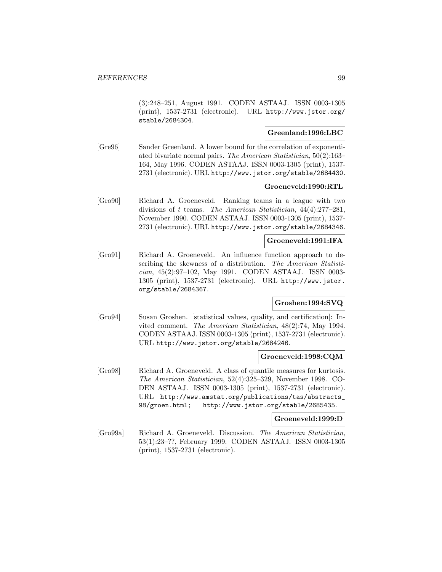(3):248–251, August 1991. CODEN ASTAAJ. ISSN 0003-1305 (print), 1537-2731 (electronic). URL http://www.jstor.org/ stable/2684304.

### **Greenland:1996:LBC**

[Gre96] Sander Greenland. A lower bound for the correlation of exponentiated bivariate normal pairs. The American Statistician, 50(2):163– 164, May 1996. CODEN ASTAAJ. ISSN 0003-1305 (print), 1537- 2731 (electronic). URL http://www.jstor.org/stable/2684430.

### **Groeneveld:1990:RTL**

[Gro90] Richard A. Groeneveld. Ranking teams in a league with two divisions of t teams. The American Statistician, 44(4):277–281, November 1990. CODEN ASTAAJ. ISSN 0003-1305 (print), 1537- 2731 (electronic). URL http://www.jstor.org/stable/2684346.

#### **Groeneveld:1991:IFA**

[Gro91] Richard A. Groeneveld. An influence function approach to describing the skewness of a distribution. The American Statistician, 45(2):97–102, May 1991. CODEN ASTAAJ. ISSN 0003- 1305 (print), 1537-2731 (electronic). URL http://www.jstor. org/stable/2684367.

### **Groshen:1994:SVQ**

[Gro94] Susan Groshen. [statistical values, quality, and certification]: Invited comment. The American Statistician, 48(2):74, May 1994. CODEN ASTAAJ. ISSN 0003-1305 (print), 1537-2731 (electronic). URL http://www.jstor.org/stable/2684246.

# **Groeneveld:1998:CQM**

[Gro98] Richard A. Groeneveld. A class of quantile measures for kurtosis. The American Statistician, 52(4):325–329, November 1998. CO-DEN ASTAAJ. ISSN 0003-1305 (print), 1537-2731 (electronic). URL http://www.amstat.org/publications/tas/abstracts\_ 98/groen.html; http://www.jstor.org/stable/2685435.

#### **Groeneveld:1999:D**

[Gro99a] Richard A. Groeneveld. Discussion. The American Statistician, 53(1):23–??, February 1999. CODEN ASTAAJ. ISSN 0003-1305 (print), 1537-2731 (electronic).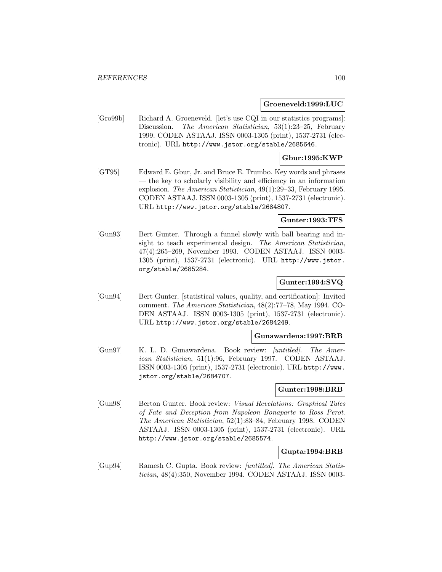#### **Groeneveld:1999:LUC**

[Gro99b] Richard A. Groeneveld. [let's use CQI in our statistics programs]: Discussion. The American Statistician, 53(1):23-25, February 1999. CODEN ASTAAJ. ISSN 0003-1305 (print), 1537-2731 (electronic). URL http://www.jstor.org/stable/2685646.

# **Gbur:1995:KWP**

[GT95] Edward E. Gbur, Jr. and Bruce E. Trumbo. Key words and phrases — the key to scholarly visibility and efficiency in an information explosion. The American Statistician, 49(1):29–33, February 1995. CODEN ASTAAJ. ISSN 0003-1305 (print), 1537-2731 (electronic). URL http://www.jstor.org/stable/2684807.

# **Gunter:1993:TFS**

[Gun93] Bert Gunter. Through a funnel slowly with ball bearing and insight to teach experimental design. The American Statistician, 47(4):265–269, November 1993. CODEN ASTAAJ. ISSN 0003- 1305 (print), 1537-2731 (electronic). URL http://www.jstor. org/stable/2685284.

# **Gunter:1994:SVQ**

[Gun94] Bert Gunter. [statistical values, quality, and certification]: Invited comment. The American Statistician, 48(2):77–78, May 1994. CO-DEN ASTAAJ. ISSN 0003-1305 (print), 1537-2731 (electronic). URL http://www.jstor.org/stable/2684249.

### **Gunawardena:1997:BRB**

[Gun97] K. L. D. Gunawardena. Book review: [untitled]. The American Statistician, 51(1):96, February 1997. CODEN ASTAAJ. ISSN 0003-1305 (print), 1537-2731 (electronic). URL http://www. jstor.org/stable/2684707.

## **Gunter:1998:BRB**

[Gun98] Berton Gunter. Book review: Visual Revelations: Graphical Tales of Fate and Deception from Napoleon Bonaparte to Ross Perot. The American Statistician, 52(1):83–84, February 1998. CODEN ASTAAJ. ISSN 0003-1305 (print), 1537-2731 (electronic). URL http://www.jstor.org/stable/2685574.

### **Gupta:1994:BRB**

[Gup94] Ramesh C. Gupta. Book review: [untitled]. The American Statistician, 48(4):350, November 1994. CODEN ASTAAJ. ISSN 0003-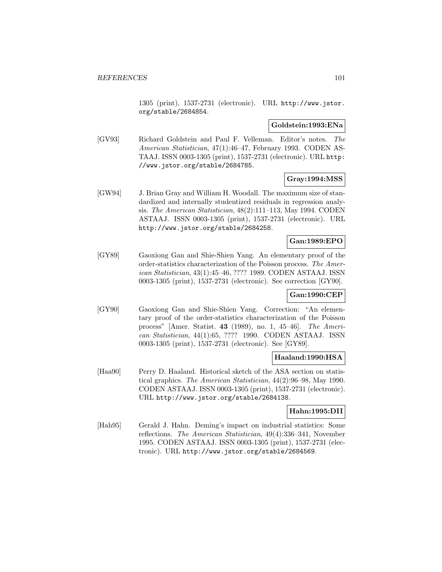1305 (print), 1537-2731 (electronic). URL http://www.jstor. org/stable/2684854.

#### **Goldstein:1993:ENa**

[GV93] Richard Goldstein and Paul F. Velleman. Editor's notes. The American Statistician, 47(1):46–47, February 1993. CODEN AS-TAAJ. ISSN 0003-1305 (print), 1537-2731 (electronic). URL http: //www.jstor.org/stable/2684785.

## **Gray:1994:MSS**

[GW94] J. Brian Gray and William H. Woodall. The maximum size of standardized and internally studentized residuals in regression analysis. The American Statistician, 48(2):111–113, May 1994. CODEN ASTAAJ. ISSN 0003-1305 (print), 1537-2731 (electronic). URL http://www.jstor.org/stable/2684258.

## **Gan:1989:EPO**

[GY89] Gaoxiong Gan and Shie-Shien Yang. An elementary proof of the order-statistics characterization of the Poisson process. The American Statistician, 43(1):45–46, ???? 1989. CODEN ASTAAJ. ISSN 0003-1305 (print), 1537-2731 (electronic). See correction [GY90].

# **Gan:1990:CEP**

[GY90] Gaoxiong Gan and Shie-Shien Yang. Correction: "An elementary proof of the order-statistics characterization of the Poisson process" [Amer. Statist. **43** (1989), no. 1, 45–46]. The American Statistician, 44(1):65, ???? 1990. CODEN ASTAAJ. ISSN 0003-1305 (print), 1537-2731 (electronic). See [GY89].

# **Haaland:1990:HSA**

[Haa90] Perry D. Haaland. Historical sketch of the ASA section on statistical graphics. The American Statistician, 44(2):96–98, May 1990. CODEN ASTAAJ. ISSN 0003-1305 (print), 1537-2731 (electronic). URL http://www.jstor.org/stable/2684138.

### **Hahn:1995:DII**

[Hah95] Gerald J. Hahn. Deming's impact on industrial statistics: Some reflections. The American Statistician, 49(4):336–341, November 1995. CODEN ASTAAJ. ISSN 0003-1305 (print), 1537-2731 (electronic). URL http://www.jstor.org/stable/2684569.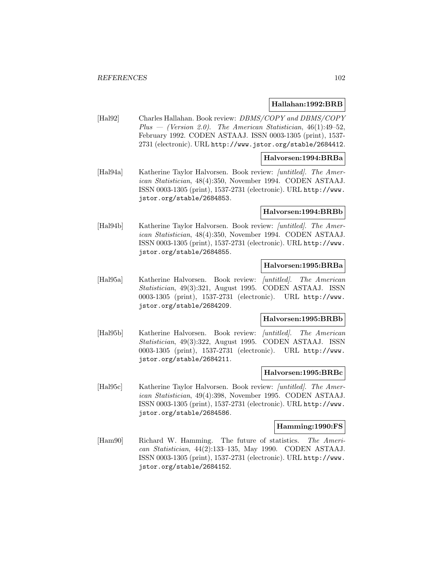#### **Hallahan:1992:BRB**

[Hal92] Charles Hallahan. Book review: DBMS/COPY and DBMS/COPY Plus — (Version 2.0). The American Statistician,  $46(1):49-52$ , February 1992. CODEN ASTAAJ. ISSN 0003-1305 (print), 1537- 2731 (electronic). URL http://www.jstor.org/stable/2684412.

#### **Halvorsen:1994:BRBa**

[Hal94a] Katherine Taylor Halvorsen. Book review: [untitled]. The American Statistician, 48(4):350, November 1994. CODEN ASTAAJ. ISSN 0003-1305 (print), 1537-2731 (electronic). URL http://www. jstor.org/stable/2684853.

#### **Halvorsen:1994:BRBb**

[Hal94b] Katherine Taylor Halvorsen. Book review: [untitled]. The American Statistician, 48(4):350, November 1994. CODEN ASTAAJ. ISSN 0003-1305 (print), 1537-2731 (electronic). URL http://www. jstor.org/stable/2684855.

### **Halvorsen:1995:BRBa**

[Hal95a] Katherine Halvorsen. Book review: [untitled]. The American Statistician, 49(3):321, August 1995. CODEN ASTAAJ. ISSN 0003-1305 (print), 1537-2731 (electronic). URL http://www. jstor.org/stable/2684209.

#### **Halvorsen:1995:BRBb**

[Hal95b] Katherine Halvorsen. Book review: [untitled]. The American Statistician, 49(3):322, August 1995. CODEN ASTAAJ. ISSN 0003-1305 (print), 1537-2731 (electronic). URL http://www. jstor.org/stable/2684211.

#### **Halvorsen:1995:BRBc**

[Hal95c] Katherine Taylor Halvorsen. Book review: [untitled]. The American Statistician, 49(4):398, November 1995. CODEN ASTAAJ. ISSN 0003-1305 (print), 1537-2731 (electronic). URL http://www. jstor.org/stable/2684586.

#### **Hamming:1990:FS**

[Ham90] Richard W. Hamming. The future of statistics. The American Statistician, 44(2):133–135, May 1990. CODEN ASTAAJ. ISSN 0003-1305 (print), 1537-2731 (electronic). URL http://www. jstor.org/stable/2684152.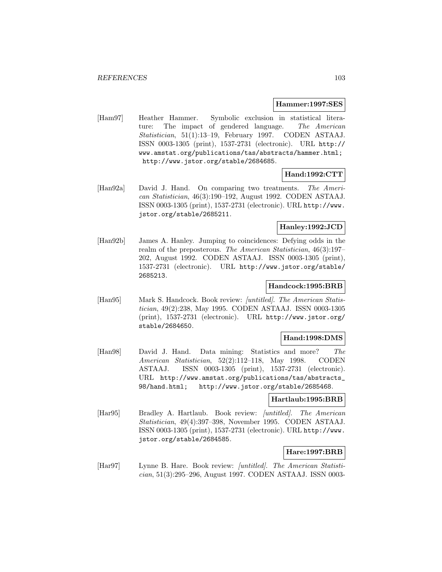#### **Hammer:1997:SES**

[Ham97] Heather Hammer. Symbolic exclusion in statistical literature: The impact of gendered language. The American Statistician, 51(1):13–19, February 1997. CODEN ASTAAJ. ISSN 0003-1305 (print), 1537-2731 (electronic). URL http:// www.amstat.org/publications/tas/abstracts/hammer.html; http://www.jstor.org/stable/2684685.

## **Hand:1992:CTT**

[Han92a] David J. Hand. On comparing two treatments. The American Statistician, 46(3):190–192, August 1992. CODEN ASTAAJ. ISSN 0003-1305 (print), 1537-2731 (electronic). URL http://www. jstor.org/stable/2685211.

# **Hanley:1992:JCD**

[Han92b] James A. Hanley. Jumping to coincidences: Defying odds in the realm of the preposterous. The American Statistician, 46(3):197– 202, August 1992. CODEN ASTAAJ. ISSN 0003-1305 (print), 1537-2731 (electronic). URL http://www.jstor.org/stable/ 2685213.

## **Handcock:1995:BRB**

[Han95] Mark S. Handcock. Book review: [untitled]. The American Statistician, 49(2):238, May 1995. CODEN ASTAAJ. ISSN 0003-1305 (print), 1537-2731 (electronic). URL http://www.jstor.org/ stable/2684650.

### **Hand:1998:DMS**

[Han98] David J. Hand. Data mining: Statistics and more? The American Statistician, 52(2):112–118, May 1998. CODEN ASTAAJ. ISSN 0003-1305 (print), 1537-2731 (electronic). URL http://www.amstat.org/publications/tas/abstracts\_ 98/hand.html; http://www.jstor.org/stable/2685468.

### **Hartlaub:1995:BRB**

[Har95] Bradley A. Hartlaub. Book review: *[untitled]*. The American Statistician, 49(4):397–398, November 1995. CODEN ASTAAJ. ISSN 0003-1305 (print), 1537-2731 (electronic). URL http://www. jstor.org/stable/2684585.

# **Hare:1997:BRB**

[Har97] Lynne B. Hare. Book review: [untitled]. The American Statistician, 51(3):295–296, August 1997. CODEN ASTAAJ. ISSN 0003-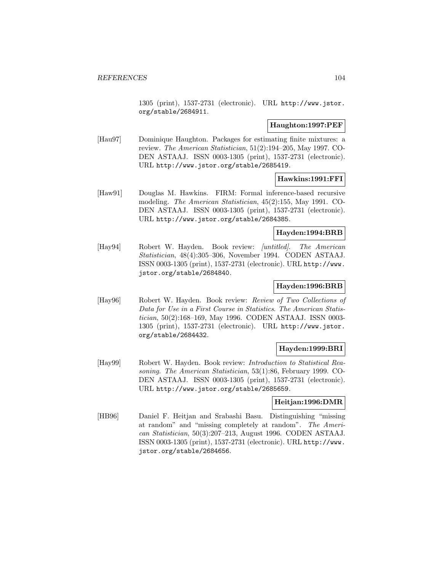1305 (print), 1537-2731 (electronic). URL http://www.jstor. org/stable/2684911.

#### **Haughton:1997:PEF**

[Hau97] Dominique Haughton. Packages for estimating finite mixtures: a review. The American Statistician, 51(2):194–205, May 1997. CO-DEN ASTAAJ. ISSN 0003-1305 (print), 1537-2731 (electronic). URL http://www.jstor.org/stable/2685419.

#### **Hawkins:1991:FFI**

[Haw91] Douglas M. Hawkins. FIRM: Formal inference-based recursive modeling. The American Statistician, 45(2):155, May 1991. CO-DEN ASTAAJ. ISSN 0003-1305 (print), 1537-2731 (electronic). URL http://www.jstor.org/stable/2684385.

#### **Hayden:1994:BRB**

[Hay94] Robert W. Hayden. Book review: *[untitled]*. The American Statistician, 48(4):305–306, November 1994. CODEN ASTAAJ. ISSN 0003-1305 (print), 1537-2731 (electronic). URL http://www. jstor.org/stable/2684840.

## **Hayden:1996:BRB**

[Hay96] Robert W. Hayden. Book review: Review of Two Collections of Data for Use in a First Course in Statistics. The American Statistician, 50(2):168–169, May 1996. CODEN ASTAAJ. ISSN 0003- 1305 (print), 1537-2731 (electronic). URL http://www.jstor. org/stable/2684432.

### **Hayden:1999:BRI**

[Hay99] Robert W. Hayden. Book review: Introduction to Statistical Reasoning. The American Statistician, 53(1):86, February 1999. CO-DEN ASTAAJ. ISSN 0003-1305 (print), 1537-2731 (electronic). URL http://www.jstor.org/stable/2685659.

### **Heitjan:1996:DMR**

[HB96] Daniel F. Heitjan and Srabashi Basu. Distinguishing "missing at random" and "missing completely at random". The American Statistician, 50(3):207–213, August 1996. CODEN ASTAAJ. ISSN 0003-1305 (print), 1537-2731 (electronic). URL http://www. jstor.org/stable/2684656.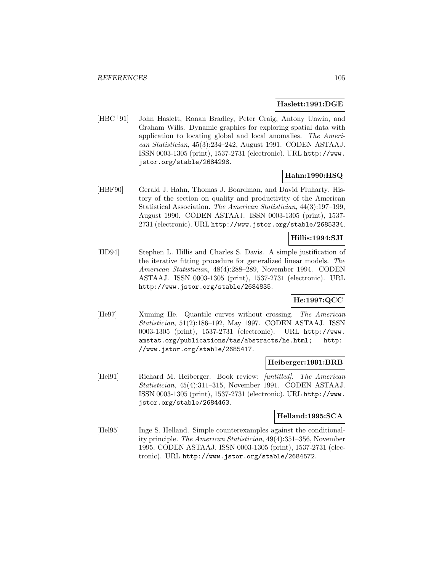#### **Haslett:1991:DGE**

[HBC<sup>+</sup>91] John Haslett, Ronan Bradley, Peter Craig, Antony Unwin, and Graham Wills. Dynamic graphics for exploring spatial data with application to locating global and local anomalies. The American Statistician, 45(3):234–242, August 1991. CODEN ASTAAJ. ISSN 0003-1305 (print), 1537-2731 (electronic). URL http://www. jstor.org/stable/2684298.

# **Hahn:1990:HSQ**

[HBF90] Gerald J. Hahn, Thomas J. Boardman, and David Fluharty. History of the section on quality and productivity of the American Statistical Association. The American Statistician, 44(3):197–199, August 1990. CODEN ASTAAJ. ISSN 0003-1305 (print), 1537- 2731 (electronic). URL http://www.jstor.org/stable/2685334.

# **Hillis:1994:SJI**

[HD94] Stephen L. Hillis and Charles S. Davis. A simple justification of the iterative fitting procedure for generalized linear models. The American Statistician, 48(4):288–289, November 1994. CODEN ASTAAJ. ISSN 0003-1305 (print), 1537-2731 (electronic). URL http://www.jstor.org/stable/2684835.

# **He:1997:QCC**

[He97] Xuming He. Quantile curves without crossing. The American Statistician, 51(2):186–192, May 1997. CODEN ASTAAJ. ISSN 0003-1305 (print), 1537-2731 (electronic). URL http://www. amstat.org/publications/tas/abstracts/he.html; http: //www.jstor.org/stable/2685417.

### **Heiberger:1991:BRB**

[Hei91] Richard M. Heiberger. Book review: *[untitled]*. The American Statistician, 45(4):311–315, November 1991. CODEN ASTAAJ. ISSN 0003-1305 (print), 1537-2731 (electronic). URL http://www. jstor.org/stable/2684463.

# **Helland:1995:SCA**

[Hel95] Inge S. Helland. Simple counterexamples against the conditionality principle. The American Statistician, 49(4):351–356, November 1995. CODEN ASTAAJ. ISSN 0003-1305 (print), 1537-2731 (electronic). URL http://www.jstor.org/stable/2684572.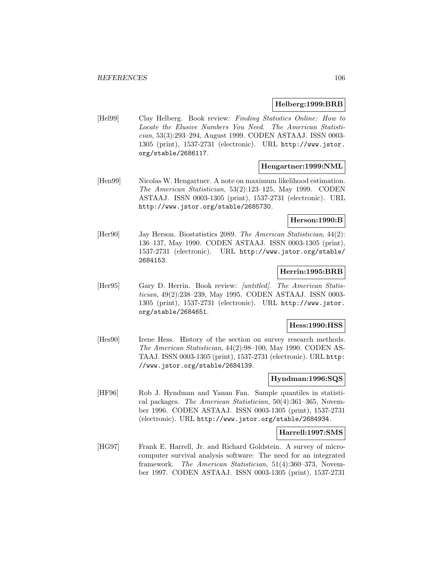#### **Helberg:1999:BRB**

[Hel99] Clay Helberg. Book review: Finding Statistics Online: How to Locate the Elusive Numbers You Need. The American Statistician, 53(3):293–294, August 1999. CODEN ASTAAJ. ISSN 0003- 1305 (print), 1537-2731 (electronic). URL http://www.jstor. org/stable/2686117.

# **Hengartner:1999:NML**

[Hen99] Nicolas W. Hengartner. A note on maximum likelihood estimation. The American Statistician, 53(2):123–125, May 1999. CODEN ASTAAJ. ISSN 0003-1305 (print), 1537-2731 (electronic). URL http://www.jstor.org/stable/2685730.

### **Herson:1990:B**

[Her90] Jay Herson. Biostatistics 2089. The American Statistician, 44(2): 136–137, May 1990. CODEN ASTAAJ. ISSN 0003-1305 (print), 1537-2731 (electronic). URL http://www.jstor.org/stable/ 2684153.

#### **Herrin:1995:BRB**

[Her95] Gary D. Herrin. Book review: [untitled]. The American Statistician, 49(2):238–239, May 1995. CODEN ASTAAJ. ISSN 0003- 1305 (print), 1537-2731 (electronic). URL http://www.jstor. org/stable/2684651.

## **Hess:1990:HSS**

[Hes90] Irene Hess. History of the section on survey research methods. The American Statistician, 44(2):98–100, May 1990. CODEN AS-TAAJ. ISSN 0003-1305 (print), 1537-2731 (electronic). URL http: //www.jstor.org/stable/2684139.

#### **Hyndman:1996:SQS**

[HF96] Rob J. Hyndman and Yanan Fan. Sample quantiles in statistical packages. The American Statistician, 50(4):361–365, November 1996. CODEN ASTAAJ. ISSN 0003-1305 (print), 1537-2731 (electronic). URL http://www.jstor.org/stable/2684934.

### **Harrell:1997:SMS**

[HG97] Frank E. Harrell, Jr. and Richard Goldstein. A survey of microcomputer survival analysis software: The need for an integrated framework. The American Statistician, 51(4):360–373, November 1997. CODEN ASTAAJ. ISSN 0003-1305 (print), 1537-2731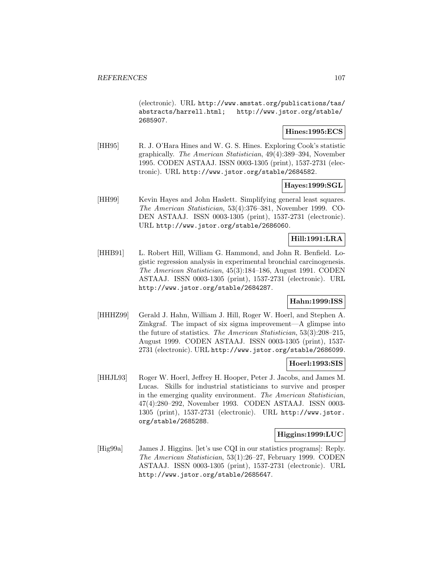(electronic). URL http://www.amstat.org/publications/tas/ abstracts/harrell.html; http://www.jstor.org/stable/ 2685907.

# **Hines:1995:ECS**

[HH95] R. J. O'Hara Hines and W. G. S. Hines. Exploring Cook's statistic graphically. The American Statistician, 49(4):389–394, November 1995. CODEN ASTAAJ. ISSN 0003-1305 (print), 1537-2731 (electronic). URL http://www.jstor.org/stable/2684582.

## **Hayes:1999:SGL**

[HH99] Kevin Hayes and John Haslett. Simplifying general least squares. The American Statistician, 53(4):376–381, November 1999. CO-DEN ASTAAJ. ISSN 0003-1305 (print), 1537-2731 (electronic). URL http://www.jstor.org/stable/2686060.

# **Hill:1991:LRA**

[HHB91] L. Robert Hill, William G. Hammond, and John R. Benfield. Logistic regression analysis in experimental bronchial carcinogenesis. The American Statistician, 45(3):184–186, August 1991. CODEN ASTAAJ. ISSN 0003-1305 (print), 1537-2731 (electronic). URL http://www.jstor.org/stable/2684287.

# **Hahn:1999:ISS**

[HHHZ99] Gerald J. Hahn, William J. Hill, Roger W. Hoerl, and Stephen A. Zinkgraf. The impact of six sigma improvement—A glimpse into the future of statistics. The American Statistician, 53(3):208–215, August 1999. CODEN ASTAAJ. ISSN 0003-1305 (print), 1537- 2731 (electronic). URL http://www.jstor.org/stable/2686099.

#### **Hoerl:1993:SIS**

[HHJL93] Roger W. Hoerl, Jeffrey H. Hooper, Peter J. Jacobs, and James M. Lucas. Skills for industrial statisticians to survive and prosper in the emerging quality environment. The American Statistician, 47(4):280–292, November 1993. CODEN ASTAAJ. ISSN 0003- 1305 (print), 1537-2731 (electronic). URL http://www.jstor. org/stable/2685288.

#### **Higgins:1999:LUC**

[Hig99a] James J. Higgins. [let's use CQI in our statistics programs]: Reply. The American Statistician, 53(1):26–27, February 1999. CODEN ASTAAJ. ISSN 0003-1305 (print), 1537-2731 (electronic). URL http://www.jstor.org/stable/2685647.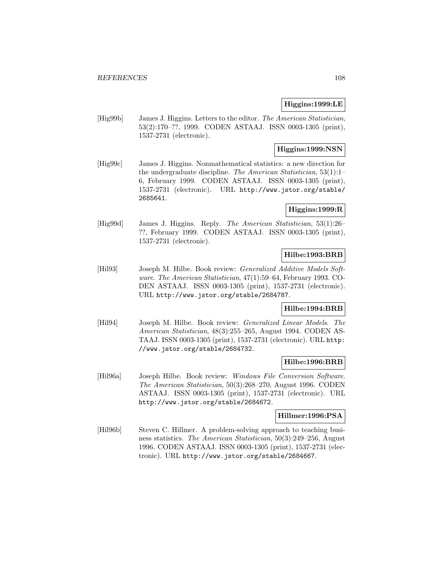# **Higgins:1999:LE**

[Hig99b] James J. Higgins. Letters to the editor. The American Statistician, 53(2):170–??, 1999. CODEN ASTAAJ. ISSN 0003-1305 (print), 1537-2731 (electronic).

# **Higgins:1999:NSN**

[Hig99c] James J. Higgins. Nonmathematical statistics: a new direction for the undergraduate discipline. The American Statistician, 53(1):1– 6, February 1999. CODEN ASTAAJ. ISSN 0003-1305 (print), 1537-2731 (electronic). URL http://www.jstor.org/stable/ 2685641.

## **Higgins:1999:R**

[Hig99d] James J. Higgins. Reply. The American Statistician, 53(1):26– ??, February 1999. CODEN ASTAAJ. ISSN 0003-1305 (print), 1537-2731 (electronic).

## **Hilbe:1993:BRB**

[Hil93] Joseph M. Hilbe. Book review: *Generalized Additive Models Soft*ware. The American Statistician, 47(1):59–64, February 1993. CO-DEN ASTAAJ. ISSN 0003-1305 (print), 1537-2731 (electronic). URL http://www.jstor.org/stable/2684787.

# **Hilbe:1994:BRB**

[Hil94] Joseph M. Hilbe. Book review: Generalized Linear Models. The American Statistician, 48(3):255–265, August 1994. CODEN AS-TAAJ. ISSN 0003-1305 (print), 1537-2731 (electronic). URL http: //www.jstor.org/stable/2684732.

### **Hilbe:1996:BRB**

[Hil96a] Joseph Hilbe. Book review: Windows File Conversion Software. The American Statistician, 50(3):268–270, August 1996. CODEN ASTAAJ. ISSN 0003-1305 (print), 1537-2731 (electronic). URL http://www.jstor.org/stable/2684672.

### **Hillmer:1996:PSA**

[Hil96b] Steven C. Hillmer. A problem-solving approach to teaching business statistics. The American Statistician, 50(3):249–256, August 1996. CODEN ASTAAJ. ISSN 0003-1305 (print), 1537-2731 (electronic). URL http://www.jstor.org/stable/2684667.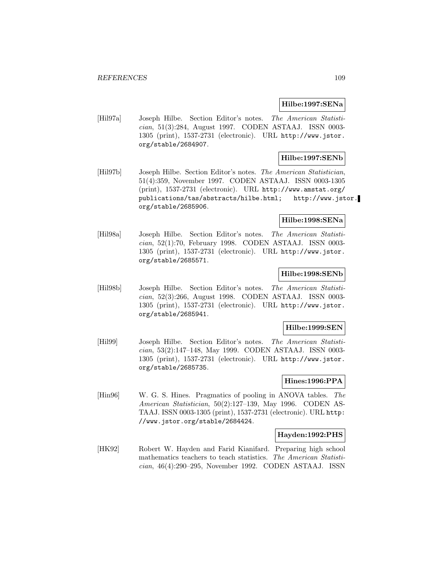#### **Hilbe:1997:SENa**

[Hil97a] Joseph Hilbe. Section Editor's notes. The American Statistician, 51(3):284, August 1997. CODEN ASTAAJ. ISSN 0003- 1305 (print), 1537-2731 (electronic). URL http://www.jstor. org/stable/2684907.

### **Hilbe:1997:SENb**

[Hil97b] Joseph Hilbe. Section Editor's notes. The American Statistician, 51(4):359, November 1997. CODEN ASTAAJ. ISSN 0003-1305 (print), 1537-2731 (electronic). URL http://www.amstat.org/ publications/tas/abstracts/hilbe.html; http://www.jstor. org/stable/2685906.

### **Hilbe:1998:SENa**

[Hil98a] Joseph Hilbe. Section Editor's notes. The American Statistician, 52(1):70, February 1998. CODEN ASTAAJ. ISSN 0003- 1305 (print), 1537-2731 (electronic). URL http://www.jstor. org/stable/2685571.

### **Hilbe:1998:SENb**

[Hil98b] Joseph Hilbe. Section Editor's notes. The American Statistician, 52(3):266, August 1998. CODEN ASTAAJ. ISSN 0003- 1305 (print), 1537-2731 (electronic). URL http://www.jstor. org/stable/2685941.

### **Hilbe:1999:SEN**

[Hil99] Joseph Hilbe. Section Editor's notes. The American Statistician, 53(2):147–148, May 1999. CODEN ASTAAJ. ISSN 0003- 1305 (print), 1537-2731 (electronic). URL http://www.jstor. org/stable/2685735.

## **Hines:1996:PPA**

[Hin96] W. G. S. Hines. Pragmatics of pooling in ANOVA tables. The American Statistician, 50(2):127–139, May 1996. CODEN AS-TAAJ. ISSN 0003-1305 (print), 1537-2731 (electronic). URL http: //www.jstor.org/stable/2684424.

### **Hayden:1992:PHS**

[HK92] Robert W. Hayden and Farid Kianifard. Preparing high school mathematics teachers to teach statistics. The American Statistician, 46(4):290–295, November 1992. CODEN ASTAAJ. ISSN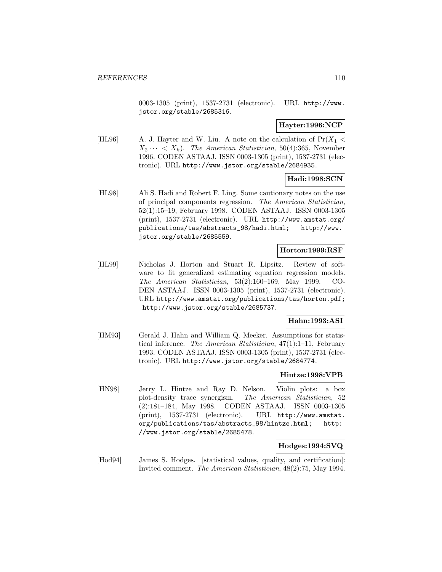0003-1305 (print), 1537-2731 (electronic). URL http://www. jstor.org/stable/2685316.

## **Hayter:1996:NCP**

[HL96] A. J. Hayter and W. Liu. A note on the calculation of  $Pr(X_1 <$  $X_2 \cdots \langle X_k \rangle$ . The American Statistician, 50(4):365, November 1996. CODEN ASTAAJ. ISSN 0003-1305 (print), 1537-2731 (electronic). URL http://www.jstor.org/stable/2684935.

#### **Hadi:1998:SCN**

[HL98] Ali S. Hadi and Robert F. Ling. Some cautionary notes on the use of principal components regression. The American Statistician, 52(1):15–19, February 1998. CODEN ASTAAJ. ISSN 0003-1305 (print), 1537-2731 (electronic). URL http://www.amstat.org/ publications/tas/abstracts\_98/hadi.html; http://www. jstor.org/stable/2685559.

## **Horton:1999:RSF**

[HL99] Nicholas J. Horton and Stuart R. Lipsitz. Review of software to fit generalized estimating equation regression models. The American Statistician, 53(2):160–169, May 1999. CO-DEN ASTAAJ. ISSN 0003-1305 (print), 1537-2731 (electronic). URL http://www.amstat.org/publications/tas/horton.pdf; http://www.jstor.org/stable/2685737.

## **Hahn:1993:ASI**

[HM93] Gerald J. Hahn and William Q. Meeker. Assumptions for statistical inference. The American Statistician, 47(1):1–11, February 1993. CODEN ASTAAJ. ISSN 0003-1305 (print), 1537-2731 (electronic). URL http://www.jstor.org/stable/2684774.

#### **Hintze:1998:VPB**

[HN98] Jerry L. Hintze and Ray D. Nelson. Violin plots: a box plot-density trace synergism. The American Statistician, 52 (2):181–184, May 1998. CODEN ASTAAJ. ISSN 0003-1305 (print), 1537-2731 (electronic). URL http://www.amstat. org/publications/tas/abstracts\_98/hintze.html; http: //www.jstor.org/stable/2685478.

## **Hodges:1994:SVQ**

[Hod94] James S. Hodges. [statistical values, quality, and certification]: Invited comment. The American Statistician, 48(2):75, May 1994.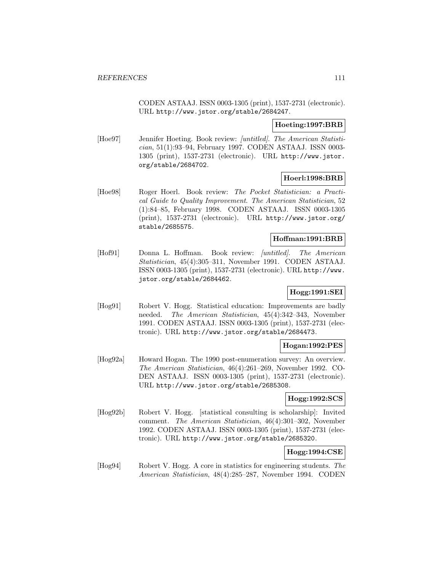CODEN ASTAAJ. ISSN 0003-1305 (print), 1537-2731 (electronic). URL http://www.jstor.org/stable/2684247.

### **Hoeting:1997:BRB**

[Hoe97] Jennifer Hoeting. Book review: [untitled]. The American Statistician, 51(1):93–94, February 1997. CODEN ASTAAJ. ISSN 0003- 1305 (print), 1537-2731 (electronic). URL http://www.jstor. org/stable/2684702.

# **Hoerl:1998:BRB**

[Hoe98] Roger Hoerl. Book review: The Pocket Statistician: a Practical Guide to Quality Improvement. The American Statistician, 52 (1):84–85, February 1998. CODEN ASTAAJ. ISSN 0003-1305 (print), 1537-2731 (electronic). URL http://www.jstor.org/ stable/2685575.

# **Hoffman:1991:BRB**

[Hof91] Donna L. Hoffman. Book review: *[untitled]*. The American Statistician, 45(4):305–311, November 1991. CODEN ASTAAJ. ISSN 0003-1305 (print), 1537-2731 (electronic). URL http://www. jstor.org/stable/2684462.

## **Hogg:1991:SEI**

[Hog91] Robert V. Hogg. Statistical education: Improvements are badly needed. The American Statistician, 45(4):342–343, November 1991. CODEN ASTAAJ. ISSN 0003-1305 (print), 1537-2731 (electronic). URL http://www.jstor.org/stable/2684473.

# **Hogan:1992:PES**

[Hog92a] Howard Hogan. The 1990 post-enumeration survey: An overview. The American Statistician, 46(4):261–269, November 1992. CO-DEN ASTAAJ. ISSN 0003-1305 (print), 1537-2731 (electronic). URL http://www.jstor.org/stable/2685308.

## **Hogg:1992:SCS**

[Hog92b] Robert V. Hogg. [statistical consulting is scholarship]: Invited comment. The American Statistician, 46(4):301–302, November 1992. CODEN ASTAAJ. ISSN 0003-1305 (print), 1537-2731 (electronic). URL http://www.jstor.org/stable/2685320.

# **Hogg:1994:CSE**

[Hog94] Robert V. Hogg. A core in statistics for engineering students. The American Statistician, 48(4):285–287, November 1994. CODEN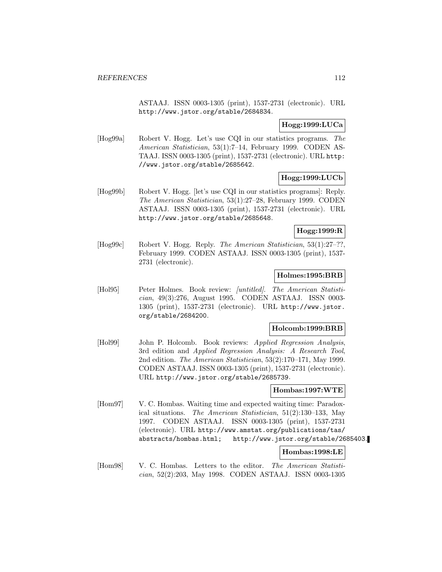ASTAAJ. ISSN 0003-1305 (print), 1537-2731 (electronic). URL http://www.jstor.org/stable/2684834.

## **Hogg:1999:LUCa**

[Hog99a] Robert V. Hogg. Let's use CQI in our statistics programs. The American Statistician, 53(1):7–14, February 1999. CODEN AS-TAAJ. ISSN 0003-1305 (print), 1537-2731 (electronic). URL http: //www.jstor.org/stable/2685642.

# **Hogg:1999:LUCb**

[Hog99b] Robert V. Hogg. [let's use CQI in our statistics programs]: Reply. The American Statistician, 53(1):27–28, February 1999. CODEN ASTAAJ. ISSN 0003-1305 (print), 1537-2731 (electronic). URL http://www.jstor.org/stable/2685648.

## **Hogg:1999:R**

[Hog99c] Robert V. Hogg. Reply. The American Statistician, 53(1):27–??, February 1999. CODEN ASTAAJ. ISSN 0003-1305 (print), 1537- 2731 (electronic).

### **Holmes:1995:BRB**

[Hol95] Peter Holmes. Book review: [untitled]. The American Statistician, 49(3):276, August 1995. CODEN ASTAAJ. ISSN 0003- 1305 (print), 1537-2731 (electronic). URL http://www.jstor. org/stable/2684200.

### **Holcomb:1999:BRB**

[Hol99] John P. Holcomb. Book reviews: Applied Regression Analysis, 3rd edition and Applied Regression Analysis: A Research Tool, 2nd edition. The American Statistician, 53(2):170–171, May 1999. CODEN ASTAAJ. ISSN 0003-1305 (print), 1537-2731 (electronic). URL http://www.jstor.org/stable/2685739.

### **Hombas:1997:WTE**

[Hom97] V. C. Hombas. Waiting time and expected waiting time: Paradoxical situations. The American Statistician, 51(2):130–133, May 1997. CODEN ASTAAJ. ISSN 0003-1305 (print), 1537-2731 (electronic). URL http://www.amstat.org/publications/tas/ abstracts/hombas.html; http://www.jstor.org/stable/2685403.

## **Hombas:1998:LE**

[Hom98] V. C. Hombas. Letters to the editor. The American Statistician, 52(2):203, May 1998. CODEN ASTAAJ. ISSN 0003-1305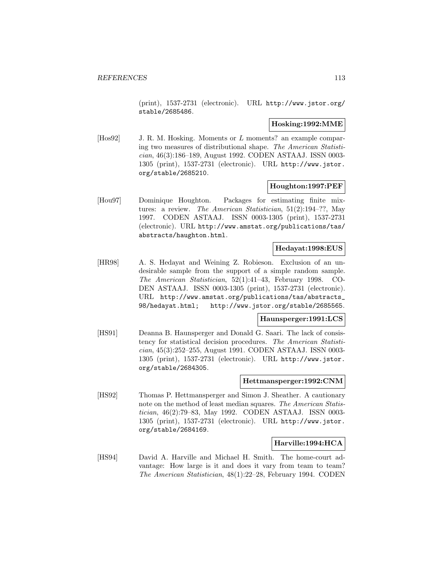(print), 1537-2731 (electronic). URL http://www.jstor.org/ stable/2685486.

### **Hosking:1992:MME**

[Hos92] J. R. M. Hosking. Moments or L moments? an example comparing two measures of distributional shape. The American Statistician, 46(3):186–189, August 1992. CODEN ASTAAJ. ISSN 0003- 1305 (print), 1537-2731 (electronic). URL http://www.jstor. org/stable/2685210.

#### **Houghton:1997:PEF**

[Hou97] Dominique Houghton. Packages for estimating finite mixtures: a review. The American Statistician, 51(2):194–??, May 1997. CODEN ASTAAJ. ISSN 0003-1305 (print), 1537-2731 (electronic). URL http://www.amstat.org/publications/tas/ abstracts/haughton.html.

### **Hedayat:1998:EUS**

[HR98] A. S. Hedayat and Weining Z. Robieson. Exclusion of an undesirable sample from the support of a simple random sample. The American Statistician, 52(1):41–43, February 1998. CO-DEN ASTAAJ. ISSN 0003-1305 (print), 1537-2731 (electronic). URL http://www.amstat.org/publications/tas/abstracts\_ 98/hedayat.html; http://www.jstor.org/stable/2685565.

#### **Haunsperger:1991:LCS**

[HS91] Deanna B. Haunsperger and Donald G. Saari. The lack of consistency for statistical decision procedures. The American Statistician, 45(3):252–255, August 1991. CODEN ASTAAJ. ISSN 0003- 1305 (print), 1537-2731 (electronic). URL http://www.jstor. org/stable/2684305.

### **Hettmansperger:1992:CNM**

[HS92] Thomas P. Hettmansperger and Simon J. Sheather. A cautionary note on the method of least median squares. The American Statistician, 46(2):79–83, May 1992. CODEN ASTAAJ. ISSN 0003- 1305 (print), 1537-2731 (electronic). URL http://www.jstor. org/stable/2684169.

## **Harville:1994:HCA**

[HS94] David A. Harville and Michael H. Smith. The home-court advantage: How large is it and does it vary from team to team? The American Statistician, 48(1):22–28, February 1994. CODEN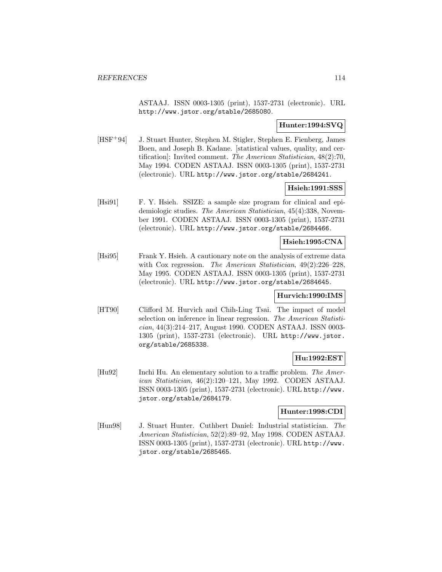ASTAAJ. ISSN 0003-1305 (print), 1537-2731 (electronic). URL http://www.jstor.org/stable/2685080.

### **Hunter:1994:SVQ**

[HSF<sup>+</sup>94] J. Stuart Hunter, Stephen M. Stigler, Stephen E. Fienberg, James Boen, and Joseph B. Kadane. [statistical values, quality, and certification]: Invited comment. The American Statistician, 48(2):70, May 1994. CODEN ASTAAJ. ISSN 0003-1305 (print), 1537-2731 (electronic). URL http://www.jstor.org/stable/2684241.

## **Hsieh:1991:SSS**

[Hsi91] F. Y. Hsieh. SSIZE: a sample size program for clinical and epidemiologic studies. The American Statistician, 45(4):338, November 1991. CODEN ASTAAJ. ISSN 0003-1305 (print), 1537-2731 (electronic). URL http://www.jstor.org/stable/2684466.

### **Hsieh:1995:CNA**

[Hsi95] Frank Y. Hsieh. A cautionary note on the analysis of extreme data with Cox regression. The American Statistician,  $49(2):226-228$ , May 1995. CODEN ASTAAJ. ISSN 0003-1305 (print), 1537-2731 (electronic). URL http://www.jstor.org/stable/2684645.

### **Hurvich:1990:IMS**

[HT90] Clifford M. Hurvich and Chih-Ling Tsai. The impact of model selection on inference in linear regression. The American Statistician, 44(3):214–217, August 1990. CODEN ASTAAJ. ISSN 0003- 1305 (print), 1537-2731 (electronic). URL http://www.jstor. org/stable/2685338.

### **Hu:1992:EST**

[Hu92] Inchi Hu. An elementary solution to a traffic problem. The American Statistician, 46(2):120–121, May 1992. CODEN ASTAAJ. ISSN 0003-1305 (print), 1537-2731 (electronic). URL http://www. jstor.org/stable/2684179.

### **Hunter:1998:CDI**

[Hun98] J. Stuart Hunter. Cuthbert Daniel: Industrial statistician. The American Statistician, 52(2):89–92, May 1998. CODEN ASTAAJ. ISSN 0003-1305 (print), 1537-2731 (electronic). URL http://www. jstor.org/stable/2685465.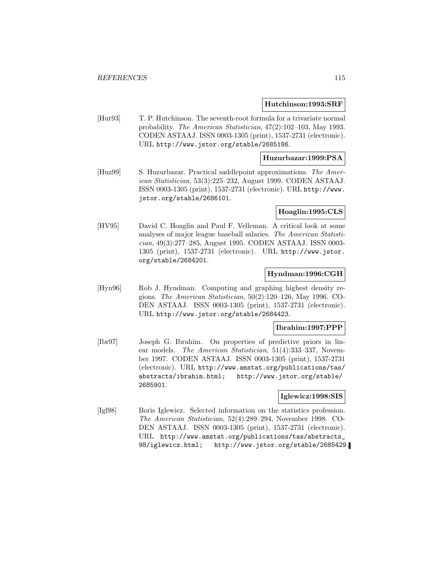#### **Hutchinson:1993:SRF**

[Hut93] T. P. Hutchinson. The seventh-root formula for a trivariate normal probability. The American Statistician, 47(2):102–103, May 1993. CODEN ASTAAJ. ISSN 0003-1305 (print), 1537-2731 (electronic). URL http://www.jstor.org/stable/2685186.

### **Huzurbazar:1999:PSA**

[Huz99] S. Huzurbazar. Practical saddlepoint approximations. The American Statistician, 53(3):225–232, August 1999. CODEN ASTAAJ. ISSN 0003-1305 (print), 1537-2731 (electronic). URL http://www. jstor.org/stable/2686101.

#### **Hoaglin:1995:CLS**

[HV95] David C. Hoaglin and Paul F. Velleman. A critical look at some analyses of major league baseball salaries. The American Statistician, 49(3):277–285, August 1995. CODEN ASTAAJ. ISSN 0003- 1305 (print), 1537-2731 (electronic). URL http://www.jstor. org/stable/2684201.

### **Hyndman:1996:CGH**

[Hyn96] Rob J. Hyndman. Computing and graphing highest density regions. The American Statistician, 50(2):120–126, May 1996. CO-DEN ASTAAJ. ISSN 0003-1305 (print), 1537-2731 (electronic). URL http://www.jstor.org/stable/2684423.

### **Ibrahim:1997:PPP**

[Ibr97] Joseph G. Ibrahim. On properties of predictive priors in linear models. The American Statistician, 51(4):333–337, November 1997. CODEN ASTAAJ. ISSN 0003-1305 (print), 1537-2731 (electronic). URL http://www.amstat.org/publications/tas/ abstracts/ibrahim.html; http://www.jstor.org/stable/ 2685901.

### **Iglewicz:1998:SIS**

[Igl98] Boris Iglewicz. Selected information on the statistics profession. The American Statistician, 52(4):289–294, November 1998. CO-DEN ASTAAJ. ISSN 0003-1305 (print), 1537-2731 (electronic). URL http://www.amstat.org/publications/tas/abstracts\_ 98/iglewicz.html; http://www.jstor.org/stable/2685429.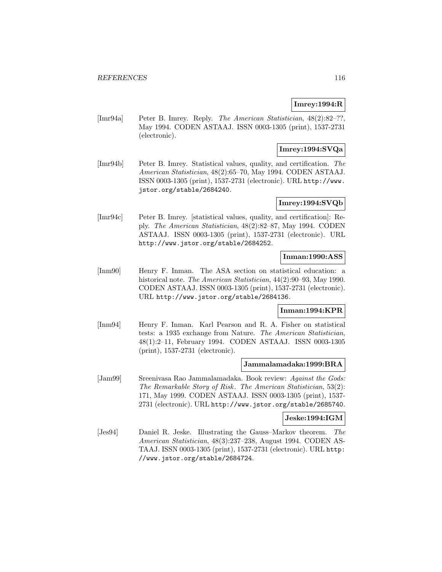# **Imrey:1994:R**

[Imr94a] Peter B. Imrey. Reply. The American Statistician, 48(2):82–??, May 1994. CODEN ASTAAJ. ISSN 0003-1305 (print), 1537-2731 (electronic).

## **Imrey:1994:SVQa**

[Imr94b] Peter B. Imrey. Statistical values, quality, and certification. The American Statistician, 48(2):65–70, May 1994. CODEN ASTAAJ. ISSN 0003-1305 (print), 1537-2731 (electronic). URL http://www. jstor.org/stable/2684240.

## **Imrey:1994:SVQb**

[Imr94c] Peter B. Imrey. [statistical values, quality, and certification]: Reply. The American Statistician, 48(2):82–87, May 1994. CODEN ASTAAJ. ISSN 0003-1305 (print), 1537-2731 (electronic). URL http://www.jstor.org/stable/2684252.

## **Inman:1990:ASS**

[Inm90] Henry F. Inman. The ASA section on statistical education: a historical note. The American Statistician,  $44(2):90-93$ , May 1990. CODEN ASTAAJ. ISSN 0003-1305 (print), 1537-2731 (electronic). URL http://www.jstor.org/stable/2684136.

## **Inman:1994:KPR**

[Inm94] Henry F. Inman. Karl Pearson and R. A. Fisher on statistical tests: a 1935 exchange from Nature. The American Statistician, 48(1):2–11, February 1994. CODEN ASTAAJ. ISSN 0003-1305 (print), 1537-2731 (electronic).

### **Jammalamadaka:1999:BRA**

[Jam99] Sreenivasa Rao Jammalamadaka. Book review: Against the Gods: The Remarkable Story of Risk. The American Statistician, 53(2): 171, May 1999. CODEN ASTAAJ. ISSN 0003-1305 (print), 1537- 2731 (electronic). URL http://www.jstor.org/stable/2685740.

## **Jeske:1994:IGM**

[Jes94] Daniel R. Jeske. Illustrating the Gauss–Markov theorem. The American Statistician, 48(3):237–238, August 1994. CODEN AS-TAAJ. ISSN 0003-1305 (print), 1537-2731 (electronic). URL http: //www.jstor.org/stable/2684724.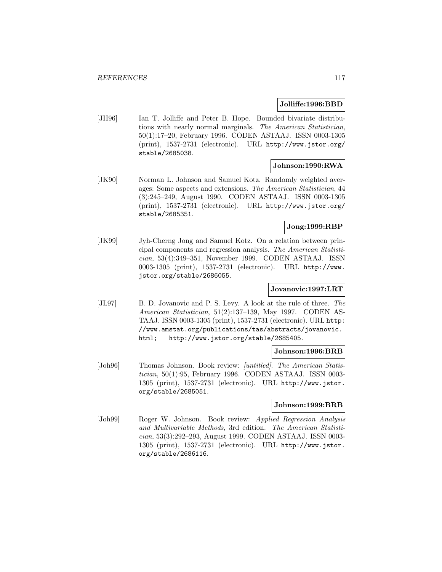#### **Jolliffe:1996:BBD**

[JH96] Ian T. Jolliffe and Peter B. Hope. Bounded bivariate distributions with nearly normal marginals. The American Statistician, 50(1):17–20, February 1996. CODEN ASTAAJ. ISSN 0003-1305 (print), 1537-2731 (electronic). URL http://www.jstor.org/ stable/2685038.

#### **Johnson:1990:RWA**

[JK90] Norman L. Johnson and Samuel Kotz. Randomly weighted averages: Some aspects and extensions. The American Statistician, 44 (3):245–249, August 1990. CODEN ASTAAJ. ISSN 0003-1305 (print), 1537-2731 (electronic). URL http://www.jstor.org/ stable/2685351.

## **Jong:1999:RBP**

[JK99] Jyh-Cherng Jong and Samuel Kotz. On a relation between principal components and regression analysis. The American Statistician, 53(4):349–351, November 1999. CODEN ASTAAJ. ISSN 0003-1305 (print), 1537-2731 (electronic). URL http://www. jstor.org/stable/2686055.

## **Jovanovic:1997:LRT**

[JL97] B. D. Jovanovic and P. S. Levy. A look at the rule of three. The American Statistician, 51(2):137–139, May 1997. CODEN AS-TAAJ. ISSN 0003-1305 (print), 1537-2731 (electronic). URL http: //www.amstat.org/publications/tas/abstracts/jovanovic. html; http://www.jstor.org/stable/2685405.

#### **Johnson:1996:BRB**

[Joh96] Thomas Johnson. Book review: *[untitled]. The American Statis*tician, 50(1):95, February 1996. CODEN ASTAAJ. ISSN 0003- 1305 (print), 1537-2731 (electronic). URL http://www.jstor. org/stable/2685051.

### **Johnson:1999:BRB**

[Joh99] Roger W. Johnson. Book review: Applied Regression Analysis and Multivariable Methods, 3rd edition. The American Statistician, 53(3):292–293, August 1999. CODEN ASTAAJ. ISSN 0003- 1305 (print), 1537-2731 (electronic). URL http://www.jstor. org/stable/2686116.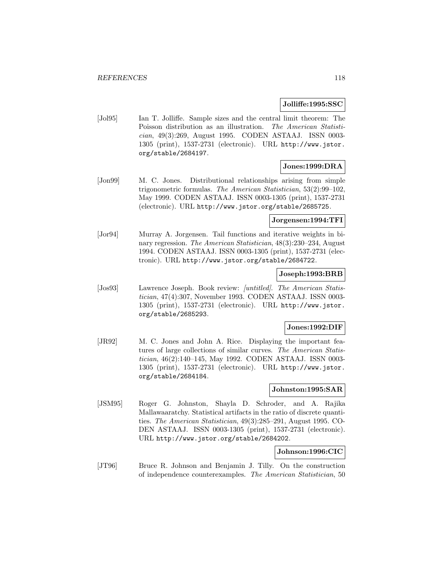#### **Jolliffe:1995:SSC**

[Jol95] Ian T. Jolliffe. Sample sizes and the central limit theorem: The Poisson distribution as an illustration. The American Statistician, 49(3):269, August 1995. CODEN ASTAAJ. ISSN 0003- 1305 (print), 1537-2731 (electronic). URL http://www.jstor. org/stable/2684197.

# **Jones:1999:DRA**

[Jon99] M. C. Jones. Distributional relationships arising from simple trigonometric formulas. The American Statistician, 53(2):99–102, May 1999. CODEN ASTAAJ. ISSN 0003-1305 (print), 1537-2731 (electronic). URL http://www.jstor.org/stable/2685725.

### **Jorgensen:1994:TFI**

[Jor94] Murray A. Jorgensen. Tail functions and iterative weights in binary regression. The American Statistician, 48(3):230–234, August 1994. CODEN ASTAAJ. ISSN 0003-1305 (print), 1537-2731 (electronic). URL http://www.jstor.org/stable/2684722.

### **Joseph:1993:BRB**

[Jos93] Lawrence Joseph. Book review: [untitled]. The American Statistician, 47(4):307, November 1993. CODEN ASTAAJ. ISSN 0003- 1305 (print), 1537-2731 (electronic). URL http://www.jstor. org/stable/2685293.

#### **Jones:1992:DIF**

[JR92] M. C. Jones and John A. Rice. Displaying the important features of large collections of similar curves. The American Statistician, 46(2):140–145, May 1992. CODEN ASTAAJ. ISSN 0003- 1305 (print), 1537-2731 (electronic). URL http://www.jstor. org/stable/2684184.

#### **Johnston:1995:SAR**

[JSM95] Roger G. Johnston, Shayla D. Schroder, and A. Rajika Mallawaaratchy. Statistical artifacts in the ratio of discrete quantities. The American Statistician, 49(3):285–291, August 1995. CO-DEN ASTAAJ. ISSN 0003-1305 (print), 1537-2731 (electronic). URL http://www.jstor.org/stable/2684202.

### **Johnson:1996:CIC**

[JT96] Bruce R. Johnson and Benjamin J. Tilly. On the construction of independence counterexamples. The American Statistician, 50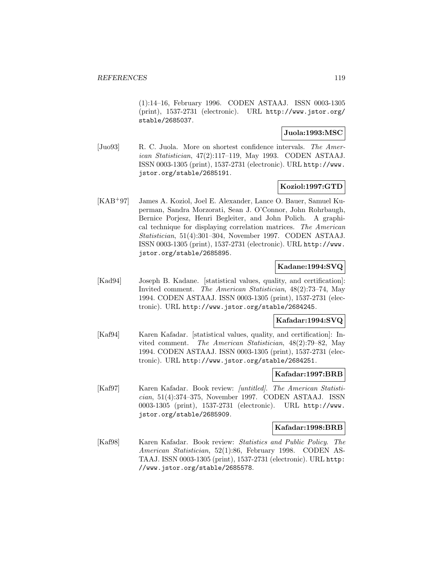(1):14–16, February 1996. CODEN ASTAAJ. ISSN 0003-1305 (print), 1537-2731 (electronic). URL http://www.jstor.org/ stable/2685037.

## **Juola:1993:MSC**

[Juo93] R. C. Juola. More on shortest confidence intervals. The American Statistician, 47(2):117–119, May 1993. CODEN ASTAAJ. ISSN 0003-1305 (print), 1537-2731 (electronic). URL http://www. jstor.org/stable/2685191.

## **Koziol:1997:GTD**

[KAB<sup>+</sup>97] James A. Koziol, Joel E. Alexander, Lance O. Bauer, Samuel Kuperman, Sandra Morzorati, Sean J. O'Connor, John Rohrbaugh, Bernice Porjesz, Henri Begleiter, and John Polich. A graphical technique for displaying correlation matrices. The American Statistician, 51(4):301–304, November 1997. CODEN ASTAAJ. ISSN 0003-1305 (print), 1537-2731 (electronic). URL http://www. jstor.org/stable/2685895.

## **Kadane:1994:SVQ**

[Kad94] Joseph B. Kadane. [statistical values, quality, and certification]: Invited comment. The American Statistician, 48(2):73–74, May 1994. CODEN ASTAAJ. ISSN 0003-1305 (print), 1537-2731 (electronic). URL http://www.jstor.org/stable/2684245.

## **Kafadar:1994:SVQ**

[Kaf94] Karen Kafadar. [statistical values, quality, and certification]: Invited comment. The American Statistician, 48(2):79–82, May 1994. CODEN ASTAAJ. ISSN 0003-1305 (print), 1537-2731 (electronic). URL http://www.jstor.org/stable/2684251.

#### **Kafadar:1997:BRB**

[Kaf97] Karen Kafadar. Book review: [untitled]. The American Statistician, 51(4):374–375, November 1997. CODEN ASTAAJ. ISSN 0003-1305 (print), 1537-2731 (electronic). URL http://www. jstor.org/stable/2685909.

#### **Kafadar:1998:BRB**

[Kaf98] Karen Kafadar. Book review: Statistics and Public Policy. The American Statistician, 52(1):86, February 1998. CODEN AS-TAAJ. ISSN 0003-1305 (print), 1537-2731 (electronic). URL http: //www.jstor.org/stable/2685578.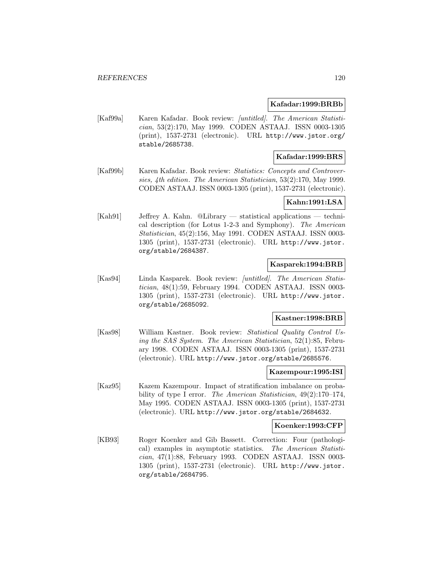#### **Kafadar:1999:BRBb**

[Kaf99a] Karen Kafadar. Book review: [untitled]. The American Statistician, 53(2):170, May 1999. CODEN ASTAAJ. ISSN 0003-1305 (print), 1537-2731 (electronic). URL http://www.jstor.org/ stable/2685738.

## **Kafadar:1999:BRS**

[Kaf99b] Karen Kafadar. Book review: Statistics: Concepts and Controversies, 4th edition. The American Statistician, 53(2):170, May 1999. CODEN ASTAAJ. ISSN 0003-1305 (print), 1537-2731 (electronic).

## **Kahn:1991:LSA**

[Kah91] Jeffrey A. Kahn. @Library — statistical applications — technical description (for Lotus 1-2-3 and Symphony). The American Statistician, 45(2):156, May 1991. CODEN ASTAAJ. ISSN 0003- 1305 (print), 1537-2731 (electronic). URL http://www.jstor. org/stable/2684387.

### **Kasparek:1994:BRB**

[Kas94] Linda Kasparek. Book review: [untitled]. The American Statistician, 48(1):59, February 1994. CODEN ASTAAJ. ISSN 0003- 1305 (print), 1537-2731 (electronic). URL http://www.jstor. org/stable/2685092.

### **Kastner:1998:BRB**

[Kas98] William Kastner. Book review: Statistical Quality Control Using the SAS System. The American Statistician, 52(1):85, February 1998. CODEN ASTAAJ. ISSN 0003-1305 (print), 1537-2731 (electronic). URL http://www.jstor.org/stable/2685576.

#### **Kazempour:1995:ISI**

[Kaz95] Kazem Kazempour. Impact of stratification imbalance on probability of type I error. The American Statistician, 49(2):170–174, May 1995. CODEN ASTAAJ. ISSN 0003-1305 (print), 1537-2731 (electronic). URL http://www.jstor.org/stable/2684632.

#### **Koenker:1993:CFP**

[KB93] Roger Koenker and Gib Bassett. Correction: Four (pathological) examples in asymptotic statistics. The American Statistician, 47(1):88, February 1993. CODEN ASTAAJ. ISSN 0003- 1305 (print), 1537-2731 (electronic). URL http://www.jstor. org/stable/2684795.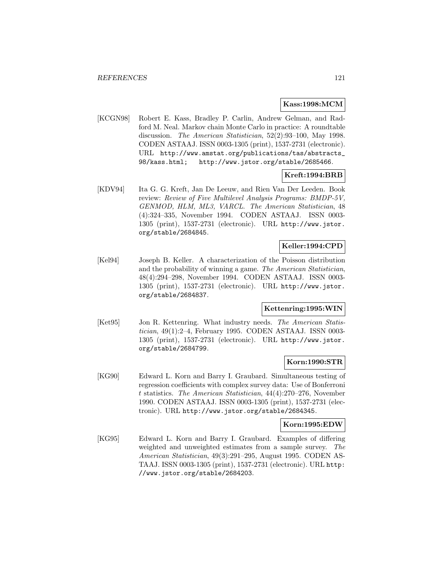### **Kass:1998:MCM**

[KCGN98] Robert E. Kass, Bradley P. Carlin, Andrew Gelman, and Radford M. Neal. Markov chain Monte Carlo in practice: A roundtable discussion. The American Statistician, 52(2):93–100, May 1998. CODEN ASTAAJ. ISSN 0003-1305 (print), 1537-2731 (electronic). URL http://www.amstat.org/publications/tas/abstracts\_ 98/kass.html; http://www.jstor.org/stable/2685466.

### **Kreft:1994:BRB**

[KDV94] Ita G. G. Kreft, Jan De Leeuw, and Rien Van Der Leeden. Book review: Review of Five Multilevel Analysis Programs: BMDP-5V, GENMOD, HLM, ML3, VARCL. The American Statistician, 48 (4):324–335, November 1994. CODEN ASTAAJ. ISSN 0003- 1305 (print), 1537-2731 (electronic). URL http://www.jstor. org/stable/2684845.

# **Keller:1994:CPD**

[Kel94] Joseph B. Keller. A characterization of the Poisson distribution and the probability of winning a game. The American Statistician, 48(4):294–298, November 1994. CODEN ASTAAJ. ISSN 0003- 1305 (print), 1537-2731 (electronic). URL http://www.jstor. org/stable/2684837.

#### **Kettenring:1995:WIN**

[Ket95] Jon R. Kettenring. What industry needs. The American Statistician, 49(1):2–4, February 1995. CODEN ASTAAJ. ISSN 0003- 1305 (print), 1537-2731 (electronic). URL http://www.jstor. org/stable/2684799.

### **Korn:1990:STR**

[KG90] Edward L. Korn and Barry I. Graubard. Simultaneous testing of regression coefficients with complex survey data: Use of Bonferroni t statistics. The American Statistician, 44(4):270–276, November 1990. CODEN ASTAAJ. ISSN 0003-1305 (print), 1537-2731 (electronic). URL http://www.jstor.org/stable/2684345.

### **Korn:1995:EDW**

[KG95] Edward L. Korn and Barry I. Graubard. Examples of differing weighted and unweighted estimates from a sample survey. The American Statistician, 49(3):291–295, August 1995. CODEN AS-TAAJ. ISSN 0003-1305 (print), 1537-2731 (electronic). URL http: //www.jstor.org/stable/2684203.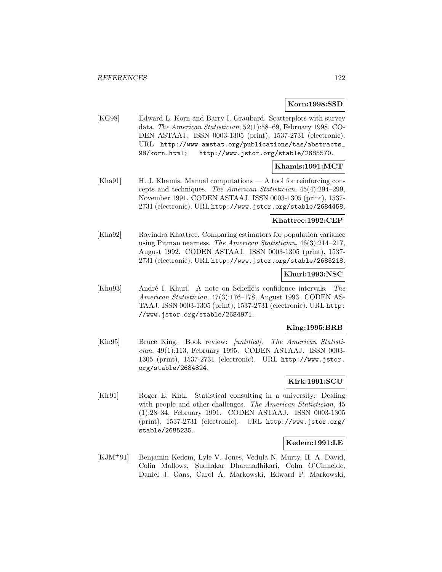## **Korn:1998:SSD**

[KG98] Edward L. Korn and Barry I. Graubard. Scatterplots with survey data. The American Statistician, 52(1):58–69, February 1998. CO-DEN ASTAAJ. ISSN 0003-1305 (print), 1537-2731 (electronic). URL http://www.amstat.org/publications/tas/abstracts\_ 98/korn.html; http://www.jstor.org/stable/2685570.

## **Khamis:1991:MCT**

[Kha91] H. J. Khamis. Manual computations — A tool for reinforcing concepts and techniques. The American Statistician, 45(4):294–299, November 1991. CODEN ASTAAJ. ISSN 0003-1305 (print), 1537- 2731 (electronic). URL http://www.jstor.org/stable/2684458.

### **Khattree:1992:CEP**

[Kha92] Ravindra Khattree. Comparing estimators for population variance using Pitman nearness. The American Statistician, 46(3):214–217, August 1992. CODEN ASTAAJ. ISSN 0003-1305 (print), 1537- 2731 (electronic). URL http://www.jstor.org/stable/2685218.

## **Khuri:1993:NSC**

[Khu93] André I. Khuri. A note on Scheffé's confidence intervals. The American Statistician, 47(3):176–178, August 1993. CODEN AS-TAAJ. ISSN 0003-1305 (print), 1537-2731 (electronic). URL http: //www.jstor.org/stable/2684971.

### **King:1995:BRB**

[Kin95] Bruce King. Book review: *[untitled]. The American Statisti*cian, 49(1):113, February 1995. CODEN ASTAAJ. ISSN 0003- 1305 (print), 1537-2731 (electronic). URL http://www.jstor. org/stable/2684824.

# **Kirk:1991:SCU**

[Kir91] Roger E. Kirk. Statistical consulting in a university: Dealing with people and other challenges. The American Statistician, 45 (1):28–34, February 1991. CODEN ASTAAJ. ISSN 0003-1305 (print), 1537-2731 (electronic). URL http://www.jstor.org/ stable/2685235.

### **Kedem:1991:LE**

[KJM<sup>+</sup>91] Benjamin Kedem, Lyle V. Jones, Vedula N. Murty, H. A. David, Colin Mallows, Sudhakar Dharmadhikari, Colm O'Cinneide, Daniel J. Gans, Carol A. Markowski, Edward P. Markowski,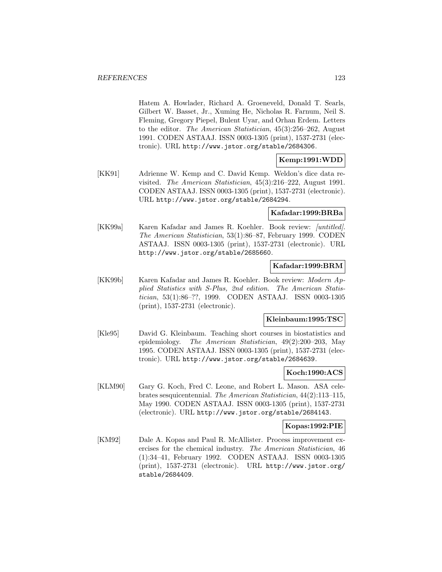Hatem A. Howlader, Richard A. Groeneveld, Donald T. Searls, Gilbert W. Basset, Jr., Xuming He, Nicholas R. Farnum, Neil S. Fleming, Gregory Piepel, Bulent Uyar, and Orhan Erdem. Letters to the editor. The American Statistician, 45(3):256–262, August 1991. CODEN ASTAAJ. ISSN 0003-1305 (print), 1537-2731 (electronic). URL http://www.jstor.org/stable/2684306.

### **Kemp:1991:WDD**

[KK91] Adrienne W. Kemp and C. David Kemp. Weldon's dice data revisited. The American Statistician, 45(3):216–222, August 1991. CODEN ASTAAJ. ISSN 0003-1305 (print), 1537-2731 (electronic). URL http://www.jstor.org/stable/2684294.

### **Kafadar:1999:BRBa**

[KK99a] Karen Kafadar and James R. Koehler. Book review: *[untitled]*. The American Statistician, 53(1):86–87, February 1999. CODEN ASTAAJ. ISSN 0003-1305 (print), 1537-2731 (electronic). URL http://www.jstor.org/stable/2685660.

### **Kafadar:1999:BRM**

[KK99b] Karen Kafadar and James R. Koehler. Book review: Modern Applied Statistics with S-Plus, 2nd edition. The American Statistician, 53(1):86–??, 1999. CODEN ASTAAJ. ISSN 0003-1305 (print), 1537-2731 (electronic).

#### **Kleinbaum:1995:TSC**

[Kle95] David G. Kleinbaum. Teaching short courses in biostatistics and epidemiology. The American Statistician, 49(2):200–203, May 1995. CODEN ASTAAJ. ISSN 0003-1305 (print), 1537-2731 (electronic). URL http://www.jstor.org/stable/2684639.

### **Koch:1990:ACS**

[KLM90] Gary G. Koch, Fred C. Leone, and Robert L. Mason. ASA celebrates sesquicentennial. The American Statistician, 44(2):113–115, May 1990. CODEN ASTAAJ. ISSN 0003-1305 (print), 1537-2731 (electronic). URL http://www.jstor.org/stable/2684143.

#### **Kopas:1992:PIE**

[KM92] Dale A. Kopas and Paul R. McAllister. Process improvement exercises for the chemical industry. The American Statistician, 46 (1):34–41, February 1992. CODEN ASTAAJ. ISSN 0003-1305 (print), 1537-2731 (electronic). URL http://www.jstor.org/ stable/2684409.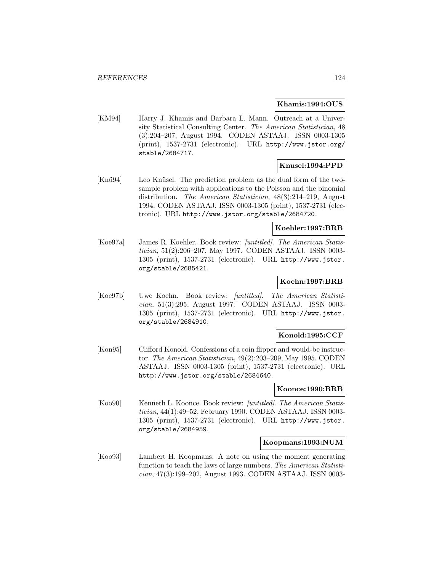#### **Khamis:1994:OUS**

[KM94] Harry J. Khamis and Barbara L. Mann. Outreach at a University Statistical Consulting Center. The American Statistician, 48 (3):204–207, August 1994. CODEN ASTAAJ. ISSN 0003-1305 (print), 1537-2731 (electronic). URL http://www.jstor.org/ stable/2684717.

### **Knusel:1994:PPD**

[Knü94] Leo Knüsel. The prediction problem as the dual form of the twosample problem with applications to the Poisson and the binomial distribution. The American Statistician, 48(3):214–219, August 1994. CODEN ASTAAJ. ISSN 0003-1305 (print), 1537-2731 (electronic). URL http://www.jstor.org/stable/2684720.

#### **Koehler:1997:BRB**

[Koe97a] James R. Koehler. Book review: [untitled]. The American Statistician, 51(2):206–207, May 1997. CODEN ASTAAJ. ISSN 0003- 1305 (print), 1537-2731 (electronic). URL http://www.jstor. org/stable/2685421.

#### **Koehn:1997:BRB**

[Koe97b] Uwe Koehn. Book review: [untitled]. The American Statistician, 51(3):295, August 1997. CODEN ASTAAJ. ISSN 0003- 1305 (print), 1537-2731 (electronic). URL http://www.jstor. org/stable/2684910.

#### **Konold:1995:CCF**

[Kon95] Clifford Konold. Confessions of a coin flipper and would-be instructor. The American Statistician, 49(2):203–209, May 1995. CODEN ASTAAJ. ISSN 0003-1305 (print), 1537-2731 (electronic). URL http://www.jstor.org/stable/2684640.

#### **Koonce:1990:BRB**

[Koo90] Kenneth L. Koonce. Book review: *[untitled]*. The American Statistician, 44(1):49–52, February 1990. CODEN ASTAAJ. ISSN 0003- 1305 (print), 1537-2731 (electronic). URL http://www.jstor. org/stable/2684959.

### **Koopmans:1993:NUM**

[Koo93] Lambert H. Koopmans. A note on using the moment generating function to teach the laws of large numbers. The American Statistician, 47(3):199–202, August 1993. CODEN ASTAAJ. ISSN 0003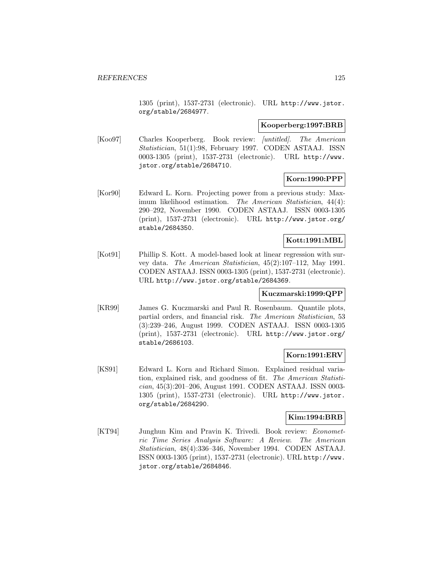1305 (print), 1537-2731 (electronic). URL http://www.jstor. org/stable/2684977.

#### **Kooperberg:1997:BRB**

[Koo97] Charles Kooperberg. Book review: *[untitled]. The American* Statistician, 51(1):98, February 1997. CODEN ASTAAJ. ISSN 0003-1305 (print), 1537-2731 (electronic). URL http://www. jstor.org/stable/2684710.

## **Korn:1990:PPP**

[Kor90] Edward L. Korn. Projecting power from a previous study: Maximum likelihood estimation. The American Statistician, 44(4): 290–292, November 1990. CODEN ASTAAJ. ISSN 0003-1305 (print), 1537-2731 (electronic). URL http://www.jstor.org/ stable/2684350.

## **Kott:1991:MBL**

[Kot91] Phillip S. Kott. A model-based look at linear regression with survey data. The American Statistician, 45(2):107–112, May 1991. CODEN ASTAAJ. ISSN 0003-1305 (print), 1537-2731 (electronic). URL http://www.jstor.org/stable/2684369.

### **Kuczmarski:1999:QPP**

[KR99] James G. Kuczmarski and Paul R. Rosenbaum. Quantile plots, partial orders, and financial risk. The American Statistician, 53 (3):239–246, August 1999. CODEN ASTAAJ. ISSN 0003-1305 (print), 1537-2731 (electronic). URL http://www.jstor.org/ stable/2686103.

### **Korn:1991:ERV**

[KS91] Edward L. Korn and Richard Simon. Explained residual variation, explained risk, and goodness of fit. The American Statistician, 45(3):201–206, August 1991. CODEN ASTAAJ. ISSN 0003- 1305 (print), 1537-2731 (electronic). URL http://www.jstor. org/stable/2684290.

### **Kim:1994:BRB**

[KT94] Junghun Kim and Pravin K. Trivedi. Book review: *Economet*ric Time Series Analysis Software: A Review. The American Statistician, 48(4):336–346, November 1994. CODEN ASTAAJ. ISSN 0003-1305 (print), 1537-2731 (electronic). URL http://www. jstor.org/stable/2684846.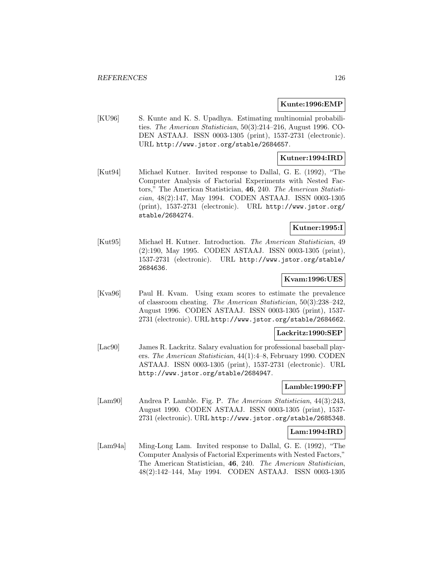#### **Kunte:1996:EMP**

[KU96] S. Kunte and K. S. Upadhya. Estimating multinomial probabilities. The American Statistician, 50(3):214–216, August 1996. CO-DEN ASTAAJ. ISSN 0003-1305 (print), 1537-2731 (electronic). URL http://www.jstor.org/stable/2684657.

### **Kutner:1994:IRD**

[Kut94] Michael Kutner. Invited response to Dallal, G. E. (1992), "The Computer Analysis of Factorial Experiments with Nested Factors," The American Statistician, **46**, 240. The American Statistician, 48(2):147, May 1994. CODEN ASTAAJ. ISSN 0003-1305 (print), 1537-2731 (electronic). URL http://www.jstor.org/ stable/2684274.

#### **Kutner:1995:I**

[Kut95] Michael H. Kutner. Introduction. The American Statistician, 49 (2):190, May 1995. CODEN ASTAAJ. ISSN 0003-1305 (print), 1537-2731 (electronic). URL http://www.jstor.org/stable/ 2684636.

#### **Kvam:1996:UES**

[Kva96] Paul H. Kvam. Using exam scores to estimate the prevalence of classroom cheating. The American Statistician, 50(3):238–242, August 1996. CODEN ASTAAJ. ISSN 0003-1305 (print), 1537- 2731 (electronic). URL http://www.jstor.org/stable/2684662.

### **Lackritz:1990:SEP**

[Lac90] James R. Lackritz. Salary evaluation for professional baseball players. The American Statistician, 44(1):4–8, February 1990. CODEN ASTAAJ. ISSN 0003-1305 (print), 1537-2731 (electronic). URL http://www.jstor.org/stable/2684947.

### **Lamble:1990:FP**

[Lam90] Andrea P. Lamble. Fig. P. The American Statistician, 44(3):243, August 1990. CODEN ASTAAJ. ISSN 0003-1305 (print), 1537- 2731 (electronic). URL http://www.jstor.org/stable/2685348.

### **Lam:1994:IRD**

[Lam94a] Ming-Long Lam. Invited response to Dallal, G. E. (1992), "The Computer Analysis of Factorial Experiments with Nested Factors," The American Statistician, **46**, 240. The American Statistician, 48(2):142–144, May 1994. CODEN ASTAAJ. ISSN 0003-1305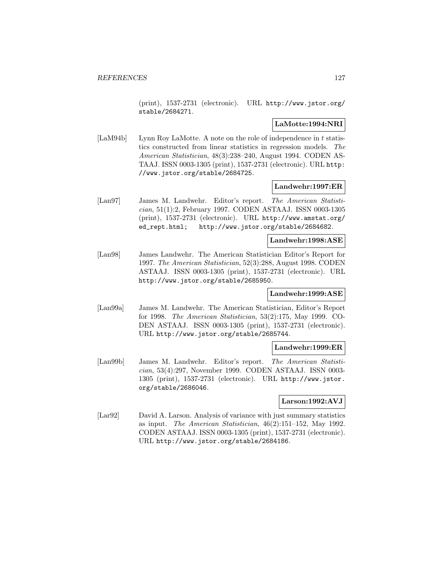(print), 1537-2731 (electronic). URL http://www.jstor.org/ stable/2684271.

### **LaMotte:1994:NRI**

[LaM94b] Lynn Roy LaMotte. A note on the role of independence in t statistics constructed from linear statistics in regression models. The American Statistician, 48(3):238–240, August 1994. CODEN AS-TAAJ. ISSN 0003-1305 (print), 1537-2731 (electronic). URL http: //www.jstor.org/stable/2684725.

### **Landwehr:1997:ER**

[Lan97] James M. Landwehr. Editor's report. The American Statistician, 51(1):2, February 1997. CODEN ASTAAJ. ISSN 0003-1305 (print), 1537-2731 (electronic). URL http://www.amstat.org/ ed\_rept.html; http://www.jstor.org/stable/2684682.

## **Landwehr:1998:ASE**

[Lan98] James Landwehr. The American Statistician Editor's Report for 1997. The American Statistician, 52(3):288, August 1998. CODEN ASTAAJ. ISSN 0003-1305 (print), 1537-2731 (electronic). URL http://www.jstor.org/stable/2685950.

### **Landwehr:1999:ASE**

[Lan99a] James M. Landwehr. The American Statistician, Editor's Report for 1998. The American Statistician, 53(2):175, May 1999. CO-DEN ASTAAJ. ISSN 0003-1305 (print), 1537-2731 (electronic). URL http://www.jstor.org/stable/2685744.

### **Landwehr:1999:ER**

[Lan99b] James M. Landwehr. Editor's report. The American Statistician, 53(4):297, November 1999. CODEN ASTAAJ. ISSN 0003- 1305 (print), 1537-2731 (electronic). URL http://www.jstor. org/stable/2686046.

## **Larson:1992:AVJ**

[Lar92] David A. Larson. Analysis of variance with just summary statistics as input. The American Statistician, 46(2):151–152, May 1992. CODEN ASTAAJ. ISSN 0003-1305 (print), 1537-2731 (electronic). URL http://www.jstor.org/stable/2684186.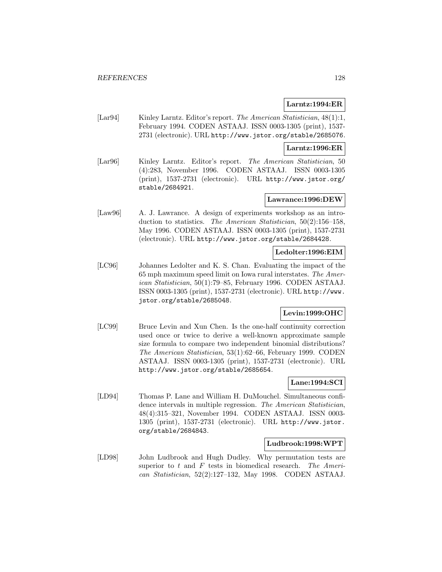### **Larntz:1994:ER**

[Lar94] Kinley Larntz. Editor's report. The American Statistician, 48(1):1, February 1994. CODEN ASTAAJ. ISSN 0003-1305 (print), 1537- 2731 (electronic). URL http://www.jstor.org/stable/2685076.

#### **Larntz:1996:ER**

[Lar96] Kinley Larntz. Editor's report. The American Statistician, 50 (4):283, November 1996. CODEN ASTAAJ. ISSN 0003-1305 (print), 1537-2731 (electronic). URL http://www.jstor.org/ stable/2684921.

#### **Lawrance:1996:DEW**

[Law96] A. J. Lawrance. A design of experiments workshop as an introduction to statistics. The American Statistician, 50(2):156–158, May 1996. CODEN ASTAAJ. ISSN 0003-1305 (print), 1537-2731 (electronic). URL http://www.jstor.org/stable/2684428.

### **Ledolter:1996:EIM**

[LC96] Johannes Ledolter and K. S. Chan. Evaluating the impact of the 65 mph maximum speed limit on Iowa rural interstates. The American Statistician, 50(1):79–85, February 1996. CODEN ASTAAJ. ISSN 0003-1305 (print), 1537-2731 (electronic). URL http://www. jstor.org/stable/2685048.

# **Levin:1999:OHC**

[LC99] Bruce Levin and Xun Chen. Is the one-half continuity correction used once or twice to derive a well-known approximate sample size formula to compare two independent binomial distributions? The American Statistician, 53(1):62–66, February 1999. CODEN ASTAAJ. ISSN 0003-1305 (print), 1537-2731 (electronic). URL http://www.jstor.org/stable/2685654.

#### **Lane:1994:SCI**

[LD94] Thomas P. Lane and William H. DuMouchel. Simultaneous confidence intervals in multiple regression. The American Statistician, 48(4):315–321, November 1994. CODEN ASTAAJ. ISSN 0003- 1305 (print), 1537-2731 (electronic). URL http://www.jstor. org/stable/2684843.

### **Ludbrook:1998:WPT**

[LD98] John Ludbrook and Hugh Dudley. Why permutation tests are superior to  $t$  and  $F$  tests in biomedical research. The American Statistician, 52(2):127–132, May 1998. CODEN ASTAAJ.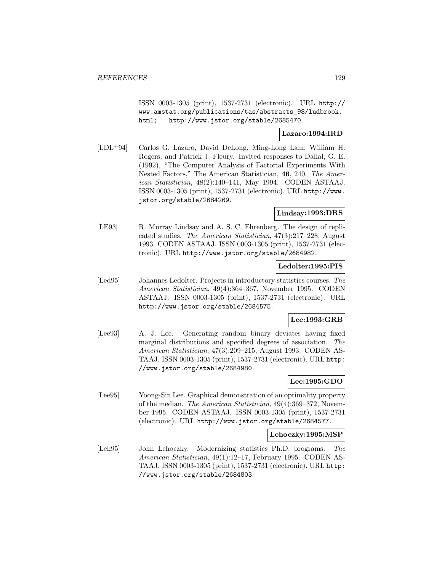ISSN 0003-1305 (print), 1537-2731 (electronic). URL http:// www.amstat.org/publications/tas/abstracts\_98/ludbrook. html; http://www.jstor.org/stable/2685470.

## **Lazaro:1994:IRD**

[LDL<sup>+</sup>94] Carlos G. Lazaro, David DeLong, Ming-Long Lam, William H. Rogers, and Patrick J. Fleury. Invited responses to Dallal, G. E. (1992), "The Computer Analysis of Factorial Experiments With Nested Factors," The American Statistician, **46**, 240. The American Statistician, 48(2):140–141, May 1994. CODEN ASTAAJ. ISSN 0003-1305 (print), 1537-2731 (electronic). URL http://www. jstor.org/stable/2684269.

#### **Lindsay:1993:DRS**

[LE93] R. Murray Lindsay and A. S. C. Ehrenberg. The design of replicated studies. The American Statistician, 47(3):217–228, August 1993. CODEN ASTAAJ. ISSN 0003-1305 (print), 1537-2731 (electronic). URL http://www.jstor.org/stable/2684982.

### **Ledolter:1995:PIS**

[Led95] Johannes Ledolter. Projects in introductory statistics courses. The American Statistician, 49(4):364–367, November 1995. CODEN ASTAAJ. ISSN 0003-1305 (print), 1537-2731 (electronic). URL http://www.jstor.org/stable/2684575.

### **Lee:1993:GRB**

[Lee93] A. J. Lee. Generating random binary deviates having fixed marginal distributions and specified degrees of association. The American Statistician, 47(3):209–215, August 1993. CODEN AS-TAAJ. ISSN 0003-1305 (print), 1537-2731 (electronic). URL http: //www.jstor.org/stable/2684980.

## **Lee:1995:GDO**

[Lee95] Yoong-Sin Lee. Graphical demonstration of an optimality property of the median. The American Statistician, 49(4):369–372, November 1995. CODEN ASTAAJ. ISSN 0003-1305 (print), 1537-2731 (electronic). URL http://www.jstor.org/stable/2684577.

#### **Lehoczky:1995:MSP**

[Leh95] John Lehoczky. Modernizing statistics Ph.D. programs. The American Statistician, 49(1):12–17, February 1995. CODEN AS-TAAJ. ISSN 0003-1305 (print), 1537-2731 (electronic). URL http: //www.jstor.org/stable/2684803.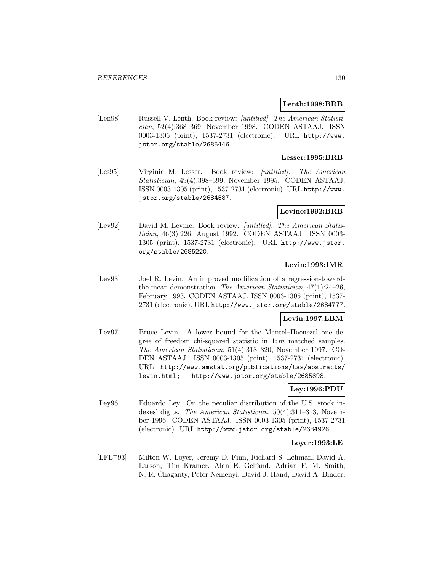### **Lenth:1998:BRB**

[Len98] Russell V. Lenth. Book review: [untitled]. The American Statistician, 52(4):368–369, November 1998. CODEN ASTAAJ. ISSN 0003-1305 (print), 1537-2731 (electronic). URL http://www. jstor.org/stable/2685446.

## **Lesser:1995:BRB**

[Les95] Virginia M. Lesser. Book review: [untitled]. The American Statistician, 49(4):398–399, November 1995. CODEN ASTAAJ. ISSN 0003-1305 (print), 1537-2731 (electronic). URL http://www. jstor.org/stable/2684587.

#### **Levine:1992:BRB**

[Lev92] David M. Levine. Book review: [untitled]. The American Statistician, 46(3):226, August 1992. CODEN ASTAAJ. ISSN 0003- 1305 (print), 1537-2731 (electronic). URL http://www.jstor. org/stable/2685220.

## **Levin:1993:IMR**

[Lev93] Joel R. Levin. An improved modification of a regression-towardthe-mean demonstration. The American Statistician, 47(1):24–26, February 1993. CODEN ASTAAJ. ISSN 0003-1305 (print), 1537- 2731 (electronic). URL http://www.jstor.org/stable/2684777.

### **Levin:1997:LBM**

[Lev97] Bruce Levin. A lower bound for the Mantel–Haenszel one degree of freedom chi-squared statistic in  $1:m$  matched samples. The American Statistician, 51(4):318–320, November 1997. CO-DEN ASTAAJ. ISSN 0003-1305 (print), 1537-2731 (electronic). URL http://www.amstat.org/publications/tas/abstracts/ levin.html; http://www.jstor.org/stable/2685898.

### **Ley:1996:PDU**

[Ley96] Eduardo Ley. On the peculiar distribution of the U.S. stock indexes' digits. The American Statistician, 50(4):311–313, November 1996. CODEN ASTAAJ. ISSN 0003-1305 (print), 1537-2731 (electronic). URL http://www.jstor.org/stable/2684926.

## **Loyer:1993:LE**

[LFL<sup>+</sup>93] Milton W. Loyer, Jeremy D. Finn, Richard S. Lehman, David A. Larson, Tim Kramer, Alan E. Gelfand, Adrian F. M. Smith, N. R. Chaganty, Peter Nemenyi, David J. Hand, David A. Binder,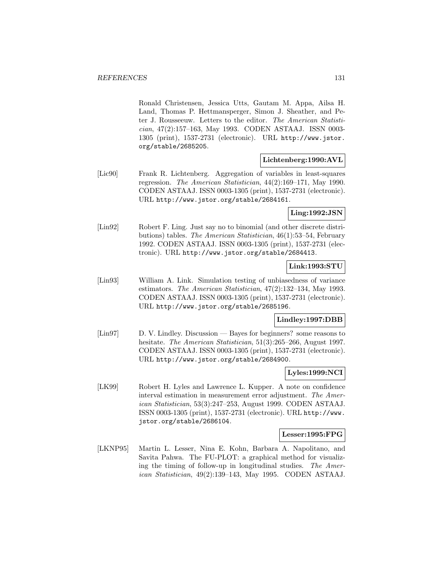Ronald Christensen, Jessica Utts, Gautam M. Appa, Ailsa H. Land, Thomas P. Hettmansperger, Simon J. Sheather, and Peter J. Rousseeuw. Letters to the editor. The American Statistician, 47(2):157–163, May 1993. CODEN ASTAAJ. ISSN 0003- 1305 (print), 1537-2731 (electronic). URL http://www.jstor. org/stable/2685205.

### **Lichtenberg:1990:AVL**

[Lic90] Frank R. Lichtenberg. Aggregation of variables in least-squares regression. The American Statistician, 44(2):169–171, May 1990. CODEN ASTAAJ. ISSN 0003-1305 (print), 1537-2731 (electronic). URL http://www.jstor.org/stable/2684161.

**Ling:1992:JSN**

[Lin92] Robert F. Ling. Just say no to binomial (and other discrete distributions) tables. The American Statistician, 46(1):53–54, February 1992. CODEN ASTAAJ. ISSN 0003-1305 (print), 1537-2731 (electronic). URL http://www.jstor.org/stable/2684413.

### **Link:1993:STU**

[Lin93] William A. Link. Simulation testing of unbiasedness of variance estimators. The American Statistician, 47(2):132–134, May 1993. CODEN ASTAAJ. ISSN 0003-1305 (print), 1537-2731 (electronic). URL http://www.jstor.org/stable/2685196.

### **Lindley:1997:DBB**

[Lin97] D. V. Lindley. Discussion — Bayes for beginners? some reasons to hesitate. The American Statistician, 51(3):265-266, August 1997. CODEN ASTAAJ. ISSN 0003-1305 (print), 1537-2731 (electronic). URL http://www.jstor.org/stable/2684900.

### **Lyles:1999:NCI**

[LK99] Robert H. Lyles and Lawrence L. Kupper. A note on confidence interval estimation in measurement error adjustment. The American Statistician, 53(3):247–253, August 1999. CODEN ASTAAJ. ISSN 0003-1305 (print), 1537-2731 (electronic). URL http://www. jstor.org/stable/2686104.

### **Lesser:1995:FPG**

[LKNP95] Martin L. Lesser, Nina E. Kohn, Barbara A. Napolitano, and Savita Pahwa. The FU-PLOT: a graphical method for visualizing the timing of follow-up in longitudinal studies. The American Statistician, 49(2):139–143, May 1995. CODEN ASTAAJ.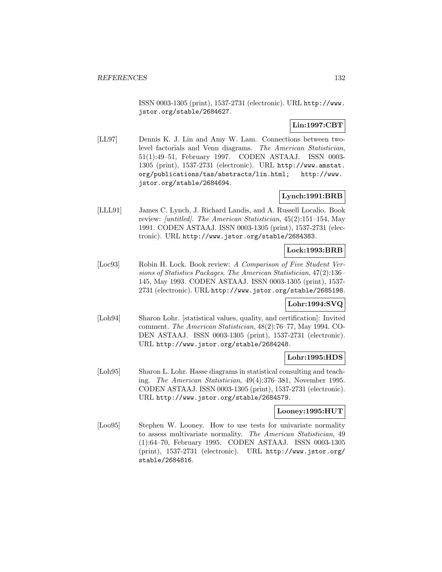ISSN 0003-1305 (print), 1537-2731 (electronic). URL http://www. jstor.org/stable/2684627.

# **Lin:1997:CBT**

[LL97] Dennis K. J. Lin and Amy W. Lam. Connections between twolevel factorials and Venn diagrams. The American Statistician, 51(1):49–51, February 1997. CODEN ASTAAJ. ISSN 0003- 1305 (print), 1537-2731 (electronic). URL http://www.amstat. org/publications/tas/abstracts/lin.html; http://www. jstor.org/stable/2684694.

# **Lynch:1991:BRB**

[LLL91] James C. Lynch, J. Richard Landis, and A. Russell Localio. Book review: [untitled]. The American Statistician, 45(2):151–154, May 1991. CODEN ASTAAJ. ISSN 0003-1305 (print), 1537-2731 (electronic). URL http://www.jstor.org/stable/2684383.

# **Lock:1993:BRB**

[Loc93] Robin H. Lock. Book review: A Comparison of Five Student Versions of Statistics Packages. The American Statistician, 47(2):136– 145, May 1993. CODEN ASTAAJ. ISSN 0003-1305 (print), 1537- 2731 (electronic). URL http://www.jstor.org/stable/2685198.

## **Lohr:1994:SVQ**

[Loh94] Sharon Lohr. [statistical values, quality, and certification]: Invited comment. The American Statistician, 48(2):76–77, May 1994. CO-DEN ASTAAJ. ISSN 0003-1305 (print), 1537-2731 (electronic). URL http://www.jstor.org/stable/2684248.

### **Lohr:1995:HDS**

[Loh95] Sharon L. Lohr. Hasse diagrams in statistical consulting and teaching. The American Statistician, 49(4):376–381, November 1995. CODEN ASTAAJ. ISSN 0003-1305 (print), 1537-2731 (electronic). URL http://www.jstor.org/stable/2684579.

### **Looney:1995:HUT**

[Loo95] Stephen W. Looney. How to use tests for univariate normality to assess multivariate normality. The American Statistician, 49 (1):64–70, February 1995. CODEN ASTAAJ. ISSN 0003-1305 (print), 1537-2731 (electronic). URL http://www.jstor.org/ stable/2684816.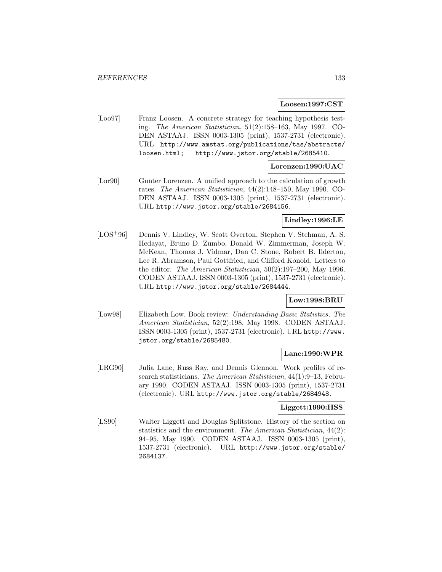#### **Loosen:1997:CST**

[Loo97] Franz Loosen. A concrete strategy for teaching hypothesis testing. The American Statistician, 51(2):158–163, May 1997. CO-DEN ASTAAJ. ISSN 0003-1305 (print), 1537-2731 (electronic). URL http://www.amstat.org/publications/tas/abstracts/ loosen.html; http://www.jstor.org/stable/2685410.

## **Lorenzen:1990:UAC**

[Lor90] Gunter Lorenzen. A unified approach to the calculation of growth rates. The American Statistician, 44(2):148–150, May 1990. CO-DEN ASTAAJ. ISSN 0003-1305 (print), 1537-2731 (electronic). URL http://www.jstor.org/stable/2684156.

## **Lindley:1996:LE**

[LOS<sup>+</sup>96] Dennis V. Lindley, W. Scott Overton, Stephen V. Stehman, A. S. Hedayat, Bruno D. Zumbo, Donald W. Zimmerman, Joseph W. McKean, Thomas J. Vidmar, Dan C. Stone, Robert B. Ilderton, Lee R. Abramson, Paul Gottfried, and Clifford Konold. Letters to the editor. The American Statistician, 50(2):197–200, May 1996. CODEN ASTAAJ. ISSN 0003-1305 (print), 1537-2731 (electronic). URL http://www.jstor.org/stable/2684444.

## **Low:1998:BRU**

[Low98] Elizabeth Low. Book review: Understanding Basic Statistics. The American Statistician, 52(2):198, May 1998. CODEN ASTAAJ. ISSN 0003-1305 (print), 1537-2731 (electronic). URL http://www. jstor.org/stable/2685480.

## **Lane:1990:WPR**

[LRG90] Julia Lane, Russ Ray, and Dennis Glennon. Work profiles of research statisticians. The American Statistician, 44(1):9-13, February 1990. CODEN ASTAAJ. ISSN 0003-1305 (print), 1537-2731 (electronic). URL http://www.jstor.org/stable/2684948.

### **Liggett:1990:HSS**

[LS90] Walter Liggett and Douglas Splitstone. History of the section on statistics and the environment. The American Statistician, 44(2): 94–95, May 1990. CODEN ASTAAJ. ISSN 0003-1305 (print), 1537-2731 (electronic). URL http://www.jstor.org/stable/ 2684137.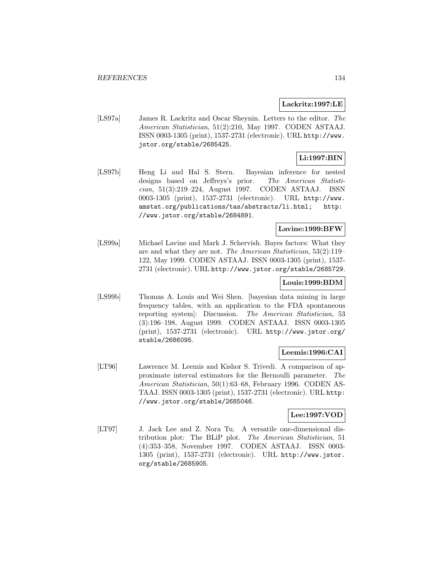### **Lackritz:1997:LE**

[LS97a] James R. Lackritz and Oscar Sheynin. Letters to the editor. The American Statistician, 51(2):210, May 1997. CODEN ASTAAJ. ISSN 0003-1305 (print), 1537-2731 (electronic). URL http://www. jstor.org/stable/2685425.

# **Li:1997:BIN**

[LS97b] Heng Li and Hal S. Stern. Bayesian inference for nested designs based on Jeffreys's prior. The American Statistician, 51(3):219–224, August 1997. CODEN ASTAAJ. ISSN 0003-1305 (print), 1537-2731 (electronic). URL http://www. amstat.org/publications/tas/abstracts/li.html; http: //www.jstor.org/stable/2684891.

## **Lavine:1999:BFW**

[LS99a] Michael Lavine and Mark J. Schervish. Bayes factors: What they are and what they are not. The American Statistician, 53(2):119– 122, May 1999. CODEN ASTAAJ. ISSN 0003-1305 (print), 1537- 2731 (electronic). URL http://www.jstor.org/stable/2685729.

# **Louis:1999:BDM**

[LS99b] Thomas A. Louis and Wei Shen. [bayesian data mining in large frequency tables, with an application to the FDA spontaneous reporting system]: Discussion. The American Statistician, 53 (3):196–198, August 1999. CODEN ASTAAJ. ISSN 0003-1305 (print), 1537-2731 (electronic). URL http://www.jstor.org/ stable/2686095.

### **Leemis:1996:CAI**

[LT96] Lawrence M. Leemis and Kishor S. Trivedi. A comparison of approximate interval estimators for the Bernoulli parameter. The American Statistician, 50(1):63–68, February 1996. CODEN AS-TAAJ. ISSN 0003-1305 (print), 1537-2731 (electronic). URL http: //www.jstor.org/stable/2685046.

## **Lee:1997:VOD**

[LT97] J. Jack Lee and Z. Nora Tu. A versatile one-dimensional distribution plot: The BLiP plot. The American Statistician, 51 (4):353–358, November 1997. CODEN ASTAAJ. ISSN 0003- 1305 (print), 1537-2731 (electronic). URL http://www.jstor. org/stable/2685905.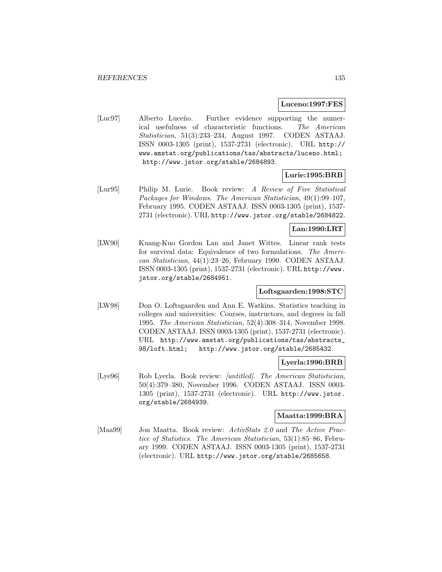#### **Luceno:1997:FES**

[Luc97] Alberto Luceño. Further evidence supporting the numerical usefulness of characteristic functions. The American Statistician, 51(3):233–234, August 1997. CODEN ASTAAJ. ISSN 0003-1305 (print), 1537-2731 (electronic). URL http:// www.amstat.org/publications/tas/abstracts/luceno.html; http://www.jstor.org/stable/2684893.

### **Lurie:1995:BRB**

[Lur95] Philip M. Lurie. Book review: A Review of Five Statistical Packages for Windows. The American Statistician, 49(1):99–107, February 1995. CODEN ASTAAJ. ISSN 0003-1305 (print), 1537- 2731 (electronic). URL http://www.jstor.org/stable/2684822.

## **Lan:1990:LRT**

[LW90] Kuang-Kuo Gordon Lan and Janet Wittes. Linear rank tests for survival data: Equivalence of two formulations. The American Statistician, 44(1):23–26, February 1990. CODEN ASTAAJ. ISSN 0003-1305 (print), 1537-2731 (electronic). URL http://www. jstor.org/stable/2684951.

## **Loftsgaarden:1998:STC**

[LW98] Don O. Loftsgaarden and Ann E. Watkins. Statistics teaching in colleges and universities: Courses, instructors, and degrees in fall 1995. The American Statistician, 52(4):308–314, November 1998. CODEN ASTAAJ. ISSN 0003-1305 (print), 1537-2731 (electronic). URL http://www.amstat.org/publications/tas/abstracts\_ 98/loft.html; http://www.jstor.org/stable/2685432.

### **Lyerla:1996:BRB**

[Lye96] Rob Lyerla. Book review: *[untitled]. The American Statistician*, 50(4):379–380, November 1996. CODEN ASTAAJ. ISSN 0003- 1305 (print), 1537-2731 (electronic). URL http://www.jstor. org/stable/2684939.

### **Maatta:1999:BRA**

[Maa99] Jon Maatta. Book review: ActivStats 2.0 and The Active Practice of Statistics. The American Statistician, 53(1):85–86, February 1999. CODEN ASTAAJ. ISSN 0003-1305 (print), 1537-2731 (electronic). URL http://www.jstor.org/stable/2685658.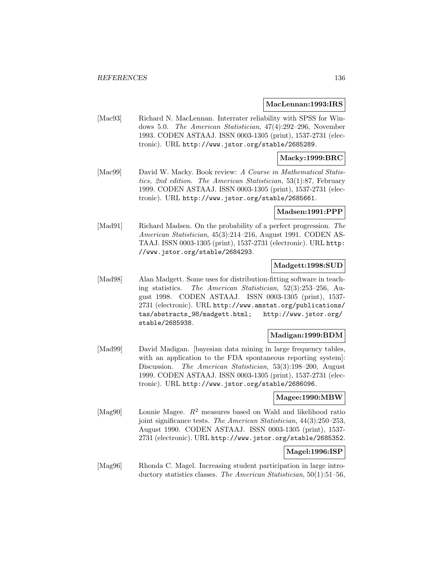#### **MacLennan:1993:IRS**

[Mac93] Richard N. MacLennan. Interrater reliability with SPSS for Windows 5.0. The American Statistician, 47(4):292–296, November 1993. CODEN ASTAAJ. ISSN 0003-1305 (print), 1537-2731 (electronic). URL http://www.jstor.org/stable/2685289.

### **Macky:1999:BRC**

[Mac99] David W. Macky. Book review: A Course in Mathematical Statistics, 2nd edition. The American Statistician, 53(1):87, February 1999. CODEN ASTAAJ. ISSN 0003-1305 (print), 1537-2731 (electronic). URL http://www.jstor.org/stable/2685661.

### **Madsen:1991:PPP**

[Mad91] Richard Madsen. On the probability of a perfect progression. The American Statistician, 45(3):214–216, August 1991. CODEN AS-TAAJ. ISSN 0003-1305 (print), 1537-2731 (electronic). URL http: //www.jstor.org/stable/2684293.

## **Madgett:1998:SUD**

[Mad98] Alan Madgett. Some uses for distribution-fitting software in teaching statistics. The American Statistician, 52(3):253–256, August 1998. CODEN ASTAAJ. ISSN 0003-1305 (print), 1537- 2731 (electronic). URL http://www.amstat.org/publications/ tas/abstracts\_98/madgett.html; http://www.jstor.org/ stable/2685938.

### **Madigan:1999:BDM**

[Mad99] David Madigan. [bayesian data mining in large frequency tables, with an application to the FDA spontaneous reporting system. Discussion. The American Statistician, 53(3):198-200, August 1999. CODEN ASTAAJ. ISSN 0003-1305 (print), 1537-2731 (electronic). URL http://www.jstor.org/stable/2686096.

#### **Magee:1990:MBW**

[Mag90] Lonnie Magee.  $R^2$  measures based on Wald and likelihood ratio joint significance tests. The American Statistician, 44(3):250–253, August 1990. CODEN ASTAAJ. ISSN 0003-1305 (print), 1537- 2731 (electronic). URL http://www.jstor.org/stable/2685352.

### **Magel:1996:ISP**

[Mag96] Rhonda C. Magel. Increasing student participation in large introductory statistics classes. The American Statistician, 50(1):51–56,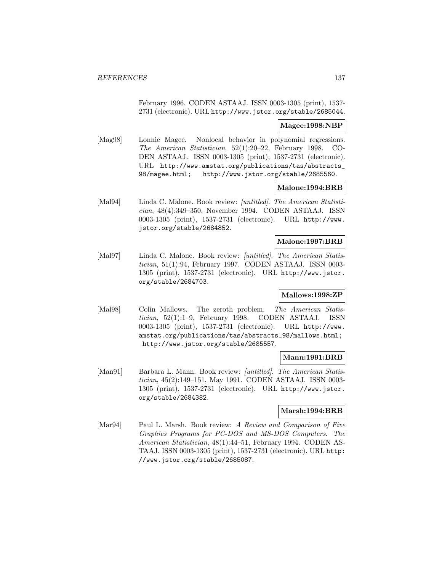February 1996. CODEN ASTAAJ. ISSN 0003-1305 (print), 1537- 2731 (electronic). URL http://www.jstor.org/stable/2685044.

#### **Magee:1998:NBP**

[Mag98] Lonnie Magee. Nonlocal behavior in polynomial regressions. The American Statistician, 52(1):20–22, February 1998. CO-DEN ASTAAJ. ISSN 0003-1305 (print), 1537-2731 (electronic). URL http://www.amstat.org/publications/tas/abstracts\_ 98/magee.html; http://www.jstor.org/stable/2685560.

### **Malone:1994:BRB**

[Mal94] Linda C. Malone. Book review: *[untitled]. The American Statisti*cian, 48(4):349–350, November 1994. CODEN ASTAAJ. ISSN 0003-1305 (print), 1537-2731 (electronic). URL http://www. jstor.org/stable/2684852.

#### **Malone:1997:BRB**

[Mal97] Linda C. Malone. Book review: *[untitled]. The American Statis*tician, 51(1):94, February 1997. CODEN ASTAAJ. ISSN 0003- 1305 (print), 1537-2731 (electronic). URL http://www.jstor. org/stable/2684703.

### **Mallows:1998:ZP**

[Mal98] Colin Mallows. The zeroth problem. The American Statistician, 52(1):1–9, February 1998. CODEN ASTAAJ. ISSN 0003-1305 (print), 1537-2731 (electronic). URL http://www. amstat.org/publications/tas/abstracts\_98/mallows.html; http://www.jstor.org/stable/2685557.

## **Mann:1991:BRB**

[Man91] Barbara L. Mann. Book review: *[untitled]. The American Statis*tician, 45(2):149–151, May 1991. CODEN ASTAAJ. ISSN 0003- 1305 (print), 1537-2731 (electronic). URL http://www.jstor. org/stable/2684382.

### **Marsh:1994:BRB**

[Mar94] Paul L. Marsh. Book review: A Review and Comparison of Five Graphics Programs for PC-DOS and MS-DOS Computers. The American Statistician, 48(1):44–51, February 1994. CODEN AS-TAAJ. ISSN 0003-1305 (print), 1537-2731 (electronic). URL http: //www.jstor.org/stable/2685087.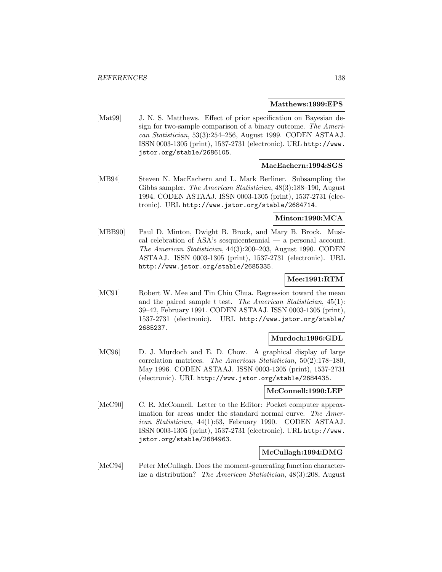#### **Matthews:1999:EPS**

[Mat99] J. N. S. Matthews. Effect of prior specification on Bayesian design for two-sample comparison of a binary outcome. The American Statistician, 53(3):254–256, August 1999. CODEN ASTAAJ. ISSN 0003-1305 (print), 1537-2731 (electronic). URL http://www. jstor.org/stable/2686105.

#### **MacEachern:1994:SGS**

[MB94] Steven N. MacEachern and L. Mark Berliner. Subsampling the Gibbs sampler. The American Statistician, 48(3):188–190, August 1994. CODEN ASTAAJ. ISSN 0003-1305 (print), 1537-2731 (electronic). URL http://www.jstor.org/stable/2684714.

# **Minton:1990:MCA**

[MBB90] Paul D. Minton, Dwight B. Brock, and Mary B. Brock. Musical celebration of ASA's sesquicentennial — a personal account. The American Statistician, 44(3):200–203, August 1990. CODEN ASTAAJ. ISSN 0003-1305 (print), 1537-2731 (electronic). URL http://www.jstor.org/stable/2685335.

#### **Mee:1991:RTM**

[MC91] Robert W. Mee and Tin Chiu Chua. Regression toward the mean and the paired sample  $t$  test. The American Statistician,  $45(1)$ : 39–42, February 1991. CODEN ASTAAJ. ISSN 0003-1305 (print), 1537-2731 (electronic). URL http://www.jstor.org/stable/ 2685237.

## **Murdoch:1996:GDL**

[MC96] D. J. Murdoch and E. D. Chow. A graphical display of large correlation matrices. The American Statistician, 50(2):178–180, May 1996. CODEN ASTAAJ. ISSN 0003-1305 (print), 1537-2731 (electronic). URL http://www.jstor.org/stable/2684435.

#### **McConnell:1990:LEP**

[McC90] C. R. McConnell. Letter to the Editor: Pocket computer approximation for areas under the standard normal curve. The American Statistician, 44(1):63, February 1990. CODEN ASTAAJ. ISSN 0003-1305 (print), 1537-2731 (electronic). URL http://www. jstor.org/stable/2684963.

# **McCullagh:1994:DMG**

[McC94] Peter McCullagh. Does the moment-generating function characterize a distribution? The American Statistician, 48(3):208, August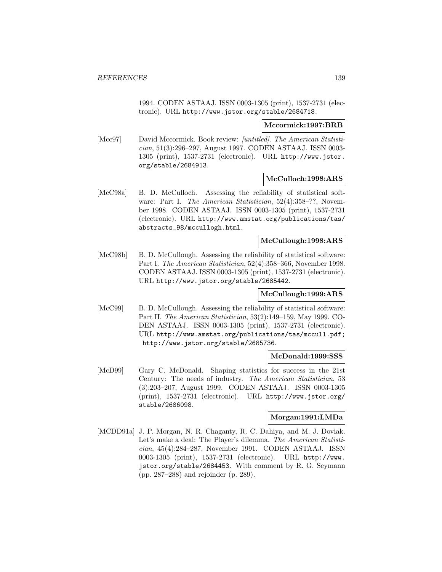1994. CODEN ASTAAJ. ISSN 0003-1305 (print), 1537-2731 (electronic). URL http://www.jstor.org/stable/2684718.

#### **Mccormick:1997:BRB**

[Mcc97] David Mccormick. Book review: *[untitled]*. The American Statistician, 51(3):296–297, August 1997. CODEN ASTAAJ. ISSN 0003- 1305 (print), 1537-2731 (electronic). URL http://www.jstor. org/stable/2684913.

### **McCulloch:1998:ARS**

[McC98a] B. D. McCulloch. Assessing the reliability of statistical software: Part I. The American Statistician, 52(4):358-??, November 1998. CODEN ASTAAJ. ISSN 0003-1305 (print), 1537-2731 (electronic). URL http://www.amstat.org/publications/tas/ abstracts\_98/mccullogh.html.

## **McCullough:1998:ARS**

[McC98b] B. D. McCullough. Assessing the reliability of statistical software: Part I. The American Statistician, 52(4):358–366, November 1998. CODEN ASTAAJ. ISSN 0003-1305 (print), 1537-2731 (electronic). URL http://www.jstor.org/stable/2685442.

### **McCullough:1999:ARS**

[McC99] B. D. McCullough. Assessing the reliability of statistical software: Part II. The American Statistician, 53(2):149–159, May 1999. CO-DEN ASTAAJ. ISSN 0003-1305 (print), 1537-2731 (electronic). URL http://www.amstat.org/publications/tas/mccull.pdf; http://www.jstor.org/stable/2685736.

## **McDonald:1999:SSS**

[McD99] Gary C. McDonald. Shaping statistics for success in the 21st Century: The needs of industry. The American Statistician, 53 (3):203–207, August 1999. CODEN ASTAAJ. ISSN 0003-1305 (print), 1537-2731 (electronic). URL http://www.jstor.org/ stable/2686098.

## **Morgan:1991:LMDa**

[MCDD91a] J. P. Morgan, N. R. Chaganty, R. C. Dahiya, and M. J. Doviak. Let's make a deal: The Player's dilemma. The American Statistician, 45(4):284–287, November 1991. CODEN ASTAAJ. ISSN 0003-1305 (print), 1537-2731 (electronic). URL http://www. jstor.org/stable/2684453. With comment by R. G. Seymann (pp. 287–288) and rejoinder (p. 289).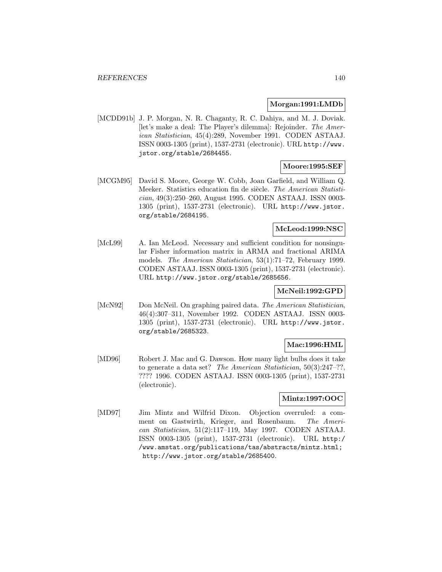#### **Morgan:1991:LMDb**

[MCDD91b] J. P. Morgan, N. R. Chaganty, R. C. Dahiya, and M. J. Doviak. [let's make a deal: The Player's dilemma]: Rejoinder. The American Statistician, 45(4):289, November 1991. CODEN ASTAAJ. ISSN 0003-1305 (print), 1537-2731 (electronic). URL http://www. jstor.org/stable/2684455.

# **Moore:1995:SEF**

[MCGM95] David S. Moore, George W. Cobb, Joan Garfield, and William Q. Meeker. Statistics education fin de siècle. The American Statistician, 49(3):250–260, August 1995. CODEN ASTAAJ. ISSN 0003- 1305 (print), 1537-2731 (electronic). URL http://www.jstor. org/stable/2684195.

## **McLeod:1999:NSC**

[McL99] A. Ian McLeod. Necessary and sufficient condition for nonsingular Fisher information matrix in ARMA and fractional ARIMA models. The American Statistician, 53(1):71–72, February 1999. CODEN ASTAAJ. ISSN 0003-1305 (print), 1537-2731 (electronic). URL http://www.jstor.org/stable/2685656.

### **McNeil:1992:GPD**

[McN92] Don McNeil. On graphing paired data. The American Statistician, 46(4):307–311, November 1992. CODEN ASTAAJ. ISSN 0003- 1305 (print), 1537-2731 (electronic). URL http://www.jstor. org/stable/2685323.

### **Mac:1996:HML**

[MD96] Robert J. Mac and G. Dawson. How many light bulbs does it take to generate a data set? The American Statistician, 50(3):247–??, ???? 1996. CODEN ASTAAJ. ISSN 0003-1305 (print), 1537-2731 (electronic).

## **Mintz:1997:OOC**

[MD97] Jim Mintz and Wilfrid Dixon. Objection overruled: a comment on Gastwirth, Krieger, and Rosenbaum. The American Statistician, 51(2):117–119, May 1997. CODEN ASTAAJ. ISSN 0003-1305 (print), 1537-2731 (electronic). URL http:/ /www.amstat.org/publications/tas/abstracts/mintz.html; http://www.jstor.org/stable/2685400.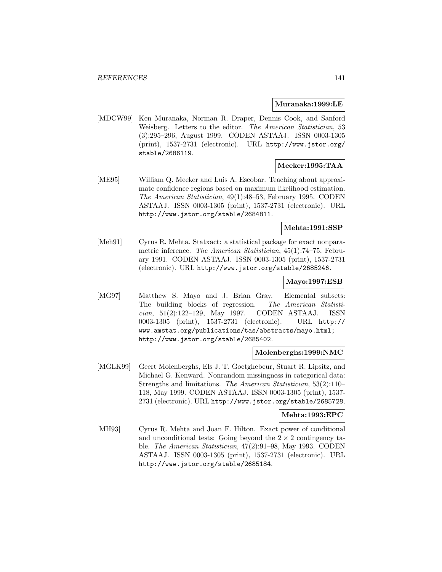#### **Muranaka:1999:LE**

[MDCW99] Ken Muranaka, Norman R. Draper, Dennis Cook, and Sanford Weisberg. Letters to the editor. The American Statistician, 53 (3):295–296, August 1999. CODEN ASTAAJ. ISSN 0003-1305 (print), 1537-2731 (electronic). URL http://www.jstor.org/ stable/2686119.

### **Meeker:1995:TAA**

[ME95] William Q. Meeker and Luis A. Escobar. Teaching about approximate confidence regions based on maximum likelihood estimation. The American Statistician, 49(1):48–53, February 1995. CODEN ASTAAJ. ISSN 0003-1305 (print), 1537-2731 (electronic). URL http://www.jstor.org/stable/2684811.

#### **Mehta:1991:SSP**

[Meh91] Cyrus R. Mehta. Statxact: a statistical package for exact nonparametric inference. The American Statistician, 45(1):74–75, February 1991. CODEN ASTAAJ. ISSN 0003-1305 (print), 1537-2731 (electronic). URL http://www.jstor.org/stable/2685246.

#### **Mayo:1997:ESB**

[MG97] Matthew S. Mayo and J. Brian Gray. Elemental subsets: The building blocks of regression. The American Statistician, 51(2):122–129, May 1997. CODEN ASTAAJ. ISSN 0003-1305 (print), 1537-2731 (electronic). URL http:// www.amstat.org/publications/tas/abstracts/mayo.html; http://www.jstor.org/stable/2685402.

#### **Molenberghs:1999:NMC**

[MGLK99] Geert Molenberghs, Els J. T. Goetghebeur, Stuart R. Lipsitz, and Michael G. Kenward. Nonrandom missingness in categorical data: Strengths and limitations. The American Statistician, 53(2):110– 118, May 1999. CODEN ASTAAJ. ISSN 0003-1305 (print), 1537- 2731 (electronic). URL http://www.jstor.org/stable/2685728.

#### **Mehta:1993:EPC**

[MH93] Cyrus R. Mehta and Joan F. Hilton. Exact power of conditional and unconditional tests: Going beyond the  $2 \times 2$  contingency table. The American Statistician, 47(2):91–98, May 1993. CODEN ASTAAJ. ISSN 0003-1305 (print), 1537-2731 (electronic). URL http://www.jstor.org/stable/2685184.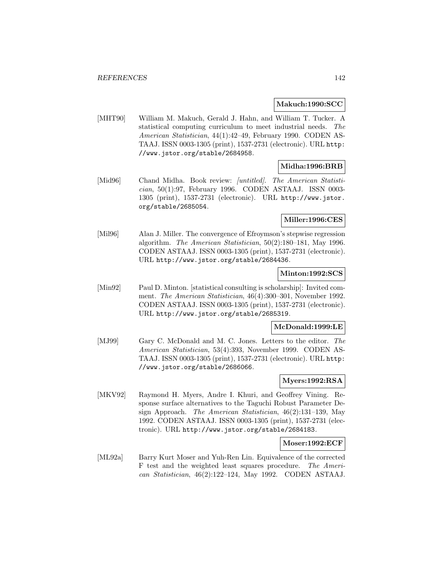#### **Makuch:1990:SCC**

[MHT90] William M. Makuch, Gerald J. Hahn, and William T. Tucker. A statistical computing curriculum to meet industrial needs. The American Statistician, 44(1):42–49, February 1990. CODEN AS-TAAJ. ISSN 0003-1305 (print), 1537-2731 (electronic). URL http: //www.jstor.org/stable/2684958.

# **Midha:1996:BRB**

[Mid96] Chand Midha. Book review: /untitled]. The American Statistician, 50(1):97, February 1996. CODEN ASTAAJ. ISSN 0003- 1305 (print), 1537-2731 (electronic). URL http://www.jstor. org/stable/2685054.

## **Miller:1996:CES**

[Mil96] Alan J. Miller. The convergence of Efroymson's stepwise regression algorithm. The American Statistician, 50(2):180–181, May 1996. CODEN ASTAAJ. ISSN 0003-1305 (print), 1537-2731 (electronic). URL http://www.jstor.org/stable/2684436.

### **Minton:1992:SCS**

[Min92] Paul D. Minton. [statistical consulting is scholarship]: Invited comment. The American Statistician, 46(4):300–301, November 1992. CODEN ASTAAJ. ISSN 0003-1305 (print), 1537-2731 (electronic). URL http://www.jstor.org/stable/2685319.

### **McDonald:1999:LE**

[MJ99] Gary C. McDonald and M. C. Jones. Letters to the editor. The American Statistician, 53(4):393, November 1999. CODEN AS-TAAJ. ISSN 0003-1305 (print), 1537-2731 (electronic). URL http: //www.jstor.org/stable/2686066.

# **Myers:1992:RSA**

[MKV92] Raymond H. Myers, Andre I. Khuri, and Geoffrey Vining. Response surface alternatives to the Taguchi Robust Parameter Design Approach. The American Statistician, 46(2):131–139, May 1992. CODEN ASTAAJ. ISSN 0003-1305 (print), 1537-2731 (electronic). URL http://www.jstor.org/stable/2684183.

### **Moser:1992:ECF**

[ML92a] Barry Kurt Moser and Yuh-Ren Lin. Equivalence of the corrected F test and the weighted least squares procedure. The American Statistician, 46(2):122–124, May 1992. CODEN ASTAAJ.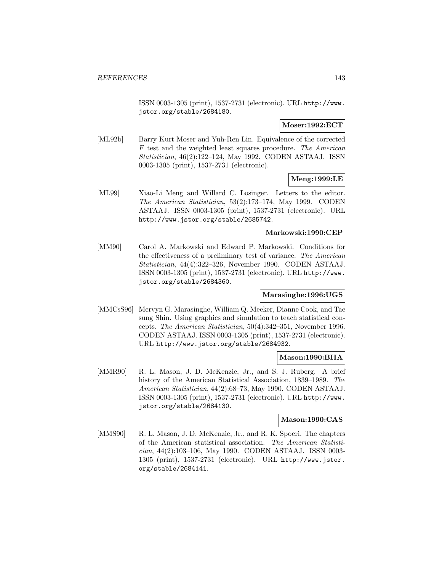ISSN 0003-1305 (print), 1537-2731 (electronic). URL http://www. jstor.org/stable/2684180.

## **Moser:1992:ECT**

[ML92b] Barry Kurt Moser and Yuh-Ren Lin. Equivalence of the corrected F test and the weighted least squares procedure. The American Statistician, 46(2):122–124, May 1992. CODEN ASTAAJ. ISSN 0003-1305 (print), 1537-2731 (electronic).

# **Meng:1999:LE**

[ML99] Xiao-Li Meng and Willard C. Losinger. Letters to the editor. The American Statistician, 53(2):173–174, May 1999. CODEN ASTAAJ. ISSN 0003-1305 (print), 1537-2731 (electronic). URL http://www.jstor.org/stable/2685742.

## **Markowski:1990:CEP**

[MM90] Carol A. Markowski and Edward P. Markowski. Conditions for the effectiveness of a preliminary test of variance. The American Statistician, 44(4):322–326, November 1990. CODEN ASTAAJ. ISSN 0003-1305 (print), 1537-2731 (electronic). URL http://www. jstor.org/stable/2684360.

### **Marasinghe:1996:UGS**

[MMCsS96] Mervyn G. Marasinghe, William Q. Meeker, Dianne Cook, and Tae sung Shin. Using graphics and simulation to teach statistical concepts. The American Statistician, 50(4):342–351, November 1996. CODEN ASTAAJ. ISSN 0003-1305 (print), 1537-2731 (electronic). URL http://www.jstor.org/stable/2684932.

## **Mason:1990:BHA**

[MMR90] R. L. Mason, J. D. McKenzie, Jr., and S. J. Ruberg. A brief history of the American Statistical Association, 1839–1989. The American Statistician, 44(2):68–73, May 1990. CODEN ASTAAJ. ISSN 0003-1305 (print), 1537-2731 (electronic). URL http://www. jstor.org/stable/2684130.

## **Mason:1990:CAS**

[MMS90] R. L. Mason, J. D. McKenzie, Jr., and R. K. Spoeri. The chapters of the American statistical association. The American Statistician, 44(2):103–106, May 1990. CODEN ASTAAJ. ISSN 0003- 1305 (print), 1537-2731 (electronic). URL http://www.jstor. org/stable/2684141.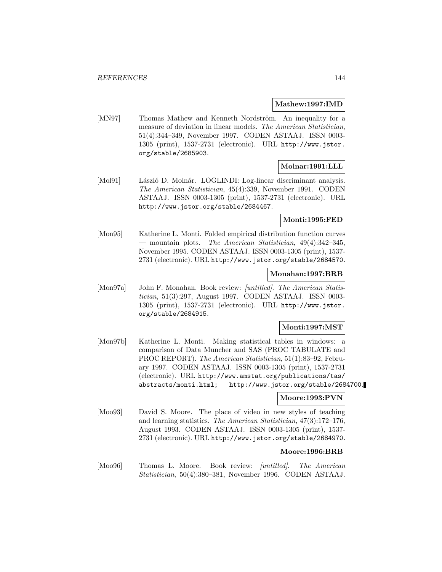#### **Mathew:1997:IMD**

[MN97] Thomas Mathew and Kenneth Nordström. An inequality for a measure of deviation in linear models. The American Statistician, 51(4):344–349, November 1997. CODEN ASTAAJ. ISSN 0003- 1305 (print), 1537-2731 (electronic). URL http://www.jstor. org/stable/2685903.

# **Molnar:1991:LLL**

[Mol91] László D. Molnár. LOGLINDI: Log-linear discriminant analysis. The American Statistician, 45(4):339, November 1991. CODEN ASTAAJ. ISSN 0003-1305 (print), 1537-2731 (electronic). URL http://www.jstor.org/stable/2684467.

### **Monti:1995:FED**

[Mon95] Katherine L. Monti. Folded empirical distribution function curves — mountain plots. The American Statistician,  $49(4):342-345$ , November 1995. CODEN ASTAAJ. ISSN 0003-1305 (print), 1537- 2731 (electronic). URL http://www.jstor.org/stable/2684570.

### **Monahan:1997:BRB**

[Mon97a] John F. Monahan. Book review: *[untitled]. The American Statis*tician, 51(3):297, August 1997. CODEN ASTAAJ. ISSN 0003- 1305 (print), 1537-2731 (electronic). URL http://www.jstor. org/stable/2684915.

## **Monti:1997:MST**

[Mon97b] Katherine L. Monti. Making statistical tables in windows: a comparison of Data Muncher and SAS (PROC TABULATE and PROC REPORT). The American Statistician, 51(1):83–92, February 1997. CODEN ASTAAJ. ISSN 0003-1305 (print), 1537-2731 (electronic). URL http://www.amstat.org/publications/tas/ abstracts/monti.html; http://www.jstor.org/stable/2684700.

### **Moore:1993:PVN**

[Moo93] David S. Moore. The place of video in new styles of teaching and learning statistics. The American Statistician, 47(3):172–176, August 1993. CODEN ASTAAJ. ISSN 0003-1305 (print), 1537- 2731 (electronic). URL http://www.jstor.org/stable/2684970.

### **Moore:1996:BRB**

[Moo96] Thomas L. Moore. Book review: *[untitled]*. The American Statistician, 50(4):380–381, November 1996. CODEN ASTAAJ.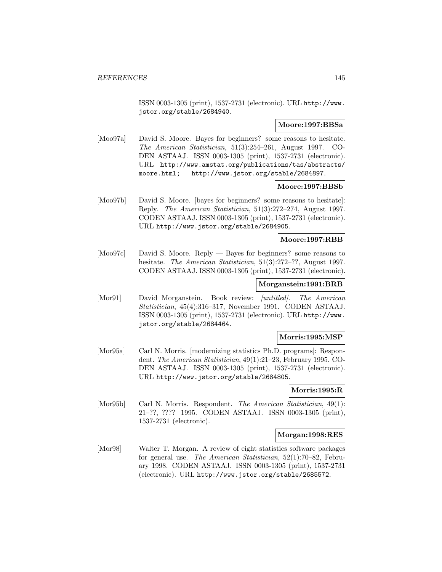ISSN 0003-1305 (print), 1537-2731 (electronic). URL http://www. jstor.org/stable/2684940.

#### **Moore:1997:BBSa**

[Moo97a] David S. Moore. Bayes for beginners? some reasons to hesitate. The American Statistician, 51(3):254–261, August 1997. CO-DEN ASTAAJ. ISSN 0003-1305 (print), 1537-2731 (electronic). URL http://www.amstat.org/publications/tas/abstracts/ moore.html; http://www.jstor.org/stable/2684897.

#### **Moore:1997:BBSb**

[Moo97b] David S. Moore. [bayes for beginners? some reasons to hesitate]: Reply. The American Statistician, 51(3):272–274, August 1997. CODEN ASTAAJ. ISSN 0003-1305 (print), 1537-2731 (electronic). URL http://www.jstor.org/stable/2684905.

#### **Moore:1997:RBB**

[Moo97c] David S. Moore. Reply — Bayes for beginners? some reasons to hesitate. The American Statistician, 51(3):272-??, August 1997. CODEN ASTAAJ. ISSN 0003-1305 (print), 1537-2731 (electronic).

## **Morganstein:1991:BRB**

[Mor91] David Morganstein. Book review: *[untitled]*. The American Statistician, 45(4):316–317, November 1991. CODEN ASTAAJ. ISSN 0003-1305 (print), 1537-2731 (electronic). URL http://www. jstor.org/stable/2684464.

#### **Morris:1995:MSP**

[Mor95a] Carl N. Morris. [modernizing statistics Ph.D. programs]: Respondent. The American Statistician, 49(1):21–23, February 1995. CO-DEN ASTAAJ. ISSN 0003-1305 (print), 1537-2731 (electronic). URL http://www.jstor.org/stable/2684805.

## **Morris:1995:R**

[Mor95b] Carl N. Morris. Respondent. The American Statistician, 49(1): 21–??, ???? 1995. CODEN ASTAAJ. ISSN 0003-1305 (print), 1537-2731 (electronic).

#### **Morgan:1998:RES**

[Mor98] Walter T. Morgan. A review of eight statistics software packages for general use. The American Statistician, 52(1):70–82, February 1998. CODEN ASTAAJ. ISSN 0003-1305 (print), 1537-2731 (electronic). URL http://www.jstor.org/stable/2685572.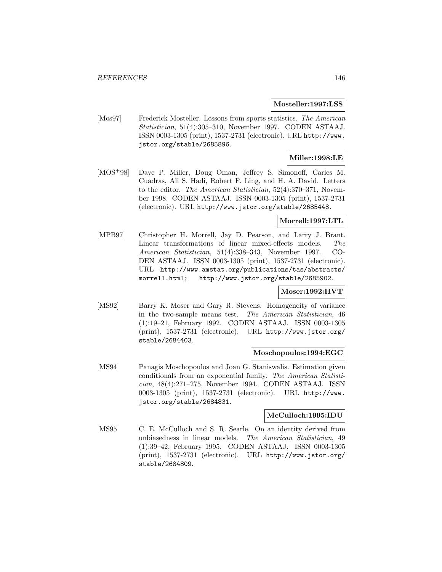#### **Mosteller:1997:LSS**

[Mos97] Frederick Mosteller. Lessons from sports statistics. The American Statistician, 51(4):305–310, November 1997. CODEN ASTAAJ. ISSN 0003-1305 (print), 1537-2731 (electronic). URL http://www. jstor.org/stable/2685896.

## **Miller:1998:LE**

[MOS<sup>+</sup>98] Dave P. Miller, Doug Oman, Jeffrey S. Simonoff, Carles M. Cuadras, Ali S. Hadi, Robert F. Ling, and H. A. David. Letters to the editor. The American Statistician, 52(4):370–371, November 1998. CODEN ASTAAJ. ISSN 0003-1305 (print), 1537-2731 (electronic). URL http://www.jstor.org/stable/2685448.

## **Morrell:1997:LTL**

[MPB97] Christopher H. Morrell, Jay D. Pearson, and Larry J. Brant. Linear transformations of linear mixed-effects models. The American Statistician, 51(4):338–343, November 1997. CO-DEN ASTAAJ. ISSN 0003-1305 (print), 1537-2731 (electronic). URL http://www.amstat.org/publications/tas/abstracts/ morrell.html; http://www.jstor.org/stable/2685902.

# **Moser:1992:HVT**

[MS92] Barry K. Moser and Gary R. Stevens. Homogeneity of variance in the two-sample means test. The American Statistician, 46 (1):19–21, February 1992. CODEN ASTAAJ. ISSN 0003-1305 (print), 1537-2731 (electronic). URL http://www.jstor.org/ stable/2684403.

#### **Moschopoulos:1994:EGC**

[MS94] Panagis Moschopoulos and Joan G. Staniswalis. Estimation given conditionals from an exponential family. The American Statistician, 48(4):271–275, November 1994. CODEN ASTAAJ. ISSN 0003-1305 (print), 1537-2731 (electronic). URL http://www. jstor.org/stable/2684831.

#### **McCulloch:1995:IDU**

[MS95] C. E. McCulloch and S. R. Searle. On an identity derived from unbiasedness in linear models. The American Statistician, 49 (1):39–42, February 1995. CODEN ASTAAJ. ISSN 0003-1305 (print), 1537-2731 (electronic). URL http://www.jstor.org/ stable/2684809.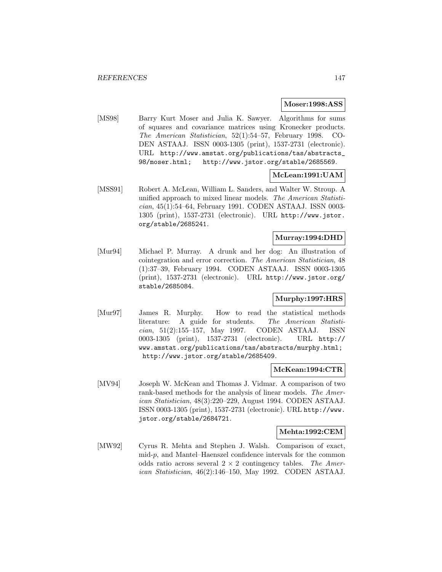#### **Moser:1998:ASS**

[MS98] Barry Kurt Moser and Julia K. Sawyer. Algorithms for sums of squares and covariance matrices using Kronecker products. The American Statistician, 52(1):54–57, February 1998. CO-DEN ASTAAJ. ISSN 0003-1305 (print), 1537-2731 (electronic). URL http://www.amstat.org/publications/tas/abstracts\_ 98/moser.html; http://www.jstor.org/stable/2685569.

## **McLean:1991:UAM**

[MSS91] Robert A. McLean, William L. Sanders, and Walter W. Stroup. A unified approach to mixed linear models. The American Statistician, 45(1):54–64, February 1991. CODEN ASTAAJ. ISSN 0003- 1305 (print), 1537-2731 (electronic). URL http://www.jstor. org/stable/2685241.

# **Murray:1994:DHD**

[Mur94] Michael P. Murray. A drunk and her dog: An illustration of cointegration and error correction. The American Statistician, 48 (1):37–39, February 1994. CODEN ASTAAJ. ISSN 0003-1305 (print), 1537-2731 (electronic). URL http://www.jstor.org/ stable/2685084.

## **Murphy:1997:HRS**

[Mur97] James R. Murphy. How to read the statistical methods literature: A guide for students. The American Statistician, 51(2):155–157, May 1997. CODEN ASTAAJ. ISSN 0003-1305 (print), 1537-2731 (electronic). URL http:// www.amstat.org/publications/tas/abstracts/murphy.html; http://www.jstor.org/stable/2685409.

#### **McKean:1994:CTR**

[MV94] Joseph W. McKean and Thomas J. Vidmar. A comparison of two rank-based methods for the analysis of linear models. The American Statistician, 48(3):220–229, August 1994. CODEN ASTAAJ. ISSN 0003-1305 (print), 1537-2731 (electronic). URL http://www. jstor.org/stable/2684721.

## **Mehta:1992:CEM**

[MW92] Cyrus R. Mehta and Stephen J. Walsh. Comparison of exact, mid-p, and Mantel–Haenszel confidence intervals for the common odds ratio across several  $2 \times 2$  contingency tables. The American Statistician, 46(2):146–150, May 1992. CODEN ASTAAJ.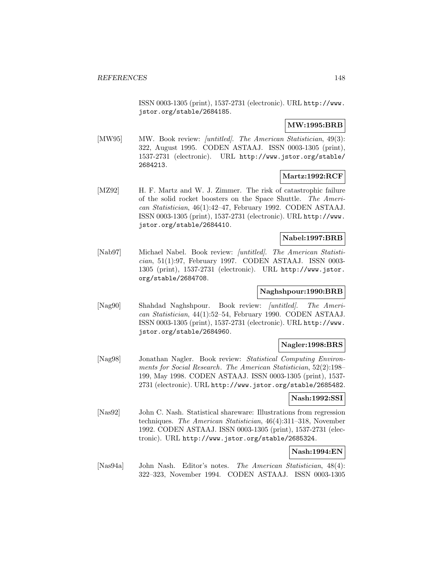ISSN 0003-1305 (print), 1537-2731 (electronic). URL http://www. jstor.org/stable/2684185.

# **MW:1995:BRB**

[MW95] MW. Book review: *[untitled]*. The American Statistician, 49(3): 322, August 1995. CODEN ASTAAJ. ISSN 0003-1305 (print), 1537-2731 (electronic). URL http://www.jstor.org/stable/ 2684213.

## **Martz:1992:RCF**

[MZ92] H. F. Martz and W. J. Zimmer. The risk of catastrophic failure of the solid rocket boosters on the Space Shuttle. The American Statistician, 46(1):42–47, February 1992. CODEN ASTAAJ. ISSN 0003-1305 (print), 1537-2731 (electronic). URL http://www. jstor.org/stable/2684410.

# **Nabel:1997:BRB**

[Nab97] Michael Nabel. Book review: [untitled]. The American Statistician, 51(1):97, February 1997. CODEN ASTAAJ. ISSN 0003- 1305 (print), 1537-2731 (electronic). URL http://www.jstor. org/stable/2684708.

## **Naghshpour:1990:BRB**

[Nag90] Shahdad Naghshpour. Book review: [untitled]. The American Statistician, 44(1):52–54, February 1990. CODEN ASTAAJ. ISSN 0003-1305 (print), 1537-2731 (electronic). URL http://www. jstor.org/stable/2684960.

## **Nagler:1998:BRS**

[Nag98] Jonathan Nagler. Book review: Statistical Computing Environments for Social Research. The American Statistician, 52(2):198– 199, May 1998. CODEN ASTAAJ. ISSN 0003-1305 (print), 1537- 2731 (electronic). URL http://www.jstor.org/stable/2685482.

## **Nash:1992:SSI**

[Nas92] John C. Nash. Statistical shareware: Illustrations from regression techniques. The American Statistician, 46(4):311–318, November 1992. CODEN ASTAAJ. ISSN 0003-1305 (print), 1537-2731 (electronic). URL http://www.jstor.org/stable/2685324.

## **Nash:1994:EN**

[Nas94a] John Nash. Editor's notes. The American Statistician, 48(4): 322–323, November 1994. CODEN ASTAAJ. ISSN 0003-1305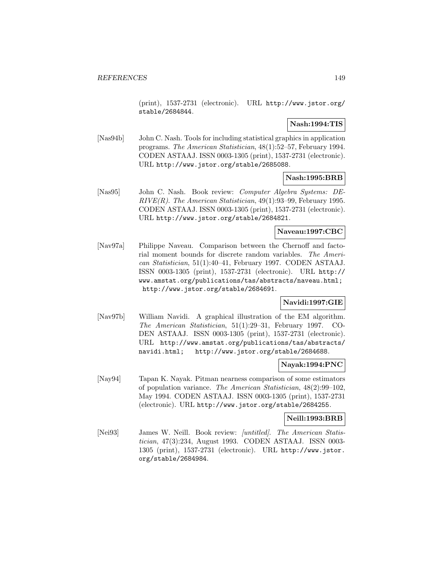(print), 1537-2731 (electronic). URL http://www.jstor.org/ stable/2684844.

## **Nash:1994:TIS**

[Nas94b] John C. Nash. Tools for including statistical graphics in application programs. The American Statistician, 48(1):52–57, February 1994. CODEN ASTAAJ. ISSN 0003-1305 (print), 1537-2731 (electronic). URL http://www.jstor.org/stable/2685088.

# **Nash:1995:BRB**

[Nas95] John C. Nash. Book review: Computer Algebra Systems: DE- $RIVE(R)$ . The American Statistician, 49(1):93-99, February 1995. CODEN ASTAAJ. ISSN 0003-1305 (print), 1537-2731 (electronic). URL http://www.jstor.org/stable/2684821.

## **Naveau:1997:CBC**

[Nav97a] Philippe Naveau. Comparison between the Chernoff and factorial moment bounds for discrete random variables. The American Statistician, 51(1):40–41, February 1997. CODEN ASTAAJ. ISSN 0003-1305 (print), 1537-2731 (electronic). URL http:// www.amstat.org/publications/tas/abstracts/naveau.html; http://www.jstor.org/stable/2684691.

## **Navidi:1997:GIE**

[Nav97b] William Navidi. A graphical illustration of the EM algorithm. The American Statistician, 51(1):29–31, February 1997. CO-DEN ASTAAJ. ISSN 0003-1305 (print), 1537-2731 (electronic). URL http://www.amstat.org/publications/tas/abstracts/ navidi.html; http://www.jstor.org/stable/2684688.

#### **Nayak:1994:PNC**

[Nay94] Tapan K. Nayak. Pitman nearness comparison of some estimators of population variance. The American Statistician, 48(2):99–102, May 1994. CODEN ASTAAJ. ISSN 0003-1305 (print), 1537-2731 (electronic). URL http://www.jstor.org/stable/2684255.

#### **Neill:1993:BRB**

[Nei93] James W. Neill. Book review: *[untitled]*. The American Statistician, 47(3):234, August 1993. CODEN ASTAAJ. ISSN 0003- 1305 (print), 1537-2731 (electronic). URL http://www.jstor. org/stable/2684984.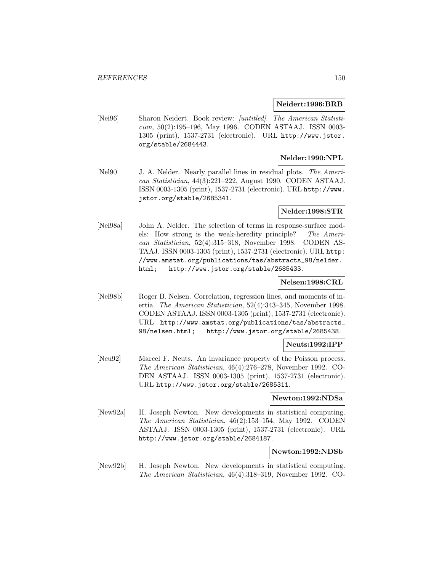#### **Neidert:1996:BRB**

[Nei96] Sharon Neidert. Book review: [untitled]. The American Statistician, 50(2):195–196, May 1996. CODEN ASTAAJ. ISSN 0003- 1305 (print), 1537-2731 (electronic). URL http://www.jstor. org/stable/2684443.

# **Nelder:1990:NPL**

[Nel90] J. A. Nelder. Nearly parallel lines in residual plots. The American Statistician, 44(3):221–222, August 1990. CODEN ASTAAJ. ISSN 0003-1305 (print), 1537-2731 (electronic). URL http://www. jstor.org/stable/2685341.

#### **Nelder:1998:STR**

[Nel98a] John A. Nelder. The selection of terms in response-surface models: How strong is the weak-heredity principle? The American Statistician, 52(4):315–318, November 1998. CODEN AS-TAAJ. ISSN 0003-1305 (print), 1537-2731 (electronic). URL http: //www.amstat.org/publications/tas/abstracts\_98/nelder. html; http://www.jstor.org/stable/2685433.

## **Nelsen:1998:CRL**

[Nel98b] Roger B. Nelsen. Correlation, regression lines, and moments of inertia. The American Statistician, 52(4):343–345, November 1998. CODEN ASTAAJ. ISSN 0003-1305 (print), 1537-2731 (electronic). URL http://www.amstat.org/publications/tas/abstracts\_ 98/nelsen.html; http://www.jstor.org/stable/2685438.

## **Neuts:1992:IPP**

[Neu92] Marcel F. Neuts. An invariance property of the Poisson process. The American Statistician, 46(4):276–278, November 1992. CO-DEN ASTAAJ. ISSN 0003-1305 (print), 1537-2731 (electronic). URL http://www.jstor.org/stable/2685311.

#### **Newton:1992:NDSa**

[New92a] H. Joseph Newton. New developments in statistical computing. The American Statistician, 46(2):153–154, May 1992. CODEN ASTAAJ. ISSN 0003-1305 (print), 1537-2731 (electronic). URL http://www.jstor.org/stable/2684187.

#### **Newton:1992:NDSb**

[New92b] H. Joseph Newton. New developments in statistical computing. The American Statistician, 46(4):318–319, November 1992. CO-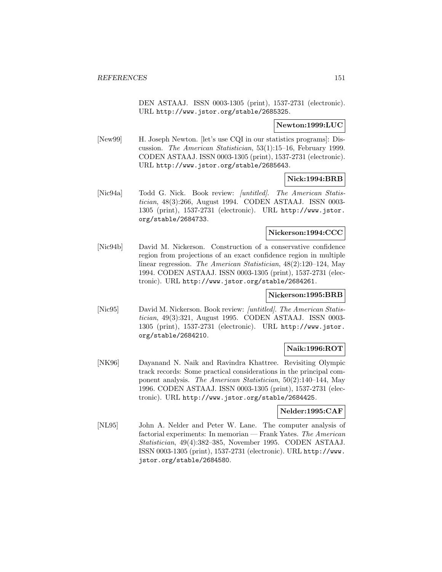DEN ASTAAJ. ISSN 0003-1305 (print), 1537-2731 (electronic). URL http://www.jstor.org/stable/2685325.

## **Newton:1999:LUC**

[New99] H. Joseph Newton. [let's use CQI in our statistics programs]: Discussion. The American Statistician, 53(1):15–16, February 1999. CODEN ASTAAJ. ISSN 0003-1305 (print), 1537-2731 (electronic). URL http://www.jstor.org/stable/2685643.

#### **Nick:1994:BRB**

[Nic94a] Todd G. Nick. Book review: *[untitled]*. The American Statistician, 48(3):266, August 1994. CODEN ASTAAJ. ISSN 0003- 1305 (print), 1537-2731 (electronic). URL http://www.jstor. org/stable/2684733.

#### **Nickerson:1994:CCC**

[Nic94b] David M. Nickerson. Construction of a conservative confidence region from projections of an exact confidence region in multiple linear regression. The American Statistician, 48(2):120–124, May 1994. CODEN ASTAAJ. ISSN 0003-1305 (print), 1537-2731 (electronic). URL http://www.jstor.org/stable/2684261.

#### **Nickerson:1995:BRB**

[Nic95] David M. Nickerson. Book review: [untitled]. The American Statistician, 49(3):321, August 1995. CODEN ASTAAJ. ISSN 0003- 1305 (print), 1537-2731 (electronic). URL http://www.jstor. org/stable/2684210.

# **Naik:1996:ROT**

[NK96] Dayanand N. Naik and Ravindra Khattree. Revisiting Olympic track records: Some practical considerations in the principal component analysis. The American Statistician, 50(2):140–144, May 1996. CODEN ASTAAJ. ISSN 0003-1305 (print), 1537-2731 (electronic). URL http://www.jstor.org/stable/2684425.

## **Nelder:1995:CAF**

[NL95] John A. Nelder and Peter W. Lane. The computer analysis of factorial experiments: In memorian — Frank Yates. The American Statistician, 49(4):382–385, November 1995. CODEN ASTAAJ. ISSN 0003-1305 (print), 1537-2731 (electronic). URL http://www. jstor.org/stable/2684580.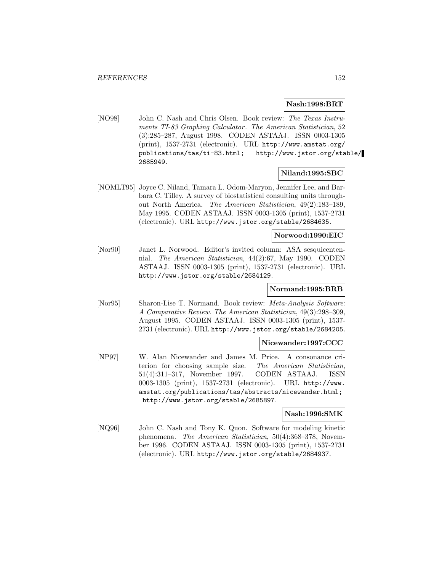#### **Nash:1998:BRT**

[NO98] John C. Nash and Chris Olsen. Book review: The Texas Instruments TI-83 Graphing Calculator. The American Statistician, 52 (3):285–287, August 1998. CODEN ASTAAJ. ISSN 0003-1305 (print), 1537-2731 (electronic). URL http://www.amstat.org/ publications/tas/ti-83.html; http://www.jstor.org/stable/ 2685949.

## **Niland:1995:SBC**

[NOMLT95] Joyce C. Niland, Tamara L. Odom-Maryon, Jennifer Lee, and Barbara C. Tilley. A survey of biostatistical consulting units throughout North America. The American Statistician, 49(2):183–189, May 1995. CODEN ASTAAJ. ISSN 0003-1305 (print), 1537-2731 (electronic). URL http://www.jstor.org/stable/2684635.

## **Norwood:1990:EIC**

[Nor90] Janet L. Norwood. Editor's invited column: ASA sesquicentennial. The American Statistician, 44(2):67, May 1990. CODEN ASTAAJ. ISSN 0003-1305 (print), 1537-2731 (electronic). URL http://www.jstor.org/stable/2684129.

# **Normand:1995:BRB**

[Nor95] Sharon-Lise T. Normand. Book review: Meta-Analysis Software: A Comparative Review. The American Statistician, 49(3):298–309, August 1995. CODEN ASTAAJ. ISSN 0003-1305 (print), 1537- 2731 (electronic). URL http://www.jstor.org/stable/2684205.

#### **Nicewander:1997:CCC**

[NP97] W. Alan Nicewander and James M. Price. A consonance criterion for choosing sample size. The American Statistician, 51(4):311–317, November 1997. CODEN ASTAAJ. ISSN 0003-1305 (print), 1537-2731 (electronic). URL http://www. amstat.org/publications/tas/abstracts/nicewander.html; http://www.jstor.org/stable/2685897.

### **Nash:1996:SMK**

[NQ96] John C. Nash and Tony K. Quon. Software for modeling kinetic phenomena. The American Statistician, 50(4):368–378, November 1996. CODEN ASTAAJ. ISSN 0003-1305 (print), 1537-2731 (electronic). URL http://www.jstor.org/stable/2684937.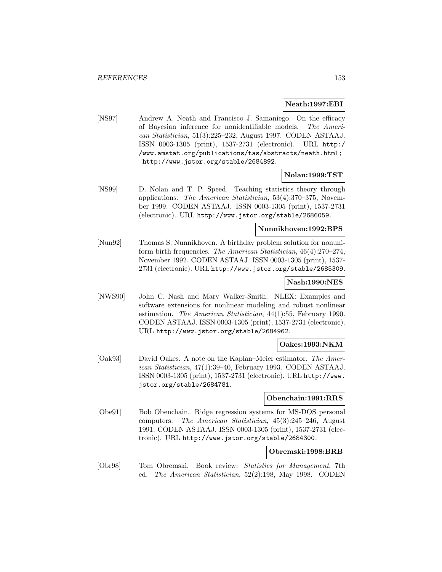## **Neath:1997:EBI**

[NS97] Andrew A. Neath and Francisco J. Samaniego. On the efficacy of Bayesian inference for nonidentifiable models. The American Statistician, 51(3):225–232, August 1997. CODEN ASTAAJ. ISSN 0003-1305 (print), 1537-2731 (electronic). URL http:/ /www.amstat.org/publications/tas/abstracts/neath.html; http://www.jstor.org/stable/2684892.

## **Nolan:1999:TST**

[NS99] D. Nolan and T. P. Speed. Teaching statistics theory through applications. The American Statistician, 53(4):370–375, November 1999. CODEN ASTAAJ. ISSN 0003-1305 (print), 1537-2731 (electronic). URL http://www.jstor.org/stable/2686059.

## **Nunnikhoven:1992:BPS**

[Nun92] Thomas S. Nunnikhoven. A birthday problem solution for nonuniform birth frequencies. The American Statistician, 46(4):270–274, November 1992. CODEN ASTAAJ. ISSN 0003-1305 (print), 1537- 2731 (electronic). URL http://www.jstor.org/stable/2685309.

## **Nash:1990:NES**

[NWS90] John C. Nash and Mary Walker-Smith. NLEX: Examples and software extensions for nonlinear modeling and robust nonlinear estimation. The American Statistician, 44(1):55, February 1990. CODEN ASTAAJ. ISSN 0003-1305 (print), 1537-2731 (electronic). URL http://www.jstor.org/stable/2684962.

# **Oakes:1993:NKM**

[Oak93] David Oakes. A note on the Kaplan–Meier estimator. The American Statistician, 47(1):39–40, February 1993. CODEN ASTAAJ. ISSN 0003-1305 (print), 1537-2731 (electronic). URL http://www. jstor.org/stable/2684781.

## **Obenchain:1991:RRS**

[Obe91] Bob Obenchain. Ridge regression systems for MS-DOS personal computers. The American Statistician, 45(3):245–246, August 1991. CODEN ASTAAJ. ISSN 0003-1305 (print), 1537-2731 (electronic). URL http://www.jstor.org/stable/2684300.

## **Obremski:1998:BRB**

[Obr98] Tom Obremski. Book review: Statistics for Management, 7th ed. The American Statistician, 52(2):198, May 1998. CODEN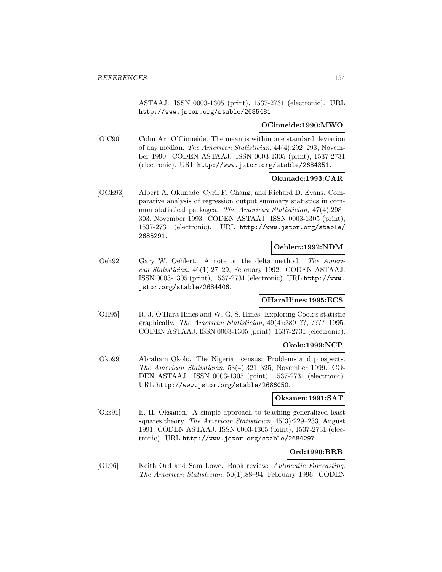ASTAAJ. ISSN 0003-1305 (print), 1537-2731 (electronic). URL http://www.jstor.org/stable/2685481.

## **OCinneide:1990:MWO**

[O'C90] Colm Art O'Cinneide. The mean is within one standard deviation of any median. The American Statistician, 44(4):292–293, November 1990. CODEN ASTAAJ. ISSN 0003-1305 (print), 1537-2731 (electronic). URL http://www.jstor.org/stable/2684351.

## **Okunade:1993:CAR**

[OCE93] Albert A. Okunade, Cyril F. Chang, and Richard D. Evans. Comparative analysis of regression output summary statistics in common statistical packages. The American Statistician, 47(4):298– 303, November 1993. CODEN ASTAAJ. ISSN 0003-1305 (print), 1537-2731 (electronic). URL http://www.jstor.org/stable/ 2685291.

# **Oehlert:1992:NDM**

[Oeh92] Gary W. Oehlert. A note on the delta method. The American Statistician, 46(1):27–29, February 1992. CODEN ASTAAJ. ISSN 0003-1305 (print), 1537-2731 (electronic). URL http://www. jstor.org/stable/2684406.

# **OHaraHines:1995:ECS**

[OH95] R. J. O'Hara Hines and W. G. S. Hines. Exploring Cook's statistic graphically. The American Statistician, 49(4):389–??, ???? 1995. CODEN ASTAAJ. ISSN 0003-1305 (print), 1537-2731 (electronic).

## **Okolo:1999:NCP**

[Oko99] Abraham Okolo. The Nigerian census: Problems and prospects. The American Statistician, 53(4):321–325, November 1999. CO-DEN ASTAAJ. ISSN 0003-1305 (print), 1537-2731 (electronic). URL http://www.jstor.org/stable/2686050.

## **Oksanen:1991:SAT**

[Oks91] E. H. Oksanen. A simple approach to teaching generalized least squares theory. The American Statistician, 45(3):229–233, August 1991. CODEN ASTAAJ. ISSN 0003-1305 (print), 1537-2731 (electronic). URL http://www.jstor.org/stable/2684297.

# **Ord:1996:BRB**

[OL96] Keith Ord and Sam Lowe. Book review: Automatic Forecasting. The American Statistician, 50(1):88–94, February 1996. CODEN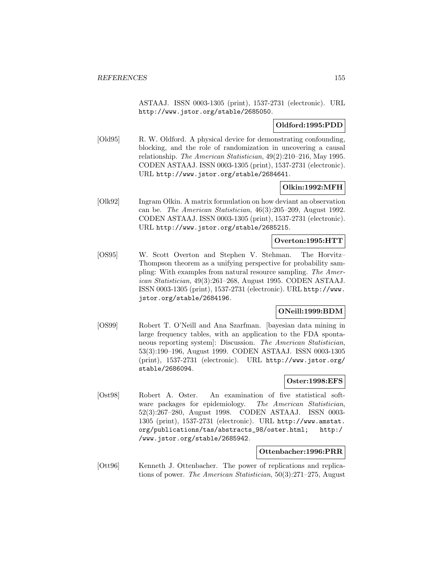ASTAAJ. ISSN 0003-1305 (print), 1537-2731 (electronic). URL http://www.jstor.org/stable/2685050.

# **Oldford:1995:PDD**

[Old95] R. W. Oldford. A physical device for demonstrating confounding, blocking, and the role of randomization in uncovering a causal relationship. The American Statistician, 49(2):210–216, May 1995. CODEN ASTAAJ. ISSN 0003-1305 (print), 1537-2731 (electronic). URL http://www.jstor.org/stable/2684641.

## **Olkin:1992:MFH**

[Olk92] Ingram Olkin. A matrix formulation on how deviant an observation can be. The American Statistician, 46(3):205–209, August 1992. CODEN ASTAAJ. ISSN 0003-1305 (print), 1537-2731 (electronic). URL http://www.jstor.org/stable/2685215.

## **Overton:1995:HTT**

[OS95] W. Scott Overton and Stephen V. Stehman. The Horvitz– Thompson theorem as a unifying perspective for probability sampling: With examples from natural resource sampling. The American Statistician, 49(3):261–268, August 1995. CODEN ASTAAJ. ISSN 0003-1305 (print), 1537-2731 (electronic). URL http://www. jstor.org/stable/2684196.

## **ONeill:1999:BDM**

[OS99] Robert T. O'Neill and Ana Szarfman. [bayesian data mining in large frequency tables, with an application to the FDA spontaneous reporting system]: Discussion. The American Statistician, 53(3):190–196, August 1999. CODEN ASTAAJ. ISSN 0003-1305 (print), 1537-2731 (electronic). URL http://www.jstor.org/ stable/2686094.

## **Oster:1998:EFS**

[Ost98] Robert A. Oster. An examination of five statistical software packages for epidemiology. The American Statistician, 52(3):267–280, August 1998. CODEN ASTAAJ. ISSN 0003- 1305 (print), 1537-2731 (electronic). URL http://www.amstat. org/publications/tas/abstracts\_98/oster.html; http:/ /www.jstor.org/stable/2685942.

#### **Ottenbacher:1996:PRR**

[Ott96] Kenneth J. Ottenbacher. The power of replications and replications of power. The American Statistician, 50(3):271–275, August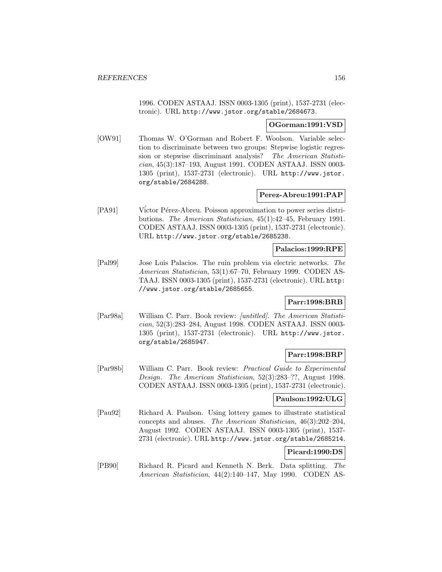1996. CODEN ASTAAJ. ISSN 0003-1305 (print), 1537-2731 (electronic). URL http://www.jstor.org/stable/2684673.

## **OGorman:1991:VSD**

[OW91] Thomas W. O'Gorman and Robert F. Woolson. Variable selection to discriminate between two groups: Stepwise logistic regression or stepwise discriminant analysis? The American Statistician, 45(3):187–193, August 1991. CODEN ASTAAJ. ISSN 0003- 1305 (print), 1537-2731 (electronic). URL http://www.jstor. org/stable/2684288.

## **Perez-Abreu:1991:PAP**

[PA91] Víctor Pérez-Abreu. Poisson approximation to power series distributions. The American Statistician, 45(1):42–45, February 1991. CODEN ASTAAJ. ISSN 0003-1305 (print), 1537-2731 (electronic). URL http://www.jstor.org/stable/2685238.

# **Palacios:1999:RPE**

[Pal99] Jose Luis Palacios. The ruin problem via electric networks. The American Statistician, 53(1):67–70, February 1999. CODEN AS-TAAJ. ISSN 0003-1305 (print), 1537-2731 (electronic). URL http: //www.jstor.org/stable/2685655.

# **Parr:1998:BRB**

[Par98a] William C. Parr. Book review: [untitled]. The American Statistician, 52(3):283–284, August 1998. CODEN ASTAAJ. ISSN 0003- 1305 (print), 1537-2731 (electronic). URL http://www.jstor. org/stable/2685947.

## **Parr:1998:BRP**

[Par98b] William C. Parr. Book review: Practical Guide to Experimental Design. The American Statistician, 52(3):283–??, August 1998. CODEN ASTAAJ. ISSN 0003-1305 (print), 1537-2731 (electronic).

## **Paulson:1992:ULG**

[Pau92] Richard A. Paulson. Using lottery games to illustrate statistical concepts and abuses. The American Statistician, 46(3):202–204, August 1992. CODEN ASTAAJ. ISSN 0003-1305 (print), 1537- 2731 (electronic). URL http://www.jstor.org/stable/2685214.

# **Picard:1990:DS**

[PB90] Richard R. Picard and Kenneth N. Berk. Data splitting. The American Statistician, 44(2):140–147, May 1990. CODEN AS-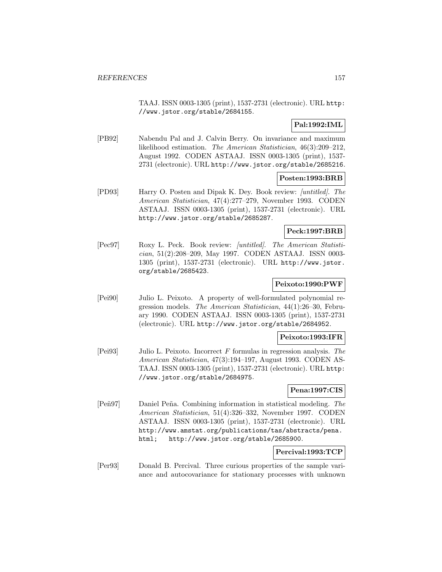TAAJ. ISSN 0003-1305 (print), 1537-2731 (electronic). URL http: //www.jstor.org/stable/2684155.

# **Pal:1992:IML**

[PB92] Nabendu Pal and J. Calvin Berry. On invariance and maximum likelihood estimation. The American Statistician, 46(3):209–212, August 1992. CODEN ASTAAJ. ISSN 0003-1305 (print), 1537- 2731 (electronic). URL http://www.jstor.org/stable/2685216.

# **Posten:1993:BRB**

[PD93] Harry O. Posten and Dipak K. Dey. Book review: [untitled]. The American Statistician, 47(4):277–279, November 1993. CODEN ASTAAJ. ISSN 0003-1305 (print), 1537-2731 (electronic). URL http://www.jstor.org/stable/2685287.

## **Peck:1997:BRB**

[Pec97] Roxy L. Peck. Book review: [untitled]. The American Statistician, 51(2):208–209, May 1997. CODEN ASTAAJ. ISSN 0003- 1305 (print), 1537-2731 (electronic). URL http://www.jstor. org/stable/2685423.

# **Peixoto:1990:PWF**

[Pei90] Julio L. Peixoto. A property of well-formulated polynomial regression models. The American Statistician, 44(1):26–30, February 1990. CODEN ASTAAJ. ISSN 0003-1305 (print), 1537-2731 (electronic). URL http://www.jstor.org/stable/2684952.

## **Peixoto:1993:IFR**

[Pei93] Julio L. Peixoto. Incorrect F formulas in regression analysis. The American Statistician, 47(3):194–197, August 1993. CODEN AS-TAAJ. ISSN 0003-1305 (print), 1537-2731 (electronic). URL http: //www.jstor.org/stable/2684975.

## **Pena:1997:CIS**

[Peñ97] Daniel Peña. Combining information in statistical modeling. The American Statistician, 51(4):326–332, November 1997. CODEN ASTAAJ. ISSN 0003-1305 (print), 1537-2731 (electronic). URL http://www.amstat.org/publications/tas/abstracts/pena. html; http://www.jstor.org/stable/2685900.

# **Percival:1993:TCP**

[Per93] Donald B. Percival. Three curious properties of the sample variance and autocovariance for stationary processes with unknown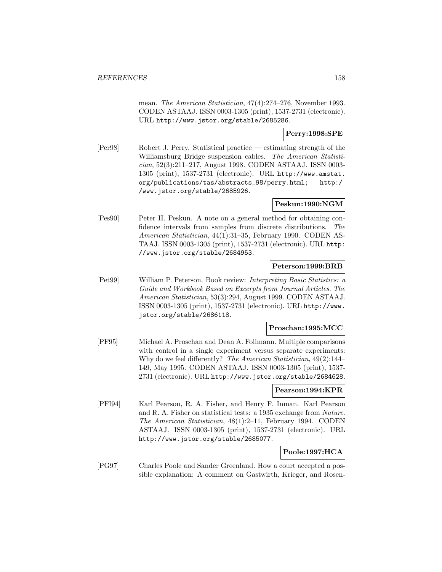mean. The American Statistician, 47(4):274–276, November 1993. CODEN ASTAAJ. ISSN 0003-1305 (print), 1537-2731 (electronic). URL http://www.jstor.org/stable/2685286.

# **Perry:1998:SPE**

[Per98] Robert J. Perry. Statistical practice — estimating strength of the Williamsburg Bridge suspension cables. The American Statistician, 52(3):211–217, August 1998. CODEN ASTAAJ. ISSN 0003- 1305 (print), 1537-2731 (electronic). URL http://www.amstat. org/publications/tas/abstracts\_98/perry.html; http:/ /www.jstor.org/stable/2685926.

## **Peskun:1990:NGM**

[Pes90] Peter H. Peskun. A note on a general method for obtaining confidence intervals from samples from discrete distributions. The American Statistician, 44(1):31–35, February 1990. CODEN AS-TAAJ. ISSN 0003-1305 (print), 1537-2731 (electronic). URL http: //www.jstor.org/stable/2684953.

#### **Peterson:1999:BRB**

[Pet99] William P. Peterson. Book review: Interpreting Basic Statistics: a Guide and Workbook Based on Excerpts from Journal Articles. The American Statistician, 53(3):294, August 1999. CODEN ASTAAJ. ISSN 0003-1305 (print), 1537-2731 (electronic). URL http://www. jstor.org/stable/2686118.

#### **Proschan:1995:MCC**

[PF95] Michael A. Proschan and Dean A. Follmann. Multiple comparisons with control in a single experiment versus separate experiments: Why do we feel differently? The American Statistician, 49(2):144– 149, May 1995. CODEN ASTAAJ. ISSN 0003-1305 (print), 1537- 2731 (electronic). URL http://www.jstor.org/stable/2684628.

#### **Pearson:1994:KPR**

[PFI94] Karl Pearson, R. A. Fisher, and Henry F. Inman. Karl Pearson and R. A. Fisher on statistical tests: a 1935 exchange from Nature. The American Statistician, 48(1):2–11, February 1994. CODEN ASTAAJ. ISSN 0003-1305 (print), 1537-2731 (electronic). URL http://www.jstor.org/stable/2685077.

# **Poole:1997:HCA**

[PG97] Charles Poole and Sander Greenland. How a court accepted a possible explanation: A comment on Gastwirth, Krieger, and Rosen-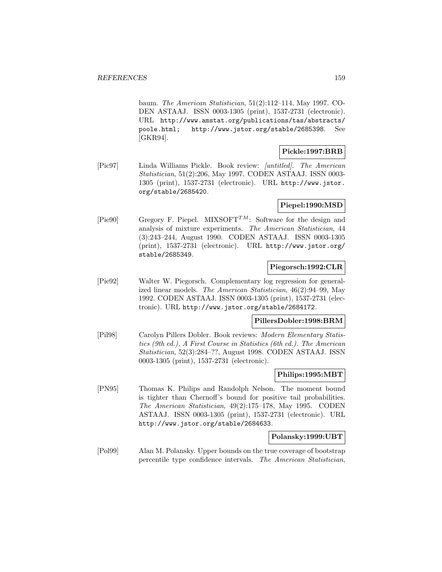baum. The American Statistician, 51(2):112–114, May 1997. CO-DEN ASTAAJ. ISSN 0003-1305 (print), 1537-2731 (electronic). URL http://www.amstat.org/publications/tas/abstracts/ poole.html; http://www.jstor.org/stable/2685398. See [GKR94].

## **Pickle:1997:BRB**

[Pic97] Linda Williams Pickle. Book review: [untitled]. The American Statistician, 51(2):206, May 1997. CODEN ASTAAJ. ISSN 0003- 1305 (print), 1537-2731 (electronic). URL http://www.jstor. org/stable/2685420.

# **Piepel:1990:MSD**

[Pie90] Gregory F. Piepel. MIXSOFT<sup>TM</sup>: Software for the design and analysis of mixture experiments. The American Statistician, 44 (3):243–244, August 1990. CODEN ASTAAJ. ISSN 0003-1305 (print), 1537-2731 (electronic). URL http://www.jstor.org/ stable/2685349.

# **Piegorsch:1992:CLR**

[Pie92] Walter W. Piegorsch. Complementary log regression for generalized linear models. The American Statistician, 46(2):94–99, May 1992. CODEN ASTAAJ. ISSN 0003-1305 (print), 1537-2731 (electronic). URL http://www.jstor.org/stable/2684172.

# **PillersDobler:1998:BRM**

[Pil98] Carolyn Pillers Dobler. Book reviews: Modern Elementary Statistics (9th ed.), A First Course in Statistics (6th ed.). The American Statistician, 52(3):284–??, August 1998. CODEN ASTAAJ. ISSN 0003-1305 (print), 1537-2731 (electronic).

#### **Philips:1995:MBT**

[PN95] Thomas K. Philips and Randolph Nelson. The moment bound is tighter than Chernoff's bound for positive tail probabilities. The American Statistician, 49(2):175–178, May 1995. CODEN ASTAAJ. ISSN 0003-1305 (print), 1537-2731 (electronic). URL http://www.jstor.org/stable/2684633.

## **Polansky:1999:UBT**

[Pol99] Alan M. Polansky. Upper bounds on the true coverage of bootstrap percentile type confidence intervals. The American Statistician,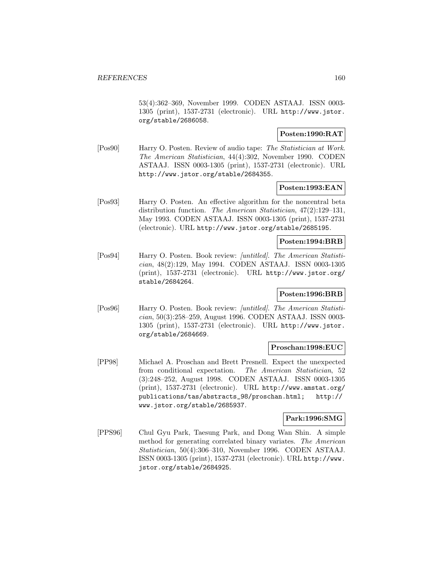53(4):362–369, November 1999. CODEN ASTAAJ. ISSN 0003- 1305 (print), 1537-2731 (electronic). URL http://www.jstor. org/stable/2686058.

## **Posten:1990:RAT**

[Pos90] Harry O. Posten. Review of audio tape: The Statistician at Work. The American Statistician, 44(4):302, November 1990. CODEN ASTAAJ. ISSN 0003-1305 (print), 1537-2731 (electronic). URL http://www.jstor.org/stable/2684355.

## **Posten:1993:EAN**

[Pos93] Harry O. Posten. An effective algorithm for the noncentral beta distribution function. The American Statistician, 47(2):129–131, May 1993. CODEN ASTAAJ. ISSN 0003-1305 (print), 1537-2731 (electronic). URL http://www.jstor.org/stable/2685195.

## **Posten:1994:BRB**

[Pos94] Harry O. Posten. Book review: [untitled]. The American Statistician, 48(2):129, May 1994. CODEN ASTAAJ. ISSN 0003-1305 (print), 1537-2731 (electronic). URL http://www.jstor.org/ stable/2684264.

# **Posten:1996:BRB**

[Pos96] Harry O. Posten. Book review: [untitled]. The American Statistician, 50(3):258–259, August 1996. CODEN ASTAAJ. ISSN 0003- 1305 (print), 1537-2731 (electronic). URL http://www.jstor. org/stable/2684669.

## **Proschan:1998:EUC**

[PP98] Michael A. Proschan and Brett Presnell. Expect the unexpected from conditional expectation. The American Statistician, 52 (3):248–252, August 1998. CODEN ASTAAJ. ISSN 0003-1305 (print), 1537-2731 (electronic). URL http://www.amstat.org/ publications/tas/abstracts\_98/proschan.html; http:// www.jstor.org/stable/2685937.

## **Park:1996:SMG**

[PPS96] Chul Gyu Park, Taesung Park, and Dong Wan Shin. A simple method for generating correlated binary variates. The American Statistician, 50(4):306–310, November 1996. CODEN ASTAAJ. ISSN 0003-1305 (print), 1537-2731 (electronic). URL http://www. jstor.org/stable/2684925.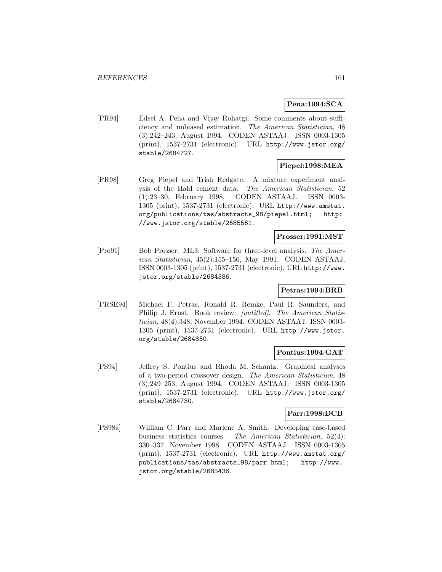## **Pena:1994:SCA**

[PR94] Edsel A. Peña and Vijay Rohatgi. Some comments about sufficiency and unbiased estimation. The American Statistician, 48 (3):242–243, August 1994. CODEN ASTAAJ. ISSN 0003-1305 (print), 1537-2731 (electronic). URL http://www.jstor.org/ stable/2684727.

# **Piepel:1998:MEA**

[PR98] Greg Piepel and Trish Redgate. A mixture experiment analysis of the Hald cement data. The American Statistician, 52 (1):23–30, February 1998. CODEN ASTAAJ. ISSN 0003- 1305 (print), 1537-2731 (electronic). URL http://www.amstat. org/publications/tas/abstracts\_98/piepel.html; http: //www.jstor.org/stable/2685561.

# **Prosser:1991:MST**

[Pro91] Bob Prosser. ML3: Software for three-level analysis. The American Statistician, 45(2):155–156, May 1991. CODEN ASTAAJ. ISSN 0003-1305 (print), 1537-2731 (electronic). URL http://www. jstor.org/stable/2684386.

## **Petras:1994:BRB**

[PRSE94] Michael F. Petras, Ronald R. Remke, Paul R. Saunders, and Philip J. Ernst. Book review: [untitled]. The American Statistician, 48(4):348, November 1994. CODEN ASTAAJ. ISSN 0003- 1305 (print), 1537-2731 (electronic). URL http://www.jstor. org/stable/2684850.

## **Pontius:1994:GAT**

[PS94] Jeffrey S. Pontius and Rhoda M. Schantz. Graphical analyses of a two-period crossover design. The American Statistician, 48 (3):249–253, August 1994. CODEN ASTAAJ. ISSN 0003-1305 (print), 1537-2731 (electronic). URL http://www.jstor.org/ stable/2684730.

#### **Parr:1998:DCB**

[PS98a] William C. Parr and Marlene A. Smith. Developing case-based business statistics courses. The American Statistician, 52(4): 330–337, November 1998. CODEN ASTAAJ. ISSN 0003-1305 (print), 1537-2731 (electronic). URL http://www.amstat.org/ publications/tas/abstracts\_98/parr.html; http://www. jstor.org/stable/2685436.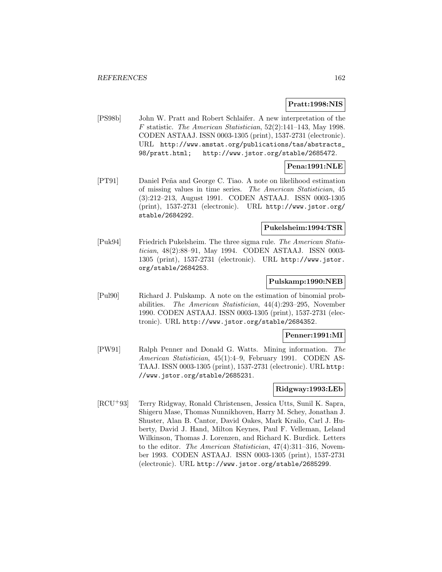## **Pratt:1998:NIS**

[PS98b] John W. Pratt and Robert Schlaifer. A new interpretation of the F statistic. The American Statistician, 52(2):141–143, May 1998. CODEN ASTAAJ. ISSN 0003-1305 (print), 1537-2731 (electronic). URL http://www.amstat.org/publications/tas/abstracts\_ 98/pratt.html; http://www.jstor.org/stable/2685472.

# **Pena:1991:NLE**

[PT91] Daniel Pe˜na and George C. Tiao. A note on likelihood estimation of missing values in time series. The American Statistician, 45 (3):212–213, August 1991. CODEN ASTAAJ. ISSN 0003-1305 (print), 1537-2731 (electronic). URL http://www.jstor.org/ stable/2684292.

#### **Pukelsheim:1994:TSR**

[Puk94] Friedrich Pukelsheim. The three sigma rule. The American Statistician, 48(2):88–91, May 1994. CODEN ASTAAJ. ISSN 0003- 1305 (print), 1537-2731 (electronic). URL http://www.jstor. org/stable/2684253.

#### **Pulskamp:1990:NEB**

[Pul90] Richard J. Pulskamp. A note on the estimation of binomial probabilities. The American Statistician, 44(4):293–295, November 1990. CODEN ASTAAJ. ISSN 0003-1305 (print), 1537-2731 (electronic). URL http://www.jstor.org/stable/2684352.

#### **Penner:1991:MI**

[PW91] Ralph Penner and Donald G. Watts. Mining information. The American Statistician, 45(1):4–9, February 1991. CODEN AS-TAAJ. ISSN 0003-1305 (print), 1537-2731 (electronic). URL http: //www.jstor.org/stable/2685231.

## **Ridgway:1993:LEb**

[RCU<sup>+</sup>93] Terry Ridgway, Ronald Christensen, Jessica Utts, Sunil K. Sapra, Shigeru Mase, Thomas Nunnikhoven, Harry M. Schey, Jonathan J. Shuster, Alan B. Cantor, David Oakes, Mark Krailo, Carl J. Huberty, David J. Hand, Milton Keynes, Paul F. Velleman, Leland Wilkinson, Thomas J. Lorenzen, and Richard K. Burdick. Letters to the editor. The American Statistician, 47(4):311–316, November 1993. CODEN ASTAAJ. ISSN 0003-1305 (print), 1537-2731 (electronic). URL http://www.jstor.org/stable/2685299.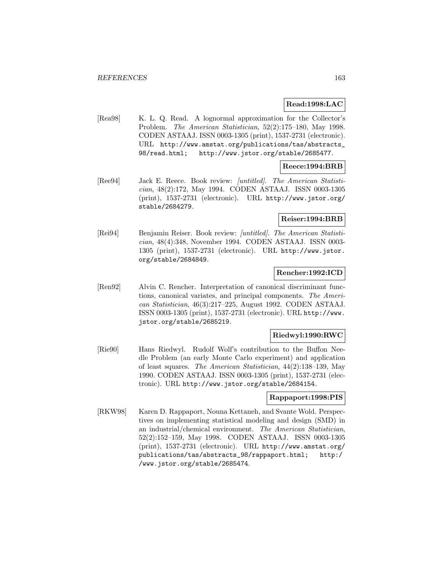## **Read:1998:LAC**

[Rea98] K. L. Q. Read. A lognormal approximation for the Collector's Problem. The American Statistician, 52(2):175–180, May 1998. CODEN ASTAAJ. ISSN 0003-1305 (print), 1537-2731 (electronic). URL http://www.amstat.org/publications/tas/abstracts\_ 98/read.html; http://www.jstor.org/stable/2685477.

# **Reece:1994:BRB**

[Ree94] Jack E. Reece. Book review: [untitled]. The American Statistician, 48(2):172, May 1994. CODEN ASTAAJ. ISSN 0003-1305 (print), 1537-2731 (electronic). URL http://www.jstor.org/ stable/2684279.

## **Reiser:1994:BRB**

[Rei94] Benjamin Reiser. Book review: [untitled]. The American Statistician, 48(4):348, November 1994. CODEN ASTAAJ. ISSN 0003- 1305 (print), 1537-2731 (electronic). URL http://www.jstor. org/stable/2684849.

## **Rencher:1992:ICD**

[Ren92] Alvin C. Rencher. Interpretation of canonical discriminant functions, canonical variates, and principal components. The American Statistician, 46(3):217–225, August 1992. CODEN ASTAAJ. ISSN 0003-1305 (print), 1537-2731 (electronic). URL http://www. jstor.org/stable/2685219.

## **Riedwyl:1990:RWC**

[Rie90] Hans Riedwyl. Rudolf Wolf's contribution to the Buffon Needle Problem (an early Monte Carlo experiment) and application of least squares. The American Statistician, 44(2):138–139, May 1990. CODEN ASTAAJ. ISSN 0003-1305 (print), 1537-2731 (electronic). URL http://www.jstor.org/stable/2684154.

#### **Rappaport:1998:PIS**

[RKW98] Karen D. Rappaport, Nouna Kettaneh, and Svante Wold. Perspectives on implementing statistical modeling and design (SMD) in an industrial/chemical environment. The American Statistician, 52(2):152–159, May 1998. CODEN ASTAAJ. ISSN 0003-1305 (print), 1537-2731 (electronic). URL http://www.amstat.org/ publications/tas/abstracts\_98/rappaport.html; http:/ /www.jstor.org/stable/2685474.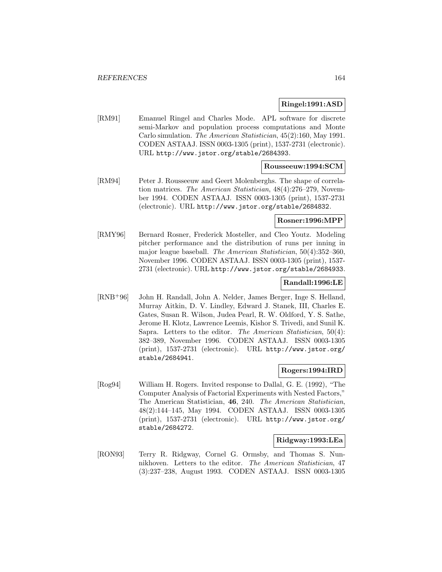#### **Ringel:1991:ASD**

[RM91] Emanuel Ringel and Charles Mode. APL software for discrete semi-Markov and population process computations and Monte Carlo simulation. The American Statistician, 45(2):160, May 1991. CODEN ASTAAJ. ISSN 0003-1305 (print), 1537-2731 (electronic). URL http://www.jstor.org/stable/2684393.

#### **Rousseeuw:1994:SCM**

[RM94] Peter J. Rousseeuw and Geert Molenberghs. The shape of correlation matrices. The American Statistician, 48(4):276–279, November 1994. CODEN ASTAAJ. ISSN 0003-1305 (print), 1537-2731 (electronic). URL http://www.jstor.org/stable/2684832.

#### **Rosner:1996:MPP**

[RMY96] Bernard Rosner, Frederick Mosteller, and Cleo Youtz. Modeling pitcher performance and the distribution of runs per inning in major league baseball. The American Statistician, 50(4):352–360, November 1996. CODEN ASTAAJ. ISSN 0003-1305 (print), 1537- 2731 (electronic). URL http://www.jstor.org/stable/2684933.

## **Randall:1996:LE**

[RNB<sup>+</sup>96] John H. Randall, John A. Nelder, James Berger, Inge S. Helland, Murray Aitkin, D. V. Lindley, Edward J. Stanek, III, Charles E. Gates, Susan R. Wilson, Judea Pearl, R. W. Oldford, Y. S. Sathe, Jerome H. Klotz, Lawrence Leemis, Kishor S. Trivedi, and Sunil K. Sapra. Letters to the editor. The American Statistician, 50(4): 382–389, November 1996. CODEN ASTAAJ. ISSN 0003-1305 (print), 1537-2731 (electronic). URL http://www.jstor.org/ stable/2684941.

## **Rogers:1994:IRD**

[Rog94] William H. Rogers. Invited response to Dallal, G. E. (1992), "The Computer Analysis of Factorial Experiments with Nested Factors," The American Statistician, **46**, 240. The American Statistician, 48(2):144–145, May 1994. CODEN ASTAAJ. ISSN 0003-1305 (print), 1537-2731 (electronic). URL http://www.jstor.org/ stable/2684272.

### **Ridgway:1993:LEa**

[RON93] Terry R. Ridgway, Cornel G. Ormsby, and Thomas S. Nunnikhoven. Letters to the editor. The American Statistician, 47 (3):237–238, August 1993. CODEN ASTAAJ. ISSN 0003-1305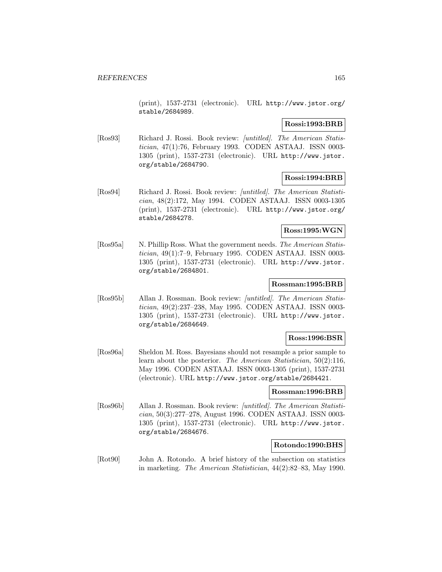(print), 1537-2731 (electronic). URL http://www.jstor.org/ stable/2684989.

## **Rossi:1993:BRB**

[Ros93] Richard J. Rossi. Book review: [untitled]. The American Statistician, 47(1):76, February 1993. CODEN ASTAAJ. ISSN 0003- 1305 (print), 1537-2731 (electronic). URL http://www.jstor. org/stable/2684790.

# **Rossi:1994:BRB**

[Ros94] Richard J. Rossi. Book review: [untitled]. The American Statistician, 48(2):172, May 1994. CODEN ASTAAJ. ISSN 0003-1305 (print), 1537-2731 (electronic). URL http://www.jstor.org/ stable/2684278.

# **Ross:1995:WGN**

[Ros95a] N. Phillip Ross. What the government needs. The American Statistician, 49(1):7–9, February 1995. CODEN ASTAAJ. ISSN 0003- 1305 (print), 1537-2731 (electronic). URL http://www.jstor. org/stable/2684801.

## **Rossman:1995:BRB**

[Ros95b] Allan J. Rossman. Book review: [untitled]. The American Statistician, 49(2):237–238, May 1995. CODEN ASTAAJ. ISSN 0003- 1305 (print), 1537-2731 (electronic). URL http://www.jstor. org/stable/2684649.

# **Ross:1996:BSR**

[Ros96a] Sheldon M. Ross. Bayesians should not resample a prior sample to learn about the posterior. The American Statistician, 50(2):116, May 1996. CODEN ASTAAJ. ISSN 0003-1305 (print), 1537-2731 (electronic). URL http://www.jstor.org/stable/2684421.

## **Rossman:1996:BRB**

[Ros96b] Allan J. Rossman. Book review: [untitled]. The American Statistician, 50(3):277–278, August 1996. CODEN ASTAAJ. ISSN 0003- 1305 (print), 1537-2731 (electronic). URL http://www.jstor. org/stable/2684676.

## **Rotondo:1990:BHS**

[Rot90] John A. Rotondo. A brief history of the subsection on statistics in marketing. The American Statistician, 44(2):82–83, May 1990.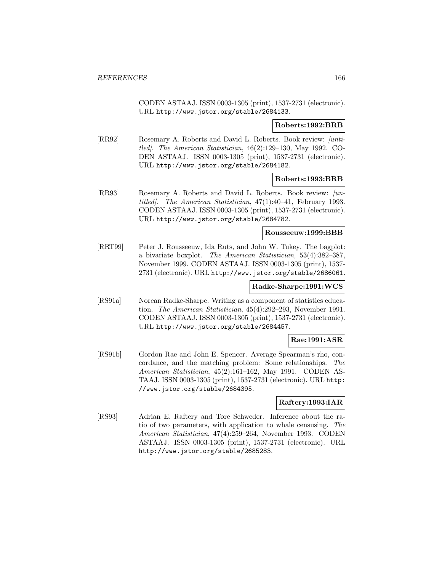CODEN ASTAAJ. ISSN 0003-1305 (print), 1537-2731 (electronic). URL http://www.jstor.org/stable/2684133.

## **Roberts:1992:BRB**

[RR92] Rosemary A. Roberts and David L. Roberts. Book review: [untitled]. The American Statistician, 46(2):129–130, May 1992. CO-DEN ASTAAJ. ISSN 0003-1305 (print), 1537-2731 (electronic). URL http://www.jstor.org/stable/2684182.

#### **Roberts:1993:BRB**

[RR93] Rosemary A. Roberts and David L. Roberts. Book review: /untitled]. The American Statistician, 47(1):40–41, February 1993. CODEN ASTAAJ. ISSN 0003-1305 (print), 1537-2731 (electronic). URL http://www.jstor.org/stable/2684782.

# **Rousseeuw:1999:BBB**

[RRT99] Peter J. Rousseeuw, Ida Ruts, and John W. Tukey. The bagplot: a bivariate boxplot. The American Statistician, 53(4):382–387, November 1999. CODEN ASTAAJ. ISSN 0003-1305 (print), 1537- 2731 (electronic). URL http://www.jstor.org/stable/2686061.

# **Radke-Sharpe:1991:WCS**

[RS91a] Norean Radke-Sharpe. Writing as a component of statistics education. The American Statistician, 45(4):292–293, November 1991. CODEN ASTAAJ. ISSN 0003-1305 (print), 1537-2731 (electronic). URL http://www.jstor.org/stable/2684457.

# **Rae:1991:ASR**

[RS91b] Gordon Rae and John E. Spencer. Average Spearman's rho, concordance, and the matching problem: Some relationships. The American Statistician, 45(2):161–162, May 1991. CODEN AS-TAAJ. ISSN 0003-1305 (print), 1537-2731 (electronic). URL http: //www.jstor.org/stable/2684395.

# **Raftery:1993:IAR**

[RS93] Adrian E. Raftery and Tore Schweder. Inference about the ratio of two parameters, with application to whale censusing. The American Statistician, 47(4):259–264, November 1993. CODEN ASTAAJ. ISSN 0003-1305 (print), 1537-2731 (electronic). URL http://www.jstor.org/stable/2685283.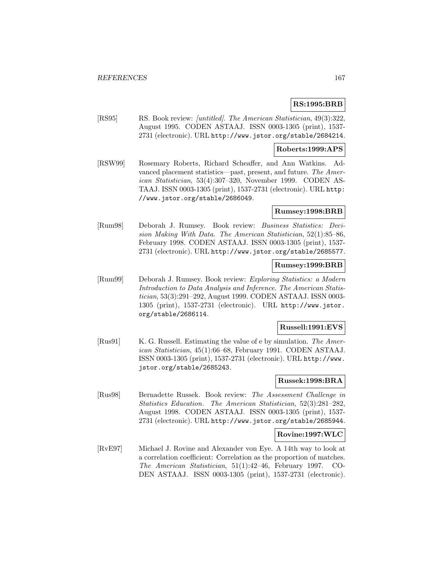# **RS:1995:BRB**

[RS95] RS. Book review: [untitled]. The American Statistician, 49(3):322, August 1995. CODEN ASTAAJ. ISSN 0003-1305 (print), 1537- 2731 (electronic). URL http://www.jstor.org/stable/2684214.

## **Roberts:1999:APS**

[RSW99] Rosemary Roberts, Richard Scheaffer, and Ann Watkins. Advanced placement statistics—past, present, and future. The American Statistician, 53(4):307–320, November 1999. CODEN AS-TAAJ. ISSN 0003-1305 (print), 1537-2731 (electronic). URL http: //www.jstor.org/stable/2686049.

#### **Rumsey:1998:BRB**

[Rum98] Deborah J. Rumsey. Book review: Business Statistics: Decision Making With Data. The American Statistician, 52(1):85–86, February 1998. CODEN ASTAAJ. ISSN 0003-1305 (print), 1537- 2731 (electronic). URL http://www.jstor.org/stable/2685577.

# **Rumsey:1999:BRB**

[Rum99] Deborah J. Rumsey. Book review: Exploring Statistics: a Modern Introduction to Data Analysis and Inference. The American Statistician, 53(3):291–292, August 1999. CODEN ASTAAJ. ISSN 0003- 1305 (print), 1537-2731 (electronic). URL http://www.jstor. org/stable/2686114.

## **Russell:1991:EVS**

[Rus91] K. G. Russell. Estimating the value of e by simulation. The American Statistician, 45(1):66–68, February 1991. CODEN ASTAAJ. ISSN 0003-1305 (print), 1537-2731 (electronic). URL http://www. jstor.org/stable/2685243.

#### **Russek:1998:BRA**

[Rus98] Bernadette Russek. Book review: The Assessment Challenge in Statistics Education. The American Statistician, 52(3):281–282, August 1998. CODEN ASTAAJ. ISSN 0003-1305 (print), 1537- 2731 (electronic). URL http://www.jstor.org/stable/2685944.

#### **Rovine:1997:WLC**

[RvE97] Michael J. Rovine and Alexander von Eye. A 14th way to look at a correlation coefficient: Correlation as the proportion of matches. The American Statistician, 51(1):42–46, February 1997. CO-DEN ASTAAJ. ISSN 0003-1305 (print), 1537-2731 (electronic).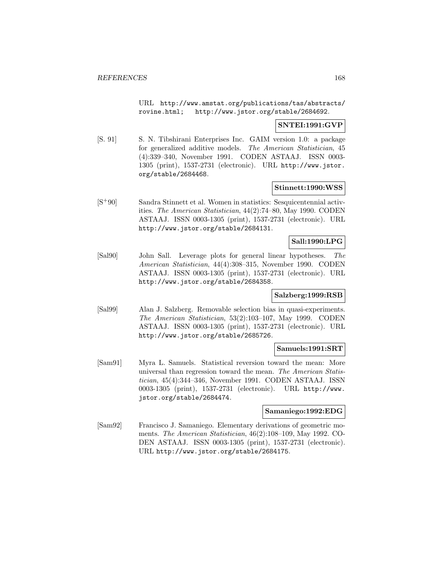URL http://www.amstat.org/publications/tas/abstracts/ rovine.html; http://www.jstor.org/stable/2684692.

#### **SNTEI:1991:GVP**

[S. 91] S. N. Tibshirani Enterprises Inc. GAIM version 1.0: a package for generalized additive models. The American Statistician, 45 (4):339–340, November 1991. CODEN ASTAAJ. ISSN 0003- 1305 (print), 1537-2731 (electronic). URL http://www.jstor. org/stable/2684468.

## **Stinnett:1990:WSS**

[S<sup>+</sup>90] Sandra Stinnett et al. Women in statistics: Sesquicentennial activities. The American Statistician, 44(2):74–80, May 1990. CODEN ASTAAJ. ISSN 0003-1305 (print), 1537-2731 (electronic). URL http://www.jstor.org/stable/2684131.

## **Sall:1990:LPG**

[Sal90] John Sall. Leverage plots for general linear hypotheses. The American Statistician, 44(4):308–315, November 1990. CODEN ASTAAJ. ISSN 0003-1305 (print), 1537-2731 (electronic). URL http://www.jstor.org/stable/2684358.

#### **Salzberg:1999:RSB**

[Sal99] Alan J. Salzberg. Removable selection bias in quasi-experiments. The American Statistician, 53(2):103–107, May 1999. CODEN ASTAAJ. ISSN 0003-1305 (print), 1537-2731 (electronic). URL http://www.jstor.org/stable/2685726.

#### **Samuels:1991:SRT**

[Sam91] Myra L. Samuels. Statistical reversion toward the mean: More universal than regression toward the mean. The American Statistician, 45(4):344–346, November 1991. CODEN ASTAAJ. ISSN 0003-1305 (print), 1537-2731 (electronic). URL http://www. jstor.org/stable/2684474.

#### **Samaniego:1992:EDG**

[Sam92] Francisco J. Samaniego. Elementary derivations of geometric moments. The American Statistician, 46(2):108–109, May 1992. CO-DEN ASTAAJ. ISSN 0003-1305 (print), 1537-2731 (electronic). URL http://www.jstor.org/stable/2684175.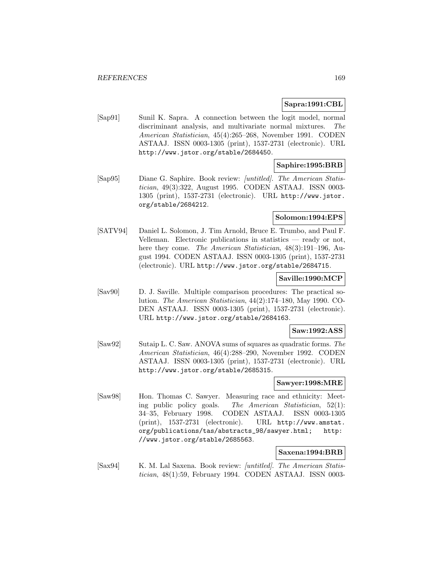## **Sapra:1991:CBL**

[Sap91] Sunil K. Sapra. A connection between the logit model, normal discriminant analysis, and multivariate normal mixtures. The American Statistician, 45(4):265–268, November 1991. CODEN ASTAAJ. ISSN 0003-1305 (print), 1537-2731 (electronic). URL http://www.jstor.org/stable/2684450.

## **Saphire:1995:BRB**

[Sap95] Diane G. Saphire. Book review: [untitled]. The American Statistician, 49(3):322, August 1995. CODEN ASTAAJ. ISSN 0003- 1305 (print), 1537-2731 (electronic). URL http://www.jstor. org/stable/2684212.

# **Solomon:1994:EPS**

[SATV94] Daniel L. Solomon, J. Tim Arnold, Bruce E. Trumbo, and Paul F. Velleman. Electronic publications in statistics — ready or not, here they come. The American Statistician, 48(3):191-196, August 1994. CODEN ASTAAJ. ISSN 0003-1305 (print), 1537-2731 (electronic). URL http://www.jstor.org/stable/2684715.

# **Saville:1990:MCP**

[Sav90] D. J. Saville. Multiple comparison procedures: The practical solution. The American Statistician, 44(2):174–180, May 1990. CO-DEN ASTAAJ. ISSN 0003-1305 (print), 1537-2731 (electronic). URL http://www.jstor.org/stable/2684163.

#### **Saw:1992:ASS**

[Saw92] Sutaip L. C. Saw. ANOVA sums of squares as quadratic forms. The American Statistician, 46(4):288–290, November 1992. CODEN ASTAAJ. ISSN 0003-1305 (print), 1537-2731 (electronic). URL http://www.jstor.org/stable/2685315.

#### **Sawyer:1998:MRE**

[Saw98] Hon. Thomas C. Sawyer. Measuring race and ethnicity: Meeting public policy goals. The American Statistician, 52(1): 34–35, February 1998. CODEN ASTAAJ. ISSN 0003-1305 (print), 1537-2731 (electronic). URL http://www.amstat. org/publications/tas/abstracts\_98/sawyer.html; http: //www.jstor.org/stable/2685563.

## **Saxena:1994:BRB**

[Sax94] K. M. Lal Saxena. Book review: [untitled]. The American Statistician, 48(1):59, February 1994. CODEN ASTAAJ. ISSN 0003-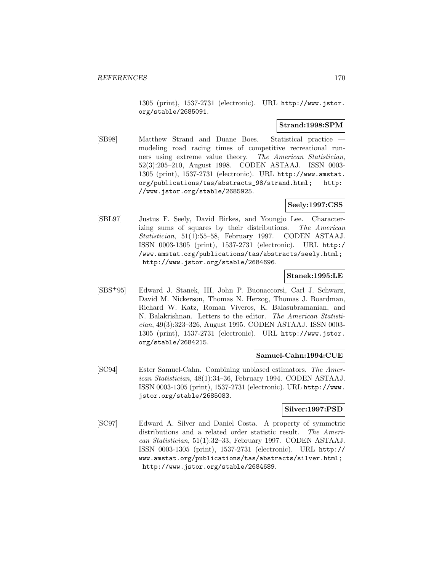1305 (print), 1537-2731 (electronic). URL http://www.jstor. org/stable/2685091.

## **Strand:1998:SPM**

[SB98] Matthew Strand and Duane Boes. Statistical practice modeling road racing times of competitive recreational runners using extreme value theory. The American Statistician, 52(3):205–210, August 1998. CODEN ASTAAJ. ISSN 0003- 1305 (print), 1537-2731 (electronic). URL http://www.amstat. org/publications/tas/abstracts\_98/strand.html; http: //www.jstor.org/stable/2685925.

## **Seely:1997:CSS**

[SBL97] Justus F. Seely, David Birkes, and Youngjo Lee. Characterizing sums of squares by their distributions. The American Statistician, 51(1):55–58, February 1997. CODEN ASTAAJ. ISSN 0003-1305 (print), 1537-2731 (electronic). URL http:/ /www.amstat.org/publications/tas/abstracts/seely.html; http://www.jstor.org/stable/2684696.

#### **Stanek:1995:LE**

[SBS<sup>+</sup>95] Edward J. Stanek, III, John P. Buonaccorsi, Carl J. Schwarz, David M. Nickerson, Thomas N. Herzog, Thomas J. Boardman, Richard W. Katz, Roman Viveros, K. Balasubramanian, and N. Balakrishnan. Letters to the editor. The American Statistician, 49(3):323–326, August 1995. CODEN ASTAAJ. ISSN 0003- 1305 (print), 1537-2731 (electronic). URL http://www.jstor. org/stable/2684215.

## **Samuel-Cahn:1994:CUE**

[SC94] Ester Samuel-Cahn. Combining unbiased estimators. The American Statistician, 48(1):34–36, February 1994. CODEN ASTAAJ. ISSN 0003-1305 (print), 1537-2731 (electronic). URL http://www. jstor.org/stable/2685083.

## **Silver:1997:PSD**

[SC97] Edward A. Silver and Daniel Costa. A property of symmetric distributions and a related order statistic result. The American Statistician, 51(1):32–33, February 1997. CODEN ASTAAJ. ISSN 0003-1305 (print), 1537-2731 (electronic). URL http:// www.amstat.org/publications/tas/abstracts/silver.html; http://www.jstor.org/stable/2684689.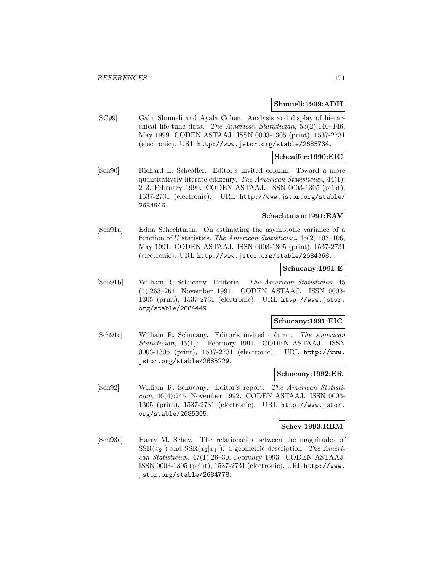## **Shmueli:1999:ADH**

[SC99] Galit Shmueli and Ayala Cohen. Analysis and display of hierarchical life-time data. The American Statistician, 53(2):140–146, May 1999. CODEN ASTAAJ. ISSN 0003-1305 (print), 1537-2731 (electronic). URL http://www.jstor.org/stable/2685734.

## **Scheaffer:1990:EIC**

[Sch90] Richard L. Scheaffer. Editor's invited column: Toward a more quantitatively literate citizenry. The American Statistician, 44(1): 2–3, February 1990. CODEN ASTAAJ. ISSN 0003-1305 (print), 1537-2731 (electronic). URL http://www.jstor.org/stable/ 2684946.

## **Schechtman:1991:EAV**

[Sch91a] Edna Schechtman. On estimating the asymptotic variance of a function of U statistics. The American Statistician,  $45(2):103-106$ , May 1991. CODEN ASTAAJ. ISSN 0003-1305 (print), 1537-2731 (electronic). URL http://www.jstor.org/stable/2684368.

## **Schucany:1991:E**

[Sch91b] William R. Schucany. Editorial. The American Statistician, 45 (4):263–264, November 1991. CODEN ASTAAJ. ISSN 0003- 1305 (print), 1537-2731 (electronic). URL http://www.jstor. org/stable/2684449.

# **Schucany:1991:EIC**

[Sch91c] William R. Schucany. Editor's invited column. The American Statistician, 45(1):1, February 1991. CODEN ASTAAJ. ISSN 0003-1305 (print), 1537-2731 (electronic). URL http://www. jstor.org/stable/2685229.

#### **Schucany:1992:ER**

[Sch92] William R. Schucany. Editor's report. The American Statistician, 46(4):245, November 1992. CODEN ASTAAJ. ISSN 0003- 1305 (print), 1537-2731 (electronic). URL http://www.jstor. org/stable/2685305.

#### **Schey:1993:RBM**

[Sch93a] Harry M. Schey. The relationship between the magnitudes of  $SSR(x_2)$  and  $SSR(x_2|x_1)$ : a geometric description. The American Statistician, 47(1):26–30, February 1993. CODEN ASTAAJ. ISSN 0003-1305 (print), 1537-2731 (electronic). URL http://www. jstor.org/stable/2684778.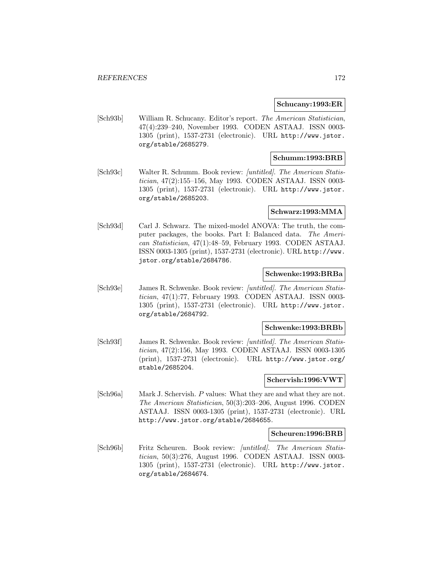#### **Schucany:1993:ER**

[Sch93b] William R. Schucany. Editor's report. The American Statistician, 47(4):239–240, November 1993. CODEN ASTAAJ. ISSN 0003- 1305 (print), 1537-2731 (electronic). URL http://www.jstor. org/stable/2685279.

## **Schumm:1993:BRB**

[Sch93c] Walter R. Schumm. Book review: [untitled]. The American Statistician, 47(2):155–156, May 1993. CODEN ASTAAJ. ISSN 0003- 1305 (print), 1537-2731 (electronic). URL http://www.jstor. org/stable/2685203.

#### **Schwarz:1993:MMA**

[Sch93d] Carl J. Schwarz. The mixed-model ANOVA: The truth, the computer packages, the books. Part I: Balanced data. The American Statistician, 47(1):48–59, February 1993. CODEN ASTAAJ. ISSN 0003-1305 (print), 1537-2731 (electronic). URL http://www. jstor.org/stable/2684786.

#### **Schwenke:1993:BRBa**

[Sch93e] James R. Schwenke. Book review: [untitled]. The American Statistician, 47(1):77, February 1993. CODEN ASTAAJ. ISSN 0003- 1305 (print), 1537-2731 (electronic). URL http://www.jstor. org/stable/2684792.

#### **Schwenke:1993:BRBb**

[Sch93f] James R. Schwenke. Book review: [untitled]. The American Statistician, 47(2):156, May 1993. CODEN ASTAAJ. ISSN 0003-1305 (print), 1537-2731 (electronic). URL http://www.jstor.org/ stable/2685204.

#### **Schervish:1996:VWT**

[Sch96a] Mark J. Schervish. P values: What they are and what they are not. The American Statistician, 50(3):203–206, August 1996. CODEN ASTAAJ. ISSN 0003-1305 (print), 1537-2731 (electronic). URL http://www.jstor.org/stable/2684655.

#### **Scheuren:1996:BRB**

[Sch96b] Fritz Scheuren. Book review: [untitled]. The American Statistician, 50(3):276, August 1996. CODEN ASTAAJ. ISSN 0003- 1305 (print), 1537-2731 (electronic). URL http://www.jstor. org/stable/2684674.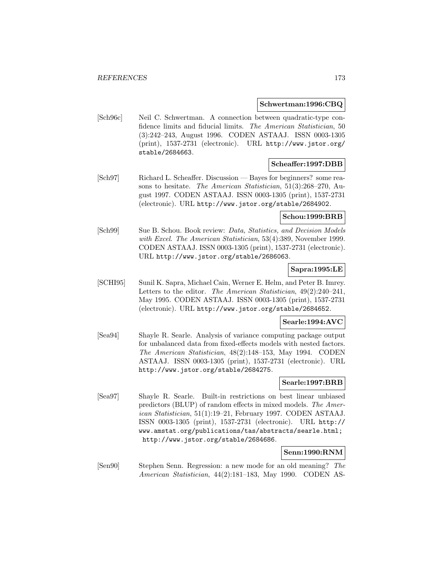#### **Schwertman:1996:CBQ**

[Sch96c] Neil C. Schwertman. A connection between quadratic-type confidence limits and fiducial limits. The American Statistician, 50 (3):242–243, August 1996. CODEN ASTAAJ. ISSN 0003-1305 (print), 1537-2731 (electronic). URL http://www.jstor.org/ stable/2684663.

#### **Scheaffer:1997:DBB**

[Sch97] Richard L. Scheaffer. Discussion — Bayes for beginners? some reasons to hesitate. The American Statistician, 51(3):268–270, August 1997. CODEN ASTAAJ. ISSN 0003-1305 (print), 1537-2731 (electronic). URL http://www.jstor.org/stable/2684902.

## **Schou:1999:BRB**

[Sch99] Sue B. Schou. Book review: Data, Statistics, and Decision Models with Excel. The American Statistician, 53(4):389, November 1999. CODEN ASTAAJ. ISSN 0003-1305 (print), 1537-2731 (electronic). URL http://www.jstor.org/stable/2686063.

## **Sapra:1995:LE**

[SCHI95] Sunil K. Sapra, Michael Cain, Werner E. Helm, and Peter B. Imrey. Letters to the editor. The American Statistician, 49(2):240–241, May 1995. CODEN ASTAAJ. ISSN 0003-1305 (print), 1537-2731 (electronic). URL http://www.jstor.org/stable/2684652.

# **Searle:1994:AVC**

[Sea94] Shayle R. Searle. Analysis of variance computing package output for unbalanced data from fixed-effects models with nested factors. The American Statistician, 48(2):148–153, May 1994. CODEN ASTAAJ. ISSN 0003-1305 (print), 1537-2731 (electronic). URL http://www.jstor.org/stable/2684275.

#### **Searle:1997:BRB**

[Sea97] Shayle R. Searle. Built-in restrictions on best linear unbiased predictors (BLUP) of random effects in mixed models. The American Statistician, 51(1):19–21, February 1997. CODEN ASTAAJ. ISSN 0003-1305 (print), 1537-2731 (electronic). URL http:// www.amstat.org/publications/tas/abstracts/searle.html; http://www.jstor.org/stable/2684686.

# **Senn:1990:RNM**

[Sen90] Stephen Senn. Regression: a new mode for an old meaning? The American Statistician, 44(2):181–183, May 1990. CODEN AS-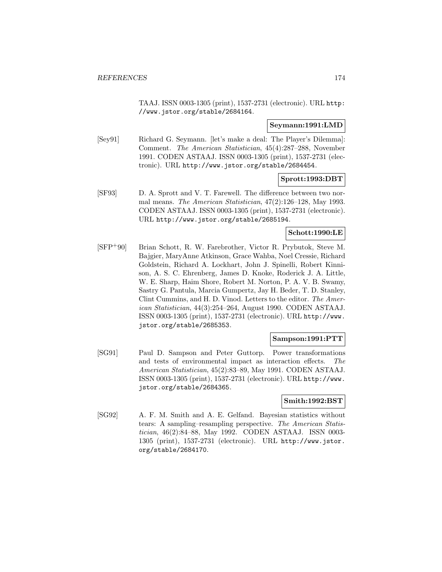TAAJ. ISSN 0003-1305 (print), 1537-2731 (electronic). URL http: //www.jstor.org/stable/2684164.

#### **Seymann:1991:LMD**

[Sey91] Richard G. Seymann. [let's make a deal: The Player's Dilemma]: Comment. The American Statistician, 45(4):287–288, November 1991. CODEN ASTAAJ. ISSN 0003-1305 (print), 1537-2731 (electronic). URL http://www.jstor.org/stable/2684454.

## **Sprott:1993:DBT**

[SF93] D. A. Sprott and V. T. Farewell. The difference between two normal means. The American Statistician, 47(2):126–128, May 1993. CODEN ASTAAJ. ISSN 0003-1305 (print), 1537-2731 (electronic). URL http://www.jstor.org/stable/2685194.

#### **Schott:1990:LE**

[SFP<sup>+</sup>90] Brian Schott, R. W. Farebrother, Victor R. Prybutok, Steve M. Bajgier, MaryAnne Atkinson, Grace Wahba, Noel Cressie, Richard Goldstein, Richard A. Lockhart, John J. Spinelli, Robert Kinnison, A. S. C. Ehrenberg, James D. Knoke, Roderick J. A. Little, W. E. Sharp, Haim Shore, Robert M. Norton, P. A. V. B. Swamy, Sastry G. Pantula, Marcia Gumpertz, Jay H. Beder, T. D. Stanley, Clint Cummins, and H. D. Vinod. Letters to the editor. The American Statistician, 44(3):254–264, August 1990. CODEN ASTAAJ. ISSN 0003-1305 (print), 1537-2731 (electronic). URL http://www. jstor.org/stable/2685353.

## **Sampson:1991:PTT**

[SG91] Paul D. Sampson and Peter Guttorp. Power transformations and tests of environmental impact as interaction effects. The American Statistician, 45(2):83–89, May 1991. CODEN ASTAAJ. ISSN 0003-1305 (print), 1537-2731 (electronic). URL http://www. jstor.org/stable/2684365.

# **Smith:1992:BST**

[SG92] A. F. M. Smith and A. E. Gelfand. Bayesian statistics without tears: A sampling–resampling perspective. The American Statistician, 46(2):84–88, May 1992. CODEN ASTAAJ. ISSN 0003- 1305 (print), 1537-2731 (electronic). URL http://www.jstor. org/stable/2684170.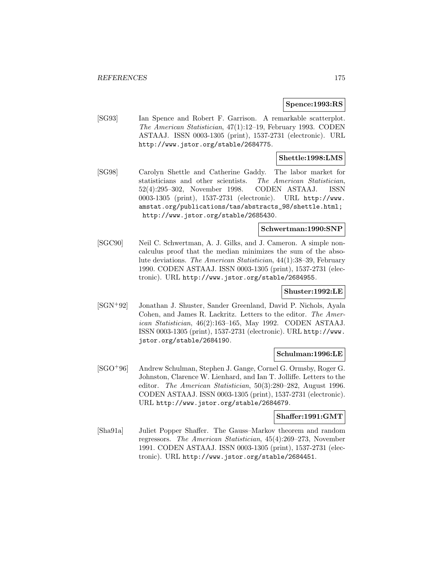#### **Spence:1993:RS**

[SG93] Ian Spence and Robert F. Garrison. A remarkable scatterplot. The American Statistician, 47(1):12–19, February 1993. CODEN ASTAAJ. ISSN 0003-1305 (print), 1537-2731 (electronic). URL http://www.jstor.org/stable/2684775.

## **Shettle:1998:LMS**

[SG98] Carolyn Shettle and Catherine Gaddy. The labor market for statisticians and other scientists. The American Statistician, 52(4):295–302, November 1998. CODEN ASTAAJ. ISSN 0003-1305 (print), 1537-2731 (electronic). URL http://www. amstat.org/publications/tas/abstracts\_98/shettle.html; http://www.jstor.org/stable/2685430.

#### **Schwertman:1990:SNP**

[SGC90] Neil C. Schwertman, A. J. Gilks, and J. Cameron. A simple noncalculus proof that the median minimizes the sum of the absolute deviations. The American Statistician, 44(1):38–39, February 1990. CODEN ASTAAJ. ISSN 0003-1305 (print), 1537-2731 (electronic). URL http://www.jstor.org/stable/2684955.

## **Shuster:1992:LE**

[SGN<sup>+</sup>92] Jonathan J. Shuster, Sander Greenland, David P. Nichols, Ayala Cohen, and James R. Lackritz. Letters to the editor. The American Statistician, 46(2):163–165, May 1992. CODEN ASTAAJ. ISSN 0003-1305 (print), 1537-2731 (electronic). URL http://www. jstor.org/stable/2684190.

#### **Schulman:1996:LE**

[SGO<sup>+</sup>96] Andrew Schulman, Stephen J. Gange, Cornel G. Ormsby, Roger G. Johnston, Clarence W. Lienhard, and Ian T. Jolliffe. Letters to the editor. The American Statistician, 50(3):280–282, August 1996. CODEN ASTAAJ. ISSN 0003-1305 (print), 1537-2731 (electronic). URL http://www.jstor.org/stable/2684679.

# **Shaffer:1991:GMT**

[Sha91a] Juliet Popper Shaffer. The Gauss–Markov theorem and random regressors. The American Statistician, 45(4):269–273, November 1991. CODEN ASTAAJ. ISSN 0003-1305 (print), 1537-2731 (electronic). URL http://www.jstor.org/stable/2684451.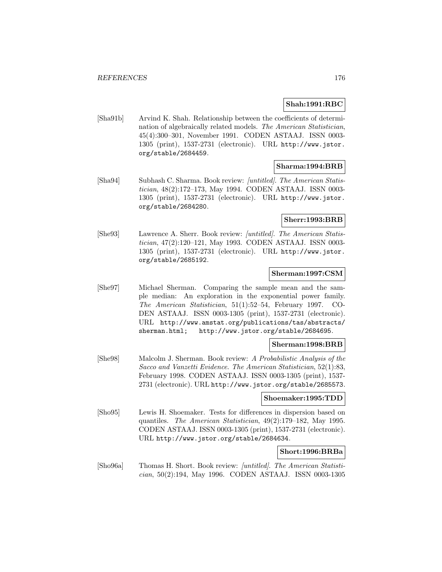#### **Shah:1991:RBC**

[Sha91b] Arvind K. Shah. Relationship between the coefficients of determination of algebraically related models. The American Statistician, 45(4):300–301, November 1991. CODEN ASTAAJ. ISSN 0003- 1305 (print), 1537-2731 (electronic). URL http://www.jstor. org/stable/2684459.

### **Sharma:1994:BRB**

[Sha94] Subhash C. Sharma. Book review: [untitled]. The American Statistician, 48(2):172–173, May 1994. CODEN ASTAAJ. ISSN 0003- 1305 (print), 1537-2731 (electronic). URL http://www.jstor. org/stable/2684280.

## **Sherr:1993:BRB**

[She93] Lawrence A. Sherr. Book review: [untitled]. The American Statistician, 47(2):120–121, May 1993. CODEN ASTAAJ. ISSN 0003- 1305 (print), 1537-2731 (electronic). URL http://www.jstor. org/stable/2685192.

## **Sherman:1997:CSM**

[She97] Michael Sherman. Comparing the sample mean and the sample median: An exploration in the exponential power family. The American Statistician, 51(1):52–54, February 1997. CO-DEN ASTAAJ. ISSN 0003-1305 (print), 1537-2731 (electronic). URL http://www.amstat.org/publications/tas/abstracts/ sherman.html; http://www.jstor.org/stable/2684695.

## **Sherman:1998:BRB**

[She98] Malcolm J. Sherman. Book review: A Probabilistic Analysis of the Sacco and Vanzetti Evidence. The American Statistician, 52(1):83, February 1998. CODEN ASTAAJ. ISSN 0003-1305 (print), 1537- 2731 (electronic). URL http://www.jstor.org/stable/2685573.

## **Shoemaker:1995:TDD**

[Sho95] Lewis H. Shoemaker. Tests for differences in dispersion based on quantiles. The American Statistician, 49(2):179–182, May 1995. CODEN ASTAAJ. ISSN 0003-1305 (print), 1537-2731 (electronic). URL http://www.jstor.org/stable/2684634.

## **Short:1996:BRBa**

[Sho96a] Thomas H. Short. Book review: [untitled]. The American Statistician, 50(2):194, May 1996. CODEN ASTAAJ. ISSN 0003-1305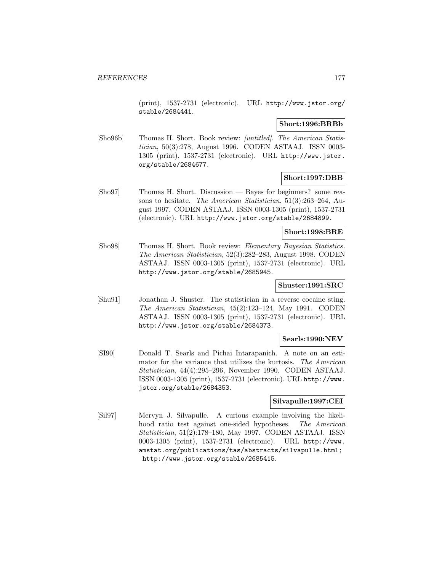(print), 1537-2731 (electronic). URL http://www.jstor.org/ stable/2684441.

## **Short:1996:BRBb**

[Sho96b] Thomas H. Short. Book review: [untitled]. The American Statistician, 50(3):278, August 1996. CODEN ASTAAJ. ISSN 0003- 1305 (print), 1537-2731 (electronic). URL http://www.jstor. org/stable/2684677.

# **Short:1997:DBB**

[Sho97] Thomas H. Short. Discussion — Bayes for beginners? some reasons to hesitate. The American Statistician, 51(3):263–264, August 1997. CODEN ASTAAJ. ISSN 0003-1305 (print), 1537-2731 (electronic). URL http://www.jstor.org/stable/2684899.

## **Short:1998:BRE**

[Sho98] Thomas H. Short. Book review: Elementary Bayesian Statistics. The American Statistician, 52(3):282–283, August 1998. CODEN ASTAAJ. ISSN 0003-1305 (print), 1537-2731 (electronic). URL http://www.jstor.org/stable/2685945.

## **Shuster:1991:SRC**

[Shu91] Jonathan J. Shuster. The statistician in a reverse cocaine sting. The American Statistician, 45(2):123–124, May 1991. CODEN ASTAAJ. ISSN 0003-1305 (print), 1537-2731 (electronic). URL http://www.jstor.org/stable/2684373.

## **Searls:1990:NEV**

[SI90] Donald T. Searls and Pichai Intarapanich. A note on an estimator for the variance that utilizes the kurtosis. The American Statistician, 44(4):295–296, November 1990. CODEN ASTAAJ. ISSN 0003-1305 (print), 1537-2731 (electronic). URL http://www. jstor.org/stable/2684353.

# **Silvapulle:1997:CEI**

[Sil97] Mervyn J. Silvapulle. A curious example involving the likelihood ratio test against one-sided hypotheses. The American Statistician, 51(2):178–180, May 1997. CODEN ASTAAJ. ISSN 0003-1305 (print), 1537-2731 (electronic). URL http://www. amstat.org/publications/tas/abstracts/silvapulle.html; http://www.jstor.org/stable/2685415.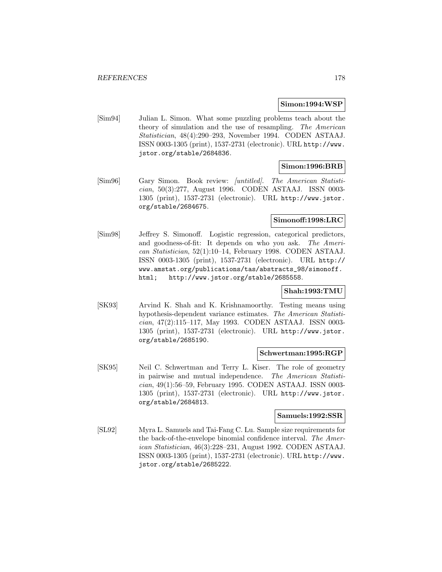#### **Simon:1994:WSP**

[Sim94] Julian L. Simon. What some puzzling problems teach about the theory of simulation and the use of resampling. The American Statistician, 48(4):290–293, November 1994. CODEN ASTAAJ. ISSN 0003-1305 (print), 1537-2731 (electronic). URL http://www. jstor.org/stable/2684836.

## **Simon:1996:BRB**

[Sim96] Gary Simon. Book review: [untitled]. The American Statistician, 50(3):277, August 1996. CODEN ASTAAJ. ISSN 0003- 1305 (print), 1537-2731 (electronic). URL http://www.jstor. org/stable/2684675.

#### **Simonoff:1998:LRC**

[Sim98] Jeffrey S. Simonoff. Logistic regression, categorical predictors, and goodness-of-fit: It depends on who you ask. The American Statistician, 52(1):10–14, February 1998. CODEN ASTAAJ. ISSN 0003-1305 (print), 1537-2731 (electronic). URL http:// www.amstat.org/publications/tas/abstracts\_98/simonoff. html; http://www.jstor.org/stable/2685558.

# **Shah:1993:TMU**

[SK93] Arvind K. Shah and K. Krishnamoorthy. Testing means using hypothesis-dependent variance estimates. The American Statistician, 47(2):115–117, May 1993. CODEN ASTAAJ. ISSN 0003- 1305 (print), 1537-2731 (electronic). URL http://www.jstor. org/stable/2685190.

#### **Schwertman:1995:RGP**

[SK95] Neil C. Schwertman and Terry L. Kiser. The role of geometry in pairwise and mutual independence. The American Statistician, 49(1):56–59, February 1995. CODEN ASTAAJ. ISSN 0003- 1305 (print), 1537-2731 (electronic). URL http://www.jstor. org/stable/2684813.

## **Samuels:1992:SSR**

[SL92] Myra L. Samuels and Tai-Fang C. Lu. Sample size requirements for the back-of-the-envelope binomial confidence interval. The American Statistician, 46(3):228–231, August 1992. CODEN ASTAAJ. ISSN 0003-1305 (print), 1537-2731 (electronic). URL http://www. jstor.org/stable/2685222.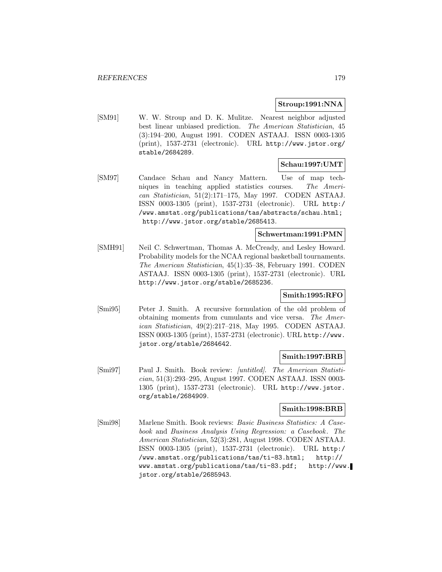## **Stroup:1991:NNA**

[SM91] W. W. Stroup and D. K. Mulitze. Nearest neighbor adjusted best linear unbiased prediction. The American Statistician, 45 (3):194–200, August 1991. CODEN ASTAAJ. ISSN 0003-1305 (print), 1537-2731 (electronic). URL http://www.jstor.org/ stable/2684289.

## **Schau:1997:UMT**

[SM97] Candace Schau and Nancy Mattern. Use of map techniques in teaching applied statistics courses. The American Statistician, 51(2):171–175, May 1997. CODEN ASTAAJ. ISSN 0003-1305 (print), 1537-2731 (electronic). URL http:/ /www.amstat.org/publications/tas/abstracts/schau.html; http://www.jstor.org/stable/2685413.

### **Schwertman:1991:PMN**

[SMH91] Neil C. Schwertman, Thomas A. McCready, and Lesley Howard. Probability models for the NCAA regional basketball tournaments. The American Statistician, 45(1):35–38, February 1991. CODEN ASTAAJ. ISSN 0003-1305 (print), 1537-2731 (electronic). URL http://www.jstor.org/stable/2685236.

## **Smith:1995:RFO**

[Smi95] Peter J. Smith. A recursive formulation of the old problem of obtaining moments from cumulants and vice versa. The American Statistician, 49(2):217–218, May 1995. CODEN ASTAAJ. ISSN 0003-1305 (print), 1537-2731 (electronic). URL http://www. jstor.org/stable/2684642.

# **Smith:1997:BRB**

[Smi97] Paul J. Smith. Book review: [untitled]. The American Statistician, 51(3):293–295, August 1997. CODEN ASTAAJ. ISSN 0003- 1305 (print), 1537-2731 (electronic). URL http://www.jstor. org/stable/2684909.

## **Smith:1998:BRB**

[Smi98] Marlene Smith. Book reviews: Basic Business Statistics: A Casebook and Business Analysis Using Regression: a Casebook. The American Statistician, 52(3):281, August 1998. CODEN ASTAAJ. ISSN 0003-1305 (print), 1537-2731 (electronic). URL http:/ /www.amstat.org/publications/tas/ti-83.html; http:// www.amstat.org/publications/tas/ti-83.pdf; http://www. jstor.org/stable/2685943.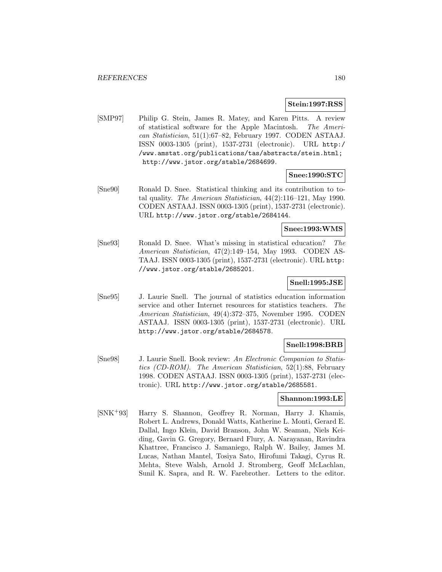#### **Stein:1997:RSS**

[SMP97] Philip G. Stein, James R. Matey, and Karen Pitts. A review of statistical software for the Apple Macintosh. The American Statistician, 51(1):67–82, February 1997. CODEN ASTAAJ. ISSN 0003-1305 (print), 1537-2731 (electronic). URL http:/ /www.amstat.org/publications/tas/abstracts/stein.html; http://www.jstor.org/stable/2684699.

## **Snee:1990:STC**

[Sne90] Ronald D. Snee. Statistical thinking and its contribution to total quality. The American Statistician, 44(2):116–121, May 1990. CODEN ASTAAJ. ISSN 0003-1305 (print), 1537-2731 (electronic). URL http://www.jstor.org/stable/2684144.

## **Snee:1993:WMS**

[Sne93] Ronald D. Snee. What's missing in statistical education? The American Statistician, 47(2):149–154, May 1993. CODEN AS-TAAJ. ISSN 0003-1305 (print), 1537-2731 (electronic). URL http: //www.jstor.org/stable/2685201.

## **Snell:1995:JSE**

[Sne95] J. Laurie Snell. The journal of statistics education information service and other Internet resources for statistics teachers. The American Statistician, 49(4):372–375, November 1995. CODEN ASTAAJ. ISSN 0003-1305 (print), 1537-2731 (electronic). URL http://www.jstor.org/stable/2684578.

# **Snell:1998:BRB**

[Sne98] J. Laurie Snell. Book review: An Electronic Companion to Statistics (CD-ROM). The American Statistician, 52(1):88, February 1998. CODEN ASTAAJ. ISSN 0003-1305 (print), 1537-2731 (electronic). URL http://www.jstor.org/stable/2685581.

#### **Shannon:1993:LE**

[SNK<sup>+</sup>93] Harry S. Shannon, Geoffrey R. Norman, Harry J. Khamis, Robert L. Andrews, Donald Watts, Katherine L. Monti, Gerard E. Dallal, Ingo Klein, David Branson, John W. Seaman, Niels Keiding, Gavin G. Gregory, Bernard Flury, A. Narayanan, Ravindra Khattree, Francisco J. Samaniego, Ralph W. Bailey, James M. Lucas, Nathan Mantel, Tosiya Sato, Hirofumi Takagi, Cyrus R. Mehta, Steve Walsh, Arnold J. Stromberg, Geoff McLachlan, Sunil K. Sapra, and R. W. Farebrother. Letters to the editor.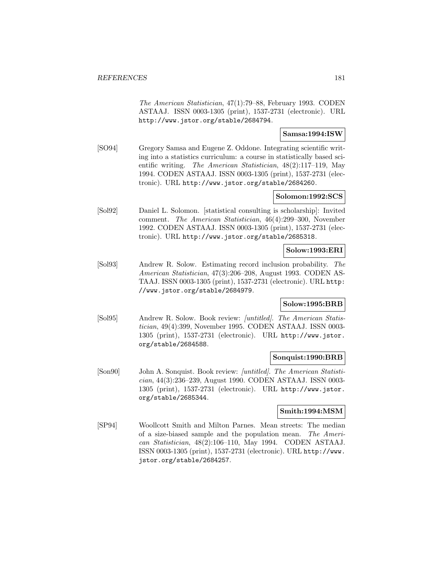The American Statistician, 47(1):79–88, February 1993. CODEN ASTAAJ. ISSN 0003-1305 (print), 1537-2731 (electronic). URL http://www.jstor.org/stable/2684794.

# **Samsa:1994:ISW**

[SO94] Gregory Samsa and Eugene Z. Oddone. Integrating scientific writing into a statistics curriculum: a course in statistically based scientific writing. The American Statistician, 48(2):117–119, May 1994. CODEN ASTAAJ. ISSN 0003-1305 (print), 1537-2731 (electronic). URL http://www.jstor.org/stable/2684260.

# **Solomon:1992:SCS**

[Sol92] Daniel L. Solomon. [statistical consulting is scholarship]: Invited comment. The American Statistician, 46(4):299–300, November 1992. CODEN ASTAAJ. ISSN 0003-1305 (print), 1537-2731 (electronic). URL http://www.jstor.org/stable/2685318.

# **Solow:1993:ERI**

[Sol93] Andrew R. Solow. Estimating record inclusion probability. The American Statistician, 47(3):206–208, August 1993. CODEN AS-TAAJ. ISSN 0003-1305 (print), 1537-2731 (electronic). URL http: //www.jstor.org/stable/2684979.

# **Solow:1995:BRB**

[Sol95] Andrew R. Solow. Book review: [untitled]. The American Statistician, 49(4):399, November 1995. CODEN ASTAAJ. ISSN 0003- 1305 (print), 1537-2731 (electronic). URL http://www.jstor. org/stable/2684588.

### **Sonquist:1990:BRB**

[Son90] John A. Sonquist. Book review: [untitled]. The American Statistician, 44(3):236–239, August 1990. CODEN ASTAAJ. ISSN 0003- 1305 (print), 1537-2731 (electronic). URL http://www.jstor. org/stable/2685344.

### **Smith:1994:MSM**

[SP94] Woollcott Smith and Milton Parnes. Mean streets: The median of a size-biased sample and the population mean. The American Statistician, 48(2):106–110, May 1994. CODEN ASTAAJ. ISSN 0003-1305 (print), 1537-2731 (electronic). URL http://www. jstor.org/stable/2684257.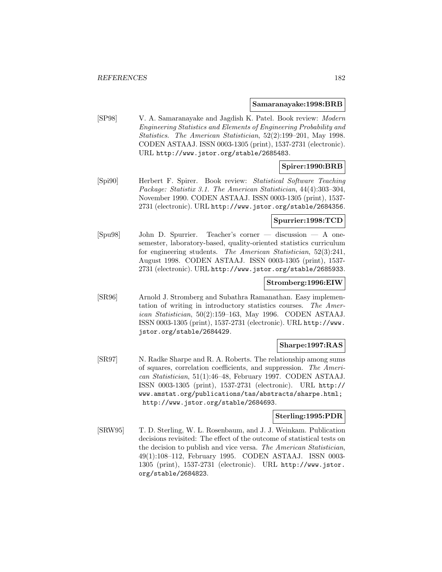#### **Samaranayake:1998:BRB**

[SP98] V. A. Samaranayake and Jagdish K. Patel. Book review: Modern Engineering Statistics and Elements of Engineering Probability and Statistics. The American Statistician, 52(2):199–201, May 1998. CODEN ASTAAJ. ISSN 0003-1305 (print), 1537-2731 (electronic). URL http://www.jstor.org/stable/2685483.

# **Spirer:1990:BRB**

[Spi90] Herbert F. Spirer. Book review: Statistical Software Teaching Package: Statistix 3.1. The American Statistician, 44(4):303–304, November 1990. CODEN ASTAAJ. ISSN 0003-1305 (print), 1537- 2731 (electronic). URL http://www.jstor.org/stable/2684356.

### **Spurrier:1998:TCD**

[Spu98] John D. Spurrier. Teacher's corner — discussion — A onesemester, laboratory-based, quality-oriented statistics curriculum for engineering students. The American Statistician, 52(3):241, August 1998. CODEN ASTAAJ. ISSN 0003-1305 (print), 1537- 2731 (electronic). URL http://www.jstor.org/stable/2685933.

#### **Stromberg:1996:EIW**

[SR96] Arnold J. Stromberg and Subathra Ramanathan. Easy implementation of writing in introductory statistics courses. The American Statistician, 50(2):159–163, May 1996. CODEN ASTAAJ. ISSN 0003-1305 (print), 1537-2731 (electronic). URL http://www. jstor.org/stable/2684429.

# **Sharpe:1997:RAS**

[SR97] N. Radke Sharpe and R. A. Roberts. The relationship among sums of squares, correlation coefficients, and suppression. The American Statistician, 51(1):46–48, February 1997. CODEN ASTAAJ. ISSN 0003-1305 (print), 1537-2731 (electronic). URL http:// www.amstat.org/publications/tas/abstracts/sharpe.html; http://www.jstor.org/stable/2684693.

# **Sterling:1995:PDR**

[SRW95] T. D. Sterling, W. L. Rosenbaum, and J. J. Weinkam. Publication decisions revisited: The effect of the outcome of statistical tests on the decision to publish and vice versa. The American Statistician, 49(1):108–112, February 1995. CODEN ASTAAJ. ISSN 0003- 1305 (print), 1537-2731 (electronic). URL http://www.jstor. org/stable/2684823.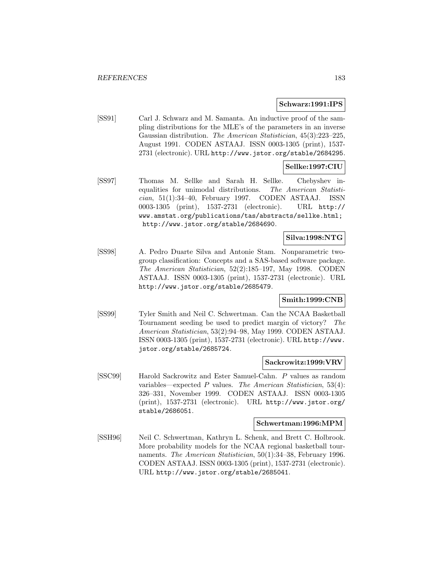#### **Schwarz:1991:IPS**

[SS91] Carl J. Schwarz and M. Samanta. An inductive proof of the sampling distributions for the MLE's of the parameters in an inverse Gaussian distribution. The American Statistician, 45(3):223–225, August 1991. CODEN ASTAAJ. ISSN 0003-1305 (print), 1537- 2731 (electronic). URL http://www.jstor.org/stable/2684295.

# **Sellke:1997:CIU**

[SS97] Thomas M. Sellke and Sarah H. Sellke. Chebyshev inequalities for unimodal distributions. The American Statistician, 51(1):34–40, February 1997. CODEN ASTAAJ. ISSN 0003-1305 (print), 1537-2731 (electronic). URL http:// www.amstat.org/publications/tas/abstracts/sellke.html; http://www.jstor.org/stable/2684690.

# **Silva:1998:NTG**

[SS98] A. Pedro Duarte Silva and Antonie Stam. Nonparametric twogroup classification: Concepts and a SAS-based software package. The American Statistician, 52(2):185–197, May 1998. CODEN ASTAAJ. ISSN 0003-1305 (print), 1537-2731 (electronic). URL http://www.jstor.org/stable/2685479.

# **Smith:1999:CNB**

[SS99] Tyler Smith and Neil C. Schwertman. Can the NCAA Basketball Tournament seeding be used to predict margin of victory? The American Statistician, 53(2):94–98, May 1999. CODEN ASTAAJ. ISSN 0003-1305 (print), 1537-2731 (electronic). URL http://www. jstor.org/stable/2685724.

#### **Sackrowitz:1999:VRV**

[SSC99] Harold Sackrowitz and Ester Samuel-Cahn. P values as random variables—expected  $P$  values. The American Statistician, 53(4): 326–331, November 1999. CODEN ASTAAJ. ISSN 0003-1305 (print), 1537-2731 (electronic). URL http://www.jstor.org/ stable/2686051.

#### **Schwertman:1996:MPM**

[SSH96] Neil C. Schwertman, Kathryn L. Schenk, and Brett C. Holbrook. More probability models for the NCAA regional basketball tournaments. *The American Statistician*, 50(1):34–38, February 1996. CODEN ASTAAJ. ISSN 0003-1305 (print), 1537-2731 (electronic). URL http://www.jstor.org/stable/2685041.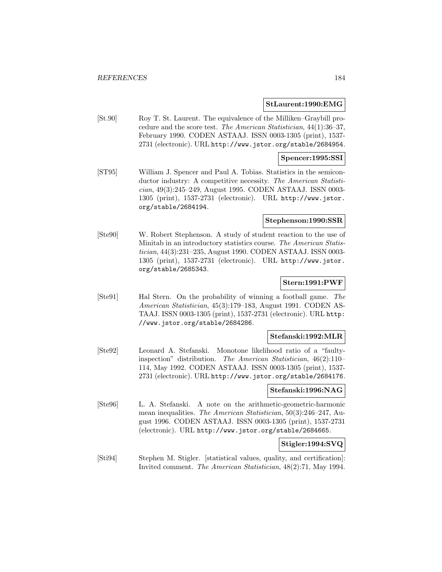#### **StLaurent:1990:EMG**

[St.90] Roy T. St. Laurent. The equivalence of the Milliken–Graybill procedure and the score test. The American Statistician, 44(1):36–37, February 1990. CODEN ASTAAJ. ISSN 0003-1305 (print), 1537- 2731 (electronic). URL http://www.jstor.org/stable/2684954.

### **Spencer:1995:SSI**

[ST95] William J. Spencer and Paul A. Tobias. Statistics in the semiconductor industry: A competitive necessity. The American Statistician, 49(3):245–249, August 1995. CODEN ASTAAJ. ISSN 0003- 1305 (print), 1537-2731 (electronic). URL http://www.jstor. org/stable/2684194.

#### **Stephenson:1990:SSR**

[Ste90] W. Robert Stephenson. A study of student reaction to the use of Minitab in an introductory statistics course. The American Statistician, 44(3):231–235, August 1990. CODEN ASTAAJ. ISSN 0003- 1305 (print), 1537-2731 (electronic). URL http://www.jstor. org/stable/2685343.

### **Stern:1991:PWF**

[Ste91] Hal Stern. On the probability of winning a football game. The American Statistician, 45(3):179–183, August 1991. CODEN AS-TAAJ. ISSN 0003-1305 (print), 1537-2731 (electronic). URL http: //www.jstor.org/stable/2684286.

#### **Stefanski:1992:MLR**

[Ste92] Leonard A. Stefanski. Monotone likelihood ratio of a "faultyinspection" distribution. The American Statistician, 46(2):110– 114, May 1992. CODEN ASTAAJ. ISSN 0003-1305 (print), 1537- 2731 (electronic). URL http://www.jstor.org/stable/2684176.

#### **Stefanski:1996:NAG**

[Ste96] L. A. Stefanski. A note on the arithmetic-geometric-harmonic mean inequalities. The American Statistician, 50(3):246–247, August 1996. CODEN ASTAAJ. ISSN 0003-1305 (print), 1537-2731 (electronic). URL http://www.jstor.org/stable/2684665.

### **Stigler:1994:SVQ**

[Sti94] Stephen M. Stigler. [statistical values, quality, and certification]: Invited comment. The American Statistician, 48(2):71, May 1994.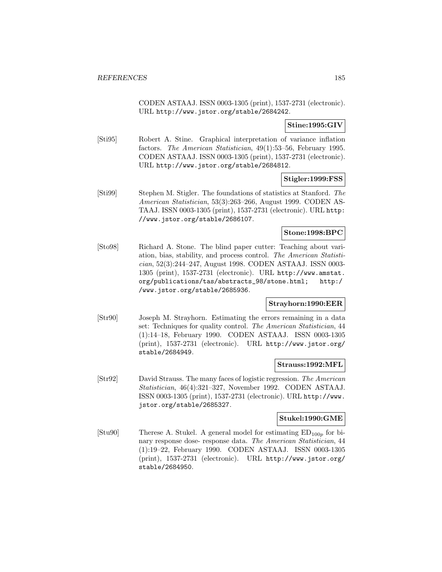CODEN ASTAAJ. ISSN 0003-1305 (print), 1537-2731 (electronic). URL http://www.jstor.org/stable/2684242.

# **Stine:1995:GIV**

[Sti95] Robert A. Stine. Graphical interpretation of variance inflation factors. The American Statistician, 49(1):53–56, February 1995. CODEN ASTAAJ. ISSN 0003-1305 (print), 1537-2731 (electronic). URL http://www.jstor.org/stable/2684812.

# **Stigler:1999:FSS**

[Sti99] Stephen M. Stigler. The foundations of statistics at Stanford. The American Statistician, 53(3):263–266, August 1999. CODEN AS-TAAJ. ISSN 0003-1305 (print), 1537-2731 (electronic). URL http: //www.jstor.org/stable/2686107.

# **Stone:1998:BPC**

[Sto98] Richard A. Stone. The blind paper cutter: Teaching about variation, bias, stability, and process control. The American Statistician, 52(3):244–247, August 1998. CODEN ASTAAJ. ISSN 0003- 1305 (print), 1537-2731 (electronic). URL http://www.amstat. org/publications/tas/abstracts\_98/stone.html; http:/ /www.jstor.org/stable/2685936.

### **Strayhorn:1990:EER**

[Str90] Joseph M. Strayhorn. Estimating the errors remaining in a data set: Techniques for quality control. The American Statistician, 44 (1):14–18, February 1990. CODEN ASTAAJ. ISSN 0003-1305 (print), 1537-2731 (electronic). URL http://www.jstor.org/ stable/2684949.

### **Strauss:1992:MFL**

[Str92] David Strauss. The many faces of logistic regression. The American Statistician, 46(4):321–327, November 1992. CODEN ASTAAJ. ISSN 0003-1305 (print), 1537-2731 (electronic). URL http://www. jstor.org/stable/2685327.

# **Stukel:1990:GME**

[Stu90] Therese A. Stukel. A general model for estimating  $ED_{100p}$  for binary response dose- response data. The American Statistician, 44 (1):19–22, February 1990. CODEN ASTAAJ. ISSN 0003-1305 (print), 1537-2731 (electronic). URL http://www.jstor.org/ stable/2684950.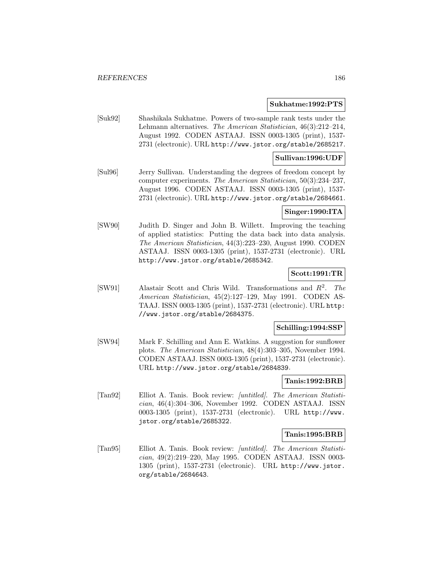#### **Sukhatme:1992:PTS**

[Suk92] Shashikala Sukhatme. Powers of two-sample rank tests under the Lehmann alternatives. The American Statistician, 46(3):212–214, August 1992. CODEN ASTAAJ. ISSN 0003-1305 (print), 1537- 2731 (electronic). URL http://www.jstor.org/stable/2685217.

#### **Sullivan:1996:UDF**

[Sul96] Jerry Sullivan. Understanding the degrees of freedom concept by computer experiments. The American Statistician, 50(3):234–237, August 1996. CODEN ASTAAJ. ISSN 0003-1305 (print), 1537- 2731 (electronic). URL http://www.jstor.org/stable/2684661.

# **Singer:1990:ITA**

[SW90] Judith D. Singer and John B. Willett. Improving the teaching of applied statistics: Putting the data back into data analysis. The American Statistician, 44(3):223–230, August 1990. CODEN ASTAAJ. ISSN 0003-1305 (print), 1537-2731 (electronic). URL http://www.jstor.org/stable/2685342.

# **Scott:1991:TR**

[SW91] Alastair Scott and Chris Wild. Transformations and  $R^2$ . The American Statistician, 45(2):127–129, May 1991. CODEN AS-TAAJ. ISSN 0003-1305 (print), 1537-2731 (electronic). URL http: //www.jstor.org/stable/2684375.

### **Schilling:1994:SSP**

[SW94] Mark F. Schilling and Ann E. Watkins. A suggestion for sunflower plots. The American Statistician, 48(4):303–305, November 1994. CODEN ASTAAJ. ISSN 0003-1305 (print), 1537-2731 (electronic). URL http://www.jstor.org/stable/2684839.

### **Tanis:1992:BRB**

[Tan92] Elliot A. Tanis. Book review: [untitled]. The American Statistician, 46(4):304–306, November 1992. CODEN ASTAAJ. ISSN 0003-1305 (print), 1537-2731 (electronic). URL http://www. jstor.org/stable/2685322.

#### **Tanis:1995:BRB**

[Tan95] Elliot A. Tanis. Book review: [untitled]. The American Statistician, 49(2):219–220, May 1995. CODEN ASTAAJ. ISSN 0003- 1305 (print), 1537-2731 (electronic). URL http://www.jstor. org/stable/2684643.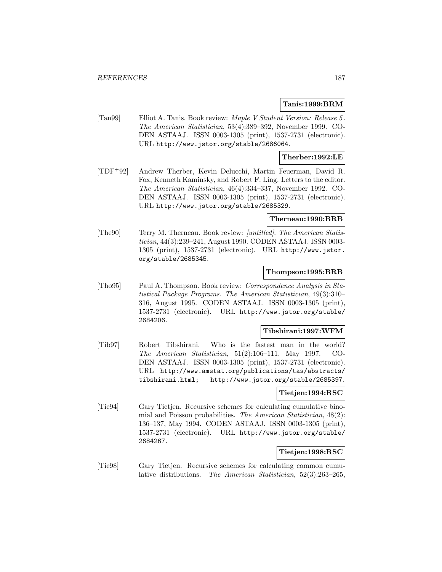### **Tanis:1999:BRM**

[Tan99] Elliot A. Tanis. Book review: Maple V Student Version: Release 5 . The American Statistician, 53(4):389–392, November 1999. CO-DEN ASTAAJ. ISSN 0003-1305 (print), 1537-2731 (electronic). URL http://www.jstor.org/stable/2686064.

# **Therber:1992:LE**

[TDF<sup>+</sup>92] Andrew Therber, Kevin Delucchi, Martin Feuerman, David R. Fox, Kenneth Kaminsky, and Robert F. Ling. Letters to the editor. The American Statistician, 46(4):334–337, November 1992. CO-DEN ASTAAJ. ISSN 0003-1305 (print), 1537-2731 (electronic). URL http://www.jstor.org/stable/2685329.

### **Therneau:1990:BRB**

[The90] Terry M. Therneau. Book review: [untitled]. The American Statistician, 44(3):239–241, August 1990. CODEN ASTAAJ. ISSN 0003- 1305 (print), 1537-2731 (electronic). URL http://www.jstor. org/stable/2685345.

### **Thompson:1995:BRB**

[Tho95] Paul A. Thompson. Book review: Correspondence Analysis in Statistical Package Programs. The American Statistician, 49(3):310– 316, August 1995. CODEN ASTAAJ. ISSN 0003-1305 (print), 1537-2731 (electronic). URL http://www.jstor.org/stable/ 2684206.

#### **Tibshirani:1997:WFM**

[Tib97] Robert Tibshirani. Who is the fastest man in the world? The American Statistician, 51(2):106–111, May 1997. CO-DEN ASTAAJ. ISSN 0003-1305 (print), 1537-2731 (electronic). URL http://www.amstat.org/publications/tas/abstracts/ tibshirani.html; http://www.jstor.org/stable/2685397.

### **Tietjen:1994:RSC**

[Tie94] Gary Tietjen. Recursive schemes for calculating cumulative binomial and Poisson probabilities. The American Statistician, 48(2): 136–137, May 1994. CODEN ASTAAJ. ISSN 0003-1305 (print), 1537-2731 (electronic). URL http://www.jstor.org/stable/ 2684267.

# **Tietjen:1998:RSC**

[Tie98] Gary Tietjen. Recursive schemes for calculating common cumulative distributions. The American Statistician, 52(3):263–265,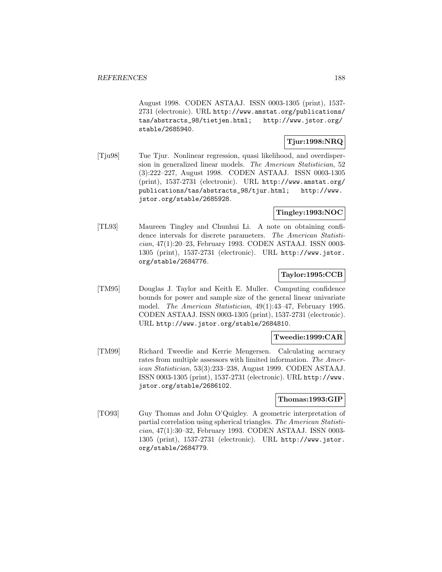August 1998. CODEN ASTAAJ. ISSN 0003-1305 (print), 1537- 2731 (electronic). URL http://www.amstat.org/publications/ tas/abstracts\_98/tietjen.html; http://www.jstor.org/ stable/2685940.

### **Tjur:1998:NRQ**

[Tju98] Tue Tjur. Nonlinear regression, quasi likelihood, and overdispersion in generalized linear models. The American Statistician, 52 (3):222–227, August 1998. CODEN ASTAAJ. ISSN 0003-1305 (print), 1537-2731 (electronic). URL http://www.amstat.org/ publications/tas/abstracts\_98/tjur.html; http://www. jstor.org/stable/2685928.

# **Tingley:1993:NOC**

[TL93] Maureen Tingley and Chunhui Li. A note on obtaining confidence intervals for discrete parameters. The American Statistician, 47(1):20–23, February 1993. CODEN ASTAAJ. ISSN 0003- 1305 (print), 1537-2731 (electronic). URL http://www.jstor. org/stable/2684776.

# **Taylor:1995:CCB**

[TM95] Douglas J. Taylor and Keith E. Muller. Computing confidence bounds for power and sample size of the general linear univariate model. The American Statistician, 49(1):43–47, February 1995. CODEN ASTAAJ. ISSN 0003-1305 (print), 1537-2731 (electronic). URL http://www.jstor.org/stable/2684810.

### **Tweedie:1999:CAR**

[TM99] Richard Tweedie and Kerrie Mengersen. Calculating accuracy rates from multiple assessors with limited information. The American Statistician, 53(3):233–238, August 1999. CODEN ASTAAJ. ISSN 0003-1305 (print), 1537-2731 (electronic). URL http://www. jstor.org/stable/2686102.

### **Thomas:1993:GIP**

[TO93] Guy Thomas and John O'Quigley. A geometric interpretation of partial correlation using spherical triangles. The American Statistician, 47(1):30–32, February 1993. CODEN ASTAAJ. ISSN 0003- 1305 (print), 1537-2731 (electronic). URL http://www.jstor. org/stable/2684779.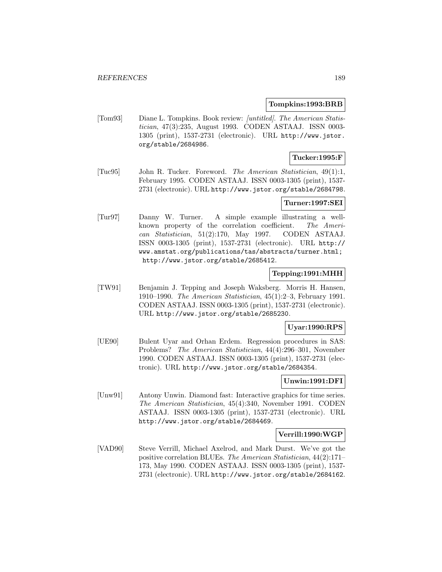#### **Tompkins:1993:BRB**

[Tom93] Diane L. Tompkins. Book review: [untitled]. The American Statistician, 47(3):235, August 1993. CODEN ASTAAJ. ISSN 0003- 1305 (print), 1537-2731 (electronic). URL http://www.jstor. org/stable/2684986.

# **Tucker:1995:F**

[Tuc95] John R. Tucker. Foreword. The American Statistician, 49(1):1, February 1995. CODEN ASTAAJ. ISSN 0003-1305 (print), 1537- 2731 (electronic). URL http://www.jstor.org/stable/2684798.

### **Turner:1997:SEI**

[Tur97] Danny W. Turner. A simple example illustrating a wellknown property of the correlation coefficient. The American Statistician, 51(2):170, May 1997. CODEN ASTAAJ. ISSN 0003-1305 (print), 1537-2731 (electronic). URL http:// www.amstat.org/publications/tas/abstracts/turner.html; http://www.jstor.org/stable/2685412.

# **Tepping:1991:MHH**

[TW91] Benjamin J. Tepping and Joseph Waksberg. Morris H. Hansen, 1910–1990. The American Statistician, 45(1):2–3, February 1991. CODEN ASTAAJ. ISSN 0003-1305 (print), 1537-2731 (electronic). URL http://www.jstor.org/stable/2685230.

#### **Uyar:1990:RPS**

[UE90] Bulent Uyar and Orhan Erdem. Regression procedures in SAS: Problems? The American Statistician, 44(4):296–301, November 1990. CODEN ASTAAJ. ISSN 0003-1305 (print), 1537-2731 (electronic). URL http://www.jstor.org/stable/2684354.

# **Unwin:1991:DFI**

[Unw91] Antony Unwin. Diamond fast: Interactive graphics for time series. The American Statistician, 45(4):340, November 1991. CODEN ASTAAJ. ISSN 0003-1305 (print), 1537-2731 (electronic). URL http://www.jstor.org/stable/2684469.

#### **Verrill:1990:WGP**

[VAD90] Steve Verrill, Michael Axelrod, and Mark Durst. We've got the positive correlation BLUEs. The American Statistician, 44(2):171– 173, May 1990. CODEN ASTAAJ. ISSN 0003-1305 (print), 1537- 2731 (electronic). URL http://www.jstor.org/stable/2684162.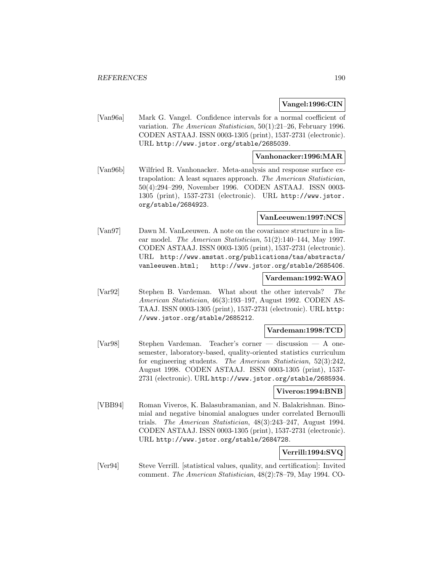### **Vangel:1996:CIN**

[Van96a] Mark G. Vangel. Confidence intervals for a normal coefficient of variation. The American Statistician, 50(1):21–26, February 1996. CODEN ASTAAJ. ISSN 0003-1305 (print), 1537-2731 (electronic). URL http://www.jstor.org/stable/2685039.

### **Vanhonacker:1996:MAR**

[Van96b] Wilfried R. Vanhonacker. Meta-analysis and response surface extrapolation: A least squares approach. The American Statistician, 50(4):294–299, November 1996. CODEN ASTAAJ. ISSN 0003- 1305 (print), 1537-2731 (electronic). URL http://www.jstor. org/stable/2684923.

### **VanLeeuwen:1997:NCS**

[Van97] Dawn M. VanLeeuwen. A note on the covariance structure in a linear model. The American Statistician, 51(2):140–144, May 1997. CODEN ASTAAJ. ISSN 0003-1305 (print), 1537-2731 (electronic). URL http://www.amstat.org/publications/tas/abstracts/ vanleeuwen.html; http://www.jstor.org/stable/2685406.

### **Vardeman:1992:WAO**

[Var92] Stephen B. Vardeman. What about the other intervals? The American Statistician, 46(3):193–197, August 1992. CODEN AS-TAAJ. ISSN 0003-1305 (print), 1537-2731 (electronic). URL http: //www.jstor.org/stable/2685212.

#### **Vardeman:1998:TCD**

[Var98] Stephen Vardeman. Teacher's corner — discussion — A onesemester, laboratory-based, quality-oriented statistics curriculum for engineering students. The American Statistician, 52(3):242, August 1998. CODEN ASTAAJ. ISSN 0003-1305 (print), 1537- 2731 (electronic). URL http://www.jstor.org/stable/2685934.

# **Viveros:1994:BNB**

[VBB94] Roman Viveros, K. Balasubramanian, and N. Balakrishnan. Binomial and negative binomial analogues under correlated Bernoulli trials. The American Statistician, 48(3):243–247, August 1994. CODEN ASTAAJ. ISSN 0003-1305 (print), 1537-2731 (electronic). URL http://www.jstor.org/stable/2684728.

# **Verrill:1994:SVQ**

[Ver94] Steve Verrill. [statistical values, quality, and certification]: Invited comment. The American Statistician, 48(2):78–79, May 1994. CO-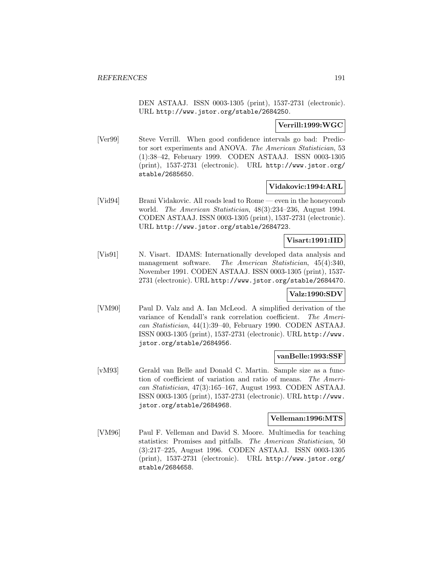DEN ASTAAJ. ISSN 0003-1305 (print), 1537-2731 (electronic). URL http://www.jstor.org/stable/2684250.

### **Verrill:1999:WGC**

[Ver99] Steve Verrill. When good confidence intervals go bad: Predictor sort experiments and ANOVA. The American Statistician, 53 (1):38–42, February 1999. CODEN ASTAAJ. ISSN 0003-1305 (print), 1537-2731 (electronic). URL http://www.jstor.org/ stable/2685650.

### **Vidakovic:1994:ARL**

[Vid94] Brani Vidakovic. All roads lead to Rome — even in the honeycomb world. The American Statistician, 48(3):234–236, August 1994. CODEN ASTAAJ. ISSN 0003-1305 (print), 1537-2731 (electronic). URL http://www.jstor.org/stable/2684723.

# **Visart:1991:IID**

[Vis91] N. Visart. IDAMS: Internationally developed data analysis and management software. The American Statistician, 45(4):340, November 1991. CODEN ASTAAJ. ISSN 0003-1305 (print), 1537- 2731 (electronic). URL http://www.jstor.org/stable/2684470.

# **Valz:1990:SDV**

[VM90] Paul D. Valz and A. Ian McLeod. A simplified derivation of the variance of Kendall's rank correlation coefficient. The American Statistician, 44(1):39–40, February 1990. CODEN ASTAAJ. ISSN 0003-1305 (print), 1537-2731 (electronic). URL http://www. jstor.org/stable/2684956.

#### **vanBelle:1993:SSF**

[vM93] Gerald van Belle and Donald C. Martin. Sample size as a function of coefficient of variation and ratio of means. The American Statistician, 47(3):165–167, August 1993. CODEN ASTAAJ. ISSN 0003-1305 (print), 1537-2731 (electronic). URL http://www. jstor.org/stable/2684968.

# **Velleman:1996:MTS**

[VM96] Paul F. Velleman and David S. Moore. Multimedia for teaching statistics: Promises and pitfalls. The American Statistician, 50 (3):217–225, August 1996. CODEN ASTAAJ. ISSN 0003-1305 (print), 1537-2731 (electronic). URL http://www.jstor.org/ stable/2684658.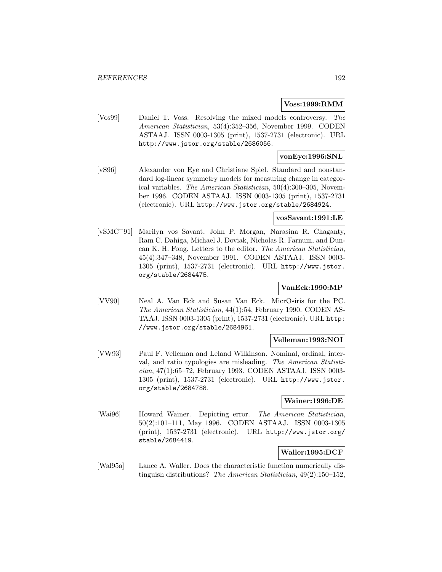### **Voss:1999:RMM**

[Vos99] Daniel T. Voss. Resolving the mixed models controversy. The American Statistician, 53(4):352–356, November 1999. CODEN ASTAAJ. ISSN 0003-1305 (print), 1537-2731 (electronic). URL http://www.jstor.org/stable/2686056.

# **vonEye:1996:SNL**

[vS96] Alexander von Eye and Christiane Spiel. Standard and nonstandard log-linear symmetry models for measuring change in categorical variables. The American Statistician, 50(4):300–305, November 1996. CODEN ASTAAJ. ISSN 0003-1305 (print), 1537-2731 (electronic). URL http://www.jstor.org/stable/2684924.

# **vosSavant:1991:LE**

[vSMC<sup>+</sup>91] Marilyn vos Savant, John P. Morgan, Narasina R. Chaganty, Ram C. Dahiga, Michael J. Doviak, Nicholas R. Farnum, and Duncan K. H. Fong. Letters to the editor. The American Statistician, 45(4):347–348, November 1991. CODEN ASTAAJ. ISSN 0003- 1305 (print), 1537-2731 (electronic). URL http://www.jstor. org/stable/2684475.

# **VanEck:1990:MP**

[VV90] Neal A. Van Eck and Susan Van Eck. MicrOsiris for the PC. The American Statistician, 44(1):54, February 1990. CODEN AS-TAAJ. ISSN 0003-1305 (print), 1537-2731 (electronic). URL http: //www.jstor.org/stable/2684961.

# **Velleman:1993:NOI**

[VW93] Paul F. Velleman and Leland Wilkinson. Nominal, ordinal, interval, and ratio typologies are misleading. The American Statistician, 47(1):65–72, February 1993. CODEN ASTAAJ. ISSN 0003- 1305 (print), 1537-2731 (electronic). URL http://www.jstor. org/stable/2684788.

### **Wainer:1996:DE**

[Wai96] Howard Wainer. Depicting error. The American Statistician, 50(2):101–111, May 1996. CODEN ASTAAJ. ISSN 0003-1305 (print), 1537-2731 (electronic). URL http://www.jstor.org/ stable/2684419.

# **Waller:1995:DCF**

[Wal95a] Lance A. Waller. Does the characteristic function numerically distinguish distributions? The American Statistician, 49(2):150–152,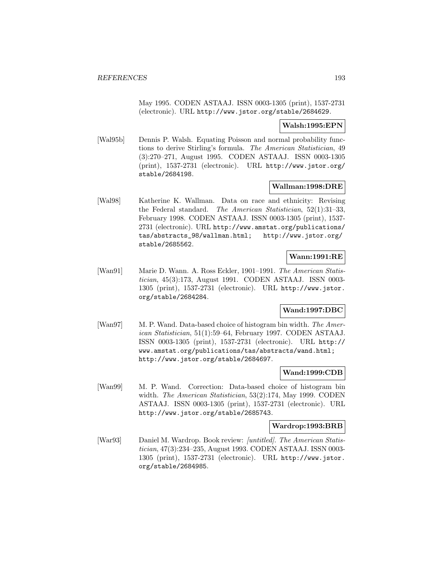May 1995. CODEN ASTAAJ. ISSN 0003-1305 (print), 1537-2731 (electronic). URL http://www.jstor.org/stable/2684629.

# **Walsh:1995:EPN**

[Wal95b] Dennis P. Walsh. Equating Poisson and normal probability functions to derive Stirling's formula. The American Statistician, 49 (3):270–271, August 1995. CODEN ASTAAJ. ISSN 0003-1305 (print), 1537-2731 (electronic). URL http://www.jstor.org/ stable/2684198.

# **Wallman:1998:DRE**

[Wal98] Katherine K. Wallman. Data on race and ethnicity: Revising the Federal standard. The American Statistician, 52(1):31–33, February 1998. CODEN ASTAAJ. ISSN 0003-1305 (print), 1537- 2731 (electronic). URL http://www.amstat.org/publications/ tas/abstracts\_98/wallman.html; http://www.jstor.org/ stable/2685562.

# **Wann:1991:RE**

[Wan91] Marie D. Wann. A. Ross Eckler, 1901–1991. The American Statistician, 45(3):173, August 1991. CODEN ASTAAJ. ISSN 0003- 1305 (print), 1537-2731 (electronic). URL http://www.jstor. org/stable/2684284.

# **Wand:1997:DBC**

[Wan97] M. P. Wand. Data-based choice of histogram bin width. The American Statistician, 51(1):59–64, February 1997. CODEN ASTAAJ. ISSN 0003-1305 (print), 1537-2731 (electronic). URL http:// www.amstat.org/publications/tas/abstracts/wand.html; http://www.jstor.org/stable/2684697.

### **Wand:1999:CDB**

[Wan99] M. P. Wand. Correction: Data-based choice of histogram bin width. The American Statistician, 53(2):174, May 1999. CODEN ASTAAJ. ISSN 0003-1305 (print), 1537-2731 (electronic). URL http://www.jstor.org/stable/2685743.

### **Wardrop:1993:BRB**

[War93] Daniel M. Wardrop. Book review: *[untitled]*. The American Statistician, 47(3):234–235, August 1993. CODEN ASTAAJ. ISSN 0003- 1305 (print), 1537-2731 (electronic). URL http://www.jstor. org/stable/2684985.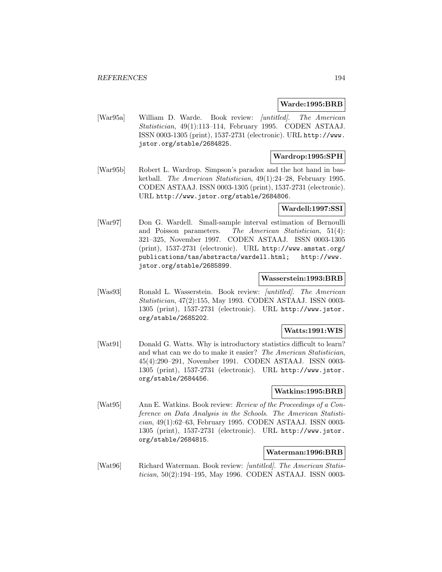#### **Warde:1995:BRB**

[War95a] William D. Warde. Book review: [untitled]. The American Statistician, 49(1):113–114, February 1995. CODEN ASTAAJ. ISSN 0003-1305 (print), 1537-2731 (electronic). URL http://www. jstor.org/stable/2684825.

# **Wardrop:1995:SPH**

[War95b] Robert L. Wardrop. Simpson's paradox and the hot hand in basketball. The American Statistician, 49(1):24–28, February 1995. CODEN ASTAAJ. ISSN 0003-1305 (print), 1537-2731 (electronic). URL http://www.jstor.org/stable/2684806.

### **Wardell:1997:SSI**

[War97] Don G. Wardell. Small-sample interval estimation of Bernoulli and Poisson parameters. The American Statistician, 51(4): 321–325, November 1997. CODEN ASTAAJ. ISSN 0003-1305 (print), 1537-2731 (electronic). URL http://www.amstat.org/ publications/tas/abstracts/wardell.html; http://www. jstor.org/stable/2685899.

#### **Wasserstein:1993:BRB**

[Was93] Ronald L. Wasserstein. Book review: [untitled]. The American Statistician, 47(2):155, May 1993. CODEN ASTAAJ. ISSN 0003- 1305 (print), 1537-2731 (electronic). URL http://www.jstor. org/stable/2685202.

# **Watts:1991:WIS**

[Wat91] Donald G. Watts. Why is introductory statistics difficult to learn? and what can we do to make it easier? The American Statistician, 45(4):290–291, November 1991. CODEN ASTAAJ. ISSN 0003- 1305 (print), 1537-2731 (electronic). URL http://www.jstor. org/stable/2684456.

# **Watkins:1995:BRB**

[Wat95] Ann E. Watkins. Book review: Review of the Proceedings of a Conference on Data Analysis in the Schools. The American Statistician, 49(1):62–63, February 1995. CODEN ASTAAJ. ISSN 0003- 1305 (print), 1537-2731 (electronic). URL http://www.jstor. org/stable/2684815.

### **Waterman:1996:BRB**

[Wat96] Richard Waterman. Book review: [untitled]. The American Statistician, 50(2):194–195, May 1996. CODEN ASTAAJ. ISSN 0003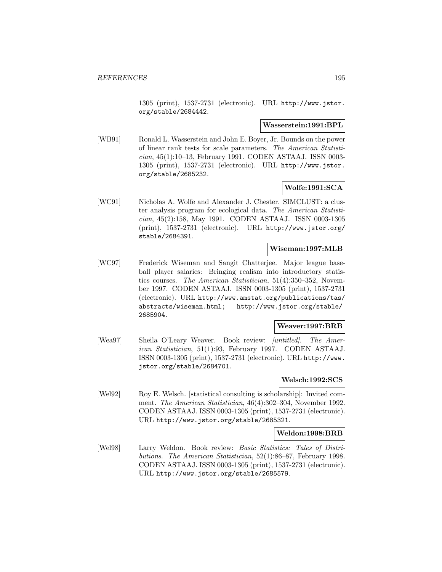1305 (print), 1537-2731 (electronic). URL http://www.jstor. org/stable/2684442.

#### **Wasserstein:1991:BPL**

[WB91] Ronald L. Wasserstein and John E. Boyer, Jr. Bounds on the power of linear rank tests for scale parameters. The American Statistician, 45(1):10–13, February 1991. CODEN ASTAAJ. ISSN 0003- 1305 (print), 1537-2731 (electronic). URL http://www.jstor. org/stable/2685232.

# **Wolfe:1991:SCA**

[WC91] Nicholas A. Wolfe and Alexander J. Chester. SIMCLUST: a cluster analysis program for ecological data. The American Statistician, 45(2):158, May 1991. CODEN ASTAAJ. ISSN 0003-1305 (print), 1537-2731 (electronic). URL http://www.jstor.org/ stable/2684391.

#### **Wiseman:1997:MLB**

[WC97] Frederick Wiseman and Sangit Chatterjee. Major league baseball player salaries: Bringing realism into introductory statistics courses. The American Statistician, 51(4):350–352, November 1997. CODEN ASTAAJ. ISSN 0003-1305 (print), 1537-2731 (electronic). URL http://www.amstat.org/publications/tas/ abstracts/wiseman.html; http://www.jstor.org/stable/ 2685904.

#### **Weaver:1997:BRB**

[Wea97] Sheila O'Leary Weaver. Book review: *[untitled]*. The American Statistician, 51(1):93, February 1997. CODEN ASTAAJ. ISSN 0003-1305 (print), 1537-2731 (electronic). URL http://www. jstor.org/stable/2684701.

### **Welsch:1992:SCS**

[Wel92] Roy E. Welsch. [statistical consulting is scholarship]: Invited comment. The American Statistician, 46(4):302-304, November 1992. CODEN ASTAAJ. ISSN 0003-1305 (print), 1537-2731 (electronic). URL http://www.jstor.org/stable/2685321.

#### **Weldon:1998:BRB**

[Wel98] Larry Weldon. Book review: Basic Statistics: Tales of Distributions. The American Statistician, 52(1):86–87, February 1998. CODEN ASTAAJ. ISSN 0003-1305 (print), 1537-2731 (electronic). URL http://www.jstor.org/stable/2685579.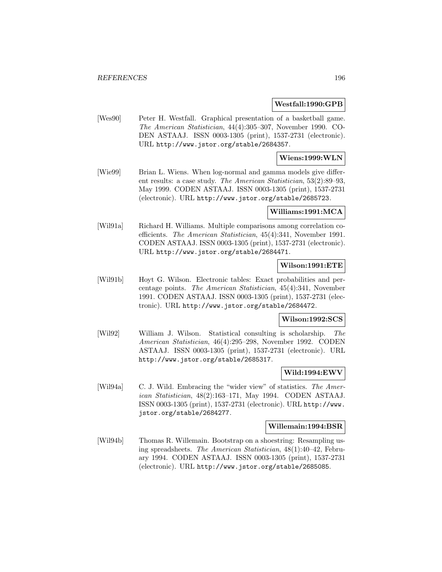#### **Westfall:1990:GPB**

[Wes90] Peter H. Westfall. Graphical presentation of a basketball game. The American Statistician, 44(4):305–307, November 1990. CO-DEN ASTAAJ. ISSN 0003-1305 (print), 1537-2731 (electronic). URL http://www.jstor.org/stable/2684357.

## **Wiens:1999:WLN**

[Wie99] Brian L. Wiens. When log-normal and gamma models give different results: a case study. The American Statistician, 53(2):89–93, May 1999. CODEN ASTAAJ. ISSN 0003-1305 (print), 1537-2731 (electronic). URL http://www.jstor.org/stable/2685723.

#### **Williams:1991:MCA**

[Wil91a] Richard H. Williams. Multiple comparisons among correlation coefficients. The American Statistician, 45(4):341, November 1991. CODEN ASTAAJ. ISSN 0003-1305 (print), 1537-2731 (electronic). URL http://www.jstor.org/stable/2684471.

# **Wilson:1991:ETE**

[Wil91b] Hoyt G. Wilson. Electronic tables: Exact probabilities and percentage points. The American Statistician, 45(4):341, November 1991. CODEN ASTAAJ. ISSN 0003-1305 (print), 1537-2731 (electronic). URL http://www.jstor.org/stable/2684472.

#### **Wilson:1992:SCS**

[Wil92] William J. Wilson. Statistical consulting is scholarship. The American Statistician, 46(4):295–298, November 1992. CODEN ASTAAJ. ISSN 0003-1305 (print), 1537-2731 (electronic). URL http://www.jstor.org/stable/2685317.

#### **Wild:1994:EWV**

[Wil94a] C. J. Wild. Embracing the "wider view" of statistics. The American Statistician, 48(2):163–171, May 1994. CODEN ASTAAJ. ISSN 0003-1305 (print), 1537-2731 (electronic). URL http://www. jstor.org/stable/2684277.

#### **Willemain:1994:BSR**

[Wil94b] Thomas R. Willemain. Bootstrap on a shoestring: Resampling using spreadsheets. The American Statistician, 48(1):40–42, February 1994. CODEN ASTAAJ. ISSN 0003-1305 (print), 1537-2731 (electronic). URL http://www.jstor.org/stable/2685085.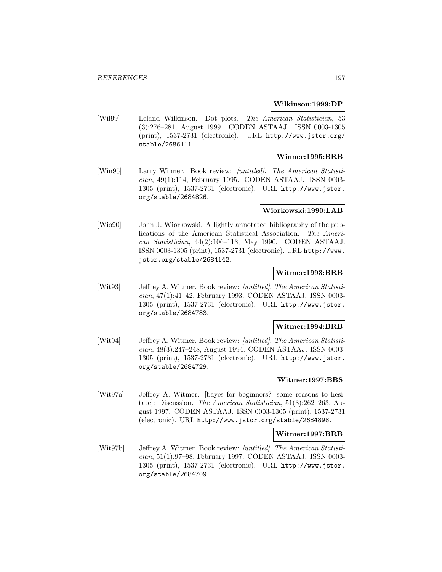#### **Wilkinson:1999:DP**

[Wil99] Leland Wilkinson. Dot plots. The American Statistician, 53 (3):276–281, August 1999. CODEN ASTAAJ. ISSN 0003-1305 (print), 1537-2731 (electronic). URL http://www.jstor.org/ stable/2686111.

# **Winner:1995:BRB**

[Win95] Larry Winner. Book review: *[untitled]. The American Statisti*cian, 49(1):114, February 1995. CODEN ASTAAJ. ISSN 0003- 1305 (print), 1537-2731 (electronic). URL http://www.jstor. org/stable/2684826.

#### **Wiorkowski:1990:LAB**

[Wio90] John J. Wiorkowski. A lightly annotated bibliography of the publications of the American Statistical Association. The American Statistician, 44(2):106–113, May 1990. CODEN ASTAAJ. ISSN 0003-1305 (print), 1537-2731 (electronic). URL http://www. jstor.org/stable/2684142.

### **Witmer:1993:BRB**

[Wit93] Jeffrey A. Witmer. Book review: [untitled]. The American Statistician, 47(1):41–42, February 1993. CODEN ASTAAJ. ISSN 0003- 1305 (print), 1537-2731 (electronic). URL http://www.jstor. org/stable/2684783.

#### **Witmer:1994:BRB**

[Wit94] Jeffrey A. Witmer. Book review: [untitled]. The American Statistician, 48(3):247–248, August 1994. CODEN ASTAAJ. ISSN 0003- 1305 (print), 1537-2731 (electronic). URL http://www.jstor. org/stable/2684729.

### **Witmer:1997:BBS**

[Wit97a] Jeffrey A. Witmer. [bayes for beginners? some reasons to hesitate]: Discussion. The American Statistician, 51(3):262–263, August 1997. CODEN ASTAAJ. ISSN 0003-1305 (print), 1537-2731 (electronic). URL http://www.jstor.org/stable/2684898.

#### **Witmer:1997:BRB**

[Wit97b] Jeffrey A. Witmer. Book review: [untitled]. The American Statistician, 51(1):97–98, February 1997. CODEN ASTAAJ. ISSN 0003- 1305 (print), 1537-2731 (electronic). URL http://www.jstor. org/stable/2684709.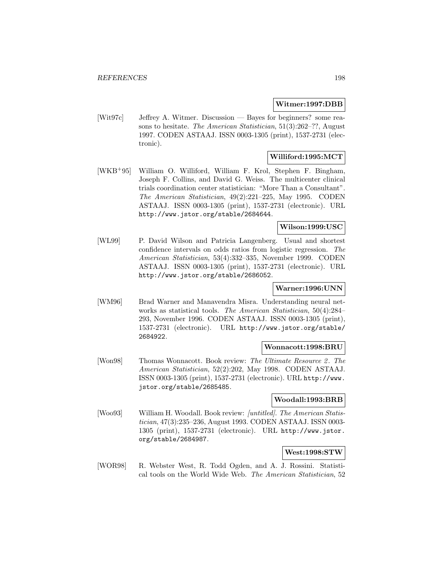#### **Witmer:1997:DBB**

[Wit97c] Jeffrey A. Witmer. Discussion — Bayes for beginners? some reasons to hesitate. The American Statistician, 51(3):262–??, August 1997. CODEN ASTAAJ. ISSN 0003-1305 (print), 1537-2731 (electronic).

# **Williford:1995:MCT**

[WKB<sup>+</sup>95] William O. Williford, William F. Krol, Stephen F. Bingham, Joseph F. Collins, and David G. Weiss. The multicenter clinical trials coordination center statistician: "More Than a Consultant". The American Statistician, 49(2):221–225, May 1995. CODEN ASTAAJ. ISSN 0003-1305 (print), 1537-2731 (electronic). URL http://www.jstor.org/stable/2684644.

# **Wilson:1999:USC**

[WL99] P. David Wilson and Patricia Langenberg. Usual and shortest confidence intervals on odds ratios from logistic regression. The American Statistician, 53(4):332–335, November 1999. CODEN ASTAAJ. ISSN 0003-1305 (print), 1537-2731 (electronic). URL http://www.jstor.org/stable/2686052.

# **Warner:1996:UNN**

[WM96] Brad Warner and Manavendra Misra. Understanding neural networks as statistical tools. The American Statistician, 50(4):284– 293, November 1996. CODEN ASTAAJ. ISSN 0003-1305 (print), 1537-2731 (electronic). URL http://www.jstor.org/stable/ 2684922.

#### **Wonnacott:1998:BRU**

[Won98] Thomas Wonnacott. Book review: The Ultimate Resource 2. The American Statistician, 52(2):202, May 1998. CODEN ASTAAJ. ISSN 0003-1305 (print), 1537-2731 (electronic). URL http://www. jstor.org/stable/2685485.

### **Woodall:1993:BRB**

[Woo93] William H. Woodall. Book review: [untitled]. The American Statistician, 47(3):235–236, August 1993. CODEN ASTAAJ. ISSN 0003- 1305 (print), 1537-2731 (electronic). URL http://www.jstor. org/stable/2684987.

# **West:1998:STW**

[WOR98] R. Webster West, R. Todd Ogden, and A. J. Rossini. Statistical tools on the World Wide Web. The American Statistician, 52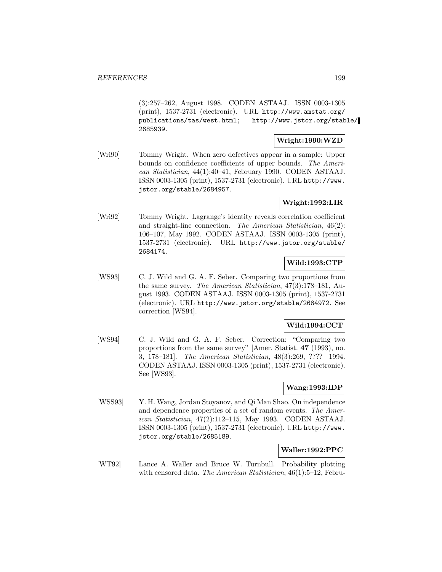(3):257–262, August 1998. CODEN ASTAAJ. ISSN 0003-1305 (print), 1537-2731 (electronic). URL http://www.amstat.org/ publications/tas/west.html; http://www.jstor.org/stable/ 2685939.

# **Wright:1990:WZD**

[Wri90] Tommy Wright. When zero defectives appear in a sample: Upper bounds on confidence coefficients of upper bounds. The American Statistician, 44(1):40–41, February 1990. CODEN ASTAAJ. ISSN 0003-1305 (print), 1537-2731 (electronic). URL http://www. jstor.org/stable/2684957.

# **Wright:1992:LIR**

[Wri92] Tommy Wright. Lagrange's identity reveals correlation coefficient and straight-line connection. The American Statistician, 46(2): 106–107, May 1992. CODEN ASTAAJ. ISSN 0003-1305 (print), 1537-2731 (electronic). URL http://www.jstor.org/stable/ 2684174.

# **Wild:1993:CTP**

[WS93] C. J. Wild and G. A. F. Seber. Comparing two proportions from the same survey. The American Statistician, 47(3):178–181, August 1993. CODEN ASTAAJ. ISSN 0003-1305 (print), 1537-2731 (electronic). URL http://www.jstor.org/stable/2684972. See correction [WS94].

# **Wild:1994:CCT**

[WS94] C. J. Wild and G. A. F. Seber. Correction: "Comparing two proportions from the same survey" [Amer. Statist. **47** (1993), no. 3, 178–181]. The American Statistician, 48(3):269, ???? 1994. CODEN ASTAAJ. ISSN 0003-1305 (print), 1537-2731 (electronic). See [WS93].

### **Wang:1993:IDP**

[WSS93] Y. H. Wang, Jordan Stoyanov, and Qi Man Shao. On independence and dependence properties of a set of random events. The American Statistician, 47(2):112–115, May 1993. CODEN ASTAAJ. ISSN 0003-1305 (print), 1537-2731 (electronic). URL http://www. jstor.org/stable/2685189.

#### **Waller:1992:PPC**

[WT92] Lance A. Waller and Bruce W. Turnbull. Probability plotting with censored data. The American Statistician, 46(1):5–12, Febru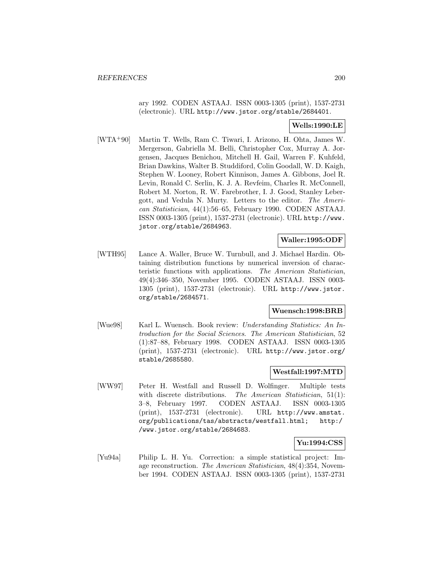ary 1992. CODEN ASTAAJ. ISSN 0003-1305 (print), 1537-2731 (electronic). URL http://www.jstor.org/stable/2684401.

# **Wells:1990:LE**

[WTA<sup>+</sup>90] Martin T. Wells, Ram C. Tiwari, I. Arizono, H. Ohta, James W. Mergerson, Gabriella M. Belli, Christopher Cox, Murray A. Jorgensen, Jacques Benichou, Mitchell H. Gail, Warren F. Kuhfeld, Brian Dawkins, Walter B. Studdiford, Colin Goodall, W. D. Kaigh, Stephen W. Looney, Robert Kinnison, James A. Gibbons, Joel R. Levin, Ronald C. Serlin, K. J. A. Revfeim, Charles R. McConnell, Robert M. Norton, R. W. Farebrother, I. J. Good, Stanley Lebergott, and Vedula N. Murty. Letters to the editor. The American Statistician, 44(1):56–65, February 1990. CODEN ASTAAJ. ISSN 0003-1305 (print), 1537-2731 (electronic). URL http://www. jstor.org/stable/2684963.

### **Waller:1995:ODF**

[WTH95] Lance A. Waller, Bruce W. Turnbull, and J. Michael Hardin. Obtaining distribution functions by numerical inversion of characteristic functions with applications. The American Statistician, 49(4):346–350, November 1995. CODEN ASTAAJ. ISSN 0003- 1305 (print), 1537-2731 (electronic). URL http://www.jstor. org/stable/2684571.

# **Wuensch:1998:BRB**

[Wue98] Karl L. Wuensch. Book review: Understanding Statistics: An Introduction for the Social Sciences. The American Statistician, 52 (1):87–88, February 1998. CODEN ASTAAJ. ISSN 0003-1305 (print), 1537-2731 (electronic). URL http://www.jstor.org/ stable/2685580.

# **Westfall:1997:MTD**

[WW97] Peter H. Westfall and Russell D. Wolfinger. Multiple tests with discrete distributions. The American Statistician, 51(1): 3–8, February 1997. CODEN ASTAAJ. ISSN 0003-1305 (print), 1537-2731 (electronic). URL http://www.amstat. org/publications/tas/abstracts/westfall.html; http:/ /www.jstor.org/stable/2684683.

#### **Yu:1994:CSS**

[Yu94a] Philip L. H. Yu. Correction: a simple statistical project: Image reconstruction. The American Statistician, 48(4):354, November 1994. CODEN ASTAAJ. ISSN 0003-1305 (print), 1537-2731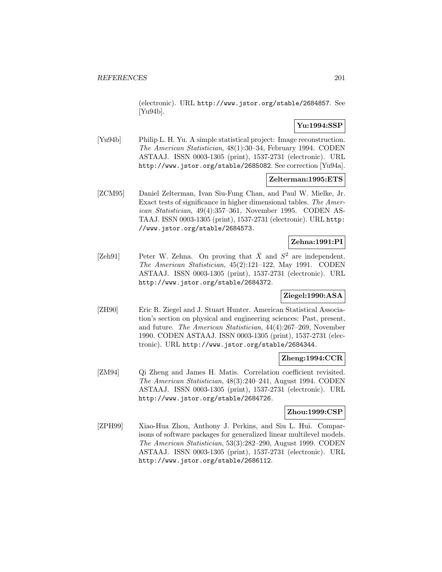(electronic). URL http://www.jstor.org/stable/2684857. See [Yu94b].

# **Yu:1994:SSP**

[Yu94b] Philip L. H. Yu. A simple statistical project: Image reconstruction. The American Statistician, 48(1):30–34, February 1994. CODEN ASTAAJ. ISSN 0003-1305 (print), 1537-2731 (electronic). URL http://www.jstor.org/stable/2685082. See correction [Yu94a].

### **Zelterman:1995:ETS**

[ZCM95] Daniel Zelterman, Ivan Siu-Fung Chan, and Paul W. Mielke, Jr. Exact tests of significance in higher dimensional tables. The American Statistician, 49(4):357–361, November 1995. CODEN AS-TAAJ. ISSN 0003-1305 (print), 1537-2731 (electronic). URL http: //www.jstor.org/stable/2684573.

# **Zehna:1991:PI**

[Zeh91] Peter W. Zehna. On proving that  $\bar{X}$  and  $S^2$  are independent. The American Statistician, 45(2):121–122, May 1991. CODEN ASTAAJ. ISSN 0003-1305 (print), 1537-2731 (electronic). URL http://www.jstor.org/stable/2684372.

# **Ziegel:1990:ASA**

[ZH90] Eric R. Ziegel and J. Stuart Hunter. American Statistical Association's section on physical and engineering sciences: Past, present, and future. The American Statistician, 44(4):267–269, November 1990. CODEN ASTAAJ. ISSN 0003-1305 (print), 1537-2731 (electronic). URL http://www.jstor.org/stable/2684344.

# **Zheng:1994:CCR**

[ZM94] Qi Zheng and James H. Matis. Correlation coefficient revisited. The American Statistician, 48(3):240–241, August 1994. CODEN ASTAAJ. ISSN 0003-1305 (print), 1537-2731 (electronic). URL http://www.jstor.org/stable/2684726.

### **Zhou:1999:CSP**

[ZPH99] Xiao-Hua Zhou, Anthony J. Perkins, and Siu L. Hui. Comparisons of software packages for generalized linear multilevel models. The American Statistician, 53(3):282–290, August 1999. CODEN ASTAAJ. ISSN 0003-1305 (print), 1537-2731 (electronic). URL http://www.jstor.org/stable/2686112.